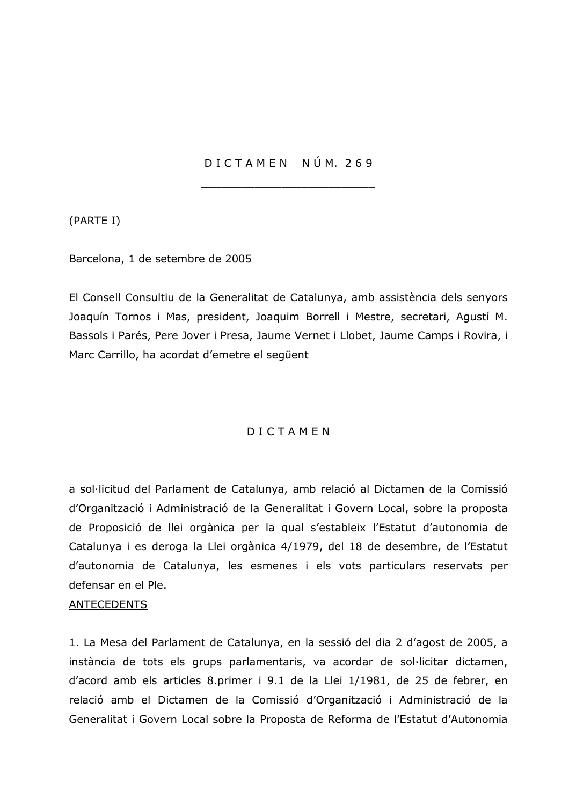DICTAMEN NÚM. 269

(PARTE I)

Barcelona, 1 de setembre de 2005

El Consell Consultiu de la Generalitat de Catalunya, amb assistència dels senyors Joaquín Tornos i Mas, president, Joaquim Borrell i Mestre, secretari, Agustí M. Bassols i Parés, Pere Jover i Presa, Jaume Vernet i Llobet, Jaume Camps i Rovira, i Marc Carrillo, ha acordat d'emetre el següent

## DICTAMEN

a sol·licitud del Parlament de Catalunya, amb relació al Dictamen de la Comissió d'Organització i Administració de la Generalitat i Govern Local, sobre la proposta de Proposició de llei orgànica per la qual s'estableix l'Estatut d'autonomia de Catalunya i es deroga la Llei orgànica 4/1979, del 18 de desembre, de l'Estatut d'autonomia de Catalunya, les esmenes i els vots particulars reservats per defensar en el Ple.

## **ANTECEDENTS**

1. La Mesa del Parlament de Catalunya, en la sessió del dia 2 d'agost de 2005, a instància de tots els grups parlamentaris, va acordar de sol·licitar dictamen, d'acord amb els articles 8.primer i 9.1 de la Llei 1/1981, de 25 de febrer, en relació amb el Dictamen de la Comissió d'Organització i Administració de la Generalitat i Govern Local sobre la Proposta de Reforma de l'Estatut d'Autonomia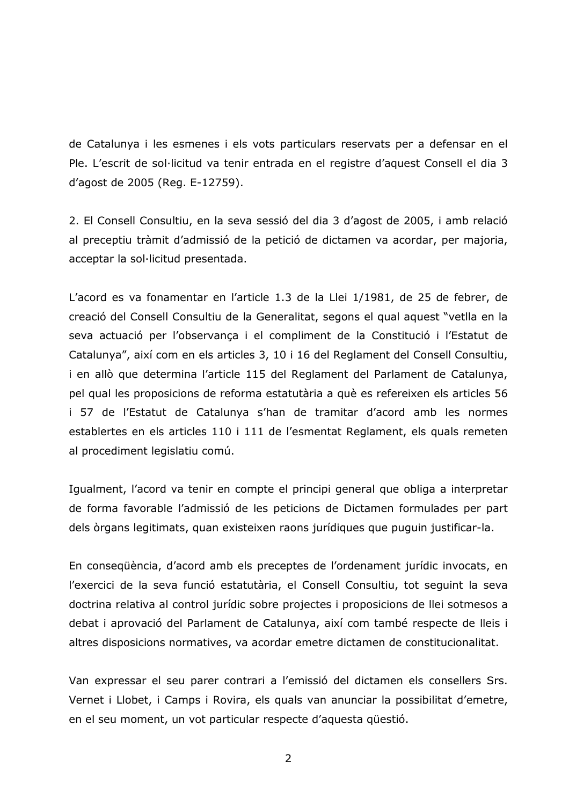de Catalunya i les esmenes i els vots particulars reservats per a defensar en el Ple. L'escrit de sol·licitud va tenir entrada en el registre d'aquest Consell el dia 3 d'agost de 2005 (Reg. E-12759).

2. El Consell Consultiu, en la seva sessió del dia 3 d'agost de 2005, i amb relació al preceptiu tràmit d'admissió de la petició de dictamen va acordar, per majoria, acceptar la sol·licitud presentada.

L'acord es va fonamentar en l'article 1.3 de la Llei 1/1981, de 25 de febrer, de creació del Consell Consultiu de la Generalitat, segons el qual aquest "vetlla en la seva actuació per l'observança i el compliment de la Constitució i l'Estatut de Catalunya", així com en els articles 3, 10 i 16 del Reglament del Consell Consultiu, i en allò que determina l'article 115 del Reglament del Parlament de Catalunya, pel qual les proposicions de reforma estatutària a què es refereixen els articles 56 i 57 de l'Estatut de Catalunya s'han de tramitar d'acord amb les normes establertes en els articles 110 i 111 de l'esmentat Reglament, els quals remeten al procediment legislatiu comú.

Igualment, l'acord va tenir en compte el principi general que obliga a interpretar de forma favorable l'admissió de les peticions de Dictamen formulades per part dels òrgans legitimats, quan existeixen raons jurídiques que puguin justificar-la.

En consequència, d'acord amb els preceptes de l'ordenament jurídic invocats, en l'exercici de la seva funció estatutària, el Consell Consultiu, tot seguint la seva doctrina relativa al control jurídic sobre projectes i proposicions de llei sotmesos a debat i aprovació del Parlament de Catalunya, així com també respecte de lleis i altres disposicions normatives, va acordar emetre dictamen de constitucionalitat.

Van expressar el seu parer contrari a l'emissió del dictamen els consellers Srs. Vernet i Llobet, i Camps i Rovira, els quals van anunciar la possibilitat d'emetre, en el seu moment, un vot particular respecte d'aquesta qüestió.

 $\overline{2}$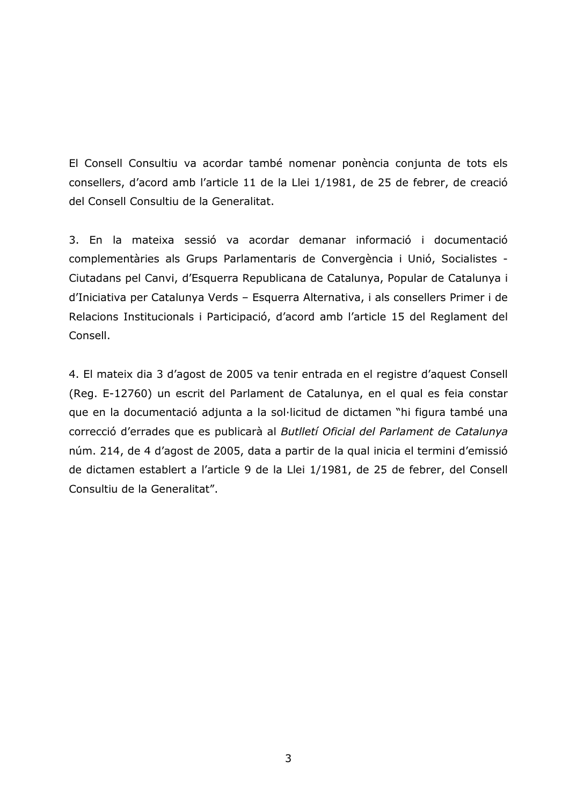El Consell Consultiu va acordar també nomenar ponència conjunta de tots els consellers, d'acord amb l'article 11 de la Llei 1/1981, de 25 de febrer, de creació del Consell Consultiu de la Generalitat.

3. En la mateixa sessió va acordar demanar informació i documentació complementàries als Grups Parlamentaris de Convergència i Unió, Socialistes -Ciutadans pel Canvi, d'Esquerra Republicana de Catalunya, Popular de Catalunya i d'Iniciativa per Catalunya Verds - Esquerra Alternativa, i als consellers Primer i de Relacions Institucionals i Participació, d'acord amb l'article 15 del Reglament del Consell.

4. El mateix dia 3 d'agost de 2005 va tenir entrada en el registre d'aguest Consell (Reg. E-12760) un escrit del Parlament de Catalunya, en el qual es feia constar que en la documentació adjunta a la sol·licitud de dictamen "hi figura també una correcció d'errades que es publicarà al Butlletí Oficial del Parlament de Catalunya núm. 214, de 4 d'agost de 2005, data a partir de la qual inicia el termini d'emissió de dictamen establert a l'article 9 de la Llei 1/1981, de 25 de febrer, del Consell Consultiu de la Generalitat".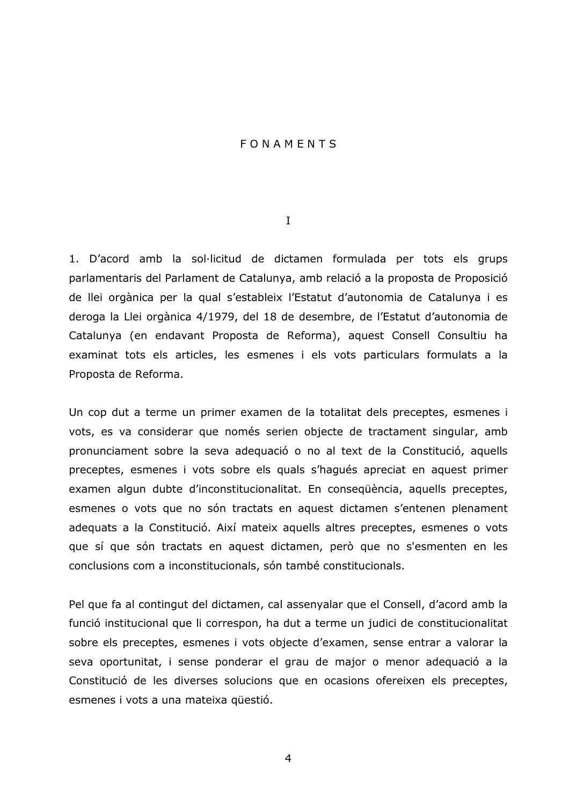## **FONAMENTS**

 $\mathbf{I}$ 

1. D'acord amb la sol·licitud de dictamen formulada per tots els grups parlamentaris del Parlament de Catalunya, amb relació a la proposta de Proposició de llei orgànica per la qual s'estableix l'Estatut d'autonomia de Catalunya i es deroga la Llei orgànica 4/1979, del 18 de desembre, de l'Estatut d'autonomia de Catalunya (en endavant Proposta de Reforma), aquest Consell Consultiu ha examinat tots els articles, les esmenes i els vots particulars formulats a la Proposta de Reforma.

Un cop dut a terme un primer examen de la totalitat dels preceptes, esmenes i vots, es va considerar que només serien objecte de tractament singular, amb pronunciament sobre la seva adequació o no al text de la Constitució, aquells preceptes, esmenes i vots sobre els quals s'hagués apreciat en aquest primer examen algun dubte d'inconstitucionalitat. En consegüència, aquells preceptes, esmenes o vots que no són tractats en aquest dictamen s'entenen plenament adequats a la Constitució. Així mateix aquells altres preceptes, esmenes o vots que sí que són tractats en aquest dictamen, però que no s'esmenten en les conclusions com a inconstitucionals, són també constitucionals.

Pel que fa al contingut del dictamen, cal assenyalar que el Consell, d'acord amb la funció institucional que li correspon, ha dut a terme un judici de constitucionalitat sobre els preceptes, esmenes i vots objecte d'examen, sense entrar a valorar la seva oportunitat, i sense ponderar el grau de major o menor adequació a la Constitució de les diverses solucions que en ocasions ofereixen els preceptes, esmenes i vots a una mateixa questió.

 $\overline{4}$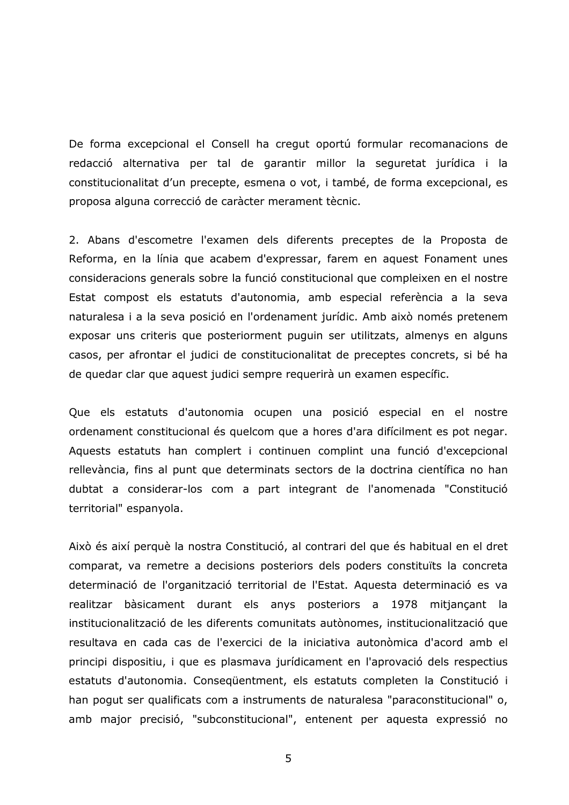De forma excepcional el Consell ha cregut oportú formular recomanacions de redacció alternativa per tal de garantir millor la seguretat jurídica i la constitucionalitat d'un precepte, esmena o vot, i també, de forma excepcional, es proposa alguna correcció de caràcter merament tècnic.

2. Abans d'escometre l'examen dels diferents preceptes de la Proposta de Reforma, en la línia que acabem d'expressar, farem en aquest Fonament unes consideracions generals sobre la funció constitucional que compleixen en el nostre Estat compost els estatuts d'autonomia, amb especial referència a la seva naturalesa i a la seva posició en l'ordenament jurídic. Amb això només pretenem exposar uns criteris que posteriorment puguin ser utilitzats, almenys en alguns casos, per afrontar el judici de constitucionalitat de preceptes concrets, si bé ha de quedar clar que aquest judici sempre requerirà un examen específic.

Que els estatuts d'autonomia ocupen una posició especial en el nostre ordenament constitucional és quelcom que a hores d'ara difícilment es pot negar. Aquests estatuts han complert i continuen complint una funció d'excepcional rellevància, fins al punt que determinats sectors de la doctrina científica no han dubtat a considerar-los com a part integrant de l'anomenada "Constitució territorial" espanyola.

Això és així perquè la nostra Constitució, al contrari del que és habitual en el dret comparat, va remetre a decisions posteriors dels poders constituïts la concreta determinació de l'organització territorial de l'Estat. Aquesta determinació es va realitzar bàsicament durant els anys posteriors a 1978 mitjançant la institucionalització de les diferents comunitats autònomes, institucionalització que resultava en cada cas de l'exercici de la iniciativa autonòmica d'acord amb el principi dispositiu, i que es plasmava jurídicament en l'aprovació dels respectius estatuts d'autonomia. Consequentment, els estatuts completen la Constitució i han pogut ser qualificats com a instruments de naturalesa "paraconstitucional" o, amb major precisió, "subconstitucional", entenent per aquesta expressió no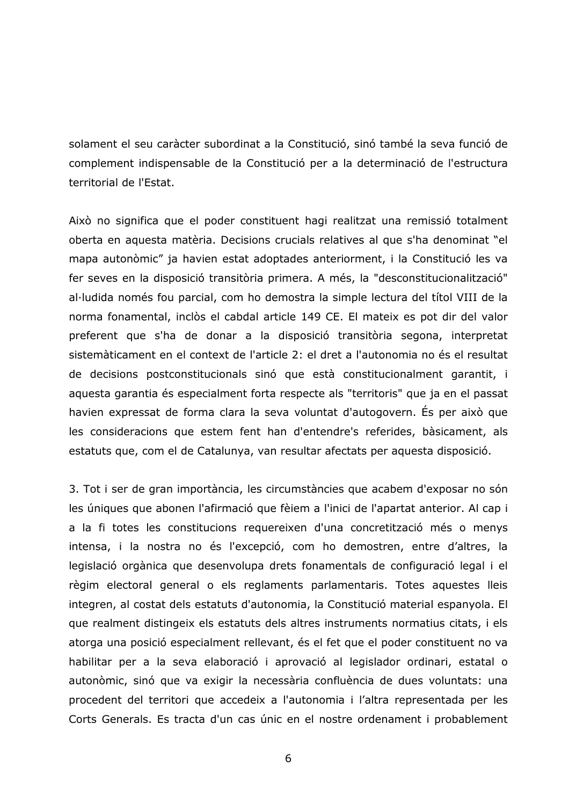solament el seu caràcter subordinat a la Constitució, sinó també la seva funció de complement indispensable de la Constitució per a la determinació de l'estructura territorial de l'Estat.

Això no significa que el poder constituent hagi realitzat una remissió totalment oberta en aquesta matèria. Decisions crucials relatives al que s'ha denominat "el mapa autonòmic" ja havien estat adoptades anteriorment, i la Constitució les va fer seves en la disposició transitòria primera. A més, la "desconstitucionalització" al·ludida només fou parcial, com ho demostra la simple lectura del títol VIII de la norma fonamental, inclòs el cabdal article 149 CE. El mateix es pot dir del valor preferent que s'ha de donar a la disposició transitòria segona, interpretat sistemàticament en el context de l'article 2: el dret a l'autonomia no és el resultat de decisions postconstitucionals sinó que està constitucionalment garantit, i aquesta garantia és especialment forta respecte als "territoris" que ja en el passat havien expressat de forma clara la seva voluntat d'autogovern. És per això que les consideracions que estem fent han d'entendre's referides, bàsicament, als estatuts que, com el de Catalunya, van resultar afectats per aquesta disposició.

3. Tot i ser de gran importància, les circumstàncies que acabem d'exposar no són les úniques que abonen l'afirmació que fèiem a l'inici de l'apartat anterior. Al cap i a la fi totes les constitucions requereixen d'una concretització més o menys intensa, i la nostra no és l'excepció, com ho demostren, entre d'altres, la legislació orgànica que desenvolupa drets fonamentals de configuració legal i el règim electoral general o els reglaments parlamentaris. Totes aquestes lleis integren, al costat dels estatuts d'autonomia, la Constitució material espanyola. El que realment distingeix els estatuts dels altres instruments normatius citats, i els atorga una posició especialment rellevant, és el fet que el poder constituent no va habilitar per a la seva elaboració i aprovació al legislador ordinari, estatal o autonòmic, sinó que va exigir la necessària confluència de dues voluntats: una procedent del territori que accedeix a l'autonomia i l'altra representada per les Corts Generals. Es tracta d'un cas únic en el nostre ordenament i probablement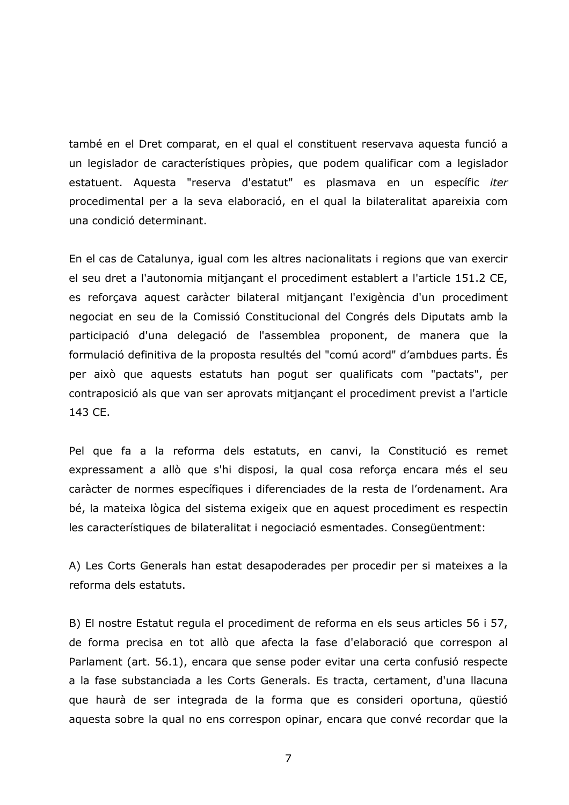també en el Dret comparat, en el qual el constituent reservava aquesta funció a un legislador de característiques pròpies, que podem qualificar com a legislador estatuent. Aquesta "reserva d'estatut" es plasmava en un específic iter procedimental per a la seva elaboració, en el qual la bilateralitat apareixia com una condició determinant.

En el cas de Catalunya, igual com les altres nacionalitats i regions que van exercir el seu dret a l'autonomia mitjançant el procediment establert a l'article 151.2 CE, es reforçava aquest caràcter bilateral mitjançant l'exigència d'un procediment negociat en seu de la Comissió Constitucional del Congrés dels Diputats amb la participació d'una delegació de l'assemblea proponent, de manera que la formulació definitiva de la proposta resultés del "comú acord" d'ambdues parts. És per això que aquests estatuts han poqut ser qualificats com "pactats", per contraposició als que van ser aprovats mitjançant el procediment previst a l'article 143 CE.

Pel que fa a la reforma dels estatuts, en canvi, la Constitució es remet expressament a allò que s'hi disposi, la qual cosa reforça encara més el seu caràcter de normes específiques i diferenciades de la resta de l'ordenament. Ara bé, la mateixa lògica del sistema exigeix que en aquest procediment es respectin les característiques de bilateralitat i negociació esmentades. Consequentment:

A) Les Corts Generals han estat desapoderades per procedir per si mateixes a la reforma dels estatuts.

B) El nostre Estatut regula el procediment de reforma en els seus articles 56 i 57, de forma precisa en tot allò que afecta la fase d'elaboració que correspon al Parlament (art. 56.1), encara que sense poder evitar una certa confusió respecte a la fase substanciada a les Corts Generals. Es tracta, certament, d'una llacuna que haurà de ser integrada de la forma que es consideri oportuna, questió aquesta sobre la qual no ens correspon opinar, encara que convé recordar que la

 $\overline{7}$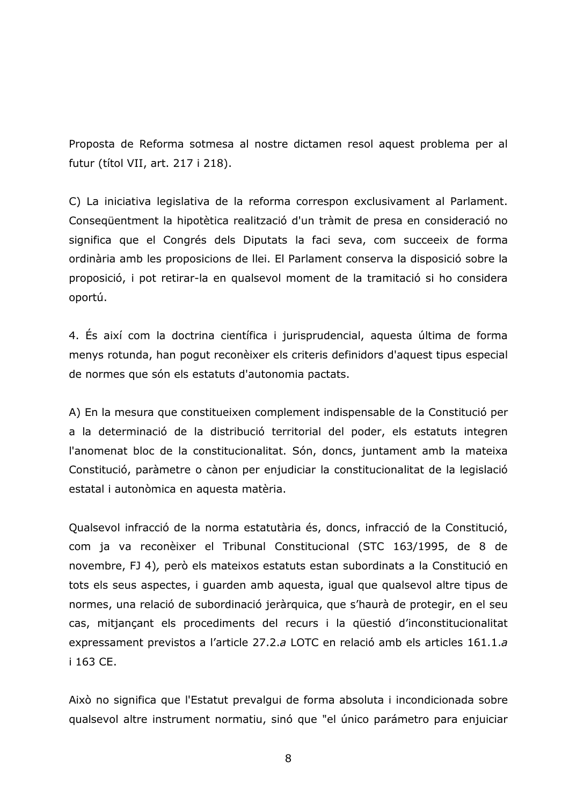Proposta de Reforma sotmesa al nostre dictamen resol aquest problema per al futur (títol VII, art. 217 i 218).

C) La iniciativa legislativa de la reforma correspon exclusivament al Parlament. Consequentment la hipotètica realització d'un tràmit de presa en consideració no significa que el Congrés dels Diputats la faci seva, com succeeix de forma ordinària amb les proposicions de llei. El Parlament conserva la disposició sobre la proposició, i pot retirar-la en qualsevol moment de la tramitació si ho considera oportú.

4. És així com la doctrina científica i jurisprudencial, aquesta última de forma menys rotunda, han pogut reconèixer els criteris definidors d'aquest tipus especial de normes que són els estatuts d'autonomia pactats.

A) En la mesura que constitueixen complement indispensable de la Constitució per a la determinació de la distribució territorial del poder, els estatuts integren l'anomenat bloc de la constitucionalitat. Són, doncs, juntament amb la mateixa Constitució, paràmetre o cànon per enjudiciar la constitucionalitat de la legislació estatal i autonòmica en aquesta matèria.

Qualsevol infracció de la norma estatutària és, doncs, infracció de la Constitució, com ja va reconèixer el Tribunal Constitucional (STC 163/1995, de 8 de novembre, FJ 4), però els mateixos estatuts estan subordinats a la Constitució en tots els seus aspectes, i guarden amb aquesta, igual que qualsevol altre tipus de normes, una relació de subordinació jeràrquica, que s'haurà de protegir, en el seu cas, mitjançant els procediments del recurs i la qüestió d'inconstitucionalitat expressament previstos a l'article 27.2.a LOTC en relació amb els articles 161.1.a i 163 CE.

Això no significa que l'Estatut prevalgui de forma absoluta i incondicionada sobre qualsevol altre instrument normatiu, sinó que "el único parámetro para enjuiciar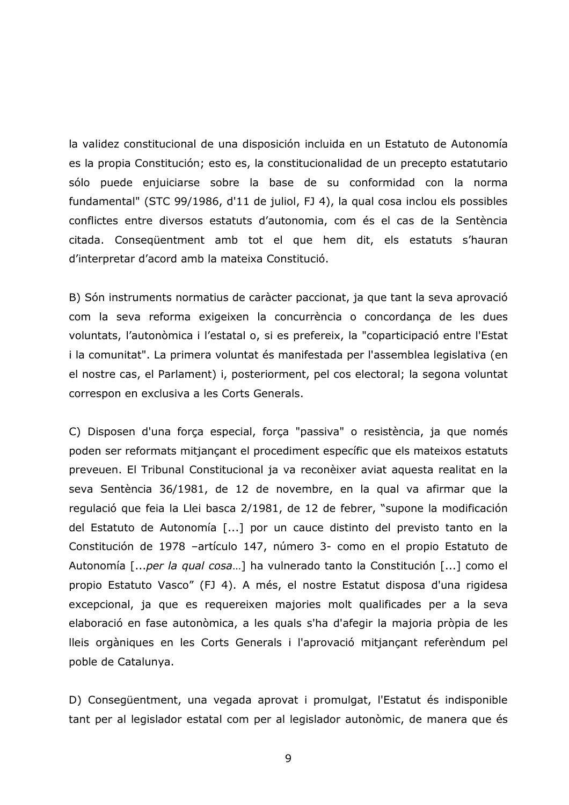la validez constitucional de una disposición incluida en un Estatuto de Autonomía es la propia Constitución; esto es, la constitucionalidad de un precepto estatutario sólo puede enjuiciarse sobre la base de su conformidad con la norma fundamental" (STC 99/1986, d'11 de juliol, FJ 4), la qual cosa inclou els possibles conflictes entre diversos estatuts d'autonomia, com és el cas de la Sentència citada. Consequentment amb tot el que hem dit, els estatuts s'hauran d'interpretar d'acord amb la mateixa Constitució.

B) Són instruments normatius de caràcter paccionat, ja que tant la seva aprovació com la seva reforma exigeixen la concurrència o concordança de les dues voluntats, l'autonòmica i l'estatal o, si es prefereix, la "coparticipació entre l'Estat i la comunitat". La primera voluntat és manifestada per l'assemblea legislativa (en el nostre cas, el Parlament) i, posteriorment, pel cos electoral; la segona voluntat correspon en exclusiva a les Corts Generals.

C) Disposen d'una força especial, força "passiva" o resistència, ja que només poden ser reformats mitjançant el procediment específic que els mateixos estatuts preveuen. El Tribunal Constitucional ja va reconèixer aviat aquesta realitat en la seva Sentència 36/1981, de 12 de novembre, en la qual va afirmar que la regulació que feia la Llei basca 2/1981, de 12 de febrer, "supone la modificación del Estatuto de Autonomía [...] por un cauce distinto del previsto tanto en la Constitución de 1978 - artículo 147, número 3- como en el propio Estatuto de Autonomía [...per la qual cosa...] ha vulnerado tanto la Constitución [...] como el propio Estatuto Vasco" (FJ 4). A més, el nostre Estatut disposa d'una rigidesa excepcional, ja que es requereixen majories molt qualificades per a la seva elaboració en fase autonòmica, a les quals s'ha d'afegir la majoria pròpia de les lleis orgàniques en les Corts Generals i l'aprovació mitjançant referèndum pel poble de Catalunya.

D) Consegüentment, una vegada aprovat i promulgat, l'Estatut és indisponible tant per al legislador estatal com per al legislador autonòmic, de manera que és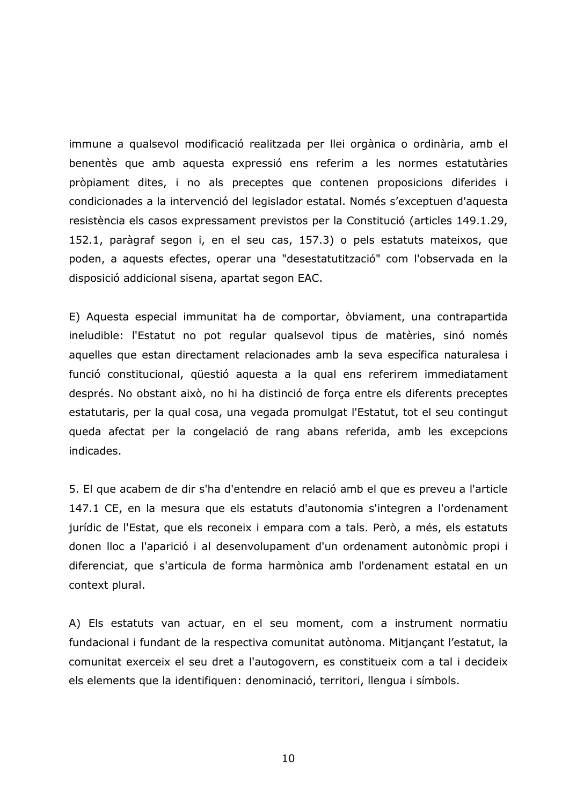immune a qualsevol modificació realitzada per llei orgànica o ordinària, amb el benentès que amb aquesta expressió ens referim a les normes estatutàries pròpiament dites, i no als preceptes que contenen proposicions diferides i condicionades a la intervenció del legislador estatal. Només s'exceptuen d'aquesta resistència els casos expressament previstos per la Constitució (articles 149.1.29, 152.1, paràgraf segon i, en el seu cas, 157.3) o pels estatuts mateixos, que poden, a aquests efectes, operar una "desestatutització" com l'observada en la disposició addicional sisena, apartat segon EAC.

E) Aquesta especial immunitat ha de comportar, òbviament, una contrapartida ineludible: l'Estatut no pot regular qualsevol tipus de matèries, sinó només aquelles que estan directament relacionades amb la seva específica naturalesa i funció constitucional, qüestió aquesta a la qual ens referirem immediatament després. No obstant això, no hi ha distinció de força entre els diferents preceptes estatutaris, per la qual cosa, una vegada promulgat l'Estatut, tot el seu contingut queda afectat per la congelació de rang abans referida, amb les excepcions indicades.

5. El que acabem de dir s'ha d'entendre en relació amb el que es preveu a l'article 147.1 CE, en la mesura que els estatuts d'autonomia s'integren a l'ordenament jurídic de l'Estat, que els reconeix i empara com a tals. Però, a més, els estatuts donen lloc a l'aparició i al desenvolupament d'un ordenament autonòmic propi i diferenciat, que s'articula de forma harmònica amb l'ordenament estatal en un context plural.

A) Els estatuts van actuar, en el seu moment, com a instrument normatiu fundacional i fundant de la respectiva comunitat autònoma. Mitjançant l'estatut, la comunitat exerceix el seu dret a l'autogovern, es constitueix com a tal i decideix els elements que la identifiquen: denominació, territori, llengua i símbols.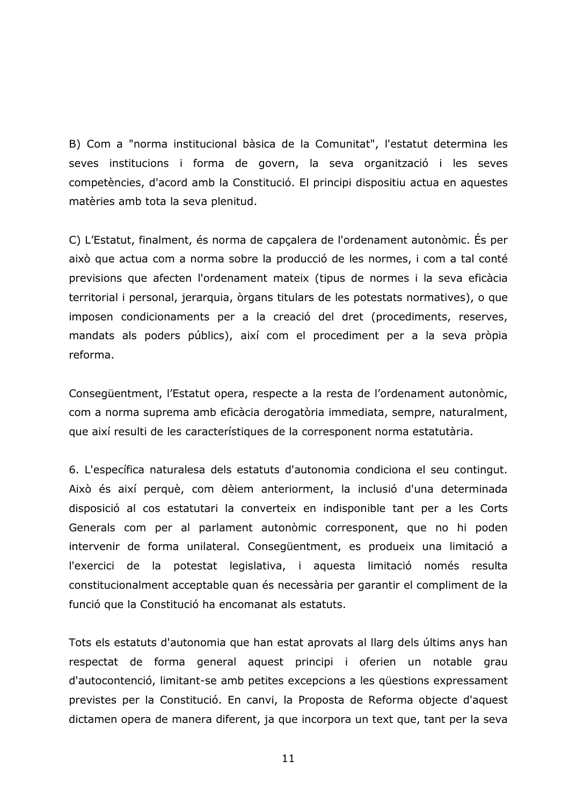B) Com a "norma institucional bàsica de la Comunitat", l'estatut determina les seves institucions i forma de govern, la seva organització i les seves competències, d'acord amb la Constitució. El principi dispositiu actua en aquestes matèries amb tota la seva plenitud.

C) L'Estatut, finalment, és norma de capçalera de l'ordenament autonòmic. És per això que actua com a norma sobre la producció de les normes, i com a tal conté previsions que afecten l'ordenament mateix (tipus de normes i la seva eficàcia territorial i personal, jerarquia, òrgans titulars de les potestats normatives), o que imposen condicionaments per a la creació del dret (procediments, reserves, mandats als poders públics), així com el procediment per a la seva pròpia reforma.

Consequentment, l'Estatut opera, respecte a la resta de l'ordenament autonòmic, com a norma suprema amb eficàcia derogatòria immediata, sempre, naturalment, que així resulti de les característiques de la corresponent norma estatutària.

6. L'específica naturalesa dels estatuts d'autonomia condiciona el seu contingut. Això és així perquè, com dèjem anteriorment, la inclusió d'una determinada disposició al cos estatutari la converteix en indisponible tant per a les Corts Generals com per al parlament autonòmic corresponent, que no hi poden intervenir de forma unilateral. Consegüentment, es produeix una limitació a l'exercici de la potestat legislativa, i aquesta limitació només resulta constitucionalment acceptable quan és necessària per garantir el compliment de la funció que la Constitució ha encomanat als estatuts.

Tots els estatuts d'autonomia que han estat aprovats al llarg dels últims anys han respectat de forma general aquest principi i oferien un notable grau d'autocontenció, limitant-se amb petites excepcions a les güestions expressament previstes per la Constitució. En canvi, la Proposta de Reforma objecte d'aquest dictamen opera de manera diferent, ja que incorpora un text que, tant per la seva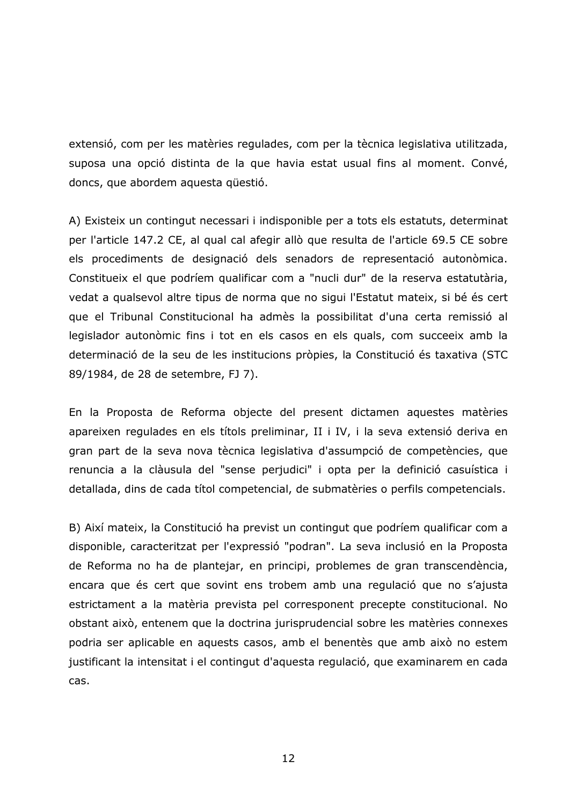extensió, com per les matèries regulades, com per la tècnica legislativa utilitzada, suposa una opció distinta de la que havia estat usual fins al moment. Convé, doncs, que abordem aquesta qüestió.

A) Existeix un contingut necessari i indisponible per a tots els estatuts, determinat per l'article 147.2 CE, al qual cal afegir allò que resulta de l'article 69.5 CE sobre els procediments de designació dels senadors de representació autonòmica. Constitueix el que podríem qualificar com a "nucli dur" de la reserva estatutària, vedat a qualsevol altre tipus de norma que no sigui l'Estatut mateix, si bé és cert que el Tribunal Constitucional ha admès la possibilitat d'una certa remissió al legislador autonòmic fins i tot en els casos en els quals, com succeeix amb la determinació de la seu de les institucions pròpies, la Constitució és taxativa (STC 89/1984, de 28 de setembre, FJ 7).

En la Proposta de Reforma objecte del present dictamen aquestes matèries apareixen regulades en els títols preliminar, II i IV, i la seva extensió deriva en gran part de la seva nova tècnica legislativa d'assumpció de competències, que renuncia a la clàusula del "sense perjudici" i opta per la definició casuística i detallada, dins de cada títol competencial, de submatèries o perfils competencials.

B) Així mateix, la Constitució ha previst un contingut que podríem qualificar com a disponible, caracteritzat per l'expressió "podran". La seva inclusió en la Proposta de Reforma no ha de plantejar, en principi, problemes de gran transcendència, encara que és cert que sovint ens trobem amb una regulació que no s'ajusta estrictament a la matèria prevista pel corresponent precepte constitucional. No obstant això, entenem que la doctrina jurisprudencial sobre les matèries connexes podria ser aplicable en aquests casos, amb el benentès que amb això no estem justificant la intensitat i el contingut d'aquesta regulació, que examinarem en cada cas.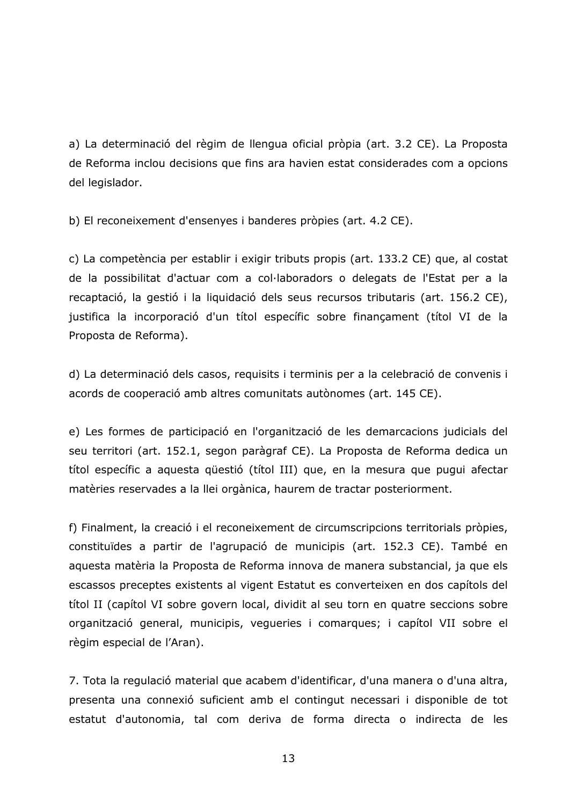a) La determinació del règim de llengua oficial pròpia (art. 3.2 CE). La Proposta de Reforma inclou decisions que fins ara havien estat considerades com a opcions del legislador.

b) El reconeixement d'ensenyes i banderes pròpies (art. 4.2 CE).

c) La competència per establir i exigir tributs propis (art. 133.2 CE) que, al costat de la possibilitat d'actuar com a col·laboradors o delegats de l'Estat per a la recaptació, la gestió i la liguidació dels seus recursos tributaris (art. 156.2 CE), justifica la incorporació d'un títol específic sobre finançament (títol VI de la Proposta de Reforma).

d) La determinació dels casos, requisits i terminis per a la celebració de convenis i acords de cooperació amb altres comunitats autònomes (art. 145 CE).

e) Les formes de participació en l'organització de les demarcacions judicials del seu territori (art. 152.1, segon paràgraf CE). La Proposta de Reforma dedica un títol específic a aquesta qüestió (títol III) que, en la mesura que pugui afectar matèries reservades a la llei orgànica, haurem de tractar posteriorment.

f) Finalment, la creació i el reconeixement de circumscripcions territorials pròpies, constituïdes a partir de l'agrupació de municipis (art. 152.3 CE). També en aquesta matèria la Proposta de Reforma innova de manera substancial, ja que els escassos preceptes existents al vigent Estatut es converteixen en dos capítols del títol II (capítol VI sobre govern local, dividit al seu torn en quatre seccions sobre organització general, municipis, vegueries i comarques; i capítol VII sobre el règim especial de l'Aran).

7. Tota la regulació material que acabem d'identificar, d'una manera o d'una altra, presenta una connexió suficient amb el contingut necessari i disponible de tot estatut d'autonomia, tal com deriva de forma directa o indirecta de les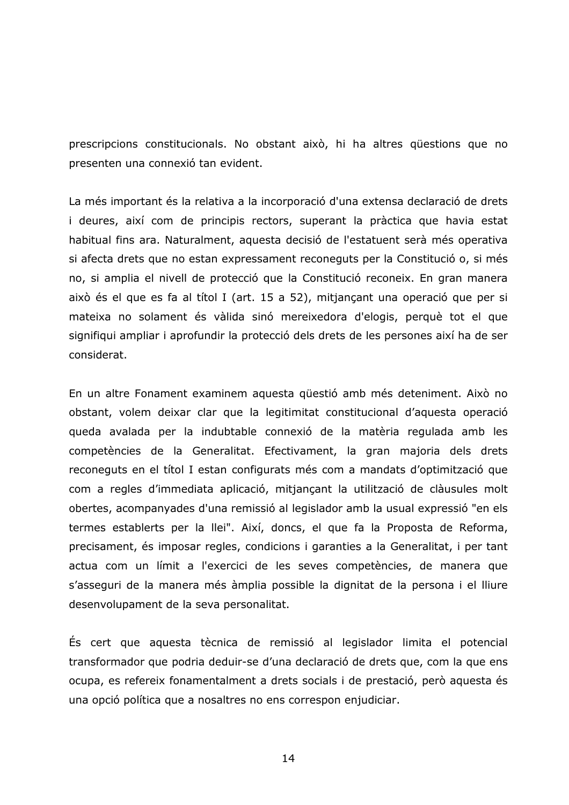prescripcions constitucionals. No obstant això, hi ha altres questions que no presenten una connexió tan evident.

La més important és la relativa a la incorporació d'una extensa declaració de drets i deures, així com de principis rectors, superant la pràctica que havia estat habitual fins ara. Naturalment, aquesta decisió de l'estatuent serà més operativa si afecta drets que no estan expressament reconeguts per la Constitució o, si més no, si amplia el nivell de protecció que la Constitució reconeix. En gran manera això és el que es fa al títol I (art. 15 a 52), mitjançant una operació que per si mateixa no solament és vàlida sinó mereixedora d'elogis, perquè tot el que signifiqui ampliar i aprofundir la protecció dels drets de les persones així ha de ser considerat.

En un altre Fonament examinem aquesta questió amb més deteniment. Això no obstant, volem deixar clar que la legitimitat constitucional d'aquesta operació queda avalada per la indubtable connexió de la matèria regulada amb les competències de la Generalitat. Efectivament, la gran majoria dels drets reconeguts en el títol I estan configurats més com a mandats d'optimització que com a regles d'immediata aplicació, mitjançant la utilització de clàusules molt obertes, acompanyades d'una remissió al legislador amb la usual expressió "en els termes establerts per la llei". Així, doncs, el que fa la Proposta de Reforma, precisament, és imposar regles, condicions i garanties a la Generalitat, i per tant actua com un límit a l'exercici de les seves competències, de manera que s'asseguri de la manera més àmplia possible la dignitat de la persona i el lliure desenvolupament de la seva personalitat.

És cert que aquesta tècnica de remissió al legislador limita el potencial transformador que podria deduir-se d'una declaració de drets que, com la que ens ocupa, es refereix fonamentalment a drets socials i de prestació, però aquesta és una opció política que a nosaltres no ens correspon enjudiciar.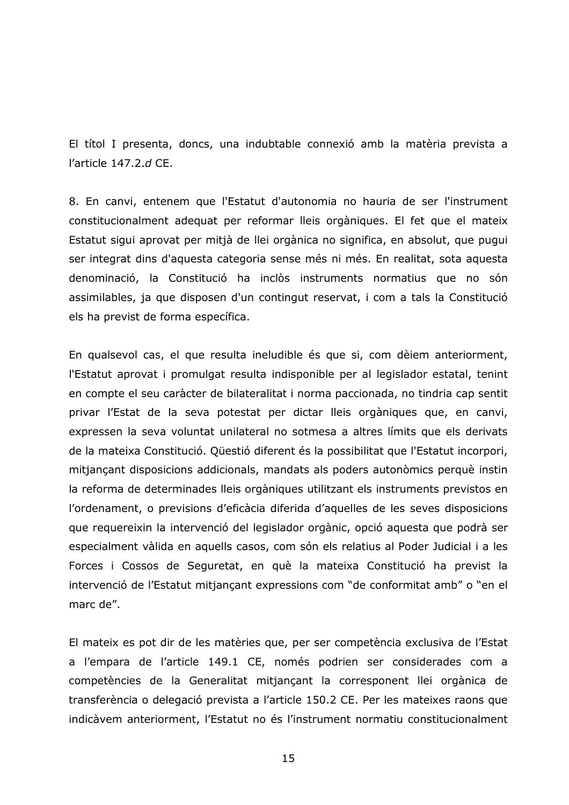El títol I presenta, doncs, una indubtable connexió amb la matèria prevista a l'article 147.2.d CE.

8. En canvi, entenem que l'Estatut d'autonomia no hauria de ser l'instrument constitucionalment adequat per reformar lleis orgàniques. El fet que el mateix Estatut sigui aprovat per mitjà de llei orgànica no significa, en absolut, que pugui ser integrat dins d'aguesta categoria sense més ni més. En realitat, sota aguesta denominació, la Constitució ha inclòs instruments normatius que no són assimilables, ja que disposen d'un contingut reservat, i com a tals la Constitució els ha previst de forma específica.

En qualsevol cas, el que resulta ineludible és que si, com dèiem anteriorment, l'Estatut aprovat i promulgat resulta indisponible per al legislador estatal, tenint en compte el seu caràcter de bilateralitat i norma paccionada, no tindria cap sentit privar l'Estat de la seva potestat per dictar lleis orgàniques que, en canvi, expressen la seva voluntat unilateral no sotmesa a altres límits que els derivats de la mateixa Constitució. Qüestió diferent és la possibilitat que l'Estatut incorpori, mitjançant disposicions addicionals, mandats als poders autonòmics perquè instin la reforma de determinades lleis orgàniques utilitzant els instruments previstos en l'ordenament, o previsions d'eficàcia diferida d'aquelles de les seves disposicions que requereixin la intervenció del legislador orgànic, opció aquesta que podrà ser especialment vàlida en aquells casos, com són els relatius al Poder Judicial i a les Forces i Cossos de Seguretat, en què la mateixa Constitució ha previst la intervenció de l'Estatut mitjançant expressions com "de conformitat amb" o "en el marc de".

El mateix es pot dir de les matèries que, per ser competència exclusiva de l'Estat a l'empara de l'article 149.1 CE, només podrien ser considerades com a competències de la Generalitat mitjançant la corresponent llei orgànica de transferència o delegació prevista a l'article 150.2 CE. Per les mateixes raons que indicàvem anteriorment, l'Estatut no és l'instrument normatiu constitucionalment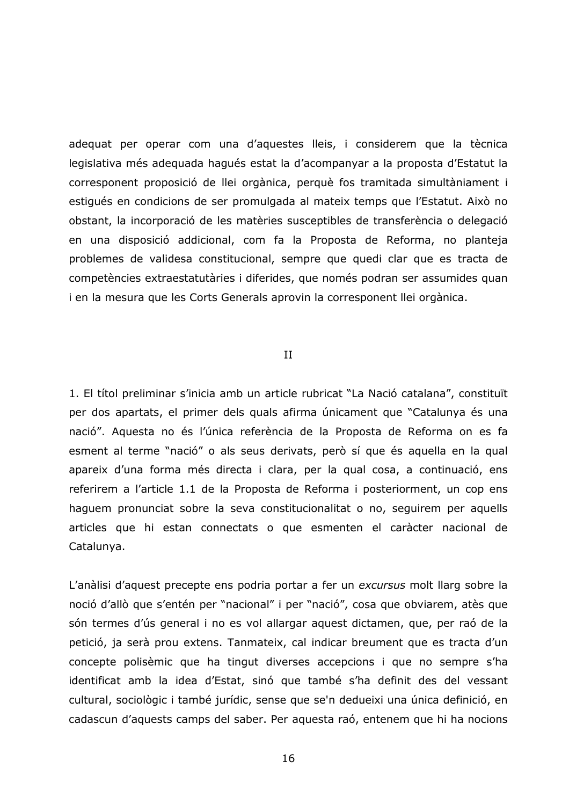adequat per operar com una d'aquestes lleis, i considerem que la tècnica legislativa més adeguada hagués estat la d'acompanyar a la proposta d'Estatut la corresponent proposició de llei orgànica, perquè fos tramitada simultàniament i estigués en condicions de ser promulgada al mateix temps que l'Estatut. Això no obstant, la incorporació de les matèries susceptibles de transferència o delegació en una disposició addicional, com fa la Proposta de Reforma, no planteja problemes de validesa constitucional, sempre que quedi clar que es tracta de competències extraestatutàries i diferides, que només podran ser assumides quan i en la mesura que les Corts Generals aprovin la corresponent llei orgànica.

## $II$

1. El títol preliminar s'inicia amb un article rubricat "La Nació catalana", constituït per dos apartats, el primer dels quals afirma únicament que "Catalunya és una nació". Aquesta no és l'única referència de la Proposta de Reforma on es fa esment al terme "nació" o als seus derivats, però sí que és aquella en la qual apareix d'una forma més directa i clara, per la qual cosa, a continuació, ens referirem a l'article 1.1 de la Proposta de Reforma i posteriorment, un cop ens haquem pronunciat sobre la seva constitucionalitat o no, sequirem per aquells articles que hi estan connectats o que esmenten el caràcter nacional de Catalunya.

L'anàlisi d'aquest precepte ens podria portar a fer un excursus molt llarg sobre la noció d'allò que s'entén per "nacional" i per "nació", cosa que obviarem, atès que són termes d'ús general i no es vol allargar aquest dictamen, que, per raó de la petició, ja serà prou extens. Tanmateix, cal indicar breument que es tracta d'un concepte polisèmic que ha tingut diverses accepcions i que no sempre s'ha identificat amb la idea d'Estat, sinó que també s'ha definit des del vessant cultural, sociològic i també jurídic, sense que se'n dedueixi una única definició, en cadascun d'aquests camps del saber. Per aquesta raó, entenem que hi ha nocions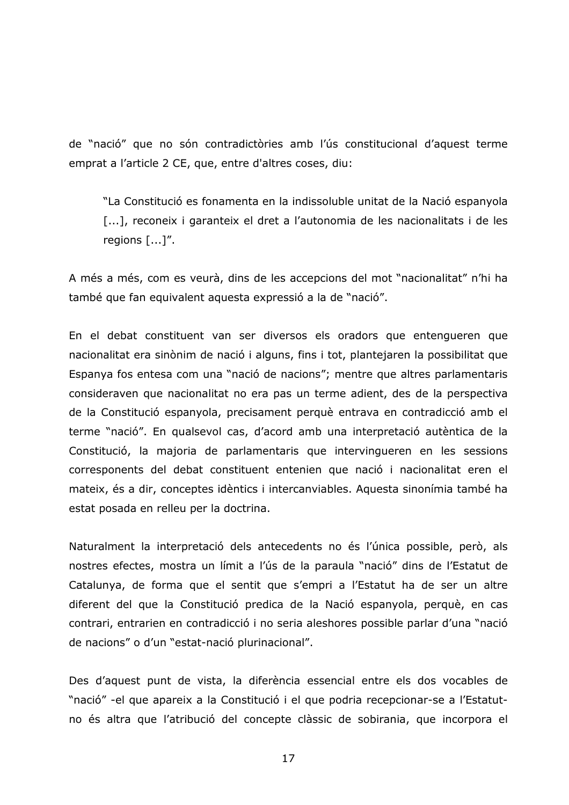de "nació" que no són contradictòries amb l'ús constitucional d'aquest terme emprat a l'article 2 CE, que, entre d'altres coses, diu:

"La Constitució es fonamenta en la indissoluble unitat de la Nació espanyola [...], reconeix i garanteix el dret a l'autonomia de les nacionalitats i de les regions  $[...]$ ".

A més a més, com es veurà, dins de les accepcions del mot "nacionalitat" n'hi ha també que fan equivalent aquesta expressió a la de "nació".

En el debat constituent van ser diversos els oradors que entengueren que nacionalitat era sinònim de nació i alguns, fins i tot, plantejaren la possibilitat que Espanya fos entesa com una "nació de nacions"; mentre que altres parlamentaris consideraven que nacionalitat no era pas un terme adient, des de la perspectiva de la Constitució espanyola, precisament perquè entrava en contradicció amb el terme "nació". En qualsevol cas, d'acord amb una interpretació autèntica de la Constitució, la majoria de parlamentaris que intervingueren en les sessions corresponents del debat constituent entenien que nació i nacionalitat eren el mateix, és a dir, conceptes idèntics i intercanviables. Aquesta sinonímia també ha estat posada en relleu per la doctrina.

Naturalment la interpretació dels antecedents no és l'única possible, però, als nostres efectes, mostra un límit a l'ús de la paraula "nació" dins de l'Estatut de Catalunya, de forma que el sentit que s'empri a l'Estatut ha de ser un altre diferent del que la Constitució predica de la Nació espanyola, perquè, en cas contrari, entrarien en contradicció i no seria aleshores possible parlar d'una "nació de nacions" o d'un "estat-nació plurinacional".

Des d'aquest punt de vista, la diferència essencial entre els dos vocables de "nació" -el que apareix a la Constitució i el que podria recepcionar-se a l'Estatutno és altra que l'atribució del concepte clàssic de sobirania, que incorpora el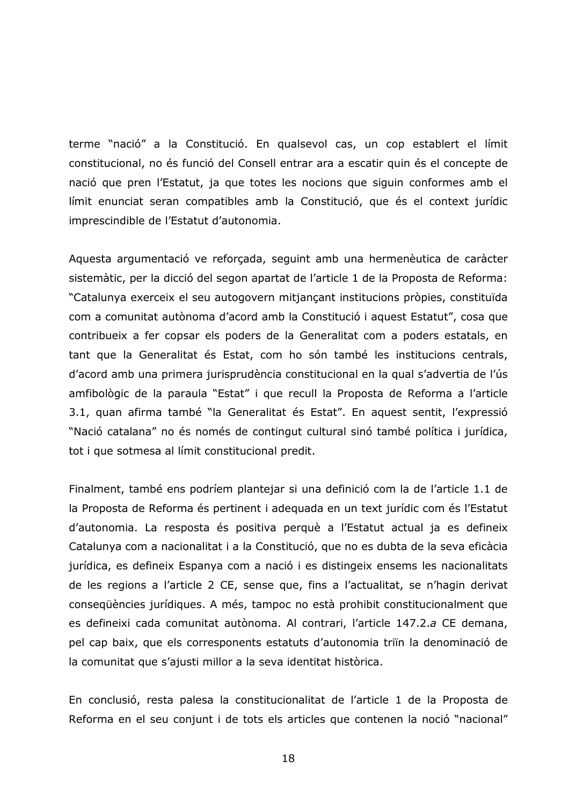terme "nació" a la Constitució. En qualsevol cas, un cop establert el límit constitucional, no és funció del Consell entrar ara a escatir quin és el concepte de nació que pren l'Estatut, ja que totes les nocions que siguin conformes amb el límit enunciat seran compatibles amb la Constitució, que és el context jurídic imprescindible de l'Estatut d'autonomia.

Aquesta argumentació ve reforçada, seguint amb una hermenèutica de caràcter sistemàtic, per la dicció del segon apartat de l'article 1 de la Proposta de Reforma: "Catalunya exerceix el seu autogovern mitjançant institucions pròpies, constituïda com a comunitat autònoma d'acord amb la Constitució i aquest Estatut", cosa que contribueix a fer copsar els poders de la Generalitat com a poders estatals, en tant que la Generalitat és Estat, com ho són també les institucions centrals, d'acord amb una primera jurisprudència constitucional en la qual s'advertia de l'ús amfibològic de la paraula "Estat" i que recull la Proposta de Reforma a l'article 3.1, quan afirma també "la Generalitat és Estat". En aquest sentit, l'expressió "Nació catalana" no és només de contingut cultural sinó també política i jurídica, tot i que sotmesa al límit constitucional predit.

Finalment, també ens podríem plantejar si una definició com la de l'article 1.1 de la Proposta de Reforma és pertinent i adequada en un text jurídic com és l'Estatut d'autonomia. La resposta és positiva perquè a l'Estatut actual ja es defineix Catalunya com a nacionalitat i a la Constitució, que no es dubta de la seva eficàcia jurídica, es defineix Espanya com a nació i es distingeix ensems les nacionalitats de les regions a l'article 2 CE, sense que, fins a l'actualitat, se n'hagin derivat consequències jurídiques. A més, tampoc no està prohibit constitucionalment que es defineixi cada comunitat autònoma. Al contrari, l'article 147.2.a CE demana, pel cap baix, que els corresponents estatuts d'autonomia triïn la denominació de la comunitat que s'ajusti millor a la seva identitat històrica.

En conclusió, resta palesa la constitucionalitat de l'article 1 de la Proposta de Reforma en el seu conjunt i de tots els articles que contenen la noció "nacional"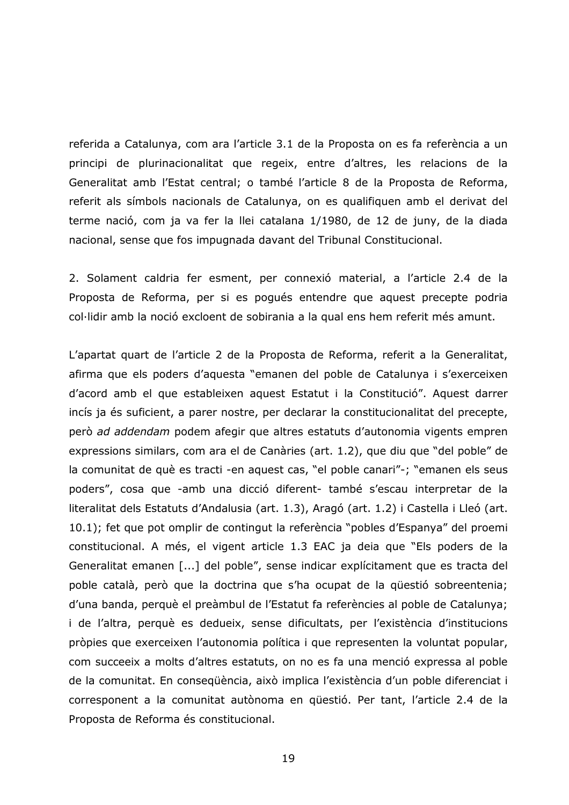referida a Catalunya, com ara l'article 3.1 de la Proposta on es fa referència a un principi de plurinacionalitat que regeix, entre d'altres, les relacions de la Generalitat amb l'Estat central; o també l'article 8 de la Proposta de Reforma, referit als símbols nacionals de Catalunya, on es qualifiquen amb el derivat del terme nació, com ja va fer la llei catalana 1/1980, de 12 de juny, de la diada nacional, sense que fos impugnada davant del Tribunal Constitucional.

2. Solament caldria fer esment, per connexió material, a l'article 2.4 de la Proposta de Reforma, per si es poqués entendre que aquest precepte podria col·lidir amb la noció excloent de sobirania a la qual ens hem referit més amunt.

L'apartat quart de l'article 2 de la Proposta de Reforma, referit a la Generalitat, afirma que els poders d'aquesta "emanen del poble de Catalunya i s'exerceixen d'acord amb el que estableixen aquest Estatut i la Constitució". Aquest darrer incís ja és suficient, a parer nostre, per declarar la constitucionalitat del precepte, però ad addendam podem afegir que altres estatuts d'autonomia vigents empren expressions similars, com ara el de Canàries (art. 1.2), que diu que "del poble" de la comunitat de què es tracti -en aquest cas, "el poble canari" -; "emanen els seus poders", cosa que -amb una dicció diferent- també s'escau interpretar de la literalitat dels Estatuts d'Andalusia (art. 1.3), Aragó (art. 1.2) i Castella i Lleó (art. 10.1); fet que pot omplir de contingut la referència "pobles d'Espanya" del proemi constitucional. A més, el vigent article 1.3 EAC ja deia que "Els poders de la Generalitat emanen [...] del poble", sense indicar explícitament que es tracta del poble català, però que la doctrina que s'ha ocupat de la questió sobreentenia; d'una banda, perquè el preàmbul de l'Estatut fa referències al poble de Catalunya; i de l'altra, perquè es dedueix, sense dificultats, per l'existència d'institucions pròpies que exerceixen l'autonomia política i que representen la voluntat popular, com succeeix a molts d'altres estatuts, on no es fa una menció expressa al poble de la comunitat. En consegüència, això implica l'existència d'un poble diferenciat i corresponent a la comunitat autònoma en questió. Per tant, l'article 2.4 de la Proposta de Reforma és constitucional.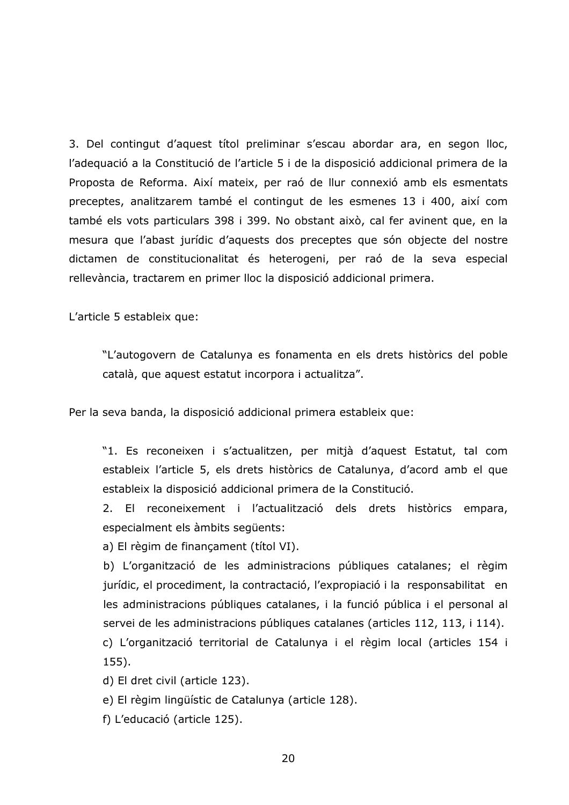3. Del contingut d'aquest titol preliminar s'escau abordar ara, en segon lloc, l'adequació a la Constitució de l'article 5 i de la disposició addicional primera de la Proposta de Reforma. Així mateix, per raó de llur connexió amb els esmentats preceptes, analitzarem també el contingut de les esmenes 13 i 400, així com també els vots particulars 398 i 399. No obstant això, cal fer avinent que, en la mesura que l'abast jurídic d'aquests dos preceptes que són objecte del nostre dictamen de constitucionalitat és heterogeni, per raó de la seva especial rellevància, tractarem en primer lloc la disposició addicional primera.

L'article 5 estableix que:

"L'autogovern de Catalunya es fonamenta en els drets històrics del poble català, que aquest estatut incorpora i actualitza".

Per la seva banda, la disposició addicional primera estableix que:

"1. Es reconeixen i s'actualitzen, per mitjà d'aquest Estatut, tal com estableix l'article 5, els drets històrics de Catalunya, d'acord amb el que estableix la disposició addicional primera de la Constitució.

2. El reconeixement i l'actualització dels drets històrics empara, especialment els àmbits següents:

a) El règim de finançament (títol VI).

b) L'organització de les administracions públiques catalanes; el règim jurídic, el procediment, la contractació, l'expropiació i la responsabilitat en les administracions públiques catalanes, i la funció pública i el personal al servei de les administracions públiques catalanes (articles 112, 113, i 114).

c) L'organització territorial de Catalunya i el règim local (articles 154 i  $155$ ).

d) El dret civil (article 123).

e) El règim lingüístic de Catalunya (article 128).

f) L'educació (article 125).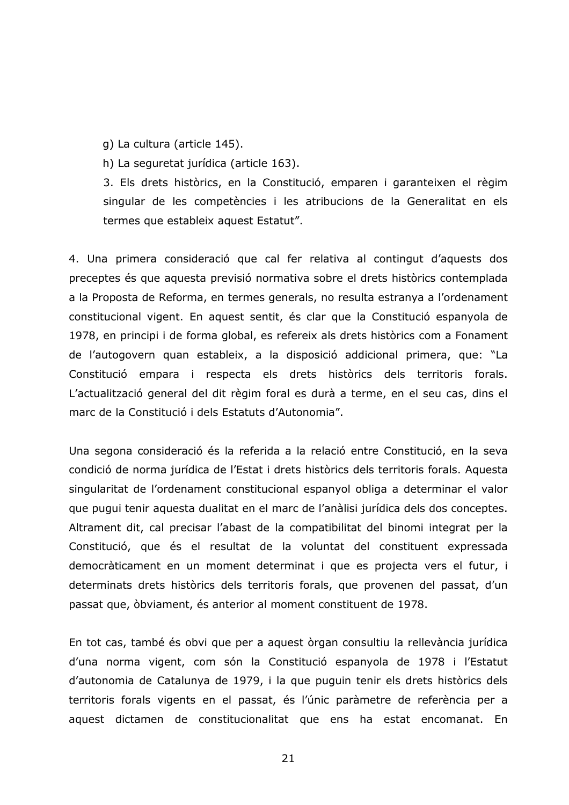g) La cultura (article 145).

h) La seguretat jurídica (article 163).

3. Els drets històrics, en la Constitució, emparen i garanteixen el règim singular de les competències i les atribucions de la Generalitat en els termes que estableix aquest Estatut".

4. Una primera consideració que cal fer relativa al contingut d'aquests dos preceptes és que aquesta previsió normativa sobre el drets històrics contemplada a la Proposta de Reforma, en termes generals, no resulta estranya a l'ordenament constitucional vigent. En aquest sentit, és clar que la Constitució espanyola de 1978, en principi i de forma global, es refereix als drets històrics com a Fonament de l'autogovern quan estableix, a la disposició addicional primera, que: "La Constitució empara i respecta els drets històrics dels territoris forals. L'actualització general del dit règim foral es durà a terme, en el seu cas, dins el marc de la Constitució i dels Estatuts d'Autonomia".

Una segona consideració és la referida a la relació entre Constitució, en la seva condició de norma jurídica de l'Estat i drets històrics dels territoris forals. Aquesta singularitat de l'ordenament constitucional espanyol obliga a determinar el valor que pugui tenir aquesta dualitat en el marc de l'anàlisi jurídica dels dos conceptes. Altrament dit, cal precisar l'abast de la compatibilitat del binomi integrat per la Constitució, que és el resultat de la voluntat del constituent expressada democràticament en un moment determinat i que es projecta vers el futur, i determinats drets històrics dels territoris forals, que provenen del passat, d'un passat que, òbviament, és anterior al moment constituent de 1978.

En tot cas, també és obvi que per a aquest òrgan consultiu la rellevància jurídica d'una norma vigent, com són la Constitució espanyola de 1978 i l'Estatut d'autonomia de Catalunya de 1979, i la que puguin tenir els drets històrics dels territoris forals vigents en el passat, és l'únic paràmetre de referència per a aquest dictamen de constitucionalitat que ens ha estat encomanat. En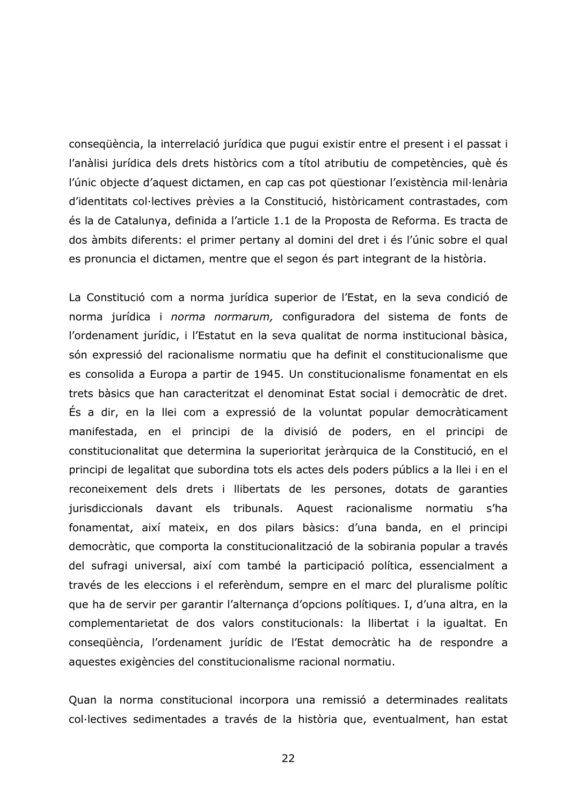consequència, la interrelació jurídica que pugui existir entre el present i el passat i l'anàlisi jurídica dels drets històrics com a títol atributiu de competències, què és l'únic objecte d'aquest dictamen, en cap cas pot qüestionar l'existència mil·lenària d'identitats col·lectives prèvies a la Constitució, històricament contrastades, com és la de Catalunya, definida a l'article 1.1 de la Proposta de Reforma. Es tracta de dos àmbits diferents: el primer pertany al domini del dret i és l'únic sobre el qual es pronuncia el dictamen, mentre que el segon és part integrant de la història.

La Constitució com a norma jurídica superior de l'Estat, en la seva condició de norma jurídica i norma normarum, configuradora del sistema de fonts de l'ordenament jurídic, i l'Estatut en la seva qualitat de norma institucional bàsica, són expressió del racionalisme normatiu que ha definit el constitucionalisme que es consolida a Europa a partir de 1945. Un constitucionalisme fonamentat en els trets bàsics que han caracteritzat el denominat Estat social i democràtic de dret. És a dir, en la llei com a expressió de la voluntat popular democràticament manifestada, en el principi de la divisió de poders, en el principi de constitucionalitat que determina la superioritat jeràrquica de la Constitució, en el principi de legalitat que subordina tots els actes dels poders públics a la llei i en el reconeixement dels drets i llibertats de les persones, dotats de garanties jurisdiccionals davant els tribunals. Aquest racionalisme normatiu s'ha fonamentat, així mateix, en dos pilars bàsics: d'una banda, en el principi democràtic, que comporta la constitucionalització de la sobirania popular a través del sufragi universal, així com també la participació política, essencialment a través de les eleccions i el referèndum, sempre en el marc del pluralisme polític que ha de servir per garantir l'alternança d'opcions polítiques. I, d'una altra, en la complementarietat de dos valors constitucionals: la llibertat i la igualtat. En consequència, l'ordenament jurídic de l'Estat democràtic ha de respondre a aquestes exigències del constitucionalisme racional normatiu.

Quan la norma constitucional incorpora una remissió a determinades realitats col·lectives sedimentades a través de la història que, eventualment, han estat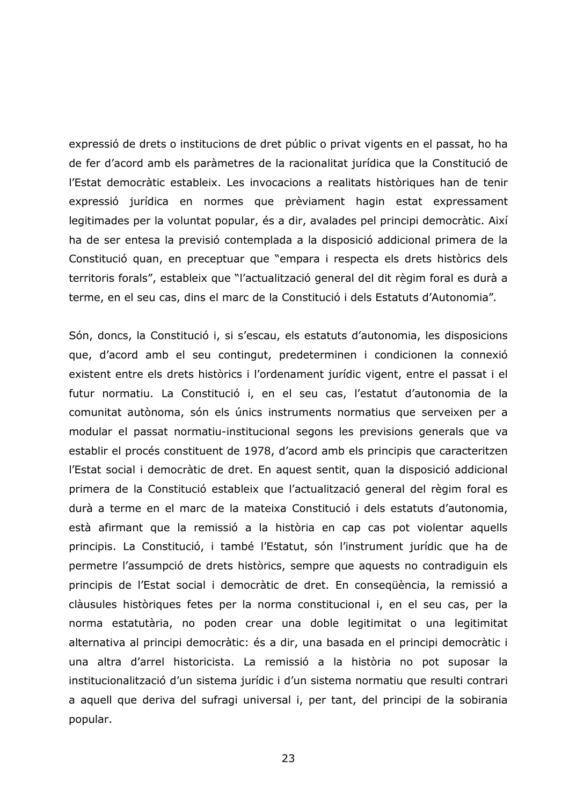expressió de drets o institucions de dret públic o privat vigents en el passat, ho ha de fer d'acord amb els paràmetres de la racionalitat jurídica que la Constitució de l'Estat democràtic estableix. Les invocacions a realitats històriques han de tenir expressió jurídica en normes que prèviament hagin estat expressament legitimades per la voluntat popular, és a dir, avalades pel principi democràtic. Així ha de ser entesa la previsió contemplada a la disposició addicional primera de la Constitució quan, en preceptuar que "empara i respecta els drets històrics dels territoris forals", estableix que "l'actualització general del dit règim foral es durà a terme, en el seu cas, dins el marc de la Constitució i dels Estatuts d'Autonomia".

Són, doncs, la Constitució i, si s'escau, els estatuts d'autonomia, les disposicions que, d'acord amb el seu contingut, predeterminen i condicionen la connexió existent entre els drets històrics i l'ordenament jurídic vigent, entre el passat i el futur normatiu. La Constitució i, en el seu cas, l'estatut d'autonomia de la comunitat autònoma, són els únics instruments normatius que serveixen per a modular el passat normatiu-institucional segons les previsions generals que va establir el procés constituent de 1978, d'acord amb els principis que caracteritzen l'Estat social i democràtic de dret. En aquest sentit, quan la disposició addicional primera de la Constitució estableix que l'actualització general del règim foral es durà a terme en el marc de la mateixa Constitució i dels estatuts d'autonomia, està afirmant que la remissió a la història en cap cas pot violentar aquells principis. La Constitució, i també l'Estatut, són l'instrument jurídic que ha de permetre l'assumpció de drets històrics, sempre que aquests no contradiguin els principis de l'Estat social i democràtic de dret. En consequència, la remissió a clàusules històriques fetes per la norma constitucional i, en el seu cas, per la norma estatutària, no poden crear una doble legitimitat o una legitimitat alternativa al principi democràtic: és a dir, una basada en el principi democràtic i una altra d'arrel historicista. La remissió a la història no pot suposar la institucionalització d'un sistema jurídic i d'un sistema normatiu que resulti contrari a aquell que deriva del sufragi universal i, per tant, del principi de la sobirania popular.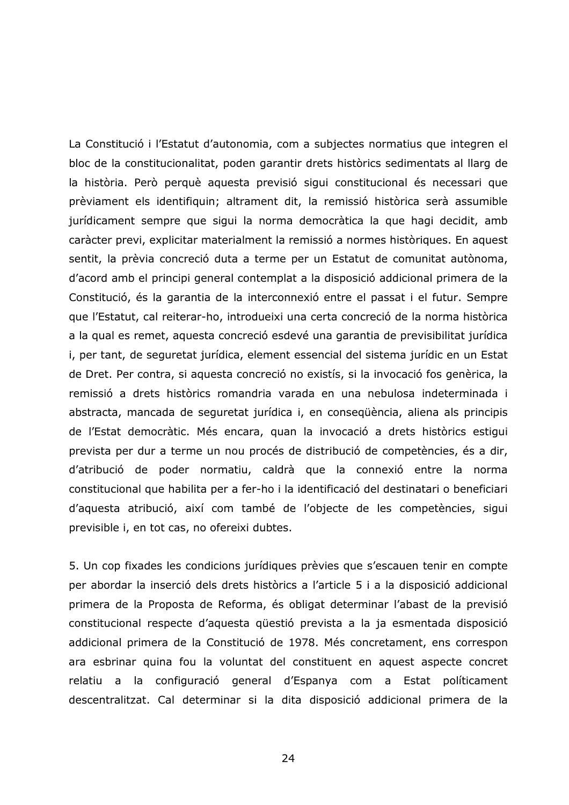La Constitució i l'Estatut d'autonomia, com a subjectes normatius que integren el bloc de la constitucionalitat, poden garantir drets històrics sedimentats al llarg de la història. Però perquè aquesta previsió sigui constitucional és necessari que prèviament els identifiquin; altrament dit, la remissió històrica serà assumible jurídicament sempre que sigui la norma democràtica la que hagi decidit, amb caràcter previ, explicitar materialment la remissió a normes històriques. En aquest sentit, la prèvia concreció duta a terme per un Estatut de comunitat autònoma, d'acord amb el principi general contemplat a la disposició addicional primera de la Constitució, és la garantia de la interconnexió entre el passat i el futur. Sempre que l'Estatut, cal reiterar-ho, introdueixi una certa concreció de la norma històrica a la qual es remet, aquesta concreció esdevé una garantia de previsibilitat jurídica i, per tant, de seguretat jurídica, element essencial del sistema jurídic en un Estat de Dret. Per contra, si aquesta concreció no existís, si la invocació fos genèrica, la remissió a drets històrics romandria varada en una nebulosa indeterminada i abstracta, mancada de seguretat jurídica i, en consegüència, aliena als principis de l'Estat democràtic. Més encara, quan la invocació a drets històrics estigui prevista per dur a terme un nou procés de distribució de competències, és a dir, d'atribució de poder normatiu, caldrà que la connexió entre la norma constitucional que habilita per a fer-ho i la identificació del destinatari o beneficiari d'aquesta atribució, així com també de l'objecte de les competències, sigui previsible i, en tot cas, no ofereixi dubtes.

5. Un cop fixades les condicions jurídiques prèvies que s'escauen tenir en compte per abordar la inserció dels drets històrics a l'article 5 i a la disposició addicional primera de la Proposta de Reforma, és obligat determinar l'abast de la previsió constitucional respecte d'aquesta questió prevista a la ja esmentada disposició addicional primera de la Constitució de 1978. Més concretament, ens correspon ara esbrinar quina fou la voluntat del constituent en aquest aspecte concret relatiu a la configuració general d'Espanya com a Estat políticament descentralitzat. Cal determinar si la dita disposició addicional primera de la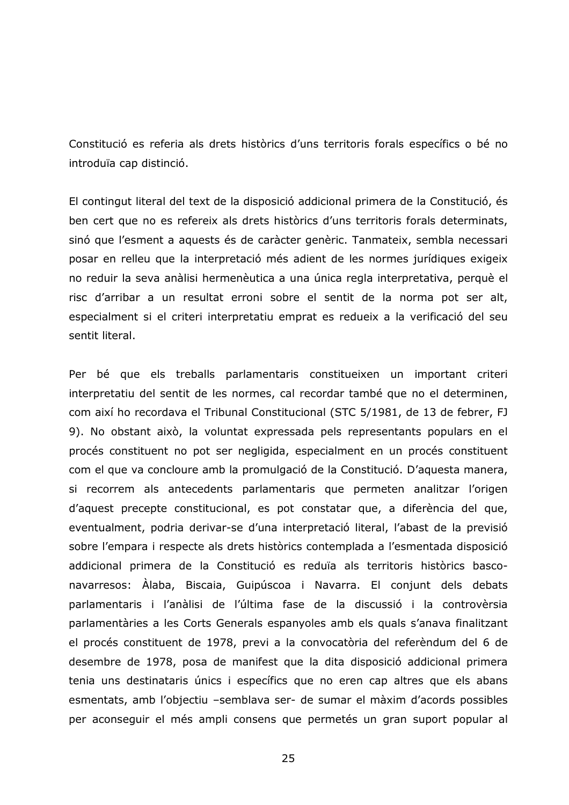Constitució es referia als drets històrics d'uns territoris forals específics o bé no introduïa cap distinció.

El contingut literal del text de la disposició addicional primera de la Constitució, és ben cert que no es refereix als drets històrics d'uns territoris forals determinats, sinó que l'esment a aquests és de caràcter genèric. Tanmateix, sembla necessari posar en relleu que la interpretació més adient de les normes jurídiques exigeix no reduir la seva anàlisi hermenèutica a una única regla interpretativa, perquè el risc d'arribar a un resultat erroni sobre el sentit de la norma pot ser alt, especialment si el criteri interpretatiu emprat es redueix a la verificació del seu sentit literal.

Per bé que els treballs parlamentaris constitueixen un important criteri interpretatiu del sentit de les normes, cal recordar també que no el determinen, com així ho recordava el Tribunal Constitucional (STC 5/1981, de 13 de febrer, FJ 9). No obstant això, la voluntat expressada pels representants populars en el procés constituent no pot ser negligida, especialment en un procés constituent com el que va concloure amb la promulgació de la Constitució. D'aquesta manera, si recorrem als antecedents parlamentaris que permeten analitzar l'origen d'aquest precepte constitucional, es pot constatar que, a diferència del que, eventualment, podria derivar-se d'una interpretació literal, l'abast de la previsió sobre l'empara i respecte als drets històrics contemplada a l'esmentada disposició addicional primera de la Constitució es reduïa als territoris històrics basconavarresos: Àlaba, Biscaia, Guipúscoa i Navarra. El conjunt dels debats parlamentaris i l'anàlisi de l'última fase de la discussió i la controvèrsia parlamentàries a les Corts Generals espanyoles amb els quals s'anava finalitzant el procés constituent de 1978, previ a la convocatòria del referèndum del 6 de desembre de 1978, posa de manifest que la dita disposició addicional primera tenia uns destinataris únics i específics que no eren cap altres que els abans esmentats, amb l'objectiu -semblava ser- de sumar el màxim d'acords possibles per aconseguir el més ampli consens que permetés un gran suport popular al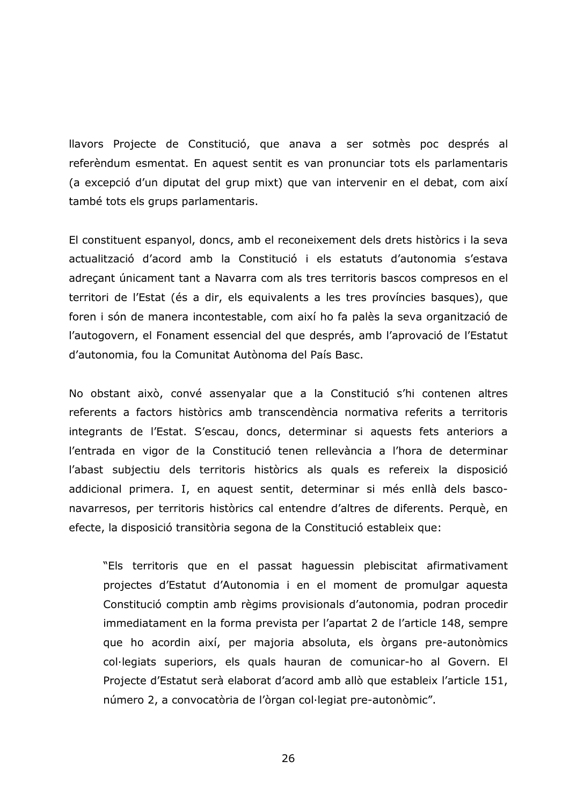llavors Projecte de Constitució, que anava a ser sotmès poc després al referèndum esmentat. En aquest sentit es van pronunciar tots els parlamentaris (a excepció d'un diputat del grup mixt) que van intervenir en el debat, com així també tots els grups parlamentaris.

El constituent espanyol, doncs, amb el reconeixement dels drets històrics i la seva actualització d'acord amb la Constitució i els estatuts d'autonomia s'estava adrecant únicament tant a Navarra com als tres territoris bascos compresos en el territori de l'Estat (és a dir, els equivalents a les tres províncies basques), que foren i són de manera incontestable, com així ho fa palès la seva organització de l'autogovern, el Fonament essencial del que després, amb l'aprovació de l'Estatut d'autonomia, fou la Comunitat Autònoma del País Basc.

No obstant això, convé assenyalar que a la Constitució s'hi contenen altres referents a factors històrics amb transcendència normativa referits a territoris integrants de l'Estat. S'escau, doncs, determinar si aquests fets anteriors a l'entrada en vigor de la Constitució tenen rellevància a l'hora de determinar l'abast subjectiu dels territoris històrics als quals es refereix la disposició addicional primera. I, en aquest sentit, determinar si més enllà dels basconavarresos, per territoris històrics cal entendre d'altres de diferents. Perquè, en efecte, la disposició transitòria segona de la Constitució estableix que:

"Els territoris que en el passat haguessin plebiscitat afirmativament projectes d'Estatut d'Autonomia i en el moment de promulgar aquesta Constitució comptin amb règims provisionals d'autonomia, podran procedir immediatament en la forma prevista per l'apartat 2 de l'article 148, sempre que ho acordin així, per majoria absoluta, els òrgans pre-autonòmics col·legiats superiors, els quals hauran de comunicar-ho al Govern. El Projecte d'Estatut serà elaborat d'acord amb allò que estableix l'article 151, número 2, a convocatòria de l'òrgan col·legiat pre-autonòmic".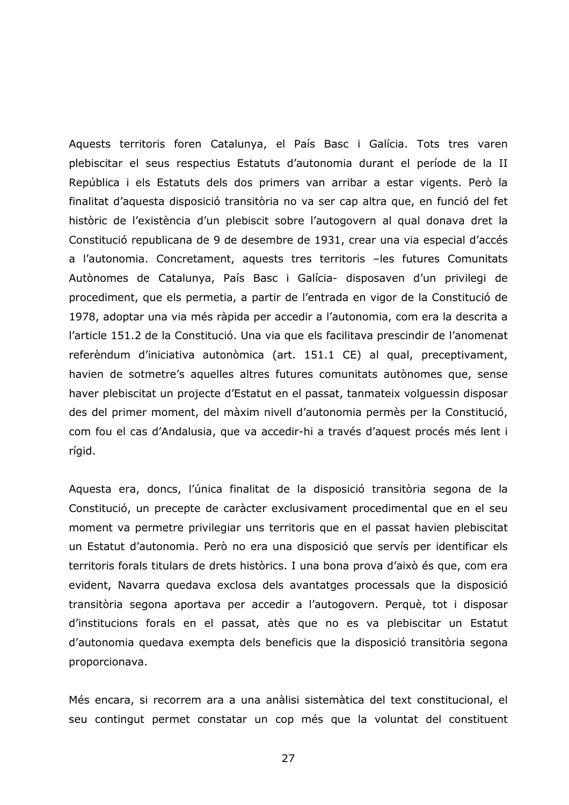Aquests territoris foren Catalunya, el País Basc i Galícia. Tots tres varen plebiscitar el seus respectius Estatuts d'autonomia durant el període de la II República i els Estatuts dels dos primers van arribar a estar vigents. Però la finalitat d'aquesta disposició transitòria no va ser cap altra que, en funció del fet històric de l'existència d'un plebiscit sobre l'autogovern al qual donava dret la Constitució republicana de 9 de desembre de 1931, crear una via especial d'accés a l'autonomia. Concretament, aquests tres territoris -les futures Comunitats Autònomes de Catalunya, País Basc i Galícia- disposaven d'un privilegi de procediment, que els permetia, a partir de l'entrada en vigor de la Constitució de 1978, adoptar una via més ràpida per accedir a l'autonomia, com era la descrita a l'article 151.2 de la Constitució. Una via que els facilitava prescindir de l'anomenat referèndum d'iniciativa autonòmica (art. 151.1 CE) al qual, preceptivament, havien de sotmetre's aquelles altres futures comunitats autònomes que, sense haver plebiscitat un projecte d'Estatut en el passat, tanmateix volguessin disposar des del primer moment, del màxim nivell d'autonomia permès per la Constitució, com fou el cas d'Andalusia, que va accedir-hi a través d'aquest procés més lent i rígid.

Aquesta era, doncs, l'única finalitat de la disposició transitòria segona de la Constitució, un precepte de caràcter exclusivament procedimental que en el seu moment va permetre privilegiar uns territoris que en el passat havien plebiscitat un Estatut d'autonomia. Però no era una disposició que servís per identificar els territoris forals titulars de drets històrics. I una bona prova d'això és que, com era evident, Navarra quedava exclosa dels avantatges processals que la disposició transitòria segona aportava per accedir a l'autogovern. Perquè, tot i disposar d'institucions forals en el passat, atès que no es va plebiscitar un Estatut d'autonomia quedava exempta dels beneficis que la disposició transitòria segona proporcionava.

Més encara, si recorrem ara a una anàlisi sistemàtica del text constitucional, el seu contingut permet constatar un cop més que la voluntat del constituent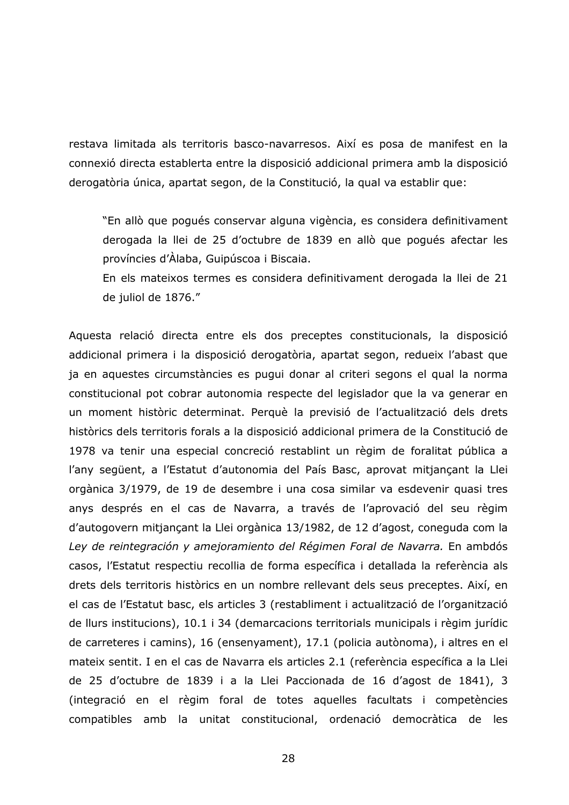restava limitada als territoris basco-navarresos. Així es posa de manifest en la connexió directa establerta entre la disposició addicional primera amb la disposició derogatòria única, apartat segon, de la Constitució, la qual va establir que:

"En allò que poqués conservar alguna vigència, es considera definitivament derogada la llei de 25 d'octubre de 1839 en allò que poqués afectar les províncies d'Àlaba, Guipúscoa i Biscaia.

En els mateixos termes es considera definitivament derogada la llei de 21 de juliol de 1876."

Aquesta relació directa entre els dos preceptes constitucionals, la disposició addicional primera i la disposició derogatòria, apartat segon, redueix l'abast que ja en aquestes circumstàncies es pugui donar al criteri segons el qual la norma constitucional pot cobrar autonomia respecte del legislador que la va generar en un moment històric determinat. Perquè la previsió de l'actualització dels drets històrics dels territoris forals a la disposició addicional primera de la Constitució de 1978 va tenir una especial concreció restablint un règim de foralitat pública a l'any següent, a l'Estatut d'autonomia del País Basc, aprovat mitjançant la Llei orgànica 3/1979, de 19 de desembre i una cosa similar va esdevenir quasi tres anys després en el cas de Navarra, a través de l'aprovació del seu règim d'autogovern mitjançant la Llei orgànica 13/1982, de 12 d'agost, coneguda com la Ley de reintegración y amejoramiento del Régimen Foral de Navarra. En ambdós casos, l'Estatut respectiu recollia de forma específica i detallada la referència als drets dels territoris històrics en un nombre rellevant dels seus preceptes. Així, en el cas de l'Estatut basc, els articles 3 (restabliment i actualització de l'organització de llurs institucions), 10.1 i 34 (demarcacions territorials municipals i règim jurídic de carreteres i camins), 16 (ensenyament), 17.1 (policia autònoma), i altres en el mateix sentit. I en el cas de Navarra els articles 2.1 (referència específica a la Llei de 25 d'octubre de 1839 i a la Llei Paccionada de 16 d'agost de 1841), 3 (integració en el règim foral de totes aquelles facultats i competències compatibles amb la unitat constitucional, ordenació democràtica de les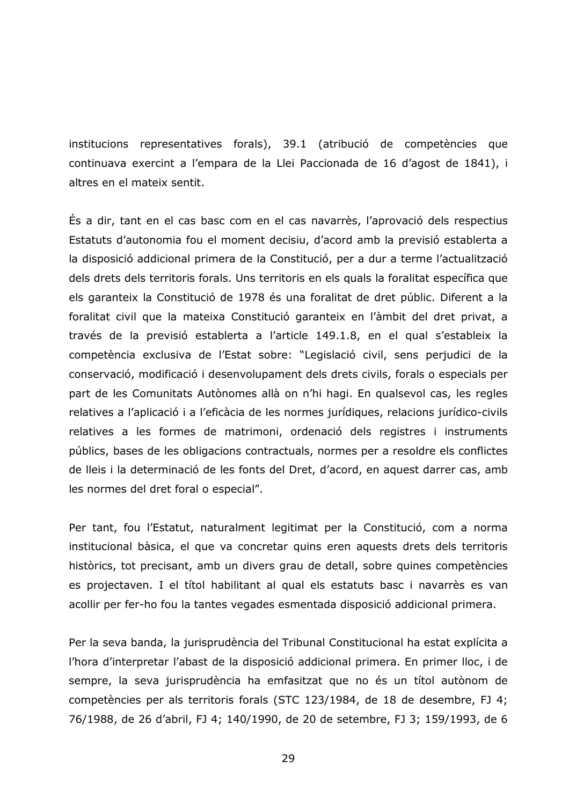institucions representatives forals), 39.1 (atribució de competències que continuava exercint a l'empara de la Llei Paccionada de 16 d'agost de 1841), i altres en el mateix sentit.

És a dir, tant en el cas basc com en el cas navarrès, l'aprovació dels respectius Estatuts d'autonomia fou el moment decisiu, d'acord amb la previsió establerta a la disposició addicional primera de la Constitució, per a dur a terme l'actualització dels drets dels territoris forals. Uns territoris en els quals la foralitat específica que els garanteix la Constitució de 1978 és una foralitat de dret públic. Diferent a la foralitat civil que la mateixa Constitució garanteix en l'àmbit del dret privat, a través de la previsió establerta a l'article 149.1.8, en el qual s'estableix la competència exclusiva de l'Estat sobre: "Legislació civil, sens perjudici de la conservació, modificació i desenvolupament dels drets civils, forals o especials per part de les Comunitats Autònomes allà on n'hi hagi. En qualsevol cas, les regles relatives a l'aplicació i a l'eficàcia de les normes jurídiques, relacions jurídico-civils relatives a les formes de matrimoni, ordenació dels registres i instruments públics, bases de les obligacions contractuals, normes per a resoldre els conflictes de lleis i la determinació de les fonts del Dret, d'acord, en aquest darrer cas, amb les normes del dret foral o especial".

Per tant, fou l'Estatut, naturalment legitimat per la Constitució, com a norma institucional bàsica, el que va concretar quins eren aquests drets dels territoris històrics, tot precisant, amb un divers grau de detall, sobre quines competències es projectaven. I el títol habilitant al qual els estatuts basc i navarrès es van acollir per fer-ho fou la tantes vegades esmentada disposició addicional primera.

Per la seva banda, la jurisprudència del Tribunal Constitucional ha estat explícita a l'hora d'interpretar l'abast de la disposició addicional primera. En primer lloc, i de sempre, la seva jurisprudència ha emfasitzat que no és un títol autònom de competències per als territoris forals (STC 123/1984, de 18 de desembre, FJ 4; 76/1988, de 26 d'abril, FJ 4; 140/1990, de 20 de setembre, FJ 3; 159/1993, de 6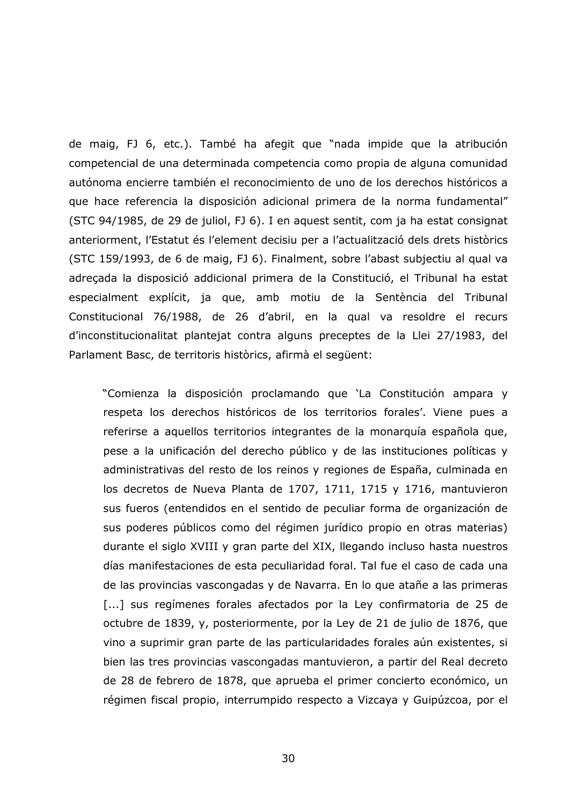de maig, FJ 6, etc.). També ha afegit que "nada impide que la atribución competencial de una determinada competencia como propia de alguna comunidad autónoma encierre también el reconocimiento de uno de los derechos históricos a que hace referencia la disposición adicional primera de la norma fundamental" (STC 94/1985, de 29 de juliol, FJ 6). I en aquest sentit, com ja ha estat consignat anteriorment, l'Estatut és l'element decisiu per a l'actualització dels drets històrics (STC 159/1993, de 6 de maig, FJ 6). Finalment, sobre l'abast subjectiu al qual va adreçada la disposició addicional primera de la Constitució, el Tribunal ha estat especialment explícit, ja que, amb motiu de la Sentència del Tribunal Constitucional 76/1988, de 26 d'abril, en la qual va resoldre el recurs d'inconstitucionalitat plantejat contra alguns preceptes de la Llei 27/1983, del Parlament Basc, de territoris històrics, afirmà el següent:

"Comienza la disposición proclamando que 'La Constitución ampara y respeta los derechos históricos de los territorios forales'. Viene pues a referirse a aquellos territorios integrantes de la monarquía española que, pese a la unificación del derecho público y de las instituciones políticas y administrativas del resto de los reinos y regiones de España, culminada en los decretos de Nueva Planta de 1707, 1711, 1715 y 1716, mantuvieron sus fueros (entendidos en el sentido de peculiar forma de organización de sus poderes públicos como del régimen jurídico propio en otras materias) durante el siglo XVIII y gran parte del XIX, llegando incluso hasta nuestros días manifestaciones de esta peculiaridad foral. Tal fue el caso de cada una de las provincias vascongadas y de Navarra. En lo que atañe a las primeras [...] sus regímenes forales afectados por la Ley confirmatoria de 25 de octubre de 1839, y, posteriormente, por la Ley de 21 de julio de 1876, que vino a suprimir gran parte de las particularidades forales aún existentes, si bien las tres provincias vascongadas mantuvieron, a partir del Real decreto de 28 de febrero de 1878, que aprueba el primer concierto económico, un régimen fiscal propio, interrumpido respecto a Vizcaya y Guipúzcoa, por el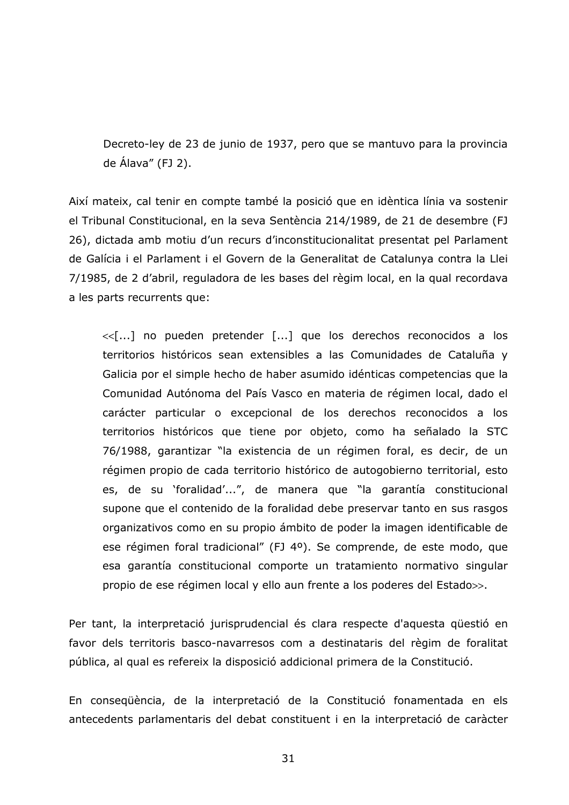Decreto-ley de 23 de junio de 1937, pero que se mantuvo para la provincia de Álava" (FJ 2).

Així mateix, cal tenir en compte també la posició que en idèntica línia va sostenir el Tribunal Constitucional, en la seva Sentència 214/1989, de 21 de desembre (FJ 26), dictada amb motiu d'un recurs d'inconstitucionalitat presentat pel Parlament de Galícia i el Parlament i el Govern de la Generalitat de Catalunya contra la Llei 7/1985, de 2 d'abril, reguladora de les bases del règim local, en la gual recordava a les parts recurrents que:

<<[...] no pueden pretender [...] que los derechos reconocidos a los territorios históricos sean extensibles a las Comunidades de Cataluña y Galicia por el simple hecho de haber asumido idénticas competencias que la Comunidad Autónoma del País Vasco en materia de régimen local, dado el carácter particular o excepcional de los derechos reconocidos a los territorios históricos que tiene por objeto, como ha señalado la STC 76/1988, garantizar "la existencia de un régimen foral, es decir, de un régimen propio de cada territorio histórico de autogobierno territorial, esto es, de su 'foralidad'...", de manera que "la garantía constitucional supone que el contenido de la foralidad debe preservar tanto en sus rasgos organizativos como en su propio ámbito de poder la imagen identificable de ese régimen foral tradicional" (FJ 4º). Se comprende, de este modo, que esa garantía constitucional comporte un tratamiento normativo singular propio de ese régimen local y ello aun frente a los poderes del Estado >>.

Per tant, la interpretació jurisprudencial és clara respecte d'aquesta qüestió en favor dels territoris basco-navarresos com a destinataris del règim de foralitat pública, al qual es refereix la disposició addicional primera de la Constitució.

En consequència, de la interpretació de la Constitució fonamentada en els antecedents parlamentaris del debat constituent i en la interpretació de caràcter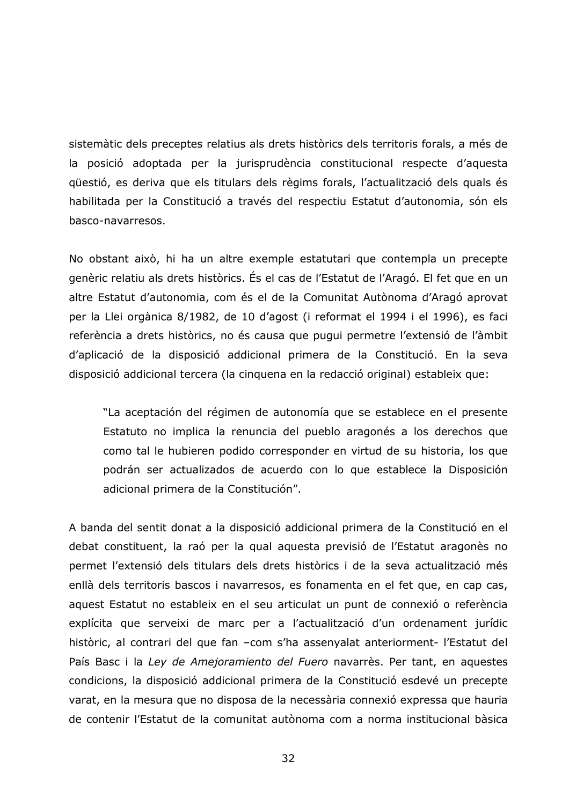sistemàtic dels preceptes relatius als drets històrics dels territoris forals, a més de la posició adoptada per la jurisprudència constitucional respecte d'aquesta qüestió, es deriva que els titulars dels règims forals, l'actualització dels quals és habilitada per la Constitució a través del respectiu Estatut d'autonomia, són els basco-navarresos.

No obstant això, hi ha un altre exemple estatutari que contempla un precepte genèric relatiu als drets històrics. És el cas de l'Estatut de l'Aragó. El fet que en un altre Estatut d'autonomia, com és el de la Comunitat Autònoma d'Aragó aprovat per la Llei orgànica 8/1982, de 10 d'agost (i reformat el 1994 i el 1996), es faci referència a drets històrics, no és causa que pugui permetre l'extensió de l'àmbit d'aplicació de la disposició addicional primera de la Constitució. En la seva disposició addicional tercera (la cinquena en la redacció original) estableix que:

"La aceptación del régimen de autonomía que se establece en el presente Estatuto no implica la renuncia del pueblo aragonés a los derechos que como tal le hubieren podido corresponder en virtud de su historia, los que podrán ser actualizados de acuerdo con lo que establece la Disposición adicional primera de la Constitución".

A banda del sentit donat a la disposició addicional primera de la Constitució en el debat constituent, la raó per la qual aquesta previsió de l'Estatut aragonès no permet l'extensió dels titulars dels drets històrics i de la seva actualització més enllà dels territoris bascos i navarresos, es fonamenta en el fet que, en cap cas, aquest Estatut no estableix en el seu articulat un punt de connexió o referència explícita que serveixi de marc per a l'actualització d'un ordenament jurídic històric, al contrari del que fan -com s'ha assenyalat anteriorment- l'Estatut del País Basc i la Ley de Amejoramiento del Fuero navarrès. Per tant, en aquestes condicions, la disposició addicional primera de la Constitució esdevé un precepte varat, en la mesura que no disposa de la necessària connexió expressa que hauria de contenir l'Estatut de la comunitat autònoma com a norma institucional bàsica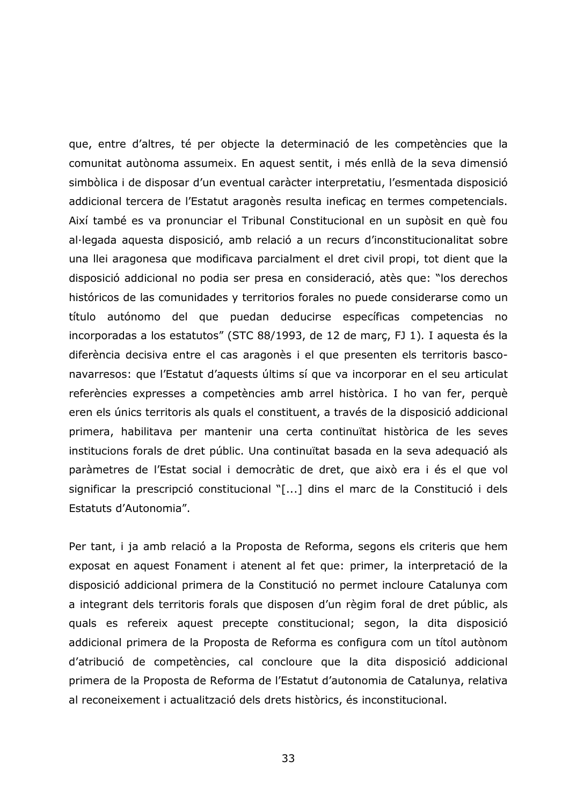que, entre d'altres, té per objecte la determinació de les competències que la comunitat autònoma assumeix. En aquest sentit, i més enllà de la seva dimensió simbòlica i de disposar d'un eventual caràcter interpretatiu, l'esmentada disposició addicional tercera de l'Estatut aragonès resulta ineficaç en termes competencials. Així també es va pronunciar el Tribunal Constitucional en un supòsit en què fou al·legada aquesta disposició, amb relació a un recurs d'inconstitucionalitat sobre una llei aragonesa que modificava parcialment el dret civil propi, tot dient que la disposició addicional no podia ser presa en consideració, atès que: "los derechos históricos de las comunidades y territorios forales no puede considerarse como un título autónomo del que puedan deducirse específicas competencias no incorporadas a los estatutos" (STC 88/1993, de 12 de març, FJ 1). I aquesta és la diferència decisiva entre el cas aragonès i el que presenten els territoris basconavarresos: que l'Estatut d'aquests últims sí que va incorporar en el seu articulat referències expresses a competències amb arrel històrica. I ho van fer, perquè eren els únics territoris als quals el constituent, a través de la disposició addicional primera, habilitava per mantenir una certa continuïtat històrica de les seves institucions forals de dret públic. Una continuïtat basada en la seva adequació als paràmetres de l'Estat social i democràtic de dret, que això era i és el que vol significar la prescripció constitucional "[...] dins el marc de la Constitució i dels Estatuts d'Autonomia".

Per tant, i ja amb relació a la Proposta de Reforma, segons els criteris que hem exposat en aquest Fonament i atenent al fet que: primer, la interpretació de la disposició addicional primera de la Constitució no permet incloure Catalunya com a integrant dels territoris forals que disposen d'un règim foral de dret públic, als quals es refereix aquest precepte constitucional; segon, la dita disposició addicional primera de la Proposta de Reforma es configura com un títol autònom d'atribució de competències, cal concloure que la dita disposició addicional primera de la Proposta de Reforma de l'Estatut d'autonomia de Catalunya, relativa al reconeixement i actualització dels drets històrics, és inconstitucional.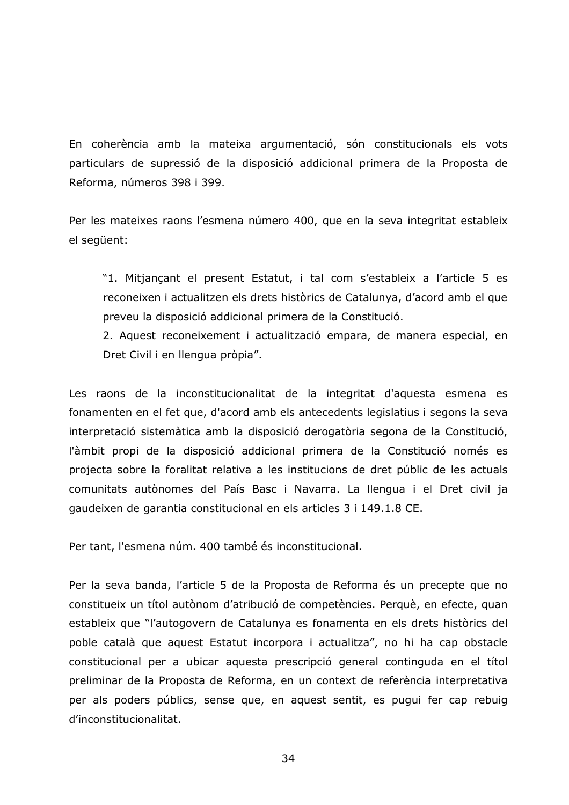En coherència amb la mateixa argumentació, són constitucionals els vots particulars de supressió de la disposició addicional primera de la Proposta de Reforma, números 398 i 399.

Per les mateixes raons l'esmena número 400, que en la seva integritat estableix el següent:

"1. Mitjançant el present Estatut, i tal com s'estableix a l'article 5 es reconeixen i actualitzen els drets històrics de Catalunya, d'acord amb el que preveu la disposició addicional primera de la Constitució.

2. Aquest reconeixement i actualització empara, de manera especial, en Dret Civil i en llengua pròpia".

Les raons de la inconstitucionalitat de la integritat d'aquesta esmena es fonamenten en el fet que, d'acord amb els antecedents legislatius i segons la seva interpretació sistemàtica amb la disposició derogatòria segona de la Constitució, l'àmbit propi de la disposició addicional primera de la Constitució només es projecta sobre la foralitat relativa a les institucions de dret públic de les actuals comunitats autònomes del País Basc i Navarra. La llengua i el Dret civil ja gaudeixen de garantia constitucional en els articles 3 i 149.1.8 CE.

Per tant, l'esmena núm. 400 també és inconstitucional.

Per la seva banda, l'article 5 de la Proposta de Reforma és un precepte que no constitueix un títol autònom d'atribució de competències. Perquè, en efecte, quan estableix que "l'autogovern de Catalunya es fonamenta en els drets històrics del poble català que aquest Estatut incorpora i actualitza", no hi ha cap obstacle constitucional per a ubicar aquesta prescripció general continguda en el títol preliminar de la Proposta de Reforma, en un context de referència interpretativa per als poders públics, sense que, en aquest sentit, es pugui fer cap rebuig d'inconstitucionalitat.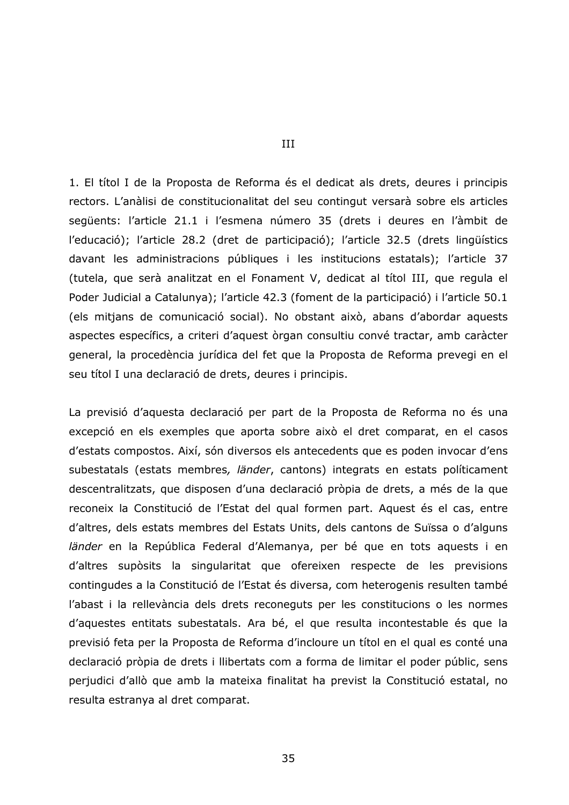1. El títol I de la Proposta de Reforma és el dedicat als drets, deures i principis rectors. L'anàlisi de constitucionalitat del seu contingut versarà sobre els articles sequents: l'article 21.1 i l'esmena número 35 (drets i deures en l'àmbit de l'educació); l'article 28.2 (dret de participació); l'article 32.5 (drets lingüístics davant les administracions públiques i les institucions estatals); l'article 37 (tutela, que serà analitzat en el Fonament V, dedicat al títol III, que regula el Poder Judicial a Catalunya); l'article 42.3 (foment de la participació) i l'article 50.1 (els mitjans de comunicació social). No obstant això, abans d'abordar aquests aspectes específics, a criteri d'aquest òrgan consultiu convé tractar, amb caràcter general, la procedència jurídica del fet que la Proposta de Reforma prevegi en el seu títol I una declaració de drets, deures i principis.

La previsió d'aquesta declaració per part de la Proposta de Reforma no és una excepció en els exemples que aporta sobre això el dret comparat, en el casos d'estats compostos. Així, són diversos els antecedents que es poden invocar d'ens subestatals (estats membres, länder, cantons) integrats en estats políticament descentralitzats, que disposen d'una declaració pròpia de drets, a més de la que reconeix la Constitució de l'Estat del qual formen part. Aquest és el cas, entre d'altres, dels estats membres del Estats Units, dels cantons de Suïssa o d'alguns länder en la República Federal d'Alemanya, per bé que en tots aquests i en d'altres supòsits la singularitat que ofereixen respecte de les previsions contingudes a la Constitució de l'Estat és diversa, com heterogenis resulten també l'abast i la rellevància dels drets reconeguts per les constitucions o les normes d'aquestes entitats subestatals. Ara bé, el que resulta incontestable és que la previsió feta per la Proposta de Reforma d'incloure un títol en el qual es conté una declaració pròpia de drets i llibertats com a forma de limitar el poder públic, sens perjudici d'allò que amb la mateixa finalitat ha previst la Constitució estatal, no resulta estranya al dret comparat.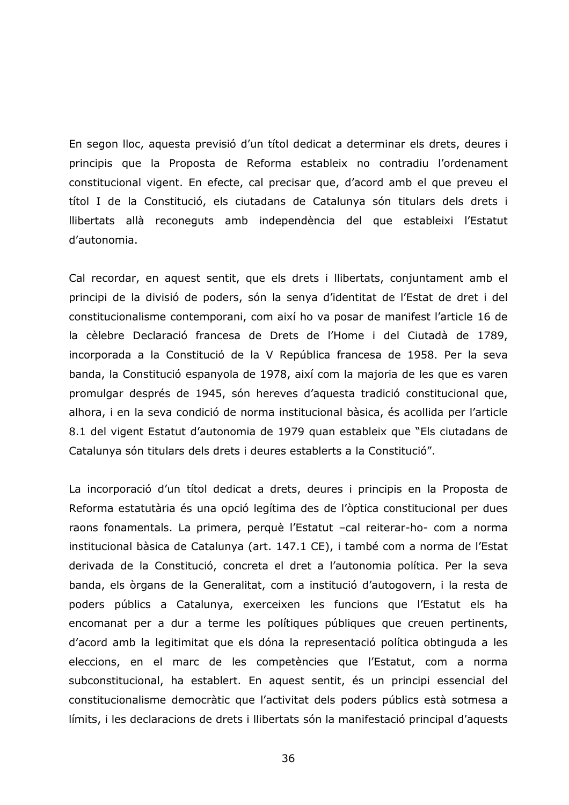En segon lloc, aquesta previsió d'un títol dedicat a determinar els drets, deures i principis que la Proposta de Reforma estableix no contradiu l'ordenament constitucional vigent. En efecte, cal precisar que, d'acord amb el que preveu el títol I de la Constitució, els ciutadans de Catalunya són titulars dels drets i Ilibertats allà reconeguts amb independència del que estableixi l'Estatut d'autonomia.

Cal recordar, en aquest sentit, que els drets i llibertats, conjuntament amb el principi de la divisió de poders, són la senya d'identitat de l'Estat de dret i del constitucionalisme contemporani, com així ho va posar de manifest l'article 16 de la cèlebre Declaració francesa de Drets de l'Home i del Ciutadà de 1789, incorporada a la Constitució de la V República francesa de 1958. Per la seva banda, la Constitució espanyola de 1978, així com la majoria de les que es varen promulgar després de 1945, són hereves d'aquesta tradició constitucional que, alhora, i en la seva condició de norma institucional bàsica, és acollida per l'article 8.1 del vigent Estatut d'autonomia de 1979 quan estableix que "Els ciutadans de Catalunya són titulars dels drets i deures establerts a la Constitució".

La incorporació d'un títol dedicat a drets, deures i principis en la Proposta de Reforma estatutària és una opció legítima des de l'òptica constitucional per dues raons fonamentals. La primera, perquè l'Estatut -cal reiterar-ho- com a norma institucional bàsica de Catalunya (art. 147.1 CE), i també com a norma de l'Estat derivada de la Constitució, concreta el dret a l'autonomia política. Per la seva banda, els òrgans de la Generalitat, com a institució d'autogovern, i la resta de poders públics a Catalunya, exerceixen les funcions que l'Estatut els ha encomanat per a dur a terme les polítiques públiques que creuen pertinents, d'acord amb la legitimitat que els dóna la representació política obtinguda a les eleccions, en el marc de les competències que l'Estatut, com a norma subconstitucional, ha establert. En aquest sentit, és un principi essencial del constitucionalisme democràtic que l'activitat dels poders públics està sotmesa a límits, i les declaracions de drets i llibertats són la manifestació principal d'aquests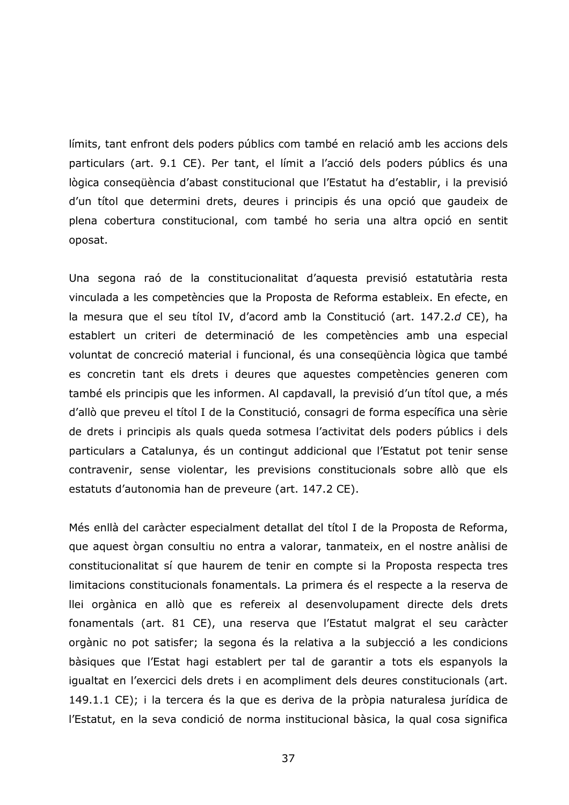límits, tant enfront dels poders públics com també en relació amb les accions dels particulars (art. 9.1 CE). Per tant, el límit a l'acció dels poders públics és una lògica consequència d'abast constitucional que l'Estatut ha d'establir, i la previsió d'un títol que determini drets, deures i principis és una opció que gaudeix de plena cobertura constitucional, com també ho seria una altra opció en sentit oposat.

Una segona raó de la constitucionalitat d'aquesta previsió estatutària resta vinculada a les competències que la Proposta de Reforma estableix. En efecte, en la mesura que el seu títol IV, d'acord amb la Constitució (art. 147.2.d CE), ha establert un criteri de determinació de les competències amb una especial voluntat de concreció material i funcional, és una consegüència lògica que també es concretin tant els drets i deures que aquestes competències generen com també els principis que les informen. Al capdavall, la previsió d'un títol que, a més d'allò que preveu el títol I de la Constitució, consagri de forma específica una sèrie de drets i principis als quals queda sotmesa l'activitat dels poders públics i dels particulars a Catalunya, és un contingut addicional que l'Estatut pot tenir sense contravenir, sense violentar, les previsions constitucionals sobre allò que els estatuts d'autonomia han de preveure (art. 147.2 CE).

Més enllà del caràcter especialment detallat del títol I de la Proposta de Reforma, que aquest òrgan consultiu no entra a valorar, tanmateix, en el nostre anàlisi de constitucionalitat sí que haurem de tenir en compte si la Proposta respecta tres limitacions constitucionals fonamentals. La primera és el respecte a la reserva de llei orgànica en allò que es refereix al desenvolupament directe dels drets fonamentals (art. 81 CE), una reserva que l'Estatut malgrat el seu caràcter orgànic no pot satisfer; la segona és la relativa a la subjecció a les condicions bàsiques que l'Estat hagi establert per tal de garantir a tots els espanyols la iqualtat en l'exercici dels drets i en acompliment dels deures constitucionals (art. 149.1.1 CE); i la tercera és la que es deriva de la pròpia naturalesa jurídica de l'Estatut, en la seva condició de norma institucional bàsica, la qual cosa significa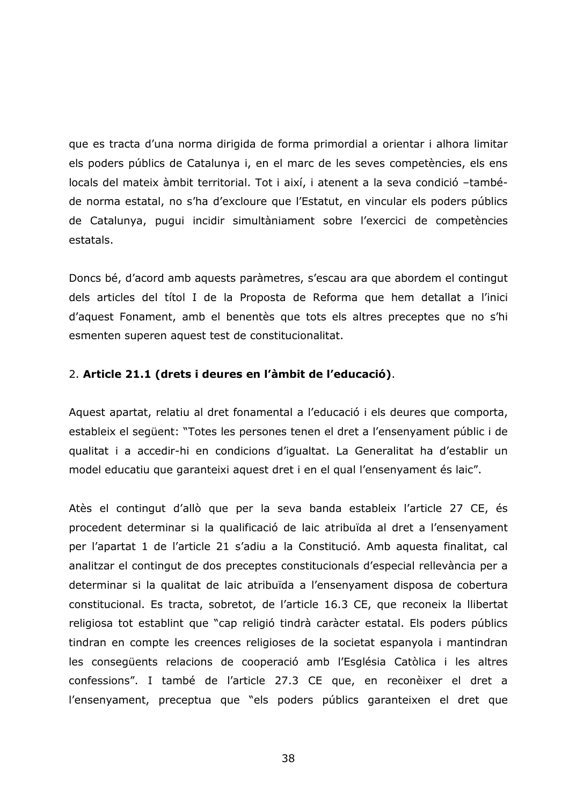que es tracta d'una norma dirigida de forma primordial a orientar i alhora limitar els poders públics de Catalunya i, en el marc de les seves competències, els ens locals del mateix àmbit territorial. Tot i així, i atenent a la seva condició -tambéde norma estatal, no s'ha d'excloure que l'Estatut, en vincular els poders públics de Catalunya, pugui incidir simultàniament sobre l'exercici de competències estatals.

Doncs bé, d'acord amb aquests paràmetres, s'escau ara que abordem el contingut dels articles del títol I de la Proposta de Reforma que hem detallat a l'inici d'aquest Fonament, amb el benentès que tots els altres preceptes que no s'hi esmenten superen aquest test de constitucionalitat.

### 2. Article 21.1 (drets i deures en l'àmbit de l'educació).

Aquest apartat, relatiu al dret fonamental a l'educació i els deures que comporta, estableix el següent: "Totes les persones tenen el dret a l'ensenyament públic i de qualitat i a accedir-hi en condicions d'iqualtat. La Generalitat ha d'establir un model educatiu que garanteixi aquest dret i en el qual l'ensenyament és laic".

Atès el contingut d'allò que per la seva banda estableix l'article 27 CE, és procedent determinar si la qualificació de laic atribuïda al dret a l'ensenyament per l'apartat 1 de l'article 21 s'adiu a la Constitució. Amb aquesta finalitat, cal analitzar el contingut de dos preceptes constitucionals d'especial rellevància per a determinar si la qualitat de laic atribuïda a l'ensenyament disposa de cobertura constitucional. Es tracta, sobretot, de l'article 16.3 CE, que reconeix la llibertat religiosa tot establint que "cap religió tindrà caràcter estatal. Els poders públics tindran en compte les creences religioses de la societat espanyola i mantindran les consegüents relacions de cooperació amb l'Església Catòlica i les altres confessions". I també de l'article 27.3 CE que, en reconèixer el dret a l'ensenyament, preceptua que "els poders públics garanteixen el dret que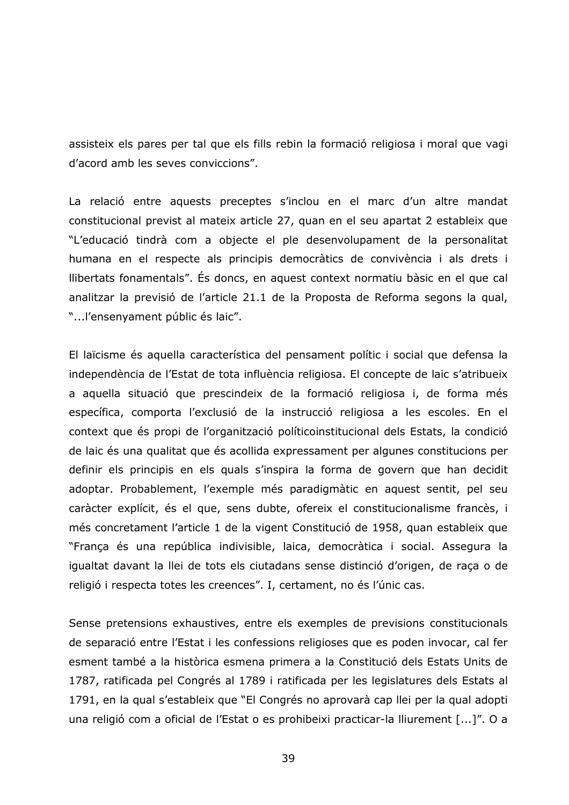assisteix els pares per tal que els fills rebin la formació religiosa i moral que vagi d'acord amb les seves conviccions".

La relació entre aquests preceptes s'inclou en el marc d'un altre mandat constitucional previst al mateix article 27, quan en el seu apartat 2 estableix que "L'educació tindrà com a objecte el ple desenvolupament de la personalitat humana en el respecte als principis democràtics de convivència i als drets i Ilibertats fonamentals". És doncs, en aquest context normatiu bàsic en el que cal analitzar la previsió de l'article 21.1 de la Proposta de Reforma segons la qual, "... l'ensenyament públic és laic".

El laïcisme és aquella característica del pensament polític i social que defensa la independència de l'Estat de tota influència religiosa. El concepte de laic s'atribueix a aquella situació que prescindeix de la formació religiosa i, de forma més específica, comporta l'exclusió de la instrucció religiosa a les escoles. En el context que és propi de l'organització políticoinstitucional dels Estats, la condició de laic és una qualitat que és acollida expressament per algunes constitucions per definir els principis en els quals s'inspira la forma de govern que han decidit adoptar. Probablement, l'exemple més paradigmàtic en aquest sentit, pel seu caràcter explícit, és el que, sens dubte, ofereix el constitucionalisme francès, i més concretament l'article 1 de la vigent Constitució de 1958, quan estableix que "França és una república indivisible, laica, democràtica i social. Assegura la igualtat davant la llei de tots els ciutadans sense distinció d'origen, de raça o de religió i respecta totes les creences". I, certament, no és l'únic cas.

Sense pretensions exhaustives, entre els exemples de previsions constitucionals de separació entre l'Estat i les confessions religioses que es poden invocar, cal fer esment també a la històrica esmena primera a la Constitució dels Estats Units de 1787, ratificada pel Congrés al 1789 i ratificada per les legislatures dels Estats al 1791, en la qual s'estableix que "El Congrés no aprovarà cap llei per la qual adopti una religió com a oficial de l'Estat o es prohibeixi practicar-la lliurement [...]". O a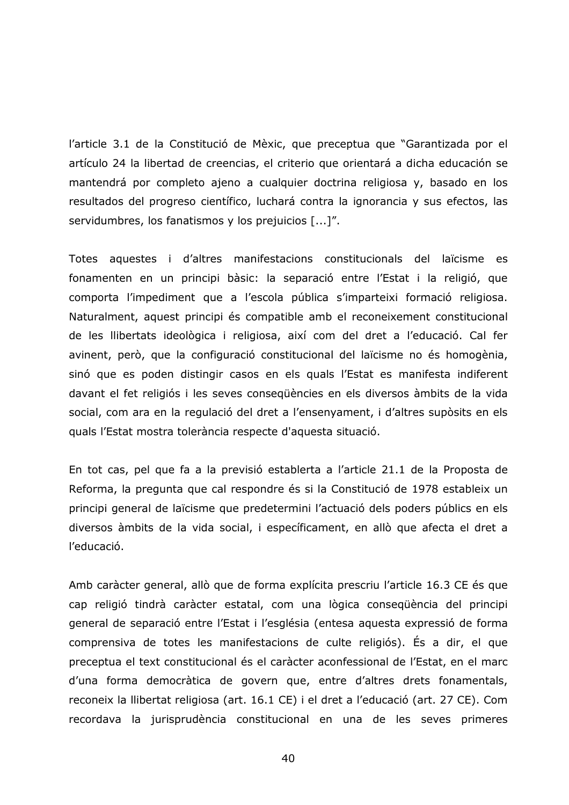l'article 3.1 de la Constitució de Mèxic, que preceptua que "Garantizada por el artículo 24 la libertad de creencias, el criterio que orientará a dicha educación se mantendrá por completo ajeno a cualquier doctrina religiosa y, basado en los resultados del progreso científico, luchará contra la ignorancia y sus efectos, las servidumbres, los fanatismos y los prejuicios [...]".

Totes aquestes i d'altres manifestacions constitucionals del laïcisme es fonamenten en un principi bàsic: la separació entre l'Estat i la religió, que comporta l'impediment que a l'escola pública s'imparteixi formació religiosa. Naturalment, aquest principi és compatible amb el reconeixement constitucional de les llibertats ideològica i religiosa, així com del dret a l'educació. Cal fer avinent, però, que la configuració constitucional del laïcisme no és homogènia, sinó que es poden distingir casos en els quals l'Estat es manifesta indiferent davant el fet religiós i les seves consequències en els diversos àmbits de la vida social, com ara en la regulació del dret a l'ensenyament, i d'altres supòsits en els quals l'Estat mostra tolerància respecte d'aquesta situació.

En tot cas, pel que fa a la previsió establerta a l'article 21.1 de la Proposta de Reforma, la pregunta que cal respondre és si la Constitució de 1978 estableix un principi general de laïcisme que predetermini l'actuació dels poders públics en els diversos àmbits de la vida social, i específicament, en allò que afecta el dret a l'educació.

Amb caràcter general, allò que de forma explícita prescriu l'article 16.3 CE és que cap religió tindrà caràcter estatal, com una lògica consegüència del principi general de separació entre l'Estat i l'església (entesa aquesta expressió de forma comprensiva de totes les manifestacions de culte religiós). És a dir, el que preceptua el text constitucional és el caràcter aconfessional de l'Estat, en el marc d'una forma democràtica de govern que, entre d'altres drets fonamentals, reconeix la llibertat religiosa (art. 16.1 CE) i el dret a l'educació (art. 27 CE). Com recordava la jurisprudència constitucional en una de les seves primeres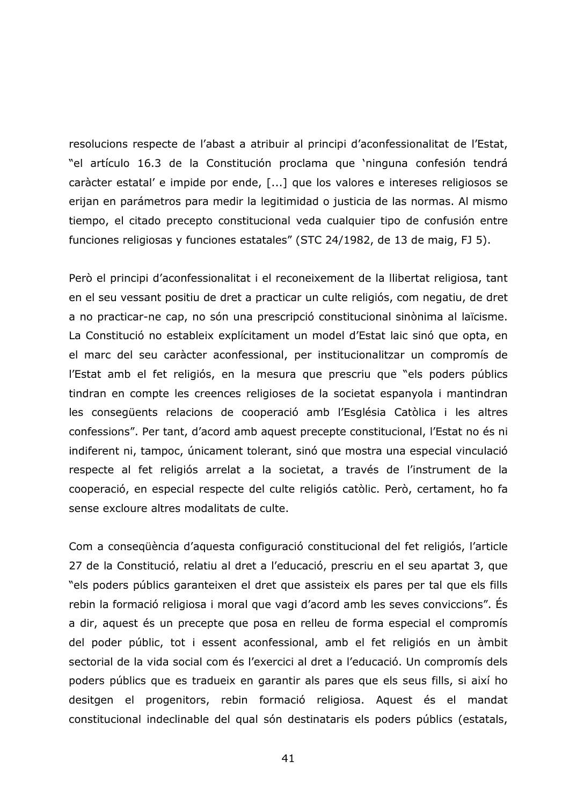resolucions respecte de l'abast a atribuir al principi d'aconfessionalitat de l'Estat, "el artículo 16.3 de la Constitución proclama que 'ninguna confesión tendrá caràcter estatal' e impide por ende, [...] que los valores e intereses religiosos se erijan en parámetros para medir la legitimidad o justicia de las normas. Al mismo tiempo, el citado precepto constitucional veda cualquier tipo de confusión entre funciones religiosas y funciones estatales" (STC 24/1982, de 13 de maig, FJ 5).

Però el principi d'aconfessionalitat i el reconeixement de la llibertat religiosa, tant en el seu vessant positiu de dret a practicar un culte religiós, com negatiu, de dret a no practicar-ne cap, no són una prescripció constitucional sinònima al laïcisme. La Constitució no estableix explícitament un model d'Estat laic sinó que opta, en el marc del seu caràcter aconfessional, per institucionalitzar un compromís de l'Estat amb el fet religiós, en la mesura que prescriu que "els poders públics tindran en compte les creences religioses de la societat espanyola i mantindran les consegüents relacions de cooperació amb l'Església Catòlica i les altres confessions". Per tant, d'acord amb aquest precepte constitucional, l'Estat no és ni indiferent ni, tampoc, únicament tolerant, sinó que mostra una especial vinculació respecte al fet religiós arrelat a la societat, a través de l'instrument de la cooperació, en especial respecte del culte religiós catòlic. Però, certament, ho fa sense excloure altres modalitats de culte.

Com a consequència d'aquesta configuració constitucional del fet religiós, l'article 27 de la Constitució, relatiu al dret a l'educació, prescriu en el seu apartat 3, que "els poders públics garanteixen el dret que assisteix els pares per tal que els fills rebin la formació religiosa i moral que vagi d'acord amb les seves conviccions". És a dir, aquest és un precepte que posa en relleu de forma especial el compromís del poder públic, tot i essent aconfessional, amb el fet religiós en un àmbit sectorial de la vida social com és l'exercici al dret a l'educació. Un compromís dels poders públics que es tradueix en garantir als pares que els seus fills, si així ho desitgen el progenitors, rebin formació religiosa. Aquest és el mandat constitucional indeclinable del qual són destinataris els poders públics (estatals,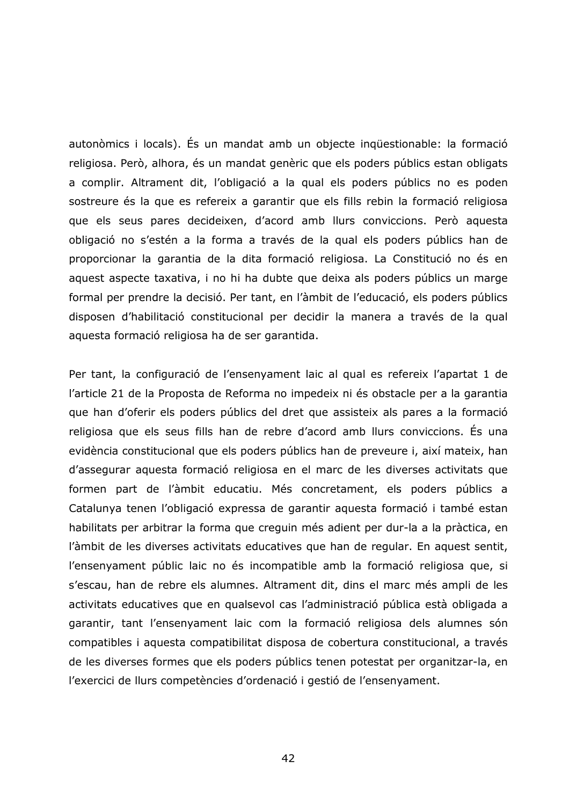autonòmics i locals). És un mandat amb un objecte ingüestionable: la formació religiosa. Però, alhora, és un mandat genèric que els poders públics estan obligats a complir. Altrament dit, l'obligació a la qual els poders públics no es poden sostreure és la que es refereix a garantir que els fills rebin la formació religiosa que els seus pares decideixen, d'acord amb llurs conviccions. Però aquesta obligació no s'estén a la forma a través de la qual els poders públics han de proporcionar la garantia de la dita formació religiosa. La Constitució no és en aquest aspecte taxativa, i no hi ha dubte que deixa als poders públics un marge formal per prendre la decisió. Per tant, en l'àmbit de l'educació, els poders públics disposen d'habilitació constitucional per decidir la manera a través de la qual aquesta formació religiosa ha de ser garantida.

Per tant, la configuració de l'ensenyament laic al qual es refereix l'apartat 1 de l'article 21 de la Proposta de Reforma no impedeix ni és obstacle per a la garantia que han d'oferir els poders públics del dret que assisteix als pares a la formació religiosa que els seus fills han de rebre d'acord amb llurs conviccions. És una evidència constitucional que els poders públics han de preveure i, així mateix, han d'assegurar aquesta formació religiosa en el marc de les diverses activitats que formen part de l'àmbit educatiu. Més concretament, els poders públics a Catalunya tenen l'obligació expressa de garantir aquesta formació i també estan habilitats per arbitrar la forma que creguin més adient per dur-la a la pràctica, en l'àmbit de les diverses activitats educatives que han de regular. En aquest sentit, l'ensenyament públic laic no és incompatible amb la formació religiosa que, si s'escau, han de rebre els alumnes. Altrament dit, dins el marc més ampli de les activitats educatives que en qualsevol cas l'administració pública està obligada a garantir, tant l'ensenyament laic com la formació religiosa dels alumnes són compatibles i aquesta compatibilitat disposa de cobertura constitucional, a través de les diverses formes que els poders públics tenen potestat per organitzar-la, en l'exercici de llurs competències d'ordenació i gestió de l'ensenyament.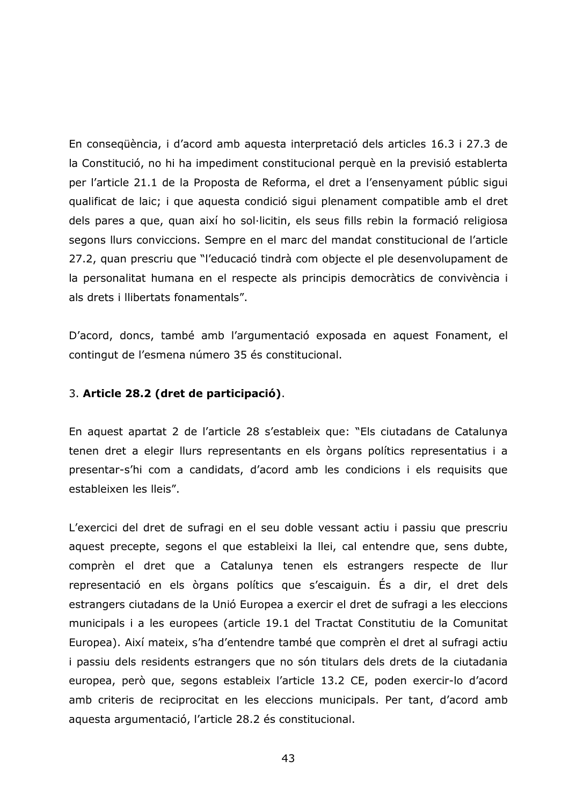En consegüència, i d'acord amb aquesta interpretació dels articles 16.3 i 27.3 de la Constitució, no hi ha impediment constitucional perquè en la previsió establerta per l'article 21.1 de la Proposta de Reforma, el dret a l'ensenyament públic sigui qualificat de laic; i que aquesta condició sigui plenament compatible amb el dret dels pares a que, quan així ho sol·licitin, els seus fills rebin la formació religiosa segons llurs conviccions. Sempre en el marc del mandat constitucional de l'article 27.2, quan prescriu que "l'educació tindrà com objecte el ple desenvolupament de la personalitat humana en el respecte als principis democràtics de convivència i als drets i llibertats fonamentals".

D'acord, doncs, també amb l'argumentació exposada en aquest Fonament, el contingut de l'esmena número 35 és constitucional.

### 3. Article 28.2 (dret de participació).

En aquest apartat 2 de l'article 28 s'estableix que: "Els ciutadans de Catalunya" tenen dret a elegir llurs representants en els òrgans polítics representatius i a presentar-s'hi com a candidats, d'acord amb les condicions i els requisits que estableixen les lleis".

L'exercici del dret de sufragi en el seu doble vessant actiu i passiu que prescriu aquest precepte, segons el que estableixi la llei, cal entendre que, sens dubte, comprèn el dret que a Catalunya tenen els estrangers respecte de llur representació en els òrgans polítics que s'escaiguin. És a dir, el dret dels estrangers ciutadans de la Unió Europea a exercir el dret de sufragi a les eleccions municipals i a les europees (article 19.1 del Tractat Constitutiu de la Comunitat Europea). Així mateix, s'ha d'entendre també que comprèn el dret al sufragi actiu i passiu dels residents estrangers que no són titulars dels drets de la ciutadania europea, però que, segons estableix l'article 13.2 CE, poden exercir-lo d'acord amb criteris de reciprocitat en les eleccions municipals. Per tant, d'acord amb aquesta argumentació, l'article 28.2 és constitucional.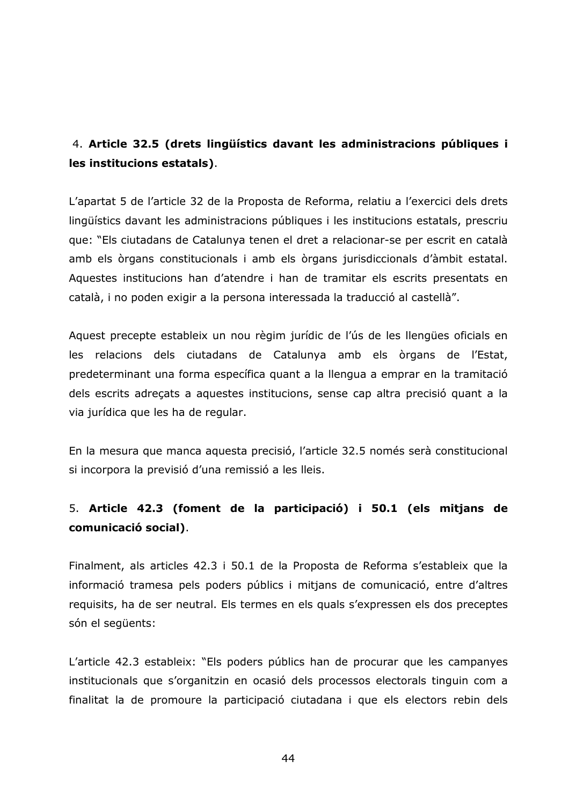# 4. Article 32.5 (drets lingüístics davant les administracions públiques i les institucions estatals).

L'apartat 5 de l'article 32 de la Proposta de Reforma, relatiu a l'exercici dels drets lingüístics davant les administracions públiques i les institucions estatals, prescriu que: "Els ciutadans de Catalunya tenen el dret a relacionar-se per escrit en català amb els òrgans constitucionals i amb els òrgans jurisdiccionals d'àmbit estatal. Aquestes institucions han d'atendre i han de tramitar els escrits presentats en català, i no poden exigir a la persona interessada la traducció al castellà".

Aquest precepte estableix un nou règim jurídic de l'ús de les llengües oficials en les relacions dels ciutadans de Catalunya amb els òrgans de l'Estat, predeterminant una forma específica quant a la llengua a emprar en la tramitació dels escrits adreçats a aquestes institucions, sense cap altra precisió quant a la via jurídica que les ha de regular.

En la mesura que manca aquesta precisió, l'article 32.5 només serà constitucional si incorpora la previsió d'una remissió a les lleis.

# 5. Article 42.3 (foment de la participació) i 50.1 (els mitjans de comunicació social).

Finalment, als articles 42.3 i 50.1 de la Proposta de Reforma s'estableix que la informació tramesa pels poders públics i mitjans de comunicació, entre d'altres requisits, ha de ser neutral. Els termes en els quals s'expressen els dos preceptes són el següents:

L'article 42.3 estableix: "Els poders públics han de procurar que les campanyes institucionals que s'organitzin en ocasió dels processos electorals tinguin com a finalitat la de promoure la participació ciutadana i que els electors rebin dels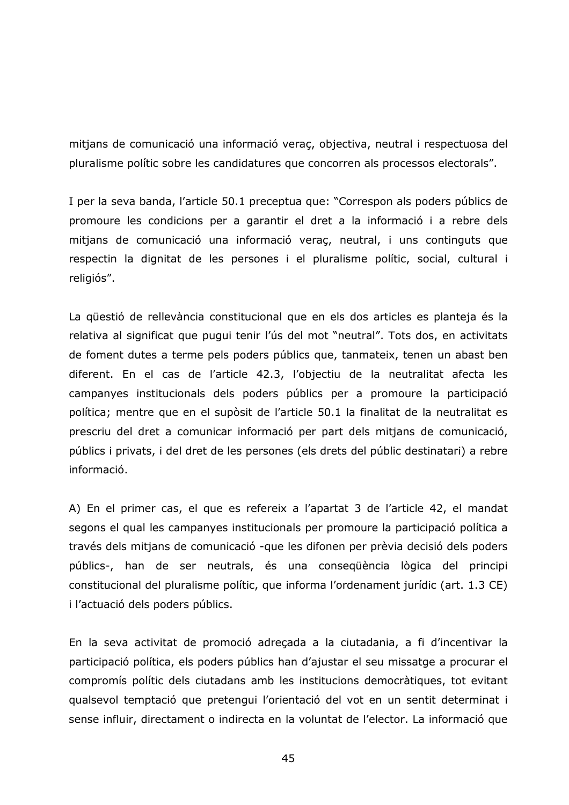mitjans de comunicació una informació verac, objectiva, neutral i respectuosa del pluralisme polític sobre les candidatures que concorren als processos electorals".

I per la seva banda, l'article 50.1 preceptua que: "Correspon als poders públics de promoure les condicions per a garantir el dret a la informació i a rebre dels mitjans de comunicació una informació veraç, neutral, i uns continguts que respectin la dignitat de les persones i el pluralisme polític, social, cultural i religiós".

La qüestió de rellevància constitucional que en els dos articles es planteja és la relativa al significat que pugui tenir l'ús del mot "neutral". Tots dos, en activitats de foment dutes a terme pels poders públics que, tanmateix, tenen un abast ben diferent. En el cas de l'article 42.3, l'objectiu de la neutralitat afecta les campanyes institucionals dels poders públics per a promoure la participació política; mentre que en el supòsit de l'article 50.1 la finalitat de la neutralitat es prescriu del dret a comunicar informació per part dels mitjans de comunicació, públics i privats, i del dret de les persones (els drets del públic destinatari) a rebre informació.

A) En el primer cas, el que es refereix a l'apartat 3 de l'article 42, el mandat segons el qual les campanyes institucionals per promoure la participació política a través dels mitjans de comunicació -que les difonen per prèvia decisió dels poders públics-, han de ser neutrals, és una consequència lògica del principi constitucional del pluralisme polític, que informa l'ordenament jurídic (art. 1.3 CE) i l'actuació dels poders públics.

En la seva activitat de promoció adreçada a la ciutadania, a fi d'incentivar la participació política, els poders públics han d'ajustar el seu missatge a procurar el compromís polític dels ciutadans amb les institucions democràtiques, tot evitant qualsevol temptació que pretengui l'orientació del vot en un sentit determinat i sense influir, directament o indirecta en la voluntat de l'elector. La informació que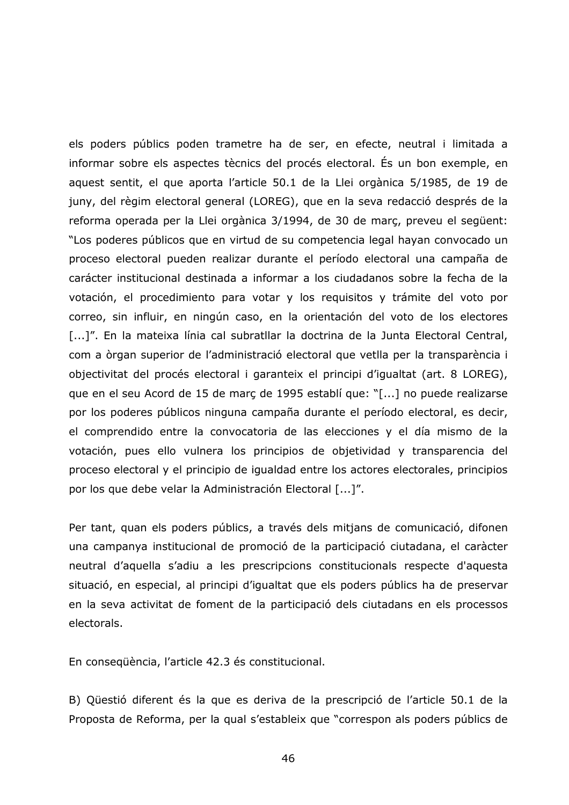els poders públics poden trametre ha de ser, en efecte, neutral i limitada a informar sobre els aspectes tècnics del procés electoral. És un bon exemple, en aquest sentit, el que aporta l'article 50.1 de la Llei orgànica 5/1985, de 19 de juny, del règim electoral general (LOREG), que en la seva redacció després de la reforma operada per la Llei orgànica 3/1994, de 30 de març, preveu el següent: "Los poderes públicos que en virtud de su competencia legal hayan convocado un proceso electoral pueden realizar durante el período electoral una campaña de carácter institucional destinada a informar a los ciudadanos sobre la fecha de la votación, el procedimiento para votar y los requisitos y trámite del voto por correo, sin influir, en ningún caso, en la orientación del voto de los electores [...]". En la mateixa línia cal subratllar la doctrina de la Junta Electoral Central, com a òrgan superior de l'administració electoral que vetlla per la transparència i objectivitat del procés electoral i garanteix el principi d'igualtat (art. 8 LOREG), que en el seu Acord de 15 de març de 1995 establí que: "[...] no puede realizarse por los poderes públicos ninguna campaña durante el período electoral, es decir, el comprendido entre la convocatoria de las elecciones y el día mismo de la votación, pues ello vulnera los principios de objetividad y transparencia del proceso electoral y el principio de igualdad entre los actores electorales, principios por los que debe velar la Administración Electoral [...]".

Per tant, quan els poders públics, a través dels mitjans de comunicació, difonen una campanya institucional de promoció de la participació ciutadana, el caràcter neutral d'aquella s'adiu a les prescripcions constitucionals respecte d'aquesta situació, en especial, al principi d'igualtat que els poders públics ha de preservar en la seva activitat de foment de la participació dels ciutadans en els processos electorals.

En consequència, l'article 42.3 és constitucional.

B) Qüestió diferent és la que es deriva de la prescripció de l'article 50.1 de la Proposta de Reforma, per la qual s'estableix que "correspon als poders públics de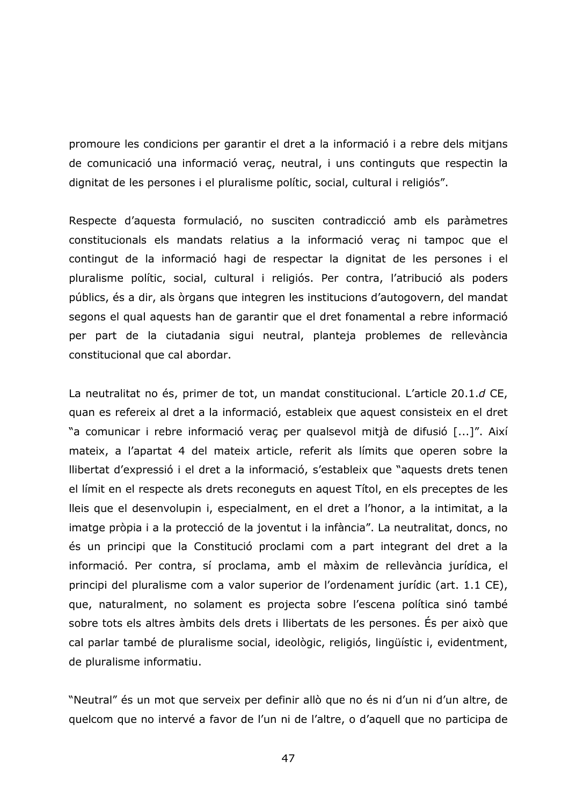promoure les condicions per garantir el dret a la informació i a rebre dels mitians de comunicació una informació verac, neutral, i uns continguts que respectin la dignitat de les persones i el pluralisme polític, social, cultural i religiós".

Respecte d'aquesta formulació, no susciten contradicció amb els paràmetres constitucionals els mandats relatius a la informació veraç ni tampoc que el contingut de la informació hagi de respectar la dignitat de les persones i el pluralisme polític, social, cultural i religiós. Per contra, l'atribució als poders públics, és a dir, als òrgans que integren les institucions d'autogovern, del mandat segons el qual aquests han de garantir que el dret fonamental a rebre informació per part de la ciutadania sigui neutral, planteja problemes de rellevància constitucional que cal abordar.

La neutralitat no és, primer de tot, un mandat constitucional. L'article 20.1.d CE, quan es refereix al dret a la informació, estableix que aquest consisteix en el dret "a comunicar i rebre informació veraç per qualsevol mitjà de difusió [...]". Així mateix, a l'apartat 4 del mateix article, referit als límits que operen sobre la Ilibertat d'expressió i el dret a la informació, s'estableix que "aquests drets tenen el límit en el respecte als drets reconeguts en aquest Títol, en els preceptes de les Ileis que el desenvolupin i, especialment, en el dret a l'honor, a la intimitat, a la imatge pròpia i a la protecció de la joventut i la infància". La neutralitat, doncs, no és un principi que la Constitució proclami com a part integrant del dret a la informació. Per contra, sí proclama, amb el màxim de rellevància jurídica, el principi del pluralisme com a valor superior de l'ordenament jurídic (art. 1.1 CE), que, naturalment, no solament es projecta sobre l'escena política sinó també sobre tots els altres àmbits dels drets i llibertats de les persones. És per això que cal parlar també de pluralisme social, ideològic, religiós, lingüístic i, evidentment, de pluralisme informatiu.

"Neutral" és un mot que serveix per definir allò que no és ni d'un ni d'un altre, de quelcom que no intervé a favor de l'un ni de l'altre, o d'aquell que no participa de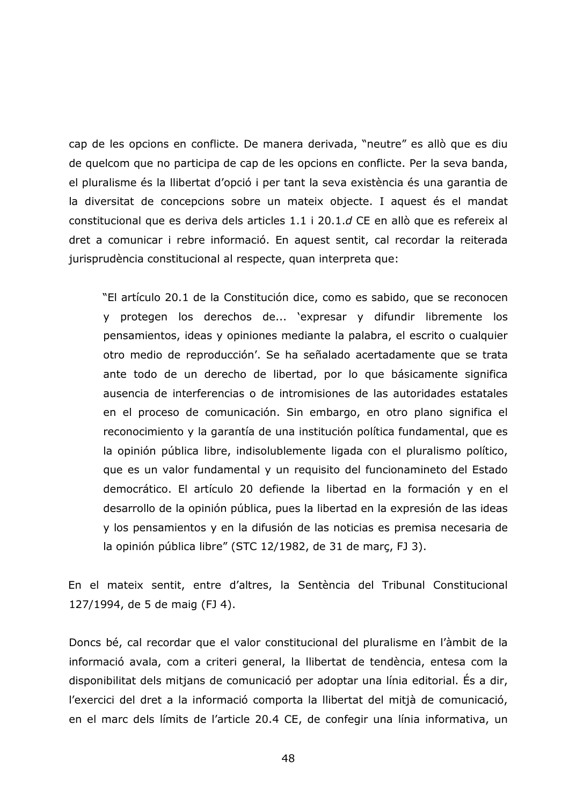cap de les opcions en conflicte. De manera derivada, "neutre" es allò que es diu de quelcom que no participa de cap de les opcions en conflicte. Per la seva banda, el pluralisme és la llibertat d'opció i per tant la seva existència és una garantia de la diversitat de concepcions sobre un mateix objecte. I aquest és el mandat constitucional que es deriva dels articles 1.1 i 20.1.d CE en allò que es refereix al dret a comunicar i rebre informació. En aquest sentit, cal recordar la reiterada jurisprudència constitucional al respecte, quan interpreta que:

"El artículo 20.1 de la Constitución dice, como es sabido, que se reconocen y protegen los derechos de... 'expresar y difundir libremente los pensamientos, ideas y opiniones mediante la palabra, el escrito o cualquier otro medio de reproducción'. Se ha señalado acertadamente que se trata ante todo de un derecho de libertad, por lo que básicamente significa ausencia de interferencias o de intromisiones de las autoridades estatales en el proceso de comunicación. Sin embargo, en otro plano significa el reconocimiento y la garantía de una institución política fundamental, que es la opinión pública libre, indisolublemente ligada con el pluralismo político, que es un valor fundamental y un requisito del funcionamineto del Estado democrático. El artículo 20 defiende la libertad en la formación y en el desarrollo de la opinión pública, pues la libertad en la expresión de las ideas y los pensamientos y en la difusión de las noticias es premisa necesaria de la opinión pública libre" (STC 12/1982, de 31 de març, FJ 3).

En el mateix sentit, entre d'altres, la Sentència del Tribunal Constitucional 127/1994, de 5 de maig (FJ 4).

Doncs bé, cal recordar que el valor constitucional del pluralisme en l'àmbit de la informació avala, com a criteri general, la llibertat de tendència, entesa com la disponibilitat dels mitjans de comunicació per adoptar una línia editorial. Es a dir, l'exercici del dret a la informació comporta la llibertat del mitjà de comunicació, en el marc dels límits de l'article 20.4 CE, de confegir una línia informativa, un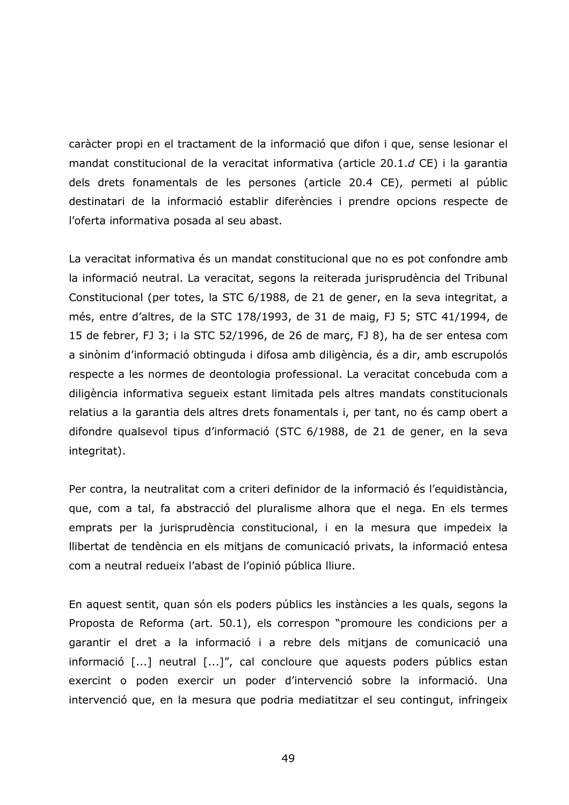caràcter propi en el tractament de la informació que difon i que, sense lesionar el mandat constitucional de la veracitat informativa (article 20.1.d CE) i la garantia dels drets fonamentals de les persones (article 20.4 CE), permeti al públic destinatari de la informació establir diferències i prendre opcions respecte de l'oferta informativa posada al seu abast.

La veracitat informativa és un mandat constitucional que no es pot confondre amb la informació neutral. La veracitat, segons la reiterada jurisprudència del Tribunal Constitucional (per totes, la STC 6/1988, de 21 de gener, en la seva integritat, a més, entre d'altres, de la STC 178/1993, de 31 de maig, FJ 5; STC 41/1994, de 15 de febrer, FJ 3; i la STC 52/1996, de 26 de març, FJ 8), ha de ser entesa com a sinònim d'informació obtinguda i difosa amb diligència, és a dir, amb escrupolós respecte a les normes de deontologia professional. La veracitat concebuda com a diligència informativa segueix estant limitada pels altres mandats constitucionals relatius a la garantia dels altres drets fonamentals i, per tant, no és camp obert a difondre qualsevol tipus d'informació (STC 6/1988, de 21 de gener, en la seva integritat).

Per contra, la neutralitat com a criteri definidor de la informació és l'equidistància, que, com a tal, fa abstracció del pluralisme alhora que el nega. En els termes emprats per la jurisprudència constitucional, i en la mesura que impedeix la Ilibertat de tendència en els mitjans de comunicació privats, la informació entesa com a neutral redueix l'abast de l'opinió pública lliure.

En aquest sentit, quan són els poders públics les instàncies a les quals, segons la Proposta de Reforma (art. 50.1), els correspon "promoure les condicions per a garantir el dret a la informació i a rebre dels mitjans de comunicació una informació [...] neutral [...]", cal concloure que aquests poders públics estan exercint o poden exercir un poder d'intervenció sobre la informació. Una intervenció que, en la mesura que podria mediatitzar el seu contingut, infringeix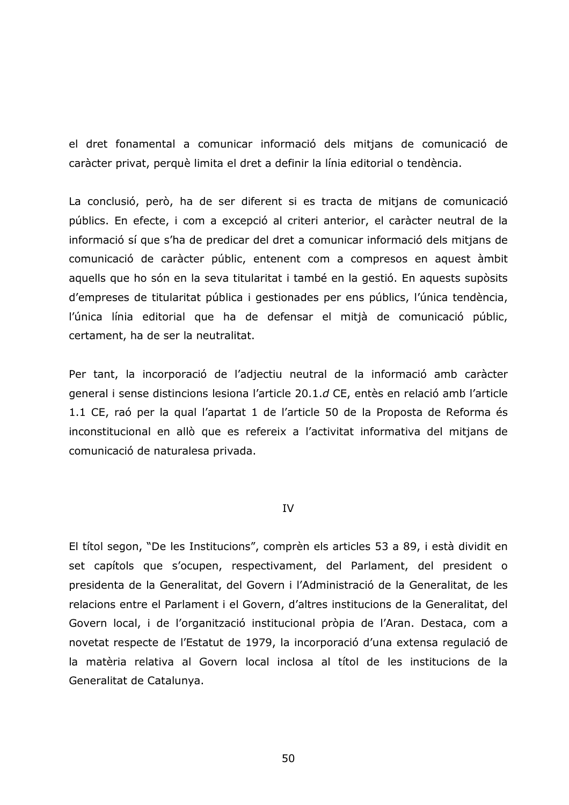el dret fonamental a comunicar informació dels mitians de comunicació de caràcter privat, perquè limita el dret a definir la línia editorial o tendència.

La conclusió, però, ha de ser diferent si es tracta de mitjans de comunicació públics. En efecte, i com a excepció al criteri anterior, el caràcter neutral de la informació sí que s'ha de predicar del dret a comunicar informació dels mitjans de comunicació de caràcter públic, entenent com a compresos en aquest àmbit aquells que ho són en la seva titularitat i també en la gestió. En aquests supòsits d'empreses de titularitat pública i gestionades per ens públics, l'única tendència, l'única línia editorial que ha de defensar el mitjà de comunicació públic, certament, ha de ser la neutralitat.

Per tant, la incorporació de l'adjectiu neutral de la informació amb caràcter general i sense distincions lesiona l'article 20.1.d CE, entès en relació amb l'article 1.1 CE, raó per la qual l'apartat 1 de l'article 50 de la Proposta de Reforma és inconstitucional en allò que es refereix a l'activitat informativa del mitjans de comunicació de naturalesa privada.

#### IV

El títol segon, "De les Institucions", comprèn els articles 53 a 89, i està dividit en set capítols que s'ocupen, respectivament, del Parlament, del president o presidenta de la Generalitat, del Govern i l'Administració de la Generalitat, de les relacions entre el Parlament i el Govern, d'altres institucions de la Generalitat, del Govern local, i de l'organització institucional pròpia de l'Aran. Destaca, com a novetat respecte de l'Estatut de 1979, la incorporació d'una extensa regulació de la matèria relativa al Govern local inclosa al títol de les institucions de la Generalitat de Catalunya.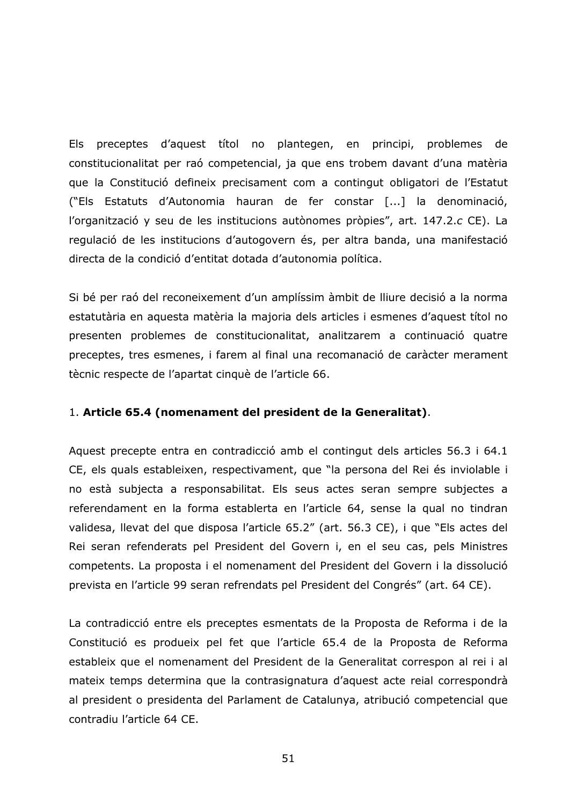preceptes d'aquest titol no plantegen, en principi, problemes de Els constitucionalitat per raó competencial, ja que ens trobem davant d'una matèria que la Constitució defineix precisament com a contingut obligatori de l'Estatut ("Els Estatuts d'Autonomia hauran de fer constar [...] la denominació, l'organització y seu de les institucions autònomes pròpies", art. 147.2.c CE). La regulació de les institucions d'autogovern és, per altra banda, una manifestació directa de la condició d'entitat dotada d'autonomia política.

Si bé per raó del reconeixement d'un amplíssim àmbit de lliure decisió a la norma estatutària en aquesta matèria la majoria dels articles i esmenes d'aquest títol no presenten problemes de constitucionalitat, analitzarem a continuació quatre preceptes, tres esmenes, i farem al final una recomanació de caràcter merament tècnic respecte de l'apartat cinquè de l'article 66.

### 1. Article 65.4 (nomenament del president de la Generalitat).

Aquest precepte entra en contradicció amb el contingut dels articles 56.3 i 64.1 CE, els quals estableixen, respectivament, que "la persona del Rei és inviolable i no està subjecta a responsabilitat. Els seus actes seran sempre subjectes a referendament en la forma establerta en l'article 64, sense la qual no tindran validesa, llevat del que disposa l'article 65.2" (art. 56.3 CE), i que "Els actes del Rei seran refenderats pel President del Govern i, en el seu cas, pels Ministres competents. La proposta i el nomenament del President del Govern i la dissolució prevista en l'article 99 seran refrendats pel President del Congrés" (art. 64 CE).

La contradicció entre els preceptes esmentats de la Proposta de Reforma i de la Constitució es produeix pel fet que l'article 65.4 de la Proposta de Reforma estableix que el nomenament del President de la Generalitat correspon al rei i al mateix temps determina que la contrasignatura d'aquest acte reial correspondrà al president o presidenta del Parlament de Catalunya, atribució competencial que contradiu l'article 64 CF.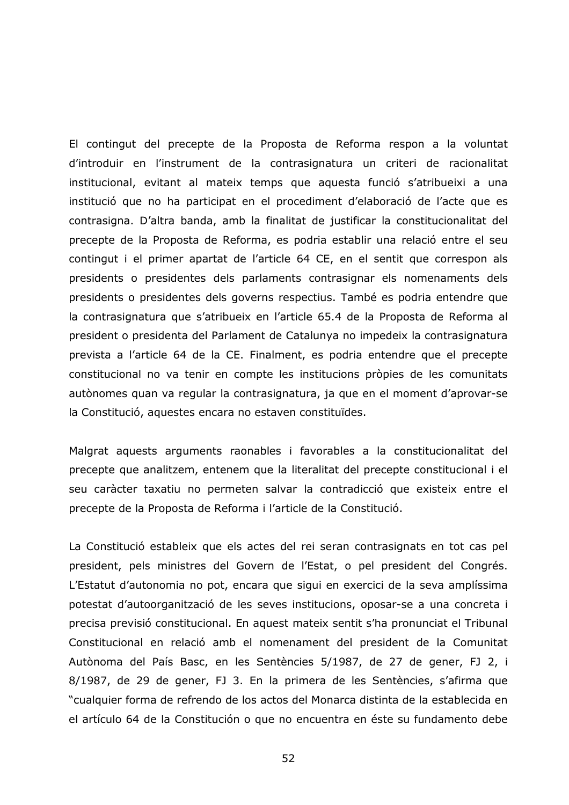El contingut del precepte de la Proposta de Reforma respon a la voluntat d'introduir en l'instrument de la contrasignatura un criteri de racionalitat institucional, evitant al mateix temps que aquesta funció s'atribueixi a una institució que no ha participat en el procediment d'elaboració de l'acte que es contrasigna. D'altra banda, amb la finalitat de justificar la constitucionalitat del precepte de la Proposta de Reforma, es podria establir una relació entre el seu contingut i el primer apartat de l'article 64 CE, en el sentit que correspon als presidents o presidentes dels parlaments contrasignar els nomenaments dels presidents o presidentes dels governs respectius. També es podria entendre que la contrasignatura que s'atribueix en l'article 65.4 de la Proposta de Reforma al president o presidenta del Parlament de Catalunya no impedeix la contrasignatura prevista a l'article 64 de la CE. Finalment, es podria entendre que el precepte constitucional no va tenir en compte les institucions pròpies de les comunitats autònomes quan va regular la contrasignatura, ja que en el moment d'aprovar-se la Constitució, aquestes encara no estaven constituïdes.

Malgrat aquests arguments raonables i favorables a la constitucionalitat del precepte que analitzem, entenem que la literalitat del precepte constitucional i el seu caràcter taxatiu no permeten salvar la contradicció que existeix entre el precepte de la Proposta de Reforma i l'article de la Constitució.

La Constitució estableix que els actes del rei seran contrasignats en tot cas pel president, pels ministres del Govern de l'Estat, o pel president del Congrés. L'Estatut d'autonomia no pot, encara que sigui en exercici de la seva amplíssima potestat d'autoorganització de les seves institucions, oposar-se a una concreta i precisa previsió constitucional. En aquest mateix sentit s'ha pronunciat el Tribunal Constitucional en relació amb el nomenament del president de la Comunitat Autònoma del País Basc, en les Sentències 5/1987, de 27 de gener, FJ 2, i 8/1987, de 29 de gener, FJ 3. En la primera de les Sentències, s'afirma que "cualquier forma de refrendo de los actos del Monarca distinta de la establecida en el artículo 64 de la Constitución o que no encuentra en éste su fundamento debe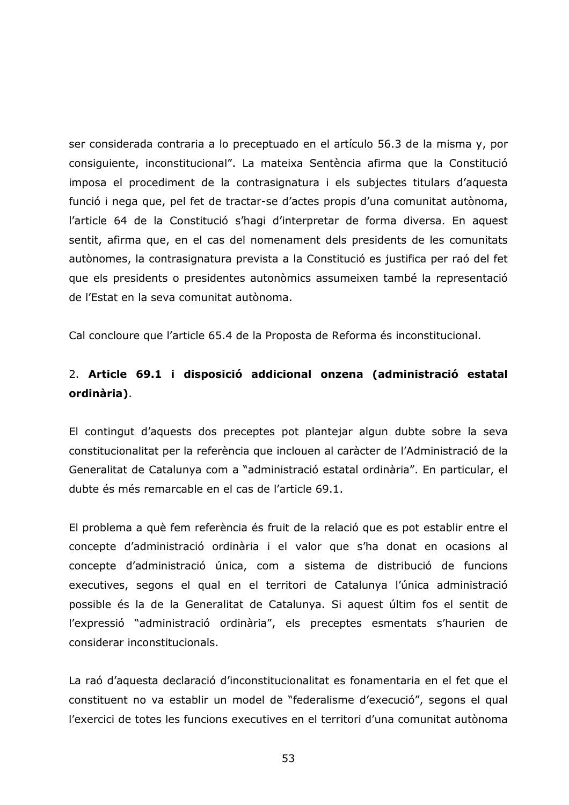ser considerada contraria a lo preceptuado en el artículo 56.3 de la misma y, por consiguiente, inconstitucional". La mateixa Sentència afirma que la Constitució imposa el procediment de la contrasignatura i els subjectes titulars d'aquesta funció i nega que, pel fet de tractar-se d'actes propis d'una comunitat autònoma, l'article 64 de la Constitució s'hagi d'interpretar de forma diversa. En aquest sentit, afirma que, en el cas del nomenament dels presidents de les comunitats autònomes, la contrasignatura prevista a la Constitució es justifica per raó del fet que els presidents o presidentes autonòmics assumeixen també la representació de l'Estat en la seva comunitat autònoma.

Cal concloure que l'article 65.4 de la Proposta de Reforma és inconstitucional.

## 2. Article 69.1 i disposició addicional onzena (administració estatal ordinària).

El contingut d'aquests dos preceptes pot plantejar algun dubte sobre la seva constitucionalitat per la referència que inclouen al caràcter de l'Administració de la Generalitat de Catalunya com a "administració estatal ordinària". En particular, el dubte és més remarcable en el cas de l'article 69.1.

El problema a què fem referència és fruit de la relació que es pot establir entre el concepte d'administració ordinària i el valor que s'ha donat en ocasions al concepte d'administració única, com a sistema de distribució de funcions executives, segons el qual en el territori de Catalunya l'única administració possible és la de la Generalitat de Catalunya. Si aquest últim fos el sentit de l'expressió "administració ordinària", els preceptes esmentats s'haurien de considerar inconstitucionals.

La raó d'aquesta declaració d'inconstitucionalitat es fonamentaria en el fet que el constituent no va establir un model de "federalisme d'execució", segons el qual l'exercici de totes les funcions executives en el territori d'una comunitat autònoma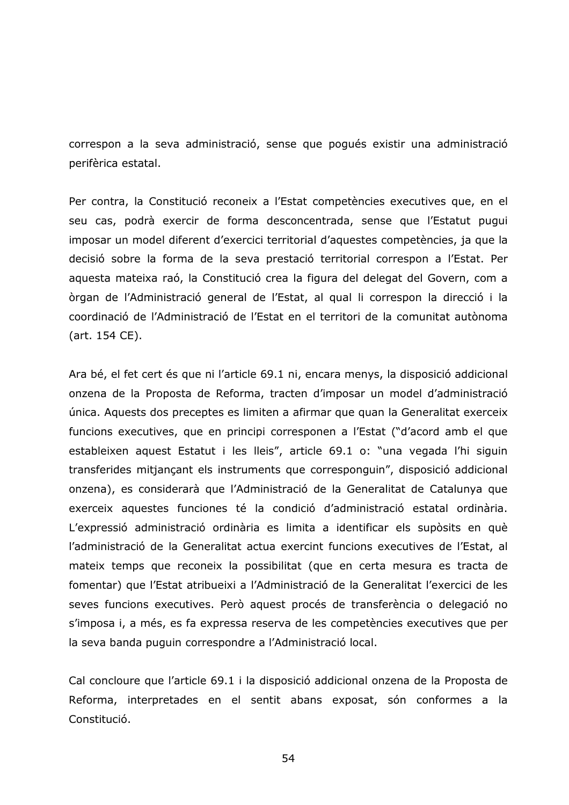correspon a la seva administració, sense que poqués existir una administració perifèrica estatal.

Per contra, la Constitució reconeix a l'Estat competències executives que, en el seu cas, podrà exercir de forma desconcentrada, sense que l'Estatut pugui imposar un model diferent d'exercici territorial d'aquestes competències, ja que la decisió sobre la forma de la seva prestació territorial correspon a l'Estat. Per aquesta mateixa raó, la Constitució crea la figura del delegat del Govern, com a òrgan de l'Administració general de l'Estat, al qual li correspon la direcció i la coordinació de l'Administració de l'Estat en el territori de la comunitat autònoma (art. 154 CE).

Ara bé, el fet cert és que ni l'article 69.1 ni, encara menys, la disposició addicional onzena de la Proposta de Reforma, tracten d'imposar un model d'administració única. Aquests dos preceptes es limiten a afirmar que quan la Generalitat exerceix funcions executives, que en principi corresponen a l'Estat ("d'acord amb el que estableixen aquest Estatut i les lleis", article 69.1 o: "una vegada l'hi siguin transferides mitjançant els instruments que corresponguin", disposició addicional onzena), es considerarà que l'Administració de la Generalitat de Catalunya que exerceix aquestes funciones té la condició d'administració estatal ordinària. L'expressió administració ordinària es limita a identificar els supòsits en què l'administració de la Generalitat actua exercint funcions executives de l'Estat, al mateix temps que reconeix la possibilitat (que en certa mesura es tracta de fomentar) que l'Estat atribueixi a l'Administració de la Generalitat l'exercici de les seves funcions executives. Però aquest procés de transferència o delegació no s'imposa i, a més, es fa expressa reserva de les competències executives que per la seva banda puguin correspondre a l'Administració local.

Cal concloure que l'article 69.1 i la disposició addicional onzena de la Proposta de Reforma, interpretades en el sentit abans exposat, són conformes a la Constitució.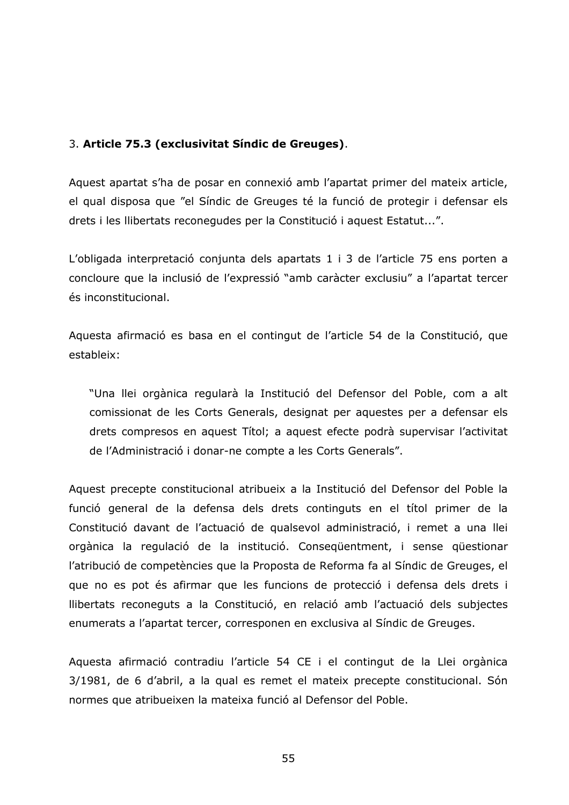### 3. Article 75.3 (exclusivitat Síndic de Greuges).

Aquest apartat s'ha de posar en connexió amb l'apartat primer del mateix article, el qual disposa que "el Síndic de Greuges té la funció de protegir i defensar els drets i les llibertats reconegudes per la Constitució i aquest Estatut...".

L'obligada interpretació conjunta dels apartats 1 i 3 de l'article 75 ens porten a concloure que la inclusió de l'expressió "amb caràcter exclusiu" a l'apartat tercer és inconstitucional.

Aquesta afirmació es basa en el contingut de l'article 54 de la Constitució, que estableix:

"Una llei orgànica regularà la Institució del Defensor del Poble, com a alt comissionat de les Corts Generals, designat per aquestes per a defensar els drets compresos en aquest Títol; a aquest efecte podrà supervisar l'activitat de l'Administració i donar-ne compte a les Corts Generals".

Aquest precepte constitucional atribueix a la Institució del Defensor del Poble la funció general de la defensa dels drets continguts en el títol primer de la Constitució davant de l'actuació de qualsevol administració, i remet a una llei orgànica la regulació de la institució. Consequentment, i sense questionar l'atribució de competències que la Proposta de Reforma fa al Síndic de Greuges, el que no es pot és afirmar que les funcions de protecció i defensa dels drets i Ilibertats reconeguts a la Constitució, en relació amb l'actuació dels subjectes enumerats a l'apartat tercer, corresponen en exclusiva al Síndic de Greuges.

Aquesta afirmació contradiu l'article 54 CE i el contingut de la Llei orgànica 3/1981, de 6 d'abril, a la qual es remet el mateix precepte constitucional. Són normes que atribueixen la mateixa funció al Defensor del Poble.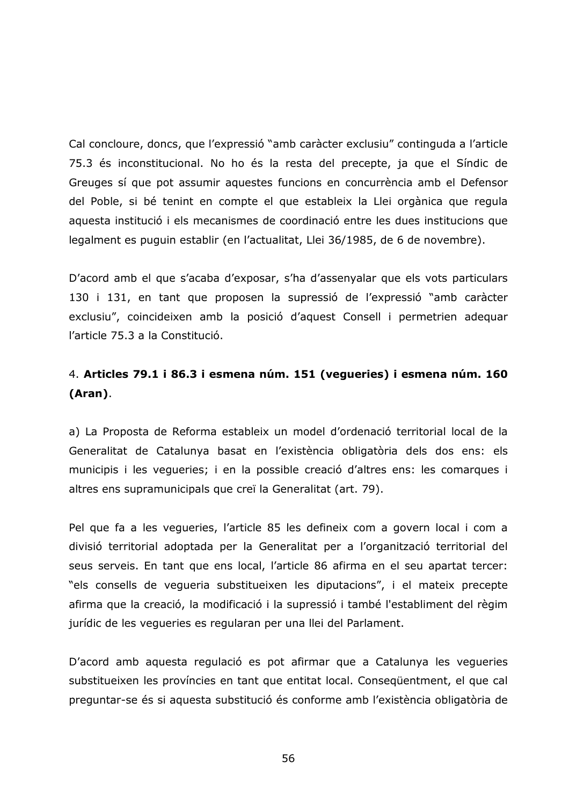Cal concloure, doncs, que l'expressió "amb caràcter exclusiu" continguda a l'article 75.3 és inconstitucional. No ho és la resta del precepte, ja que el Síndic de Greuges sí que pot assumir aquestes funcions en concurrència amb el Defensor del Poble, si bé tenint en compte el que estableix la Llei orgànica que regula aquesta institució i els mecanismes de coordinació entre les dues institucions que legalment es puguin establir (en l'actualitat, Llei 36/1985, de 6 de novembre).

D'acord amb el que s'acaba d'exposar, s'ha d'assenyalar que els vots particulars 130 i 131, en tant que proposen la supressió de l'expressió "amb caràcter exclusiu", coincideixen amb la posició d'aquest Consell i permetrien adequar l'article 75.3 a la Constitució.

# 4. Articles 79.1 i 86.3 i esmena núm. 151 (vegueries) i esmena núm. 160  $(Aran)$ .

a) La Proposta de Reforma estableix un model d'ordenació territorial local de la Generalitat de Catalunya basat en l'existència obligatòria dels dos ens: els municipis i les vegueries; i en la possible creació d'altres ens: les comarques i altres ens supramunicipals que creï la Generalitat (art. 79).

Pel que fa a les vegueries, l'article 85 les defineix com a govern local i com a divisió territorial adoptada per la Generalitat per a l'organització territorial del seus serveis. En tant que ens local, l'article 86 afirma en el seu apartat tercer: "els consells de vequeria substitueixen les diputacions", i el mateix precepte afirma que la creació, la modificació i la supressió i també l'establiment del règim jurídic de les vegueries es regularan per una llei del Parlament.

D'acord amb aquesta regulació es pot afirmar que a Catalunya les vegueries substitueixen les províncies en tant que entitat local. Consequentment, el que cal preguntar-se és si aguesta substitució és conforme amb l'existència obligatòria de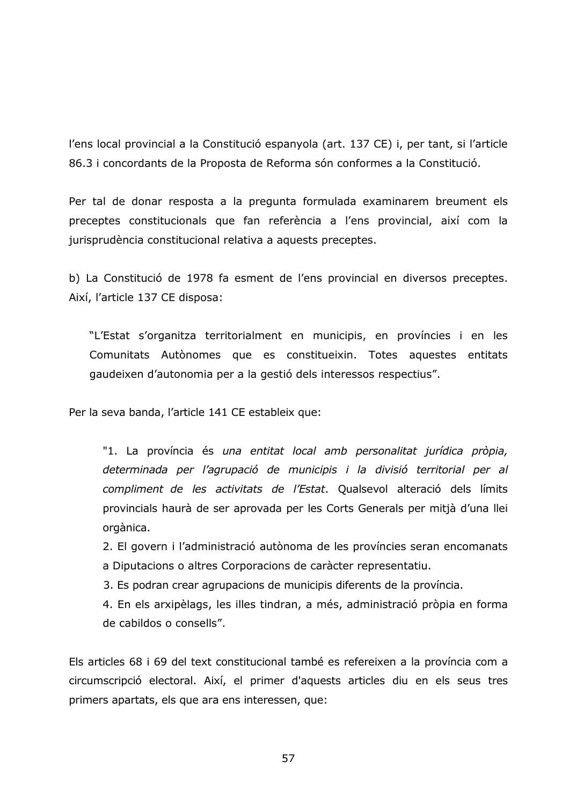l'ens local provincial a la Constitució espanyola (art. 137 CE) i, per tant, si l'article 86.3 i concordants de la Proposta de Reforma són conformes a la Constitució.

Per tal de donar resposta a la pregunta formulada examinarem breument els preceptes constitucionals que fan referència a l'ens provincial, així com la jurisprudència constitucional relativa a aquests preceptes.

b) La Constitució de 1978 fa esment de l'ens provincial en diversos preceptes. Així, l'article 137 CE disposa:

"L'Estat s'organitza territorialment en municipis, en províncies i en les Comunitats Autònomes que es constitueixin. Totes aquestes entitats qaudeixen d'autonomia per a la gestió dels interessos respectius".

Per la seva banda, l'article 141 CE estableix que:

"1. La província és una entitat local amb personalitat jurídica pròpia, determinada per l'agrupació de municipis i la divisió territorial per al compliment de les activitats de l'Estat. Qualsevol alteració dels límits provincials haurà de ser aprovada per les Corts Generals per mitjà d'una llei orgànica.

2. El govern i l'administració autònoma de les províncies seran encomanats a Diputacions o altres Corporacions de caràcter representatiu.

3. Es podran crear agrupacions de municipis diferents de la província.

4. En els arxipèlags, les illes tindran, a més, administració pròpia en forma de cabildos o consells".

Els articles 68 i 69 del text constitucional també es refereixen a la província com a circumscripció electoral. Així, el primer d'aquests articles diu en els seus tres primers apartats, els que ara ens interessen, que: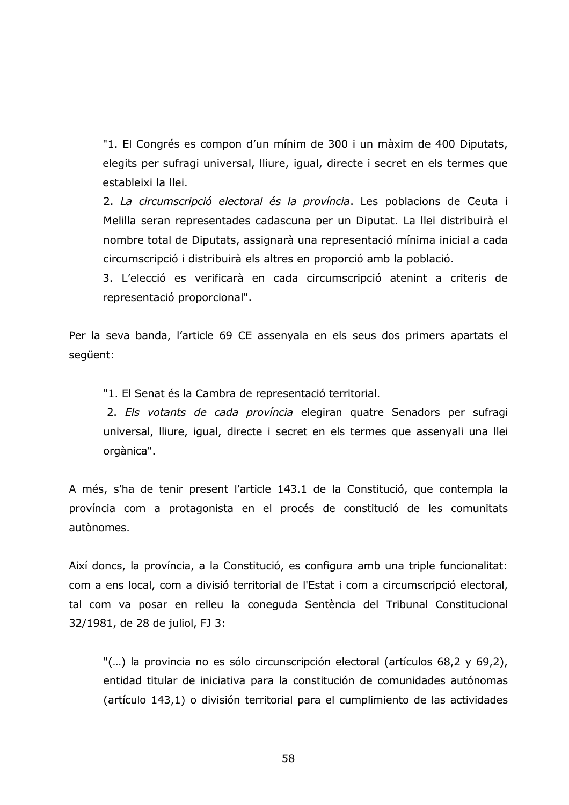"1. El Congrés es compon d'un mínim de 300 i un màxim de 400 Diputats, elegits per sufragi universal, lliure, igual, directe i secret en els termes que estableixi la llei.

2. La circumscripció electoral és la província. Les poblacions de Ceuta i Melilla seran representades cadascuna per un Diputat. La llei distribuirà el nombre total de Diputats, assignarà una representació mínima inicial a cada circumscripció i distribuirà els altres en proporció amb la població.

3. L'elecció es verificarà en cada circumscripció atenint a criteris de representació proporcional".

Per la seva banda, l'article 69 CE assenyala en els seus dos primers apartats el següent:

"1. El Senat és la Cambra de representació territorial.

2. Els votants de cada província elegiran quatre Senadors per sufragi universal, lliure, igual, directe i secret en els termes que assenyali una llei orgànica".

A més, s'ha de tenir present l'article 143.1 de la Constitució, que contempla la província com a protagonista en el procés de constitució de les comunitats autònomes.

Així doncs, la província, a la Constitució, es configura amb una triple funcionalitat: com a ens local, com a divisió territorial de l'Estat i com a circumscripció electoral, tal com va posar en relleu la coneguda Sentència del Tribunal Constitucional 32/1981, de 28 de juliol, FJ 3:

"(...) la provincia no es sólo circunscripción electoral (artículos 68,2 y 69,2), entidad titular de iniciativa para la constitución de comunidades autónomas (artículo 143,1) o división territorial para el cumplimiento de las actividades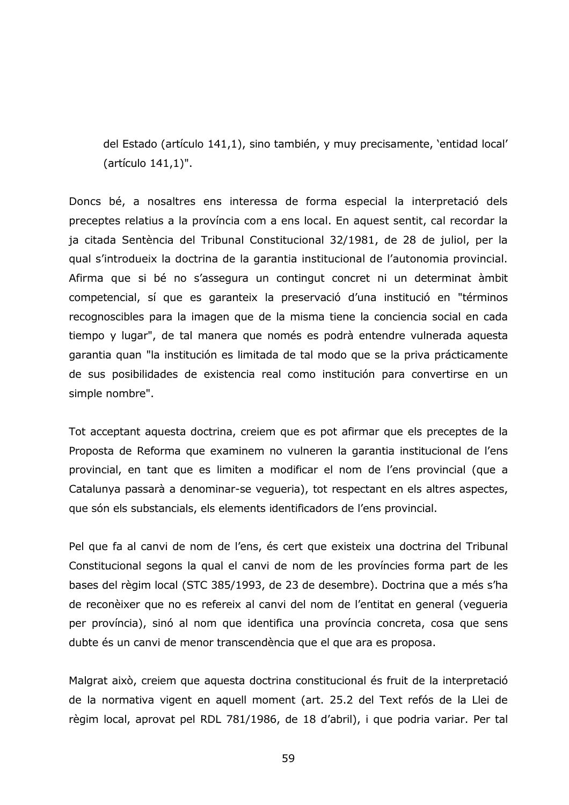del Estado (artículo 141,1), sino también, y muy precisamente, 'entidad local'  $(\text{artículo } 141.1)$ ".

Doncs bé, a nosaltres ens interessa de forma especial la interpretació dels preceptes relatius a la província com a ens local. En aquest sentit, cal recordar la ja citada Sentència del Tribunal Constitucional 32/1981, de 28 de juliol, per la gual s'introdueix la doctrina de la garantia institucional de l'autonomia provincial. Afirma que si bé no s'assegura un contingut concret ni un determinat àmbit competencial, sí que es garanteix la preservació d'una institució en "términos recognoscibles para la imagen que de la misma tiene la conciencia social en cada tiempo y lugar", de tal manera que només es podrà entendre vulnerada aquesta garantia quan "la institución es limitada de tal modo que se la priva prácticamente de sus posibilidades de existencia real como institución para convertirse en un simple nombre".

Tot acceptant aquesta doctrina, creiem que es pot afirmar que els preceptes de la Proposta de Reforma que examinem no vulneren la garantia institucional de l'ens provincial, en tant que es limiten a modificar el nom de l'ens provincial (que a Catalunya passarà a denominar-se vegueria), tot respectant en els altres aspectes, que són els substancials, els elements identificadors de l'ens provincial.

Pel que fa al canvi de nom de l'ens, és cert que existeix una doctrina del Tribunal Constitucional segons la qual el canvi de nom de les províncies forma part de les bases del règim local (STC 385/1993, de 23 de desembre). Doctrina que a més s'ha de reconèixer que no es refereix al canvi del nom de l'entitat en general (vequeria per província), sinó al nom que identifica una província concreta, cosa que sens dubte és un canvi de menor transcendència que el que ara es proposa.

Malgrat això, creiem que aquesta doctrina constitucional és fruit de la interpretació de la normativa vigent en aquell moment (art. 25.2 del Text refós de la Llei de règim local, aprovat pel RDL 781/1986, de 18 d'abril), i que podria variar. Per tal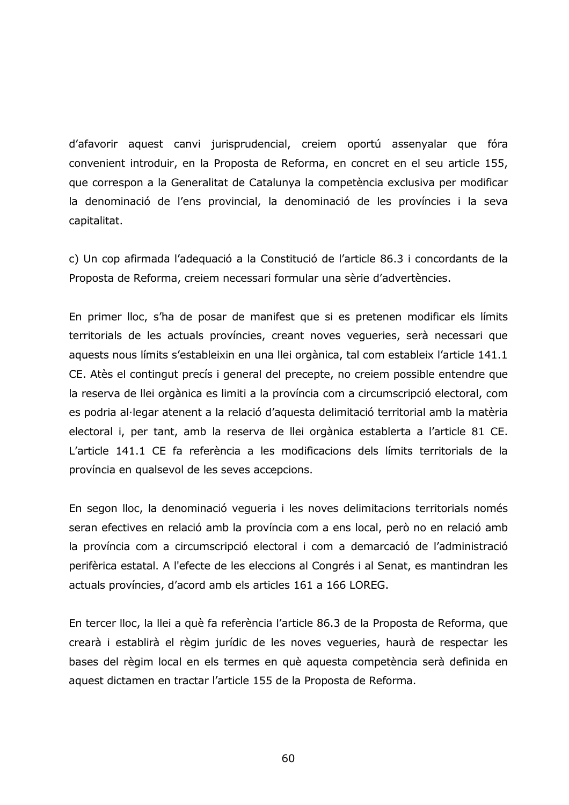d'afavorir aquest canvi jurisprudencial, creiem oportú assenyalar que fóra convenient introduir, en la Proposta de Reforma, en concret en el seu article 155, que correspon a la Generalitat de Catalunya la competència exclusiva per modificar la denominació de l'ens provincial, la denominació de les províncies i la seva capitalitat.

c) Un cop afirmada l'adequació a la Constitució de l'article 86.3 i concordants de la Proposta de Reforma, creiem necessari formular una sèrie d'advertències.

En primer lloc, s'ha de posar de manifest que si es pretenen modificar els límits territorials de les actuals províncies, creant noves vegueries, serà necessari que aquests nous límits s'estableixin en una llei orgànica, tal com estableix l'article 141.1 CE. Atès el contingut precís i general del precepte, no creiem possible entendre que la reserva de llei orgànica es limiti a la província com a circumscripció electoral, com es podria al·legar atenent a la relació d'aquesta delimitació territorial amb la matèria electoral i, per tant, amb la reserva de llei orgànica establerta a l'article 81 CE. L'article 141.1 CE fa referència a les modificacions dels límits territorials de la província en qualsevol de les seves accepcions.

En segon lloc, la denominació vegueria i les noves delimitacions territorials només seran efectives en relació amb la província com a ens local, però no en relació amb la província com a circumscripció electoral i com a demarcació de l'administració perifèrica estatal. A l'efecte de les eleccions al Congrés i al Senat, es mantindran les actuals províncies, d'acord amb els articles 161 a 166 LOREG.

En tercer lloc, la llei a què fa referència l'article 86.3 de la Proposta de Reforma, que crearà i establirà el règim jurídic de les noves vegueries, haurà de respectar les bases del règim local en els termes en què aquesta competència serà definida en aquest dictamen en tractar l'article 155 de la Proposta de Reforma.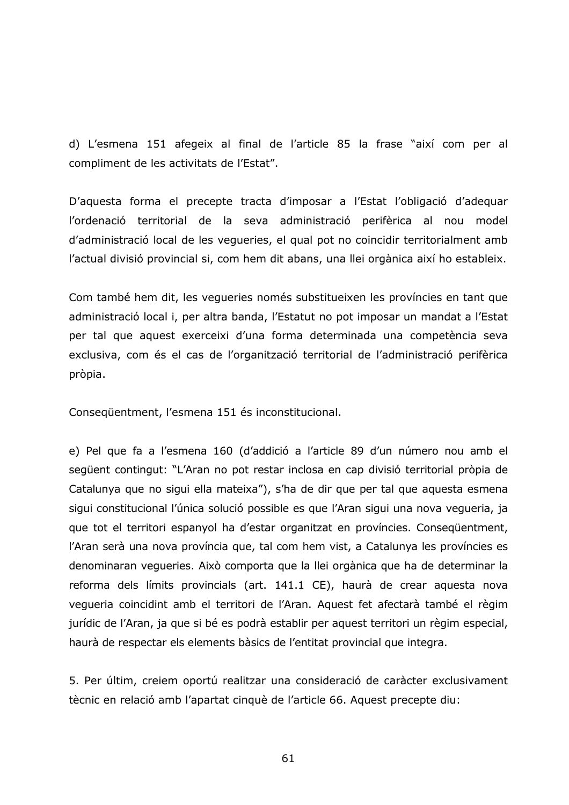d) L'esmena 151 afegeix al final de l'article 85 la frase "així com per al compliment de les activitats de l'Estat".

D'aquesta forma el precepte tracta d'imposar a l'Estat l'obligació d'adequar l'ordenació territorial de la seva administració perifèrica al nou model d'administració local de les vegueries, el qual pot no coincidir territorialment amb l'actual divisió provincial si, com hem dit abans, una llei orgànica així ho estableix.

Com també hem dit, les vegueries només substitueixen les províncies en tant que administració local i, per altra banda, l'Estatut no pot imposar un mandat a l'Estat per tal que aquest exerceixi d'una forma determinada una competència seva exclusiva, com és el cas de l'organització territorial de l'administració perifèrica pròpia.

Consequentment, l'esmena 151 és inconstitucional.

e) Pel que fa a l'esmena 160 (d'addició a l'article 89 d'un número nou amb el seqüent contingut: "L'Aran no pot restar inclosa en cap divisió territorial pròpia de Catalunya que no sigui ella mateixa"), s'ha de dir que per tal que aquesta esmena sigui constitucional l'única solució possible es que l'Aran sigui una nova vegueria, ja que tot el territori espanyol ha d'estar organitzat en províncies. Consequentment, l'Aran serà una nova província que, tal com hem vist, a Catalunya les províncies es denominaran vegueries. Això comporta que la llei orgànica que ha de determinar la reforma dels límits provincials (art. 141.1 CE), haurà de crear aquesta nova vequeria coincidint amb el territori de l'Aran. Aquest fet afectarà també el règim jurídic de l'Aran, ja que si bé es podrà establir per aquest territori un règim especial, haurà de respectar els elements bàsics de l'entitat provincial que integra.

5. Per últim, creiem oportú realitzar una consideració de caràcter exclusivament tècnic en relació amb l'apartat cinquè de l'article 66. Aquest precepte diu: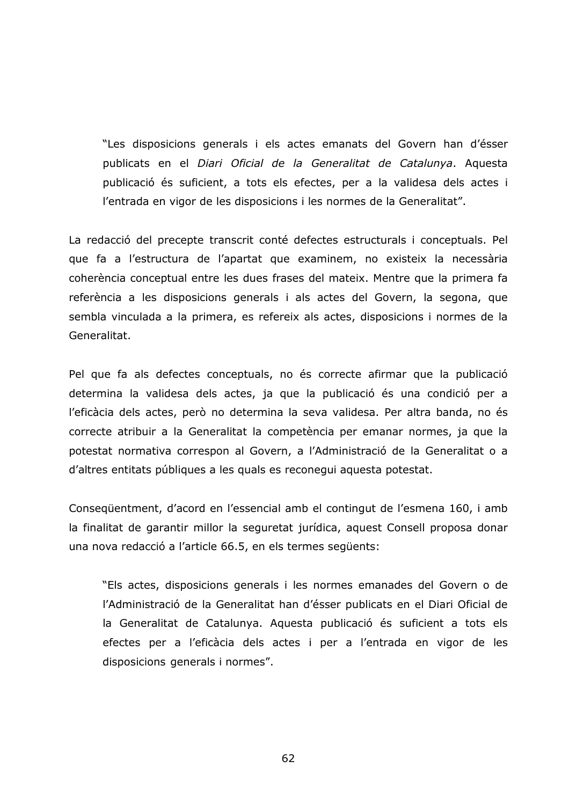"Les disposicions generals i els actes emanats del Govern han d'ésser publicats en el Diari Oficial de la Generalitat de Catalunya. Aquesta publicació és suficient, a tots els efectes, per a la validesa dels actes i l'entrada en vigor de les disposicions i les normes de la Generalitat".

La redacció del precepte transcrit conté defectes estructurals i conceptuals. Pel que fa a l'estructura de l'apartat que examinem, no existeix la necessària coherència conceptual entre les dues frases del mateix. Mentre que la primera fa referència a les disposicions generals i als actes del Govern, la segona, que sembla vinculada a la primera, es refereix als actes, disposicions i normes de la Generalitat.

Pel que fa als defectes conceptuals, no és correcte afirmar que la publicació determina la validesa dels actes, ja que la publicació és una condició per a l'eficàcia dels actes, però no determina la seva validesa. Per altra banda, no és correcte atribuir a la Generalitat la competència per emanar normes, ja que la potestat normativa correspon al Govern, a l'Administració de la Generalitat o a d'altres entitats públiques a les quals es reconegui aquesta potestat.

Consequentment, d'acord en l'essencial amb el contingut de l'esmena 160, i amb la finalitat de garantir millor la seguretat jurídica, aquest Consell proposa donar una nova redacció a l'article 66.5, en els termes següents:

"Els actes, disposicions generals i les normes emanades del Govern o de l'Administració de la Generalitat han d'ésser publicats en el Diari Oficial de la Generalitat de Catalunya. Aquesta publicació és suficient a tots els efectes per a l'eficàcia dels actes i per a l'entrada en vigor de les disposicions generals i normes".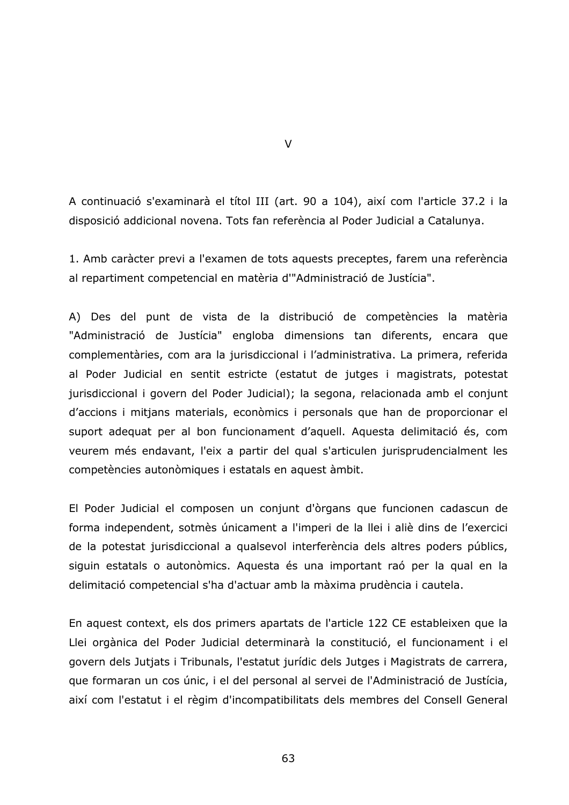A continuació s'examinarà el títol III (art. 90 a 104), així com l'article 37.2 i la disposició addicional novena. Tots fan referència al Poder Judicial a Catalunya.

1. Amb caràcter previ a l'examen de tots aquests preceptes, farem una referència al repartiment competencial en matèria d'"Administració de Justícia".

A) Des del punt de vista de la distribució de competències la matèria "Administració de Justícia" engloba dimensions tan diferents, encara que complementàries, com ara la jurisdiccional i l'administrativa. La primera, referida al Poder Judicial en sentit estricte (estatut de jutges i magistrats, potestat jurisdiccional i govern del Poder Judicial); la segona, relacionada amb el conjunt d'accions i mitjans materials, econòmics i personals que han de proporcionar el suport adequat per al bon funcionament d'aquell. Aquesta delimitació és, com veurem més endavant, l'eix a partir del qual s'articulen jurisprudencialment les competències autonòmiques i estatals en aquest àmbit.

El Poder Judicial el composen un conjunt d'òrgans que funcionen cadascun de forma independent, sotmès únicament a l'imperi de la llei i aliè dins de l'exercici de la potestat jurisdiccional a qualsevol interferència dels altres poders públics, siguin estatals o autonòmics. Aquesta és una important raó per la qual en la delimitació competencial s'ha d'actuar amb la màxima prudència i cautela.

En aquest context, els dos primers apartats de l'article 122 CE estableixen que la Llei orgànica del Poder Judicial determinarà la constitució, el funcionament i el govern dels Jutjats i Tribunals, l'estatut jurídic dels Jutges i Magistrats de carrera, que formaran un cos únic, i el del personal al servei de l'Administració de Justícia, així com l'estatut i el règim d'incompatibilitats dels membres del Consell General

 $\overline{V}$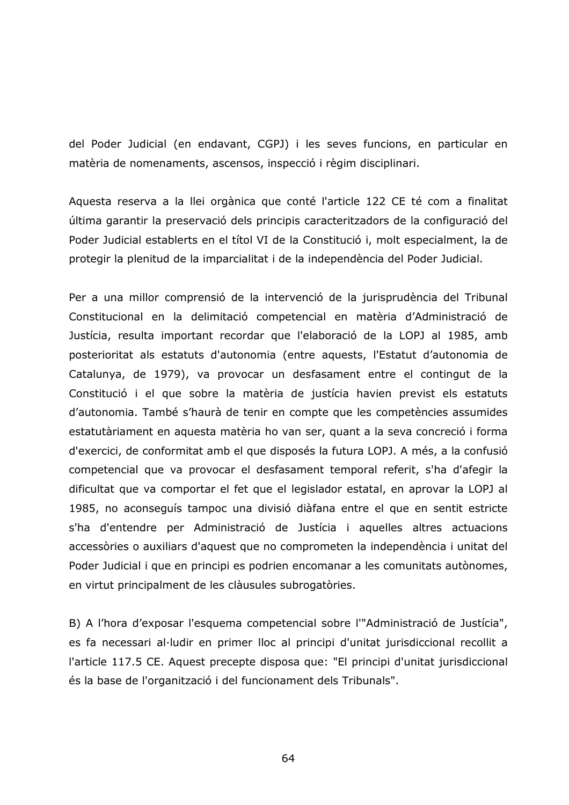del Poder Judicial (en endavant, CGPJ) i les seves funcions, en particular en matèria de nomenaments, ascensos, inspecció i règim disciplinari.

Aquesta reserva a la llei orgànica que conté l'article 122 CE té com a finalitat última garantir la preservació dels principis caracteritzadors de la configuració del Poder Judicial establerts en el títol VI de la Constitució i, molt especialment, la de protegir la plenitud de la imparcialitat i de la independència del Poder Judicial.

Per a una millor comprensió de la intervenció de la jurisprudència del Tribunal Constitucional en la delimitació competencial en matèria d'Administració de Justícia, resulta important recordar que l'elaboració de la LOPJ al 1985, amb posterioritat als estatuts d'autonomia (entre aquests, l'Estatut d'autonomia de Catalunya, de 1979), va provocar un desfasament entre el contingut de la Constitució i el que sobre la matèria de justícia havien previst els estatuts d'autonomia. També s'haurà de tenir en compte que les competències assumides estatutàriament en aquesta matèria ho van ser, quant a la seva concreció i forma d'exercici, de conformitat amb el que disposés la futura LOPJ. A més, a la confusió competencial que va provocar el desfasament temporal referit, s'ha d'afegir la dificultat que va comportar el fet que el legislador estatal, en aprovar la LOPJ al 1985, no aconseguís tampoc una divisió diàfana entre el que en sentit estricte s'ha d'entendre per Administració de Justícia i aquelles altres actuacions accessòries o auxiliars d'aquest que no comprometen la independència i unitat del Poder Judicial i que en principi es podrien encomanar a les comunitats autònomes, en virtut principalment de les clàusules subrogatòries.

B) A l'hora d'exposar l'esquema competencial sobre l'"Administració de Justícia", es fa necessari al·ludir en primer lloc al principi d'unitat jurisdiccional recollit a l'article 117.5 CE. Aquest precepte disposa que: "El principi d'unitat jurisdiccional és la base de l'organització i del funcionament dels Tribunals".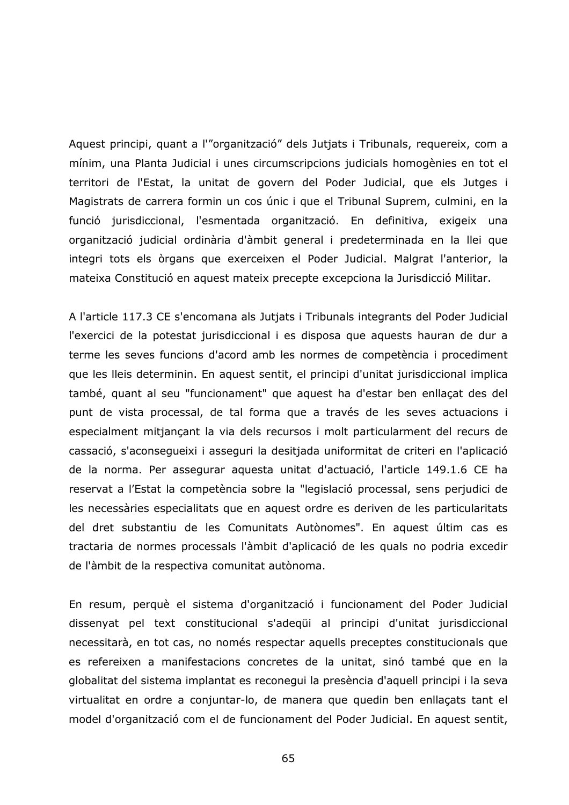Aquest principi, quant a l'"organització" dels Jutjats i Tribunals, requereix, com a mínim, una Planta Judicial i unes circumscripcions judicials homogènies en tot el territori de l'Estat, la unitat de govern del Poder Judicial, que els Jutges i Magistrats de carrera formin un cos únic i que el Tribunal Suprem, culmini, en la funció jurisdiccional, l'esmentada organització. En definitiva, exigeix una organització judicial ordinària d'àmbit general i predeterminada en la llei que integri tots els òrgans que exerceixen el Poder Judicial. Malgrat l'anterior, la mateixa Constitució en aquest mateix precepte excepciona la Jurisdicció Militar.

A l'article 117.3 CE s'encomana als Jutjats i Tribunals integrants del Poder Judicial l'exercici de la potestat jurisdiccional i es disposa que aquests hauran de dur a terme les seves funcions d'acord amb les normes de competència i procediment que les lleis determinin. En aquest sentit, el principi d'unitat jurisdiccional implica també, quant al seu "funcionament" que aquest ha d'estar ben enllaçat des del punt de vista processal, de tal forma que a través de les seves actuacions i especialment mitjançant la via dels recursos i molt particularment del recurs de cassació, s'aconsequeixi i asseguri la desitjada uniformitat de criteri en l'aplicació de la norma. Per assegurar aquesta unitat d'actuació, l'article 149.1.6 CE ha reservat a l'Estat la competència sobre la "legislació processal, sens perjudici de les necessàries especialitats que en aquest ordre es deriven de les particularitats del dret substantiu de les Comunitats Autònomes". En aquest últim cas es tractaria de normes processals l'àmbit d'aplicació de les quals no podria excedir de l'àmbit de la respectiva comunitat autònoma.

En resum, perquè el sistema d'organització i funcionament del Poder Judicial dissenyat pel text constitucional s'adequi al principi d'unitat jurisdiccional necessitarà, en tot cas, no només respectar aquells preceptes constitucionals que es refereixen a manifestacions concretes de la unitat, sinó també que en la globalitat del sistema implantat es reconegui la presència d'aquell principi i la seva virtualitat en ordre a conjuntar-lo, de manera que quedin ben enllaçats tant el model d'organització com el de funcionament del Poder Judicial. En aquest sentit,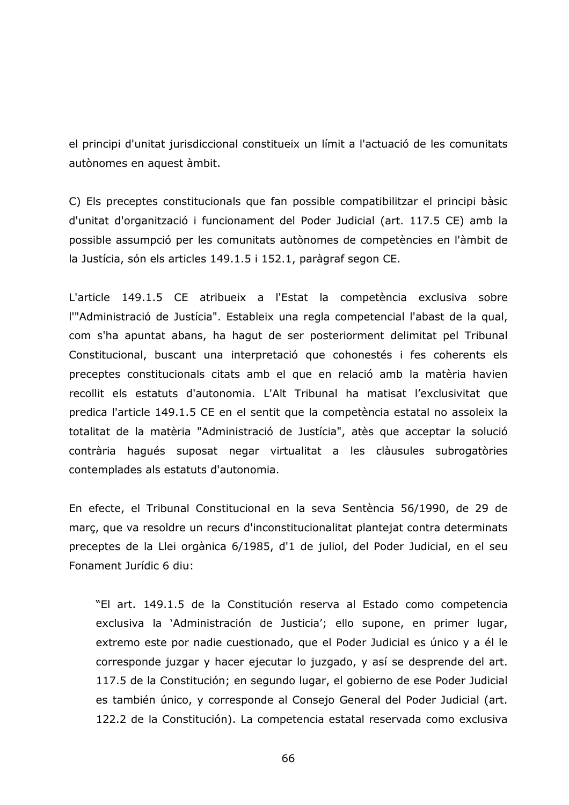el principi d'unitat jurisdiccional constitueix un límit a l'actuació de les comunitats autònomes en aquest àmbit.

C) Els preceptes constitucionals que fan possible compatibilitzar el principi bàsic d'unitat d'organització i funcionament del Poder Judicial (art. 117.5 CE) amb la possible assumpció per les comunitats autònomes de competències en l'àmbit de la Justícia, són els articles 149.1.5 i 152.1, paràgraf segon CE.

L'article 149.1.5 CE atribueix a l'Estat la competència exclusiva sobre l'"Administració de Justícia". Estableix una regla competencial l'abast de la qual, com s'ha apuntat abans, ha hagut de ser posteriorment delimitat pel Tribunal Constitucional, buscant una interpretació que cohonestés i fes coherents els preceptes constitucionals citats amb el que en relació amb la matèria havien recollit els estatuts d'autonomia. L'Alt Tribunal ha matisat l'exclusivitat que predica l'article 149.1.5 CE en el sentit que la competència estatal no assoleix la totalitat de la matèria "Administració de Justícia", atès que acceptar la solució contrària hagués suposat negar virtualitat a les clàusules subrogatòries contemplades als estatuts d'autonomia.

En efecte, el Tribunal Constitucional en la seva Sentència 56/1990, de 29 de març, que va resoldre un recurs d'inconstitucionalitat plantejat contra determinats preceptes de la Llei orgànica 6/1985, d'1 de juliol, del Poder Judicial, en el seu Fonament Jurídic 6 diu:

"El art. 149.1.5 de la Constitución reserva al Estado como competencia exclusiva la 'Administración de Justicia'; ello supone, en primer lugar, extremo este por nadie cuestionado, que el Poder Judicial es único y a él le corresponde juzgar y hacer ejecutar lo juzgado, y así se desprende del art. 117.5 de la Constitución; en segundo lugar, el gobierno de ese Poder Judicial es también único, y corresponde al Consejo General del Poder Judicial (art. 122.2 de la Constitución). La competencia estatal reservada como exclusiva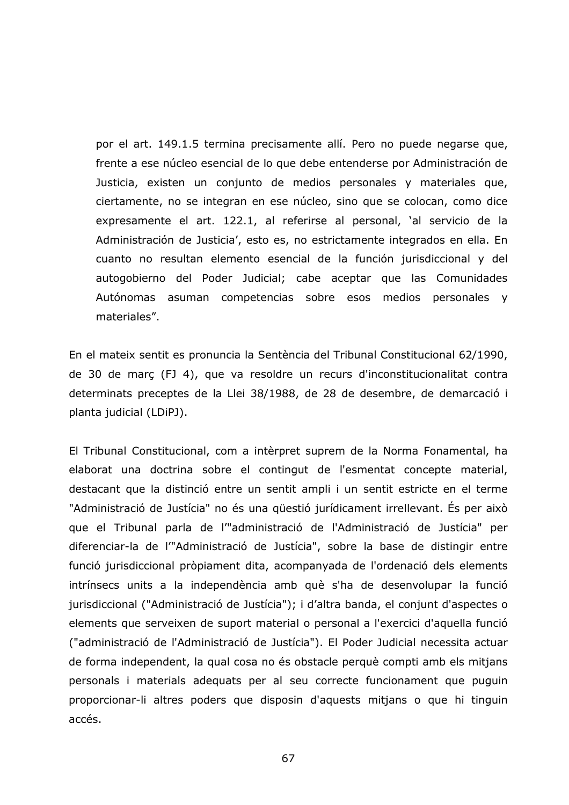por el art. 149.1.5 termina precisamente allí. Pero no puede negarse que, frente a ese núcleo esencial de lo que debe entenderse por Administración de Justicia, existen un conjunto de medios personales y materiales que, ciertamente, no se integran en ese núcleo, sino que se colocan, como dice expresamente el art. 122.1, al referirse al personal, 'al servicio de la Administración de Justicia', esto es, no estrictamente integrados en ella. En cuanto no resultan elemento esencial de la función jurisdiccional y del autogobierno del Poder Judicial; cabe aceptar que las Comunidades Autónomas asuman competencias sobre esos medios personales y materiales".

En el mateix sentit es pronuncia la Sentència del Tribunal Constitucional 62/1990, de 30 de març (FJ 4), que va resoldre un recurs d'inconstitucionalitat contra determinats preceptes de la Llei 38/1988, de 28 de desembre, de demarcació i planta judicial (LDiPJ).

El Tribunal Constitucional, com a intèrpret suprem de la Norma Fonamental, ha elaborat una doctrina sobre el contingut de l'esmentat concepte material, destacant que la distinció entre un sentit ampli i un sentit estricte en el terme "Administració de Justícia" no és una güestió jurídicament irrellevant. És per això que el Tribunal parla de l'"administració de l'Administració de Justícia" per diferenciar-la de l'"Administració de Justícia", sobre la base de distingir entre funció jurisdiccional pròpiament dita, acompanyada de l'ordenació dels elements intrínsecs units a la independència amb què s'ha de desenvolupar la funció jurisdiccional ("Administració de Justícia"); i d'altra banda, el conjunt d'aspectes o elements que serveixen de suport material o personal a l'exercici d'aquella funció ("administració de l'Administració de Justícia"). El Poder Judicial necessita actuar de forma independent, la qual cosa no és obstacle perquè compti amb els mitjans personals i materials adequats per al seu correcte funcionament que puguin proporcionar-li altres poders que disposin d'aquests mitjans o que hi tinguin accés.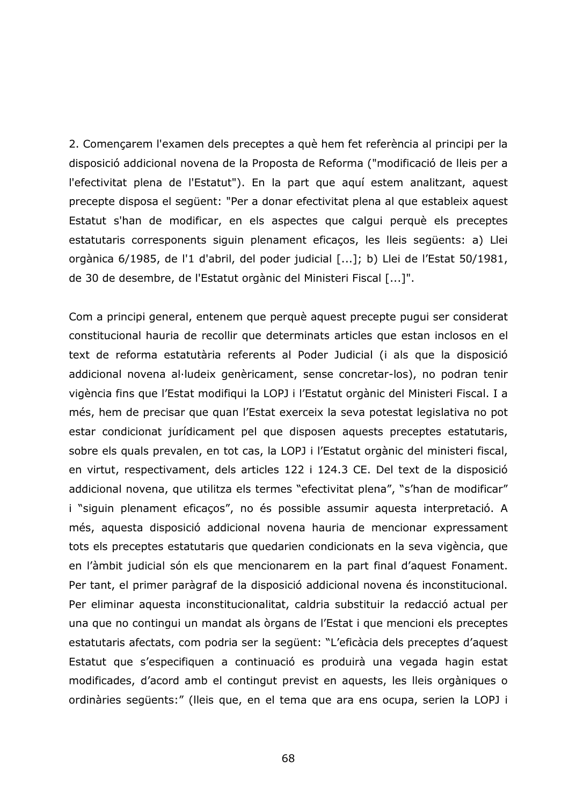2. Començarem l'examen dels preceptes a què hem fet referència al principi per la disposició addicional novena de la Proposta de Reforma ("modificació de lleis per a l'efectivitat plena de l'Estatut"). En la part que aquí estem analitzant, aquest precepte disposa el següent: "Per a donar efectivitat plena al que estableix aquest Estatut s'han de modificar, en els aspectes que calqui perquè els preceptes estatutaris corresponents siguin plenament eficaços, les lleis següents: a) Llei orgànica 6/1985, de l'1 d'abril, del poder judicial [...]; b) Llei de l'Estat 50/1981, de 30 de desembre, de l'Estatut orgànic del Ministeri Fiscal [...]".

Com a principi general, entenem que perquè aquest precepte pugui ser considerat constitucional hauria de recollir que determinats articles que estan inclosos en el text de reforma estatutària referents al Poder Judicial (i als que la disposició addicional novena al·ludeix genèricament, sense concretar-los), no podran tenir vigència fins que l'Estat modifiqui la LOPJ i l'Estatut orgànic del Ministeri Fiscal. I a més, hem de precisar que quan l'Estat exerceix la seva potestat legislativa no pot estar condicionat jurídicament pel que disposen aquests preceptes estatutaris, sobre els quals prevalen, en tot cas, la LOPJ i l'Estatut orgànic del ministeri fiscal, en virtut, respectivament, dels articles 122 i 124.3 CE. Del text de la disposició addicional novena, que utilitza els termes "efectivitat plena", "s'han de modificar" i "siguin plenament eficaços", no és possible assumir aquesta interpretació. A més, aquesta disposició addicional novena hauria de mencionar expressament tots els preceptes estatutaris que quedarien condicionats en la seva vigència, que en l'àmbit judicial són els que mencionarem en la part final d'aquest Fonament. Per tant, el primer paràgraf de la disposició addicional novena és inconstitucional. Per eliminar aquesta inconstitucionalitat, caldria substituir la redacció actual per una que no contingui un mandat als òrgans de l'Estat i que mencioni els preceptes estatutaris afectats, com podria ser la següent: "L'eficàcia dels preceptes d'aquest Estatut que s'especifiquen a continuació es produirà una vegada hagin estat modificades, d'acord amb el contingut previst en aquests, les lleis orgàniques o ordinàries següents:" (lleis que, en el tema que ara ens ocupa, serien la LOPJ i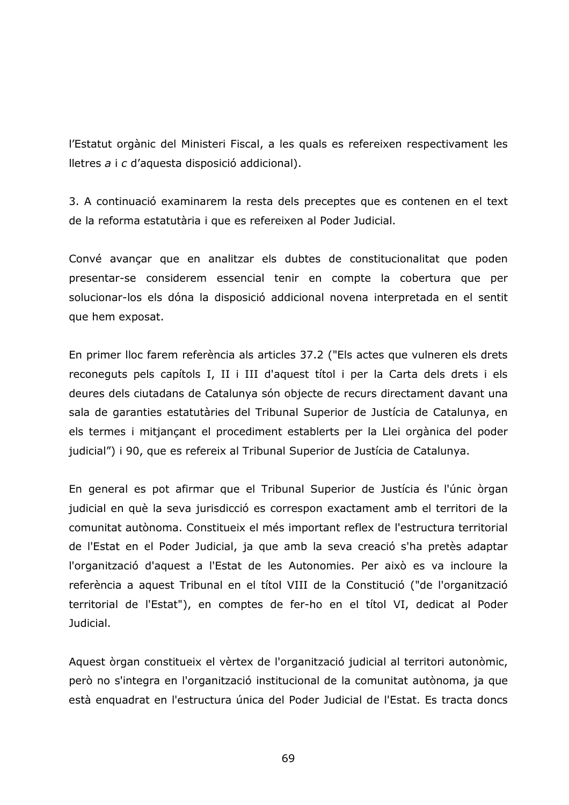l'Estatut orgànic del Ministeri Fiscal, a les quals es refereixen respectivament les Iletres a i c d'aquesta disposició addicional).

3. A continuació examinarem la resta dels preceptes que es contenen en el text de la reforma estatutària i que es refereixen al Poder Judicial.

Convé avançar que en analitzar els dubtes de constitucionalitat que poden presentar-se considerem essencial tenir en compte la cobertura que per solucionar-los els dóna la disposició addicional novena interpretada en el sentit que hem exposat.

En primer lloc farem referència als articles 37.2 ("Els actes que vulneren els drets reconeguts pels capítols I, II i III d'aquest títol i per la Carta dels drets i els deures dels ciutadans de Catalunya són objecte de recurs directament davant una sala de garanties estatutàries del Tribunal Superior de Justícia de Catalunya, en els termes i mitjançant el procediment establerts per la Llei orgànica del poder judicial") i 90, que es refereix al Tribunal Superior de Justícia de Catalunya.

En general es pot afirmar que el Tribunal Superior de Justícia és l'únic òrgan judicial en què la seva jurisdicció es correspon exactament amb el territori de la comunitat autònoma. Constitueix el més important reflex de l'estructura territorial de l'Estat en el Poder Judicial, ja que amb la seva creació s'ha pretès adaptar l'organització d'aquest a l'Estat de les Autonomies. Per això es va incloure la referència a aquest Tribunal en el títol VIII de la Constitució ("de l'organització" territorial de l'Estat"), en comptes de fer-ho en el títol VI, dedicat al Poder Judicial.

Aquest òrgan constitueix el vèrtex de l'organització judicial al territori autonòmic, però no s'integra en l'organització institucional de la comunitat autònoma, ja que està enguadrat en l'estructura única del Poder Judicial de l'Estat. Es tracta doncs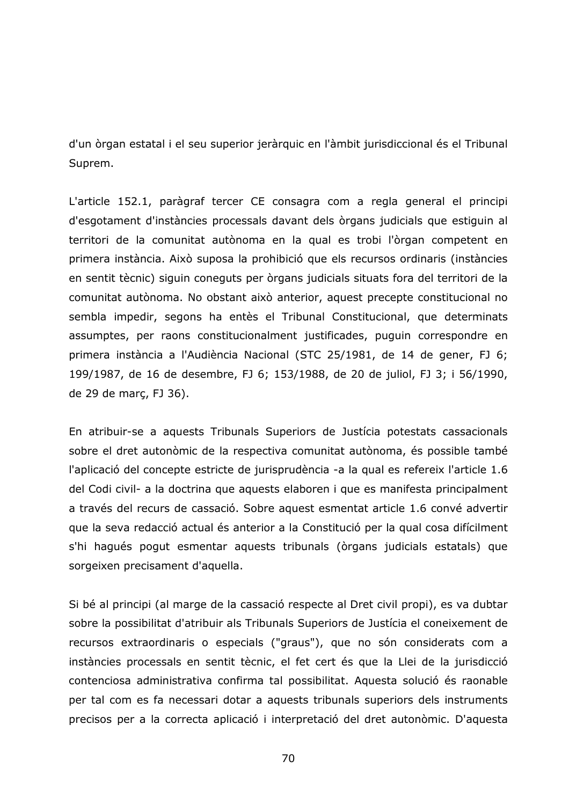d'un òrgan estatal i el seu superior jeràrquic en l'àmbit jurisdiccional és el Tribunal Suprem.

L'article 152.1, paràgraf tercer CE consagra com a regla general el principi d'esgotament d'instàncies processals davant dels òrgans judicials que estiguin al territori de la comunitat autònoma en la qual es trobi l'òrgan competent en primera instància. Això suposa la prohibició que els recursos ordinaris (instàncies en sentit tècnic) siguin coneguts per òrgans judicials situats fora del territori de la comunitat autònoma. No obstant això anterior, aquest precepte constitucional no sembla impedir, segons ha entès el Tribunal Constitucional, que determinats assumptes, per raons constitucionalment justificades, puguin correspondre en primera instància a l'Audiència Nacional (STC 25/1981, de 14 de gener, FJ 6; 199/1987, de 16 de desembre, FJ 6; 153/1988, de 20 de juliol, FJ 3; i 56/1990, de 29 de marc, FJ 36).

En atribuir-se a aquests Tribunals Superiors de Justícia potestats cassacionals sobre el dret autonòmic de la respectiva comunitat autònoma, és possible també l'aplicació del concepte estricte de jurisprudència -a la qual es refereix l'article 1.6 del Codi civil- a la doctrina que aquests elaboren i que es manifesta principalment a través del recurs de cassació. Sobre aquest esmentat article 1.6 convé advertir que la seva redacció actual és anterior a la Constitució per la qual cosa difícilment s'hi hagués pogut esmentar aquests tribunals (òrgans judicials estatals) que sorgeixen precisament d'aquella.

Si bé al principi (al marge de la cassació respecte al Dret civil propi), es va dubtar sobre la possibilitat d'atribuir als Tribunals Superiors de Justícia el coneixement de recursos extraordinaris o especials ("graus"), que no són considerats com a instàncies processals en sentit tècnic, el fet cert és que la Llei de la jurisdicció contenciosa administrativa confirma tal possibilitat. Aquesta solució és raonable per tal com es fa necessari dotar a aquests tribunals superiors dels instruments precisos per a la correcta aplicació i interpretació del dret autonòmic. D'aquesta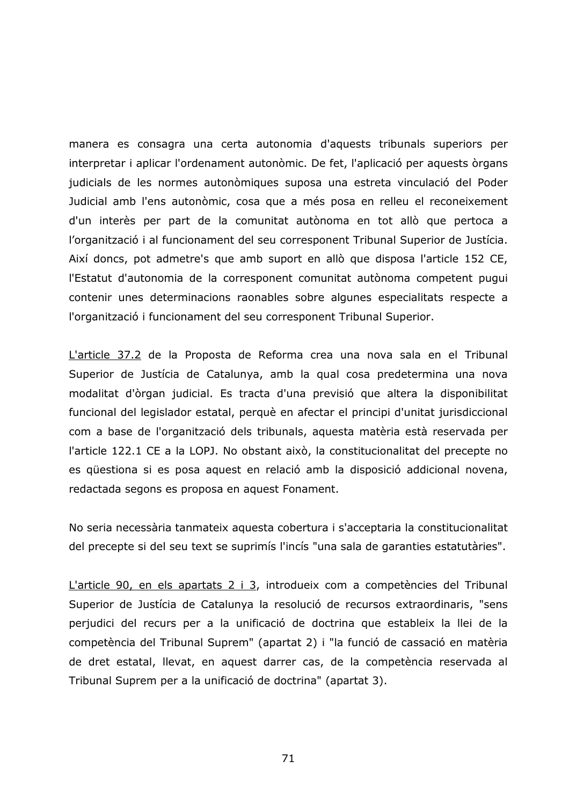manera es consagra una certa autonomia d'aquests tribunals superiors per interpretar i aplicar l'ordenament autonòmic. De fet, l'aplicació per aquests òrgans judicials de les normes autonòmiques suposa una estreta vinculació del Poder Judicial amb l'ens autonòmic, cosa que a més posa en relleu el reconeixement d'un interès per part de la comunitat autònoma en tot allò que pertoca a l'organització i al funcionament del seu corresponent Tribunal Superior de Justícia. Així doncs, pot admetre's que amb suport en allò que disposa l'article 152 CE, l'Estatut d'autonomia de la corresponent comunitat autònoma competent pugui contenir unes determinacions raonables sobre algunes especialitats respecte a l'organització i funcionament del seu corresponent Tribunal Superior.

L'article 37.2 de la Proposta de Reforma crea una nova sala en el Tribunal Superior de Justícia de Catalunya, amb la qual cosa predetermina una nova modalitat d'òrgan judicial. Es tracta d'una previsió que altera la disponibilitat funcional del legislador estatal, perquè en afectar el principi d'unitat jurisdiccional com a base de l'organització dels tribunals, aquesta matèria està reservada per l'article 122.1 CE a la LOPJ. No obstant això, la constitucionalitat del precepte no es qüestiona si es posa aquest en relació amb la disposició addicional novena, redactada segons es proposa en aquest Fonament.

No seria necessària tanmateix aquesta cobertura i s'acceptaria la constitucionalitat del precepte si del seu text se suprimís l'incís "una sala de garanties estatutàries".

L'article 90, en els apartats 2 i 3, introdueix com a competències del Tribunal Superior de Justícia de Catalunya la resolució de recursos extraordinaris, "sens perjudici del recurs per a la unificació de doctrina que estableix la llei de la competència del Tribunal Suprem" (apartat 2) i "la funció de cassació en matèria de dret estatal, llevat, en aquest darrer cas, de la competència reservada al Tribunal Suprem per a la unificació de doctrina" (apartat 3).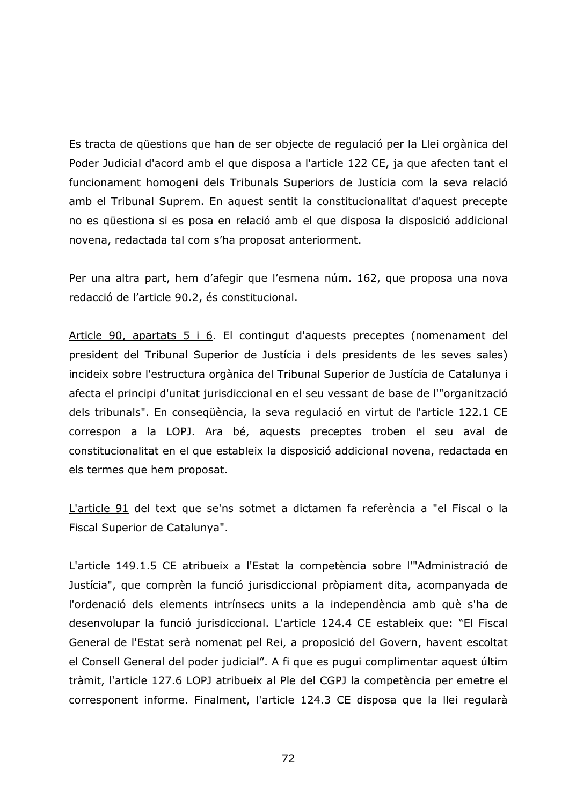Es tracta de güestions que han de ser objecte de regulació per la Llei orgànica del Poder Judicial d'acord amb el que disposa a l'article 122 CE, ja que afecten tant el funcionament homogeni dels Tribunals Superiors de Justícia com la seva relació amb el Tribunal Suprem. En aquest sentit la constitucionalitat d'aquest precepte no es qüestiona si es posa en relació amb el que disposa la disposició addicional novena, redactada tal com s'ha proposat anteriorment.

Per una altra part, hem d'afegir que l'esmena núm. 162, que proposa una nova redacció de l'article 90.2, és constitucional.

Article 90, apartats 5 i 6. El contingut d'aquests preceptes (nomenament del president del Tribunal Superior de Justícia i dels presidents de les seves sales) incideix sobre l'estructura orgànica del Tribunal Superior de Justícia de Catalunya i afecta el principi d'unitat jurisdiccional en el seu vessant de base de l'"organització dels tribunals". En consequència, la seva regulació en virtut de l'article 122.1 CE correspon a la LOPJ. Ara bé, aquests preceptes troben el seu aval de constitucionalitat en el que estableix la disposició addicional novena, redactada en els termes que hem proposat.

L'article 91 del text que se'ns sotmet a dictamen fa referència a "el Fiscal o la Fiscal Superior de Catalunya".

L'article 149.1.5 CE atribueix a l'Estat la competència sobre l'"Administració de Justícia", que comprèn la funció jurisdiccional pròpiament dita, acompanyada de l'ordenació dels elements intrínsecs units a la independència amb què s'ha de desenvolupar la funció jurisdiccional. L'article 124.4 CE estableix que: "El Fiscal General de l'Estat serà nomenat pel Rei, a proposició del Govern, havent escoltat el Consell General del poder judicial". A fi que es pugui complimentar aquest últim tràmit, l'article 127.6 LOPJ atribueix al Ple del CGPJ la competència per emetre el corresponent informe. Finalment, l'article 124.3 CE disposa que la llei regularà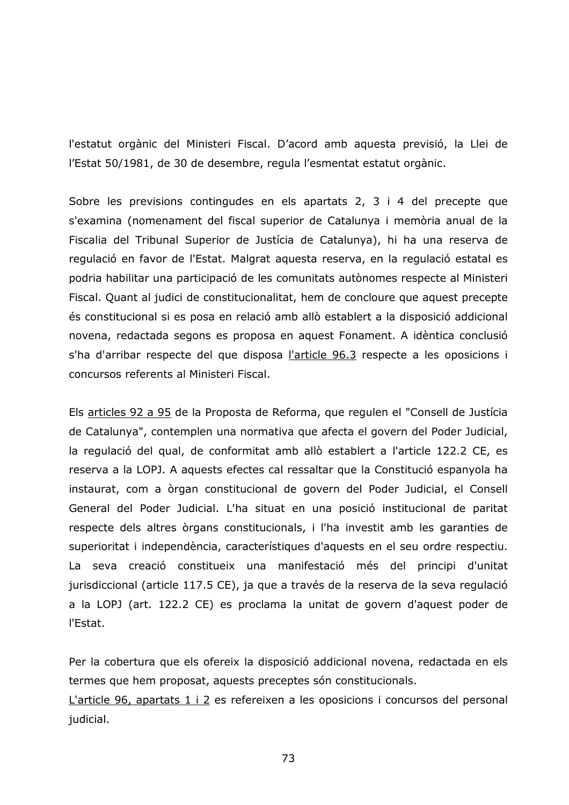l'estatut orgànic del Ministeri Fiscal. D'acord amb aquesta previsió, la Llei de l'Estat 50/1981, de 30 de desembre, regula l'esmentat estatut orgànic.

Sobre les previsions contingudes en els apartats 2, 3 i 4 del precepte que s'examina (nomenament del fiscal superior de Catalunya i memòria anual de la Fiscalia del Tribunal Superior de Justícia de Catalunya), hi ha una reserva de regulació en favor de l'Estat. Malgrat aguesta reserva, en la regulació estatal es podria habilitar una participació de les comunitats autònomes respecte al Ministeri Fiscal. Quant al judici de constitucionalitat, hem de concloure que aquest precepte és constitucional si es posa en relació amb allò establert a la disposició addicional novena, redactada segons es proposa en aquest Fonament. A idèntica conclusió s'ha d'arribar respecte del que disposa l'article 96.3 respecte a les oposicions i concursos referents al Ministeri Fiscal.

Els articles 92 a 95 de la Proposta de Reforma, que regulen el "Consell de Justícia de Catalunya", contemplen una normativa que afecta el govern del Poder Judicial, la regulació del qual, de conformitat amb allò establert a l'article 122.2 CE, es reserva a la LOPJ. A aquests efectes cal ressaltar que la Constitució espanyola ha instaurat, com a òrgan constitucional de govern del Poder Judicial, el Consell General del Poder Judicial. L'ha situat en una posició institucional de paritat respecte dels altres òrgans constitucionals, i l'ha investit amb les garanties de superioritat i independència, característiques d'aquests en el seu ordre respectiu. La seva creació constitueix una manifestació més del principi d'unitat jurisdiccional (article 117.5 CE), ja que a través de la reserva de la seva regulació a la LOPJ (art. 122.2 CE) es proclama la unitat de govern d'aquest poder de l'Estat.

Per la cobertura que els ofereix la disposició addicional novena, redactada en els termes que hem proposat, aquests preceptes són constitucionals.

L'article 96, apartats 1 i 2 es refereixen a les oposicions i concursos del personal judicial.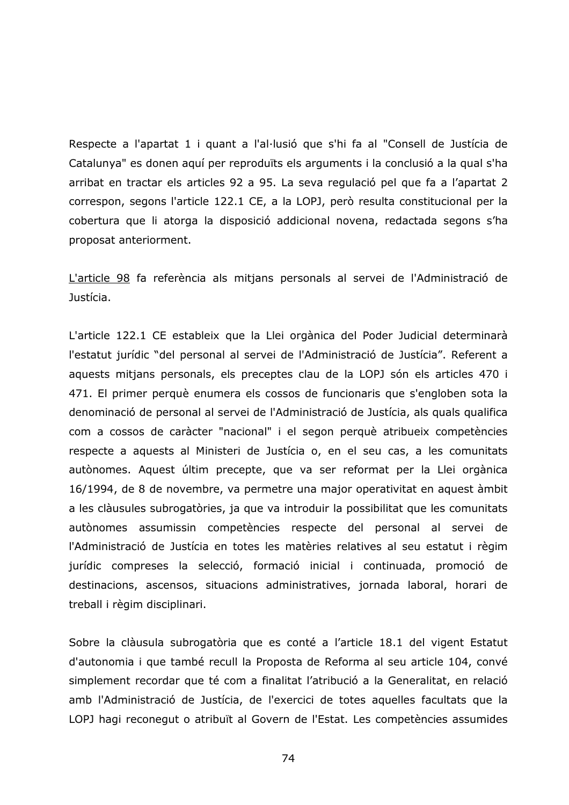Respecte a l'apartat 1 i quant a l'al·lusió que s'hi fa al "Consell de Justícia de Catalunya" es donen aguí per reproduïts els arguments i la conclusió a la qual s'ha arribat en tractar els articles 92 a 95. La seva regulació pel que fa a l'apartat 2 correspon, segons l'article 122.1 CE, a la LOPJ, però resulta constitucional per la cobertura que li atorga la disposició addicional novena, redactada segons s'ha proposat anteriorment.

L'article 98 fa referència als mitjans personals al servei de l'Administració de Justícia.

L'article 122.1 CE estableix que la Llei orgànica del Poder Judicial determinarà l'estatut jurídic "del personal al servei de l'Administració de Justícia". Referent a aquests mitjans personals, els preceptes clau de la LOPJ són els articles 470 i 471. El primer perquè enumera els cossos de funcionaris que s'engloben sota la denominació de personal al servei de l'Administració de Justícia, als quals qualifica com a cossos de caràcter "nacional" i el segon perquè atribueix competències respecte a aquests al Ministeri de Justícia o, en el seu cas, a les comunitats autònomes. Aquest últim precepte, que va ser reformat per la Llei orgànica 16/1994, de 8 de novembre, va permetre una major operativitat en aquest àmbit a les clàusules subrogatòries, ja que va introduir la possibilitat que les comunitats autònomes assumissin competències respecte del personal al servei de l'Administració de Justícia en totes les matèries relatives al seu estatut i règim jurídic compreses la selecció, formació inicial i continuada, promoció de destinacions, ascensos, situacions administratives, jornada laboral, horari de treball i règim disciplinari.

Sobre la clàusula subrogatòria que es conté a l'article 18.1 del vigent Estatut d'autonomia i que també recull la Proposta de Reforma al seu article 104, convé simplement recordar que té com a finalitat l'atribució a la Generalitat, en relació amb l'Administració de Justícia, de l'exercici de totes aquelles facultats que la LOPJ hagi reconegut o atribuït al Govern de l'Estat. Les competències assumides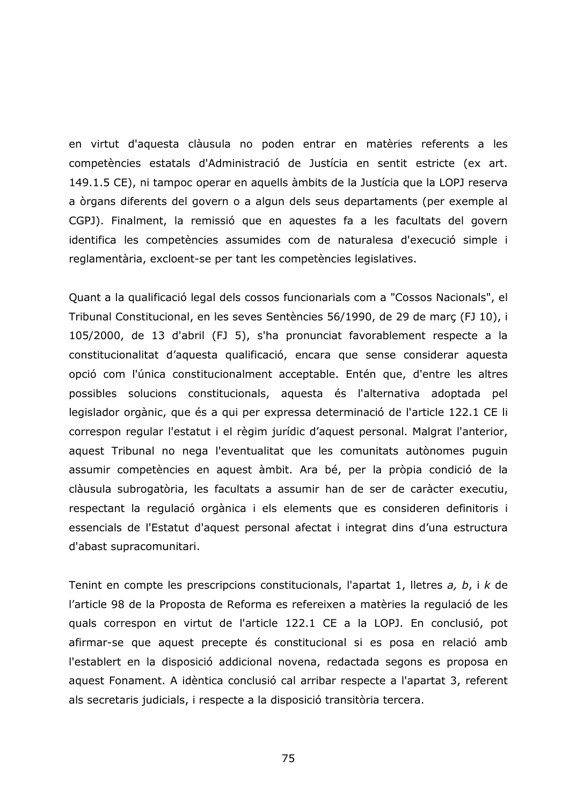en virtut d'aquesta clàusula no poden entrar en matèries referents a les competències estatals d'Administració de Justícia en sentit estricte (ex art. 149.1.5 CE), ni tampoc operar en aquells àmbits de la Justícia que la LOPJ reserva a òrgans diferents del govern o a algun dels seus departaments (per exemple al CGPJ). Finalment, la remissió que en aquestes fa a les facultats del govern identifica les competències assumides com de naturalesa d'execució simple i reglamentària, excloent-se per tant les competències legislatives.

Quant a la qualificació legal dels cossos funcionarials com a "Cossos Nacionals", el Tribunal Constitucional, en les seves Sentències 56/1990, de 29 de març (FJ 10), i 105/2000, de 13 d'abril (FJ 5), s'ha pronunciat favorablement respecte a la constitucionalitat d'aquesta qualificació, encara que sense considerar aquesta opció com l'única constitucionalment acceptable. Entén que, d'entre les altres possibles solucions constitucionals, aquesta és l'alternativa adoptada pel legislador orgànic, que és a qui per expressa determinació de l'article 122.1 CE li correspon regular l'estatut i el règim jurídic d'aquest personal. Malgrat l'anterior, aquest Tribunal no nega l'eventualitat que les comunitats autònomes puguin assumir competències en aquest àmbit. Ara bé, per la pròpia condició de la clàusula subrogatòria, les facultats a assumir han de ser de caràcter executiu, respectant la regulació orgànica i els elements que es consideren definitoris i essencials de l'Estatut d'aquest personal afectat i integrat dins d'una estructura d'abast supracomunitari.

Tenint en compte les prescripcions constitucionals, l'apartat 1, lletres a, b, i k de l'article 98 de la Proposta de Reforma es refereixen a matèries la regulació de les quals correspon en virtut de l'article 122.1 CE a la LOPJ. En conclusió, pot afirmar-se que aquest precepte és constitucional si es posa en relació amb l'establert en la disposició addicional novena, redactada segons es proposa en aquest Fonament. A idèntica conclusió cal arribar respecte a l'apartat 3, referent als secretaris judicials, i respecte a la disposició transitòria tercera.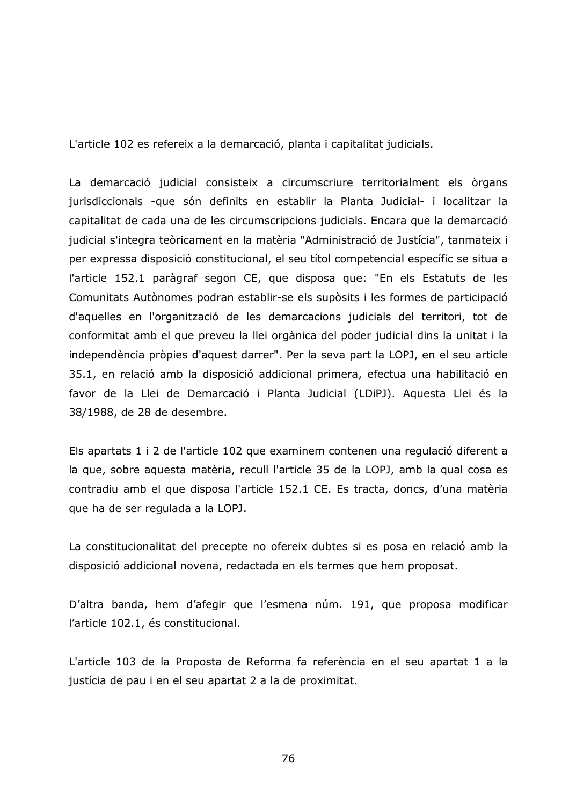L'article 102 es refereix a la demarcació, planta i capitalitat judicials.

La demarcació judicial consisteix a circumscriure territorialment els òrgans jurisdiccionals -que són definits en establir la Planta Judicial- i localitzar la capitalitat de cada una de les circumscripcions judicials. Encara que la demarcació judicial s'integra teòricament en la matèria "Administració de Justícia", tanmateix i per expressa disposició constitucional, el seu títol competencial específic se situa a l'article 152.1 paràgraf segon CE, que disposa que: "En els Estatuts de les Comunitats Autònomes podran establir-se els supòsits i les formes de participació d'aquelles en l'organització de les demarcacions judicials del territori, tot de conformitat amb el que preveu la llei orgànica del poder judicial dins la unitat i la independència pròpies d'aquest darrer". Per la seva part la LOPJ, en el seu article 35.1, en relació amb la disposició addicional primera, efectua una habilitació en favor de la Llei de Demarcació i Planta Judicial (LDiPJ). Aquesta Llei és la 38/1988, de 28 de desembre.

Els apartats 1 i 2 de l'article 102 que examinem contenen una regulació diferent a la que, sobre aquesta matèria, recull l'article 35 de la LOPJ, amb la qual cosa es contradiu amb el que disposa l'article 152.1 CE. Es tracta, doncs, d'una matèria que ha de ser regulada a la LOPJ.

La constitucionalitat del precepte no ofereix dubtes si es posa en relació amb la disposició addicional novena, redactada en els termes que hem proposat.

D'altra banda, hem d'afegir que l'esmena núm. 191, que proposa modificar l'article 102.1, és constitucional.

L'article 103 de la Proposta de Reforma fa referència en el seu apartat 1 a la justícia de pau i en el seu apartat 2 a la de proximitat.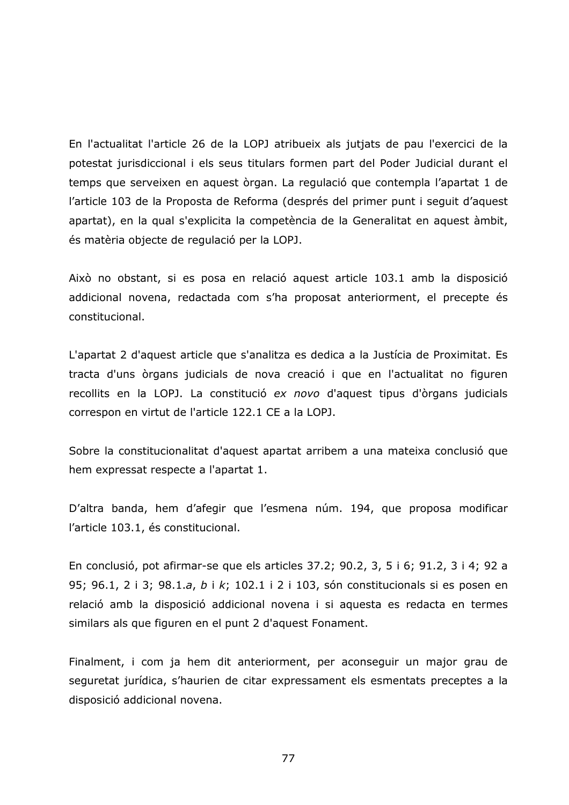En l'actualitat l'article 26 de la LOPJ atribueix als jutiats de pau l'exercici de la potestat jurisdiccional i els seus titulars formen part del Poder Judicial durant el temps que serveixen en aquest òrgan. La regulació que contempla l'apartat 1 de l'article 103 de la Proposta de Reforma (després del primer punt i seguit d'aquest apartat), en la qual s'explicita la competència de la Generalitat en aquest àmbit, és matèria objecte de regulació per la LOPJ.

Això no obstant, si es posa en relació aquest article 103.1 amb la disposició addicional novena, redactada com s'ha proposat anteriorment, el precepte és constitucional.

L'apartat 2 d'aquest article que s'analitza es dedica a la Justícia de Proximitat. Es tracta d'uns òrgans judicials de nova creació i que en l'actualitat no figuren recollits en la LOPJ. La constitució ex novo d'aquest tipus d'òrgans judicials correspon en virtut de l'article 122.1 CE a la LOPJ.

Sobre la constitucionalitat d'aquest apartat arribem a una mateixa conclusió que hem expressat respecte a l'apartat 1.

D'altra banda, hem d'afegir que l'esmena núm. 194, que proposa modificar l'article 103.1, és constitucional.

En conclusió, pot afirmar-se que els articles 37.2; 90.2, 3, 5 i 6; 91.2, 3 i 4; 92 a 95; 96.1, 2 i 3; 98.1.a, b i k; 102.1 i 2 i 103, són constitucionals si es posen en relació amb la disposició addicional novena i si aquesta es redacta en termes similars als que figuren en el punt 2 d'aquest Fonament.

Finalment, i com ja hem dit anteriorment, per aconseguir un major grau de seguretat jurídica, s'haurien de citar expressament els esmentats preceptes a la disposició addicional novena.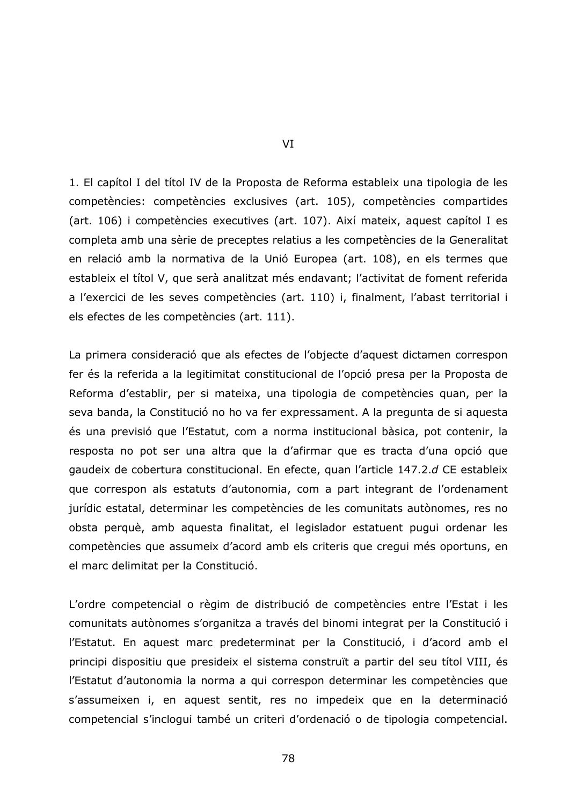1. El capítol I del títol IV de la Proposta de Reforma estableix una tipologia de les competències: competències exclusives (art. 105), competències compartides (art. 106) i competències executives (art. 107). Així mateix, aquest capítol I es completa amb una sèrie de preceptes relatius a les competències de la Generalitat en relació amb la normativa de la Unió Europea (art. 108), en els termes que estableix el títol V, que serà analitzat més endavant; l'activitat de foment referida a l'exercici de les seves competències (art. 110) i, finalment, l'abast territorial i els efectes de les competències (art. 111).

La primera consideració que als efectes de l'objecte d'aquest dictamen correspon fer és la referida a la legitimitat constitucional de l'opció presa per la Proposta de Reforma d'establir, per si mateixa, una tipologia de competències quan, per la seva banda, la Constitució no ho va fer expressament. A la pregunta de si aquesta és una previsió que l'Estatut, com a norma institucional bàsica, pot contenir, la resposta no pot ser una altra que la d'afirmar que es tracta d'una opció que gaudeix de cobertura constitucional. En efecte, quan l'article 147.2.d CE estableix que correspon als estatuts d'autonomia, com a part integrant de l'ordenament jurídic estatal, determinar les competències de les comunitats autònomes, res no obsta perquè, amb aquesta finalitat, el legislador estatuent pugui ordenar les competències que assumeix d'acord amb els criteris que crequi més oportuns, en el marc delimitat per la Constitució.

L'ordre competencial o règim de distribució de competències entre l'Estat i les comunitats autònomes s'organitza a través del binomi integrat per la Constitució i l'Estatut. En aquest marc predeterminat per la Constitució, i d'acord amb el principi dispositiu que presideix el sistema construït a partir del seu títol VIII, és l'Estatut d'autonomia la norma a qui correspon determinar les competències que s'assumeixen i, en aquest sentit, res no impedeix que en la determinació competencial s'inclogui també un criteri d'ordenació o de tipologia competencial.

 $VI$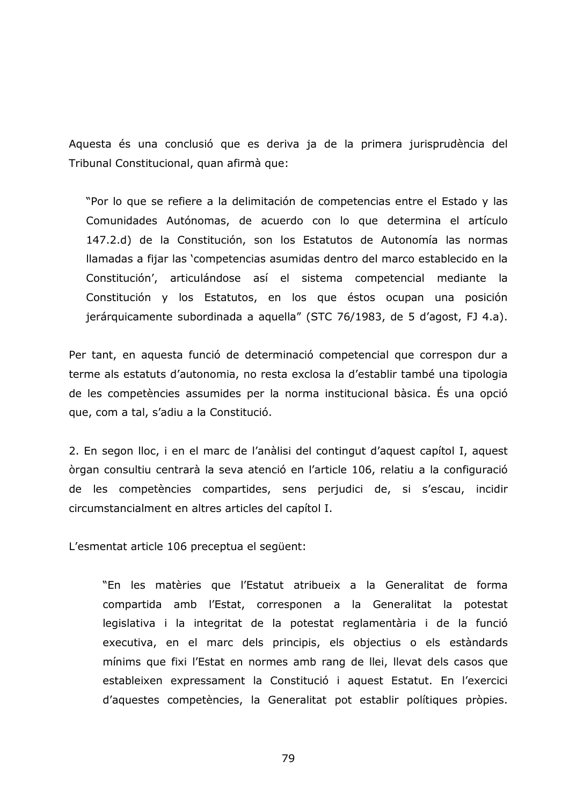Aquesta és una conclusió que es deriva ja de la primera jurisprudència del Tribunal Constitucional, quan afirmà que:

"Por lo que se refiere a la delimitación de competencias entre el Estado y las Comunidades Autónomas, de acuerdo con lo que determina el artículo 147.2.d) de la Constitución, son los Estatutos de Autonomía las normas Ilamadas a fijar las 'competencias asumidas dentro del marco establecido en la Constitución', articulándose así el sistema competencial mediante la Constitución y los Estatutos, en los que éstos ocupan una posición jerárquicamente subordinada a aquella" (STC 76/1983, de 5 d'agost, FJ 4.a).

Per tant, en aquesta funció de determinació competencial que correspon dur a terme als estatuts d'autonomia, no resta exclosa la d'establir també una tipologia de les competències assumides per la norma institucional bàsica. És una opció que, com a tal, s'adiu a la Constitució.

2. En segon lloc, i en el marc de l'anàlisi del contingut d'aquest capítol I, aquest òrgan consultiu centrarà la seva atenció en l'article 106, relatiu a la configuració de les competències compartides, sens perjudici de, si s'escau, incidir circumstancialment en altres articles del capítol I.

L'esmentat article 106 preceptua el següent:

"En les matèries que l'Estatut atribueix a la Generalitat de forma compartida amb l'Estat, corresponen a la Generalitat la potestat legislativa i la integritat de la potestat reglamentària i de la funció executiva, en el marc dels principis, els objectius o els estàndards mínims que fixi l'Estat en normes amb rang de llei, llevat dels casos que estableixen expressament la Constitució i aquest Estatut. En l'exercici d'aquestes competències, la Generalitat pot establir polítiques pròpies.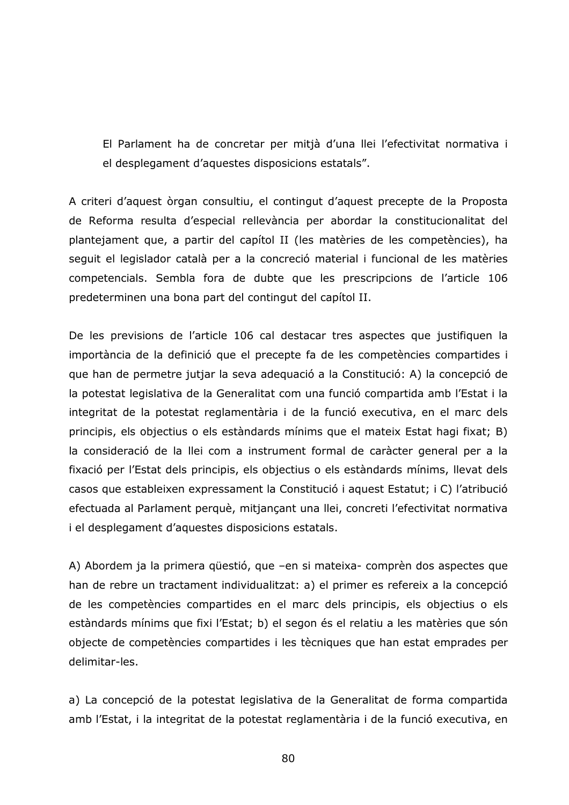El Parlament ha de concretar per mitià d'una llei l'efectivitat normativa i el desplegament d'aquestes disposicions estatals".

A criteri d'aquest òrgan consultiu, el contingut d'aquest precepte de la Proposta de Reforma resulta d'especial rellevància per abordar la constitucionalitat del plantejament que, a partir del capítol II (les matèries de les competències), ha sequit el legislador català per a la concreció material i funcional de les matèries competencials. Sembla fora de dubte que les prescripcions de l'article 106 predeterminen una bona part del contingut del capítol II.

De les previsions de l'article 106 cal destacar tres aspectes que justifiquen la importància de la definició que el precepte fa de les competències compartides i que han de permetre jutjar la seva adequació a la Constitució: A) la concepció de la potestat legislativa de la Generalitat com una funció compartida amb l'Estat i la integritat de la potestat reglamentària i de la funció executiva, en el marc dels principis, els objectius o els estàndards mínims que el mateix Estat hagi fixat; B) la consideració de la llei com a instrument formal de caràcter general per a la fixació per l'Estat dels principis, els objectius o els estàndards mínims, llevat dels casos que estableixen expressament la Constitució i aquest Estatut; i C) l'atribució efectuada al Parlament perquè, mitjançant una llei, concreti l'efectivitat normativa i el desplegament d'aquestes disposicions estatals.

A) Abordem ja la primera qüestió, que -en si mateixa- comprèn dos aspectes que han de rebre un tractament individualitzat: a) el primer es refereix a la concepció de les competències compartides en el marc dels principis, els objectius o els estàndards mínims que fixi l'Estat; b) el segon és el relatiu a les matèries que són objecte de competències compartides i les tècniques que han estat emprades per delimitar-les.

a) La concepció de la potestat legislativa de la Generalitat de forma compartida amb l'Estat, i la integritat de la potestat reglamentària i de la funció executiva, en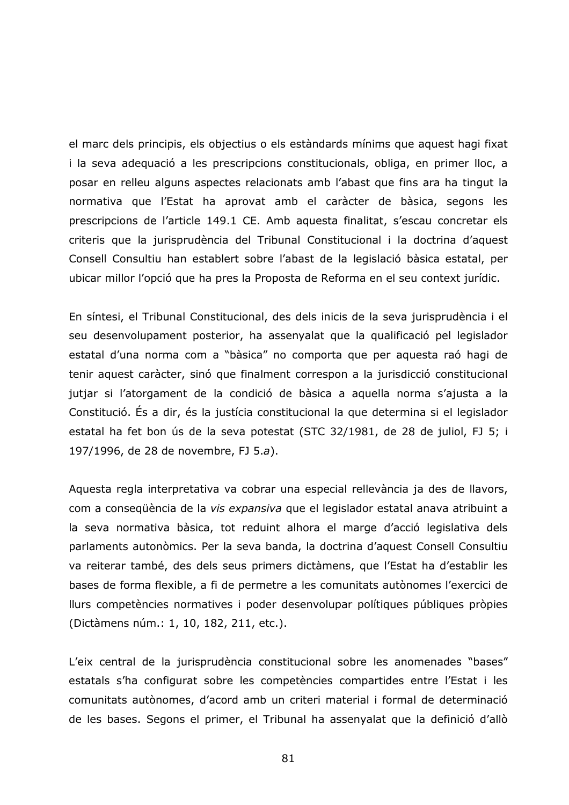el marc dels principis, els objectius o els estàndards mínims que aquest hagi fixat i la seva adeguació a les prescripcions constitucionals, obliga, en primer lloc, a posar en relleu alguns aspectes relacionats amb l'abast que fins ara ha tingut la normativa que l'Estat ha aprovat amb el caràcter de bàsica, segons les prescripcions de l'article 149.1 CE. Amb aquesta finalitat, s'escau concretar els criteris que la jurisprudència del Tribunal Constitucional i la doctrina d'aquest Consell Consultiu han establert sobre l'abast de la legislació bàsica estatal, per ubicar millor l'opció que ha pres la Proposta de Reforma en el seu context jurídic.

En síntesi, el Tribunal Constitucional, des dels inicis de la seva jurisprudència i el seu desenvolupament posterior, ha assenyalat que la qualificació pel legislador estatal d'una norma com a "bàsica" no comporta que per aquesta raó hagi de tenir aquest caràcter, sinó que finalment correspon a la jurisdicció constitucional jutjar si l'atorgament de la condició de bàsica a aquella norma s'ajusta a la Constitució. És a dir, és la justícia constitucional la que determina si el legislador estatal ha fet bon ús de la seva potestat (STC 32/1981, de 28 de juliol, FJ 5; i 197/1996, de 28 de novembre, FJ 5.a).

Aquesta regla interpretativa va cobrar una especial rellevància ja des de llavors, com a consequència de la vis expansiva que el legislador estatal anava atribuint a la seva normativa bàsica, tot reduint alhora el marge d'acció legislativa dels parlaments autonòmics. Per la seva banda, la doctrina d'aquest Consell Consultiu va reiterar també, des dels seus primers dictàmens, que l'Estat ha d'establir les bases de forma flexible, a fi de permetre a les comunitats autònomes l'exercici de Ilurs competències normatives i poder desenvolupar polítiques públiques pròpies (Dictàmens núm.: 1, 10, 182, 211, etc.).

L'eix central de la jurisprudència constitucional sobre les anomenades "bases" estatals s'ha configurat sobre les competències compartides entre l'Estat i les comunitats autònomes, d'acord amb un criteri material i formal de determinació de les bases. Segons el primer, el Tribunal ha assenyalat que la definició d'allò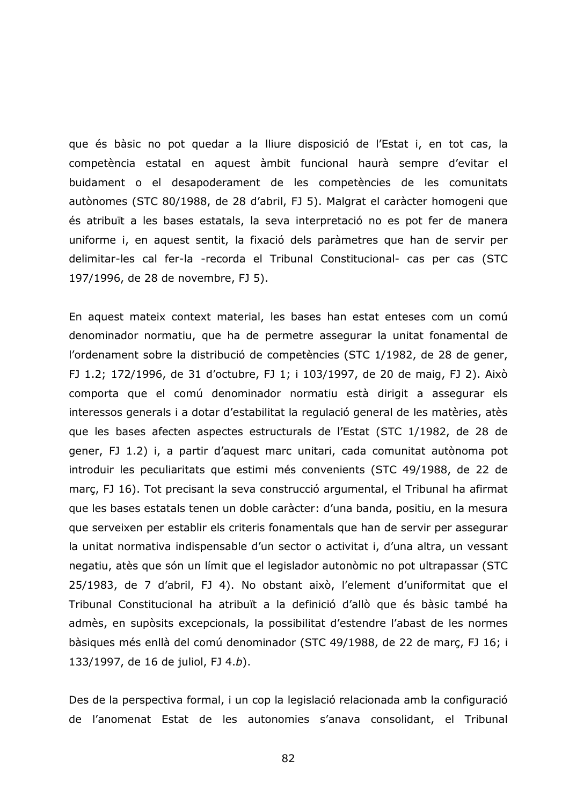que és bàsic no pot quedar a la lliure disposició de l'Estat i, en tot cas, la competència estatal en aquest àmbit funcional haurà sempre d'evitar el buidament o el desapoderament de les competències de les comunitats autònomes (STC 80/1988, de 28 d'abril, FJ 5). Malgrat el caràcter homogeni que és atribuït a les bases estatals, la seva interpretació no es pot fer de manera uniforme i, en aquest sentit, la fixació dels paràmetres que han de servir per delimitar-les cal fer-la -recorda el Tribunal Constitucional- cas per cas (STC 197/1996, de 28 de novembre, FJ 5).

En aquest mateix context material, les bases han estat enteses com un comú denominador normatiu, que ha de permetre assegurar la unitat fonamental de l'ordenament sobre la distribució de competències (STC 1/1982, de 28 de gener, FJ 1.2; 172/1996, de 31 d'octubre, FJ 1; i 103/1997, de 20 de maig, FJ 2). Això comporta que el comú denominador normatiu està dirigit a assegurar els interessos generals i a dotar d'estabilitat la regulació general de les matèries, atès que les bases afecten aspectes estructurals de l'Estat (STC 1/1982, de 28 de gener, FJ 1.2) i, a partir d'aquest marc unitari, cada comunitat autònoma pot introduir les peculiaritats que estimi més convenients (STC 49/1988, de 22 de marc, FJ 16). Tot precisant la seva construcció argumental, el Tribunal ha afirmat que les bases estatals tenen un doble caràcter: d'una banda, positiu, en la mesura que serveixen per establir els criteris fonamentals que han de servir per assegurar la unitat normativa indispensable d'un sector o activitat i, d'una altra, un vessant negatiu, atès que són un límit que el legislador autonòmic no pot ultrapassar (STC 25/1983, de 7 d'abril, FJ 4). No obstant això, l'element d'uniformitat que el Tribunal Constitucional ha atribuït a la definició d'allò que és bàsic també ha admès, en supòsits excepcionals, la possibilitat d'estendre l'abast de les normes bàsiques més enllà del comú denominador (STC 49/1988, de 22 de març, FJ 16; i 133/1997, de 16 de juliol, FJ 4.b).

Des de la perspectiva formal, i un cop la legislació relacionada amb la configuració de l'anomenat Estat de les autonomies s'anava consolidant, el Tribunal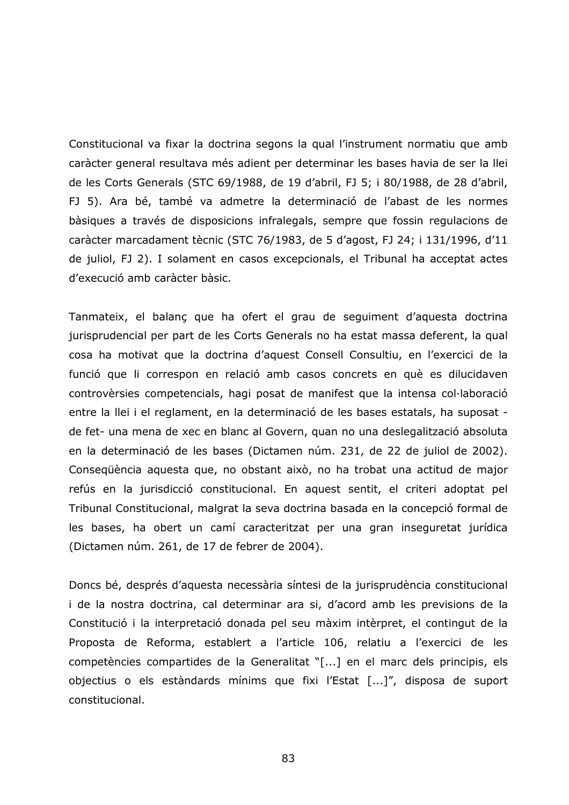Constitucional va fixar la doctrina segons la qual l'instrument normatiu que amb caràcter general resultava més adient per determinar les bases havia de ser la llei de les Corts Generals (STC 69/1988, de 19 d'abril, FJ 5; i 80/1988, de 28 d'abril, FJ 5). Ara bé, també va admetre la determinació de l'abast de les normes bàsiques a través de disposicions infralegals, sempre que fossin regulacions de caràcter marcadament tècnic (STC 76/1983, de 5 d'agost, FJ 24; i 131/1996, d'11 de juliol, FJ 2). I solament en casos excepcionals, el Tribunal ha acceptat actes d'execució amb caràcter bàsic.

Tanmateix, el balanç que ha ofert el grau de seguiment d'aquesta doctrina jurisprudencial per part de les Corts Generals no ha estat massa deferent, la qual cosa ha motivat que la doctrina d'aquest Consell Consultiu, en l'exercici de la funció que li correspon en relació amb casos concrets en què es dilucidaven controvèrsies competencials, hagi posat de manifest que la intensa col·laboració entre la llei i el reglament, en la determinació de les bases estatals, ha suposat de fet- una mena de xec en blanc al Govern, quan no una deslegalització absoluta en la determinació de les bases (Dictamen núm. 231, de 22 de juliol de 2002). Consequència aquesta que, no obstant això, no ha trobat una actitud de major refús en la jurisdicció constitucional. En aquest sentit, el criteri adoptat pel Tribunal Constitucional, malgrat la seva doctrina basada en la concepció formal de les bases, ha obert un camí caracteritzat per una gran inseguretat jurídica (Dictamen núm. 261, de 17 de febrer de 2004).

Doncs bé, després d'aquesta necessària síntesi de la jurisprudència constitucional i de la nostra doctrina, cal determinar ara si, d'acord amb les previsions de la Constitució i la interpretació donada pel seu màxim intèrpret, el contingut de la Proposta de Reforma, establert a l'article 106, relatiu a l'exercici de les competències compartides de la Generalitat "[...] en el marc dels principis, els objectius o els estàndards mínims que fixi l'Estat [...]", disposa de suport constitucional.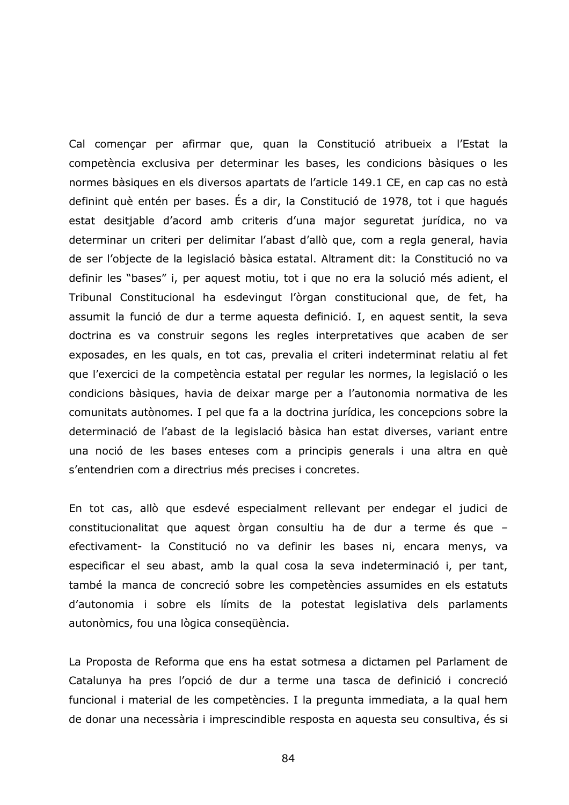Cal començar per afirmar que, quan la Constitució atribueix a l'Estat la competència exclusiva per determinar les bases, les condicions bàsiques o les normes bàsiques en els diversos apartats de l'article 149.1 CE, en cap cas no està definint què entén per bases. És a dir, la Constitució de 1978, tot i que hagués estat desitjable d'acord amb criteris d'una major seguretat jurídica, no va determinar un criteri per delimitar l'abast d'allò que, com a regla general, havia de ser l'objecte de la legislació bàsica estatal. Altrament dit: la Constitució no va definir les "bases" i, per aquest motiu, tot i que no era la solució més adient, el Tribunal Constitucional ha esdevingut l'òrgan constitucional que, de fet, ha assumit la funció de dur a terme aquesta definició. I, en aquest sentit, la seva doctrina es va construir segons les regles interpretatives que acaben de ser exposades, en les quals, en tot cas, prevalia el criteri indeterminat relatiu al fet que l'exercici de la competència estatal per regular les normes, la legislació o les condicions bàsiques, havia de deixar marge per a l'autonomia normativa de les comunitats autònomes. I pel que fa a la doctrina jurídica, les concepcions sobre la determinació de l'abast de la legislació bàsica han estat diverses, variant entre una noció de les bases enteses com a principis generals i una altra en què s'entendrien com a directrius més precises i concretes.

En tot cas, allò que esdevé especialment rellevant per endegar el judici de constitucionalitat que aquest òrgan consultiu ha de dur a terme és que efectivament- la Constitució no va definir les bases ni, encara menys, va especificar el seu abast, amb la qual cosa la seva indeterminació i, per tant, també la manca de concreció sobre les competències assumides en els estatuts d'autonomia i sobre els límits de la potestat legislativa dels parlaments autonòmics, fou una lògica consegüència.

La Proposta de Reforma que ens ha estat sotmesa a dictamen pel Parlament de Catalunya ha pres l'opció de dur a terme una tasca de definició i concreció funcional i material de les competències. I la pregunta immediata, a la qual hem de donar una necessària i imprescindible resposta en aquesta seu consultiva, és si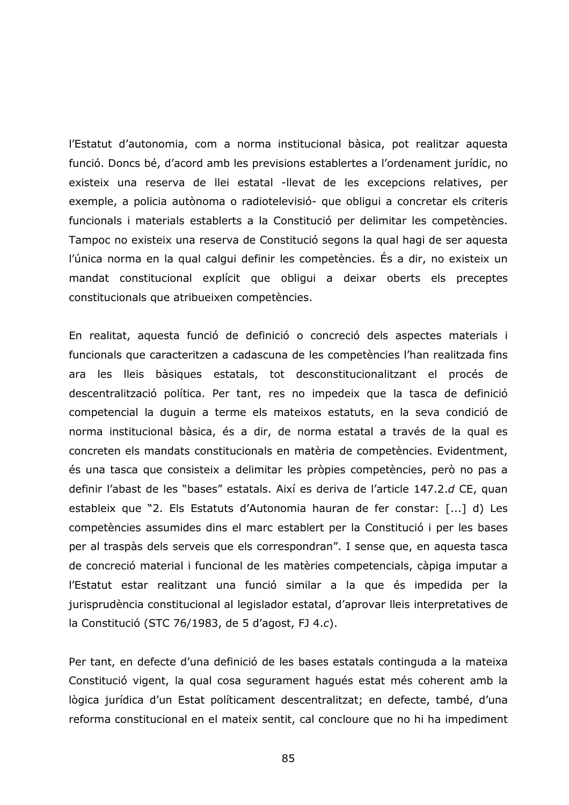l'Estatut d'autonomia, com a norma institucional bàsica, pot realitzar aquesta funció. Doncs bé, d'acord amb les previsions establertes a l'ordenament jurídic, no existeix una reserva de llei estatal -llevat de les excepcions relatives, per exemple, a policia autònoma o radiotelevisió- que obligui a concretar els criteris funcionals i materials establerts a la Constitució per delimitar les competències. Tampoc no existeix una reserva de Constitució segons la qual hagi de ser aquesta l'única norma en la qual calqui definir les competències. És a dir, no existeix un mandat constitucional explícit que obliqui a deixar oberts els preceptes constitucionals que atribueixen competències.

En realitat, aquesta funció de definició o concreció dels aspectes materials i funcionals que caracteritzen a cadascuna de les competències l'han realitzada fins ara les lleis bàsiques estatals, tot desconstitucionalitzant el procés de descentralització política. Per tant, res no impedeix que la tasca de definició competencial la duguin a terme els mateixos estatuts, en la seva condició de norma institucional bàsica, és a dir, de norma estatal a través de la qual es concreten els mandats constitucionals en matèria de competències. Evidentment, és una tasca que consisteix a delimitar les pròpies competències, però no pas a definir l'abast de les "bases" estatals. Així es deriva de l'article 147.2.d CE, quan estableix que "2. Els Estatuts d'Autonomia hauran de fer constar: [...] d) Les competències assumides dins el marc establert per la Constitució i per les bases per al traspàs dels serveis que els correspondran". I sense que, en aquesta tasca de concreció material i funcional de les matèries competencials, càpiga imputar a l'Estatut estar realitzant una funció similar a la que és impedida per la jurisprudència constitucional al legislador estatal, d'aprovar lleis interpretatives de la Constitució (STC 76/1983, de 5 d'agost, FJ 4.c).

Per tant, en defecte d'una definició de les bases estatals continguda a la mateixa Constitució vigent, la qual cosa segurament hagués estat més coherent amb la lògica jurídica d'un Estat políticament descentralitzat; en defecte, també, d'una reforma constitucional en el mateix sentit, cal concloure que no hi ha impediment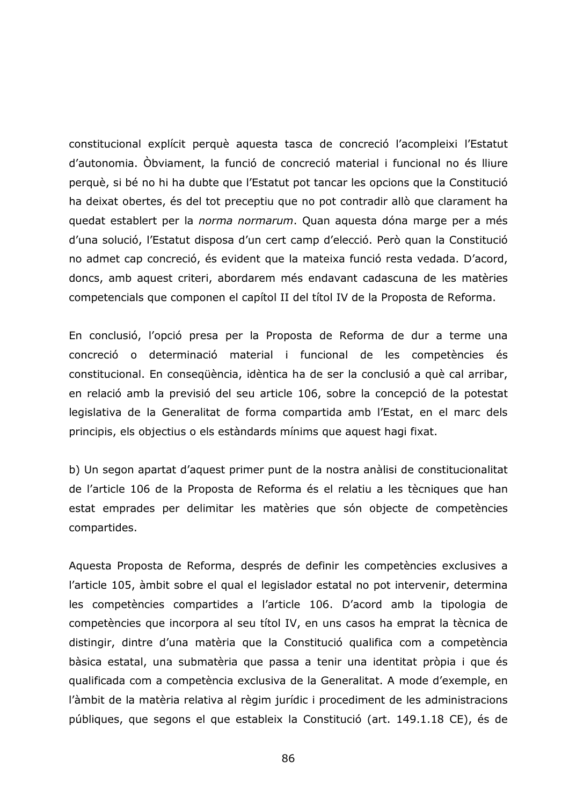constitucional explícit perquè aquesta tasca de concreció l'acompleixi l'Estatut d'autonomia. Obviament, la funció de concreció material i funcional no és lliure perquè, si bé no hi ha dubte que l'Estatut pot tancar les opcions que la Constitució ha deixat obertes, és del tot preceptiu que no pot contradir allò que clarament ha quedat establert per la norma normarum. Quan aquesta dóna marge per a més d'una solució, l'Estatut disposa d'un cert camp d'elecció. Però quan la Constitució no admet cap concreció, és evident que la mateixa funció resta vedada. D'acord, doncs, amb aquest criteri, abordarem més endavant cadascuna de les matèries competencials que componen el capítol II del títol IV de la Proposta de Reforma.

En conclusió, l'opció presa per la Proposta de Reforma de dur a terme una concreció o determinació material i funcional de les competències és constitucional. En consegüència, idèntica ha de ser la conclusió a què cal arribar, en relació amb la previsió del seu article 106, sobre la concepció de la potestat legislativa de la Generalitat de forma compartida amb l'Estat, en el marc dels principis, els objectius o els estàndards mínims que aquest hagi fixat.

b) Un segon apartat d'aquest primer punt de la nostra anàlisi de constitucionalitat de l'article 106 de la Proposta de Reforma és el relatiu a les tècniques que han estat emprades per delimitar les matèries que són objecte de competències compartides.

Aquesta Proposta de Reforma, després de definir les competències exclusives a l'article 105, àmbit sobre el qual el legislador estatal no pot intervenir, determina les competències compartides a l'article 106. D'acord amb la tipologia de competències que incorpora al seu títol IV, en uns casos ha emprat la tècnica de distingir, dintre d'una matèria que la Constitució qualifica com a competència bàsica estatal, una submatèria que passa a tenir una identitat pròpia i que és qualificada com a competència exclusiva de la Generalitat. A mode d'exemple, en l'àmbit de la matèria relativa al règim jurídic i procediment de les administracions públiques, que segons el que estableix la Constitució (art. 149.1.18 CE), és de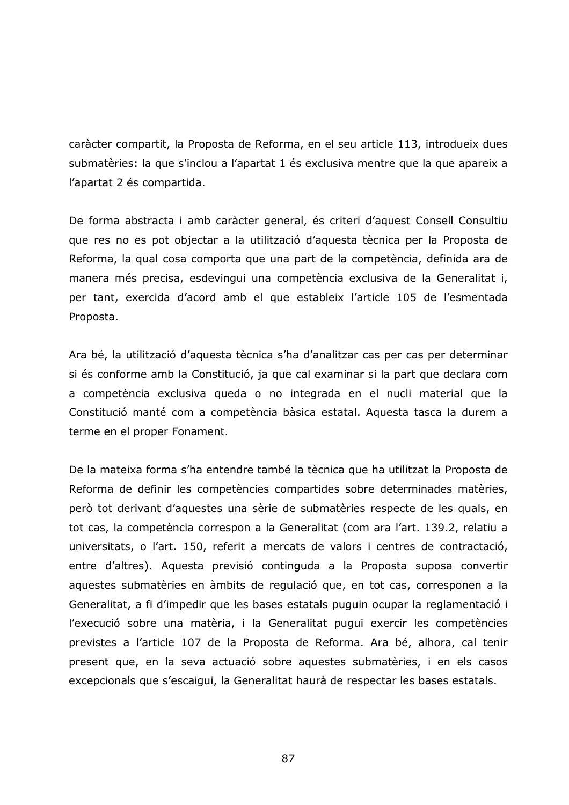caràcter compartit, la Proposta de Reforma, en el seu article 113, introdueix dues submatèries: la que s'inclou a l'apartat 1 és exclusiva mentre que la que apareix a l'apartat 2 és compartida.

De forma abstracta i amb caràcter general, és criteri d'aquest Consell Consultiu que res no es pot objectar a la utilització d'aquesta tècnica per la Proposta de Reforma, la qual cosa comporta que una part de la competència, definida ara de manera més precisa, esdevingui una competència exclusiva de la Generalitat i, per tant, exercida d'acord amb el que estableix l'article 105 de l'esmentada Proposta.

Ara bé, la utilització d'aquesta tècnica s'ha d'analitzar cas per cas per determinar si és conforme amb la Constitució, ja que cal examinar si la part que declara com a competència exclusiva queda o no integrada en el nucli material que la Constitució manté com a competència bàsica estatal. Aquesta tasca la durem a terme en el proper Fonament.

De la mateixa forma s'ha entendre també la tècnica que ha utilitzat la Proposta de Reforma de definir les competències compartides sobre determinades matèries, però tot derivant d'aquestes una sèrie de submatèries respecte de les quals, en tot cas, la competència correspon a la Generalitat (com ara l'art. 139.2, relatiu a universitats, o l'art. 150, referit a mercats de valors i centres de contractació, entre d'altres). Aquesta previsió continguda a la Proposta suposa convertir aquestes submatèries en àmbits de regulació que, en tot cas, corresponen a la Generalitat, a fi d'impedir que les bases estatals puguin ocupar la reglamentació i l'execució sobre una matèria, i la Generalitat pugui exercir les competències previstes a l'article 107 de la Proposta de Reforma. Ara bé, alhora, cal tenir present que, en la seva actuació sobre aquestes submatèries, i en els casos excepcionals que s'escaigui, la Generalitat haurà de respectar les bases estatals.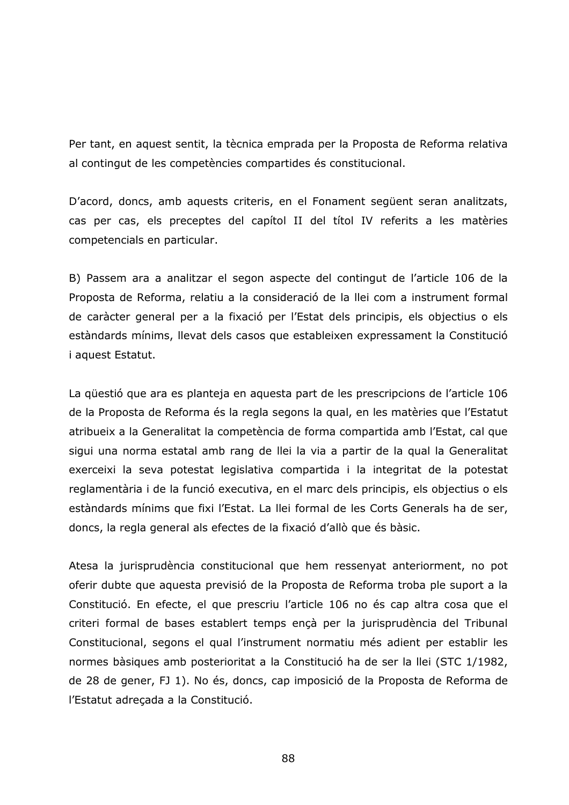Per tant, en aquest sentit, la tècnica emprada per la Proposta de Reforma relativa al contingut de les competències compartides és constitucional.

D'acord, doncs, amb aquests criteris, en el Fonament següent seran analitzats, cas per cas, els preceptes del capítol II del títol IV referits a les matèries competencials en particular.

B) Passem ara a analitzar el segon aspecte del contingut de l'article 106 de la Proposta de Reforma, relatiu a la consideració de la llei com a instrument formal de caràcter general per a la fixació per l'Estat dels principis, els objectius o els estàndards mínims, llevat dels casos que estableixen expressament la Constitució *i* aquest Estatut.

La questió que ara es planteja en aquesta part de les prescripcions de l'article 106 de la Proposta de Reforma és la regla segons la qual, en les matèries que l'Estatut atribueix a la Generalitat la competència de forma compartida amb l'Estat, cal que sigui una norma estatal amb rang de llei la via a partir de la qual la Generalitat exerceixi la seva potestat legislativa compartida i la integritat de la potestat reglamentària i de la funció executiva, en el marc dels principis, els objectius o els estàndards mínims que fixi l'Estat. La llei formal de les Corts Generals ha de ser, doncs, la regla general als efectes de la fixació d'allò que és bàsic.

Atesa la jurisprudència constitucional que hem ressenyat anteriorment, no pot oferir dubte que aquesta previsió de la Proposta de Reforma troba ple suport a la Constitució. En efecte, el que prescriu l'article 106 no és cap altra cosa que el criteri formal de bases establert temps ençà per la jurisprudència del Tribunal Constitucional, segons el qual l'instrument normatiu més adient per establir les normes bàsiques amb posterioritat a la Constitució ha de ser la llei (STC 1/1982, de 28 de gener, FJ 1). No és, doncs, cap imposició de la Proposta de Reforma de l'Estatut adrecada a la Constitució.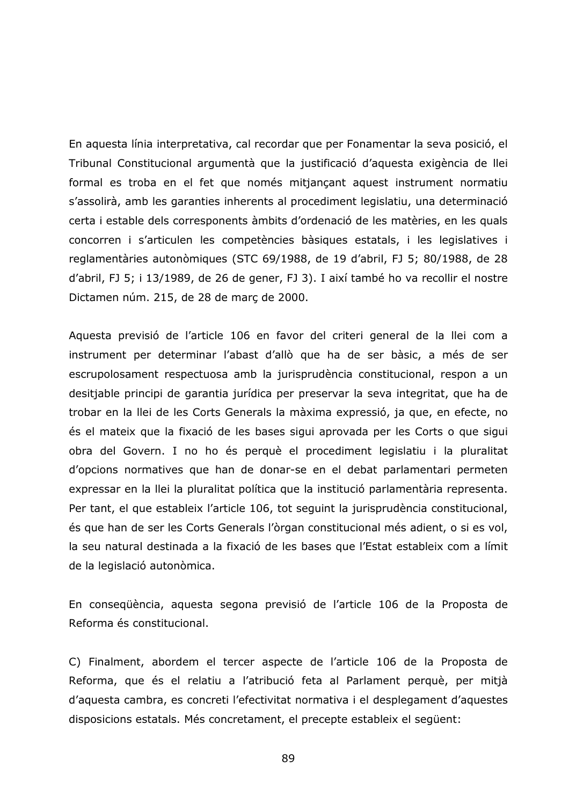En aquesta línia interpretativa, cal recordar que per Fonamentar la seva posició, el Tribunal Constitucional argumentà que la justificació d'aquesta exigència de llei formal es troba en el fet que només mitjançant aquest instrument normatiu s'assolirà, amb les garanties inherents al procediment legislatiu, una determinació certa i estable dels corresponents àmbits d'ordenació de les matèries, en les quals concorren i s'articulen les competències bàsiques estatals, i les legislatives i reglamentàries autonòmiques (STC 69/1988, de 19 d'abril, FJ 5; 80/1988, de 28 d'abril, FJ 5; i 13/1989, de 26 de gener, FJ 3). I així també ho va recollir el nostre Dictamen núm. 215, de 28 de març de 2000.

Aquesta previsió de l'article 106 en favor del criteri general de la llei com a instrument per determinar l'abast d'allò que ha de ser bàsic, a més de ser escrupolosament respectuosa amb la jurisprudència constitucional, respon a un desitjable principi de garantia jurídica per preservar la seva integritat, que ha de trobar en la llei de les Corts Generals la màxima expressió, ja que, en efecte, no és el mateix que la fixació de les bases sigui aprovada per les Corts o que sigui obra del Govern. I no ho és perquè el procediment legislatiu i la pluralitat d'opcions normatives que han de donar-se en el debat parlamentari permeten expressar en la llei la pluralitat política que la institució parlamentària representa. Per tant, el que estableix l'article 106, tot seguint la jurisprudència constitucional, és que han de ser les Corts Generals l'òrgan constitucional més adient, o si es vol, la seu natural destinada a la fixació de les bases que l'Estat estableix com a límit de la legislació autonòmica.

En consegüència, aquesta segona previsió de l'article 106 de la Proposta de Reforma és constitucional.

C) Finalment, abordem el tercer aspecte de l'article 106 de la Proposta de Reforma, que és el relatiu a l'atribució feta al Parlament perquè, per mitjà d'aquesta cambra, es concreti l'efectivitat normativa i el desplegament d'aquestes disposicions estatals. Més concretament, el precepte estableix el següent: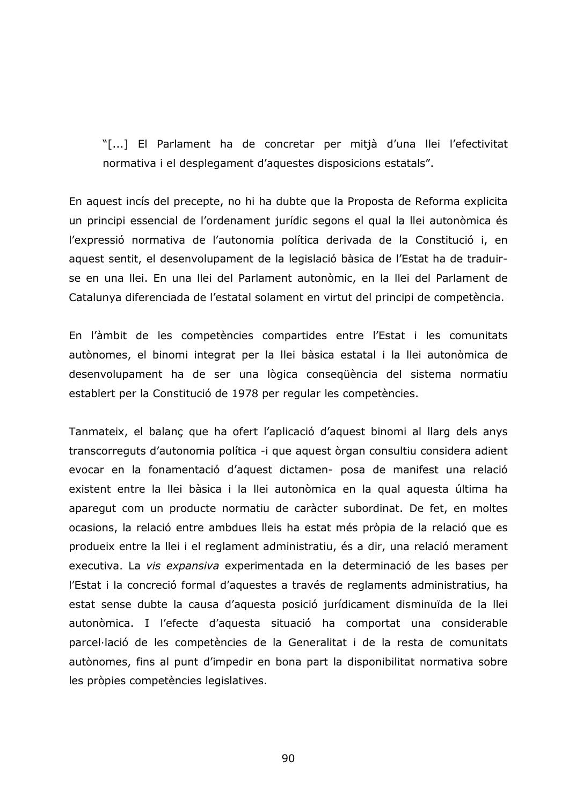"[...] El Parlament ha de concretar per mitjà d'una llei l'efectivitat normativa i el desplegament d'aquestes disposicions estatals".

En aquest incís del precepte, no hi ha dubte que la Proposta de Reforma explicita un principi essencial de l'ordenament jurídic segons el qual la llei autonòmica és l'expressió normativa de l'autonomia política derivada de la Constitució i, en aquest sentit, el desenvolupament de la legislació bàsica de l'Estat ha de traduirse en una llei. En una llei del Parlament autonòmic, en la llei del Parlament de Catalunya diferenciada de l'estatal solament en virtut del principi de competència.

En l'àmbit de les competències compartides entre l'Estat i les comunitats autònomes, el binomi integrat per la llei bàsica estatal i la llei autonòmica de desenvolupament ha de ser una lògica consegüència del sistema normatiu establert per la Constitució de 1978 per regular les competències.

Tanmateix, el balanç que ha ofert l'aplicació d'aquest binomi al llarg dels anys transcorreguts d'autonomia política -i que aquest òrgan consultiu considera adient evocar en la fonamentació d'aquest dictamen- posa de manifest una relació existent entre la llei bàsica i la llei autonòmica en la qual aquesta última ha aparegut com un producte normatiu de caràcter subordinat. De fet, en moltes ocasions, la relació entre ambdues lleis ha estat més pròpia de la relació que es produeix entre la llei i el reglament administratiu, és a dir, una relació merament executiva. La vis expansiva experimentada en la determinació de les bases per l'Estat i la concreció formal d'aquestes a través de reglaments administratius, ha estat sense dubte la causa d'aquesta posició jurídicament disminuïda de la llei autonòmica. I l'efecte d'aquesta situació ha comportat una considerable parcel·lació de les competències de la Generalitat i de la resta de comunitats autònomes, fins al punt d'impedir en bona part la disponibilitat normativa sobre les pròpies competències legislatives.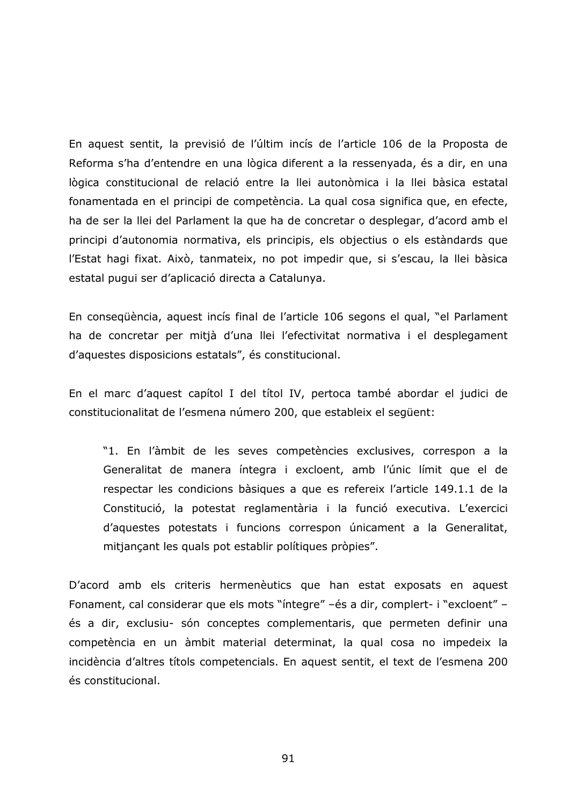En aquest sentit, la previsió de l'últim incís de l'article 106 de la Proposta de Reforma s'ha d'entendre en una lògica diferent a la ressenyada, és a dir, en una lògica constitucional de relació entre la llei autonòmica i la llei bàsica estatal fonamentada en el principi de competència. La qual cosa significa que, en efecte, ha de ser la llei del Parlament la que ha de concretar o desplegar, d'acord amb el principi d'autonomia normativa, els principis, els objectius o els estàndards que l'Estat hagi fixat. Això, tanmateix, no pot impedir que, si s'escau, la llei bàsica estatal pugui ser d'aplicació directa a Catalunya.

En consequència, aquest incís final de l'article 106 segons el qual, "el Parlament ha de concretar per mitjà d'una llei l'efectivitat normativa i el desplegament d'aquestes disposicions estatals", és constitucional.

En el marc d'aquest capítol I del títol IV, pertoca també abordar el judici de constitucionalitat de l'esmena número 200, que estableix el següent:

"1. En l'àmbit de les seves competències exclusives, correspon a la Generalitat de manera íntegra i excloent, amb l'únic límit que el de respectar les condicions bàsiques a que es refereix l'article 149.1.1 de la Constitució, la potestat reglamentària i la funció executiva. L'exercici d'aquestes potestats i funcions correspon únicament a la Generalitat, mitjançant les quals pot establir polítiques pròpies".

D'acord amb els criteris hermenèutics que han estat exposats en aquest Fonament, cal considerar que els mots "íntegre" - és a dir, complert- i "excloent" és a dir, exclusiu- són conceptes complementaris, que permeten definir una competència en un àmbit material determinat, la qual cosa no impedeix la incidència d'altres títols competencials. En aquest sentit, el text de l'esmena 200 és constitucional.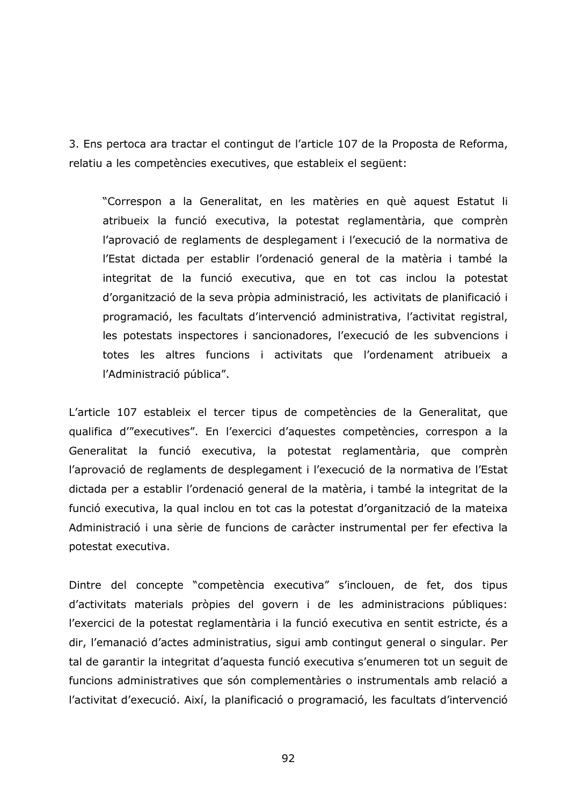3. Ens pertoca ara tractar el contingut de l'article 107 de la Proposta de Reforma, relatiu a les competències executives, que estableix el sequent:

"Correspon a la Generalitat, en les matèries en què aquest Estatut li atribueix la funció executiva, la potestat reglamentària, que comprèn l'aprovació de reglaments de desplegament i l'execució de la normativa de l'Estat dictada per establir l'ordenació general de la matèria i també la integritat de la funció executiva, que en tot cas inclou la potestat d'organització de la seva pròpia administració, les activitats de planificació i programació, les facultats d'intervenció administrativa, l'activitat registral, les potestats inspectores i sancionadores, l'execució de les subvencions i totes les altres funcions i activitats que l'ordenament atribueix a l'Administració pública".

L'article 107 estableix el tercer tipus de competències de la Generalitat, que qualifica d'"executives". En l'exercici d'aquestes competències, correspon a la Generalitat la funció executiva, la potestat reglamentària, que comprèn l'aprovació de reglaments de desplegament i l'execució de la normativa de l'Estat dictada per a establir l'ordenació general de la matèria, i també la integritat de la funció executiva, la qual inclou en tot cas la potestat d'organització de la mateixa Administració i una sèrie de funcions de caràcter instrumental per fer efectiva la potestat executiva.

Dintre del concepte "competència executiva" s'inclouen, de fet, dos tipus d'activitats materials pròpies del govern i de les administracions públiques: l'exercici de la potestat reglamentària i la funció executiva en sentit estricte, és a dir, l'emanació d'actes administratius, sigui amb contingut general o singular. Per tal de garantir la integritat d'aquesta funció executiva s'enumeren tot un seguit de funcions administratives que són complementàries o instrumentals amb relació a l'activitat d'execució. Així, la planificació o programació, les facultats d'intervenció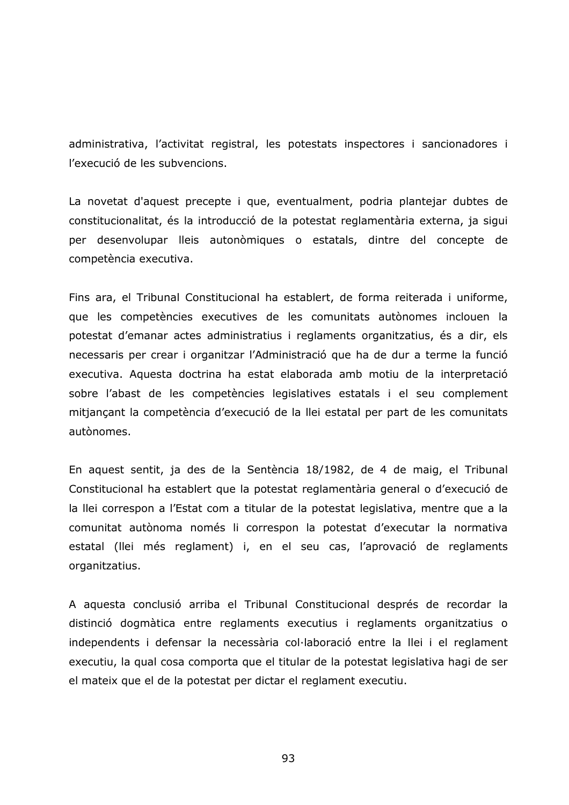administrativa, l'activitat registral, les potestats inspectores i sancionadores i l'execució de les subvencions.

La novetat d'aquest precepte i que, eventualment, podria plantejar dubtes de constitucionalitat, és la introducció de la potestat reglamentària externa, ja sigui per desenvolupar lleis autonòmiques o estatals, dintre del concepte de competència executiva.

Fins ara, el Tribunal Constitucional ha establert, de forma reiterada i uniforme, que les competències executives de les comunitats autònomes inclouen la potestat d'emanar actes administratius i reglaments organitzatius, és a dir, els necessaris per crear i organitzar l'Administració que ha de dur a terme la funció executiva. Aquesta doctrina ha estat elaborada amb motiu de la interpretació sobre l'abast de les competències legislatives estatals i el seu complement mitjançant la competència d'execució de la llei estatal per part de les comunitats autònomes.

En aquest sentit, ja des de la Sentència 18/1982, de 4 de maig, el Tribunal Constitucional ha establert que la potestat reglamentària general o d'execució de la llei correspon a l'Estat com a titular de la potestat legislativa, mentre que a la comunitat autònoma només li correspon la potestat d'executar la normativa estatal (llei més reglament) i, en el seu cas, l'aprovació de reglaments organitzatius.

A aquesta conclusió arriba el Tribunal Constitucional després de recordar la distinció dogmàtica entre reglaments executius i reglaments organitzatius o independents i defensar la necessària col·laboració entre la llei i el reglament executiu, la qual cosa comporta que el titular de la potestat legislativa hagi de ser el mateix que el de la potestat per dictar el reglament executiu.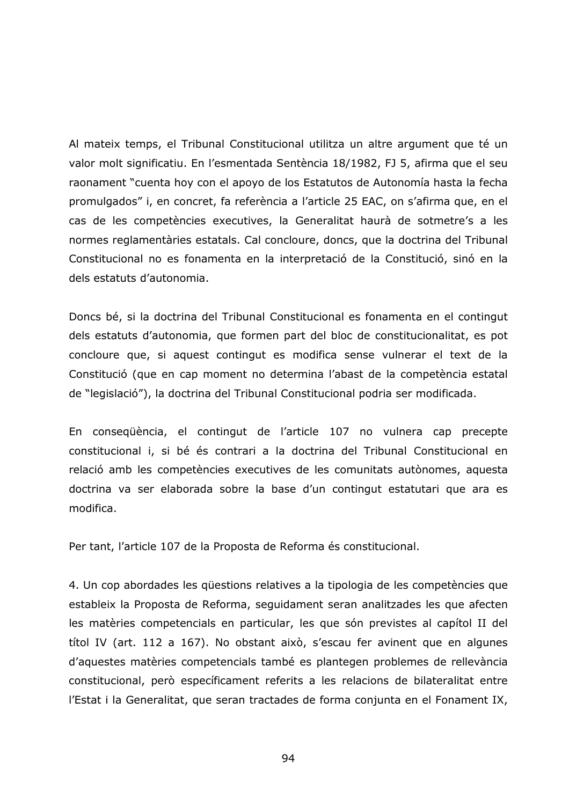Al mateix temps, el Tribunal Constitucional utilitza un altre argument que té un valor molt significatiu. En l'esmentada Sentència 18/1982, FJ 5, afirma que el seu raonament "cuenta hoy con el apoyo de los Estatutos de Autonomía hasta la fecha promulgados" i, en concret, fa referència a l'article 25 EAC, on s'afirma que, en el cas de les competències executives, la Generalitat haurà de sotmetre's a les normes reglamentàries estatals. Cal concloure, doncs, que la doctrina del Tribunal Constitucional no es fonamenta en la interpretació de la Constitució, sinó en la dels estatuts d'autonomia.

Doncs bé, si la doctrina del Tribunal Constitucional es fonamenta en el contingut dels estatuts d'autonomia, que formen part del bloc de constitucionalitat, es pot concloure que, si aquest contingut es modifica sense vulnerar el text de la Constitució (que en cap moment no determina l'abast de la competència estatal de "legislació"), la doctrina del Tribunal Constitucional podria ser modificada.

En consequència, el contingut de l'article 107 no vulnera cap precepte constitucional i, si bé és contrari a la doctrina del Tribunal Constitucional en relació amb les competències executives de les comunitats autònomes, aquesta doctrina va ser elaborada sobre la base d'un contingut estatutari que ara es modifica.

Per tant, l'article 107 de la Proposta de Reforma és constitucional.

4. Un cop abordades les questions relatives a la tipologia de les competències que estableix la Proposta de Reforma, seguidament seran analitzades les que afecten les matèries competencials en particular, les que són previstes al capítol II del títol IV (art. 112 a 167). No obstant això, s'escau fer avinent que en algunes d'aquestes matèries competencials també es plantegen problemes de rellevància constitucional, però específicament referits a les relacions de bilateralitat entre l'Estat i la Generalitat, que seran tractades de forma conjunta en el Fonament IX,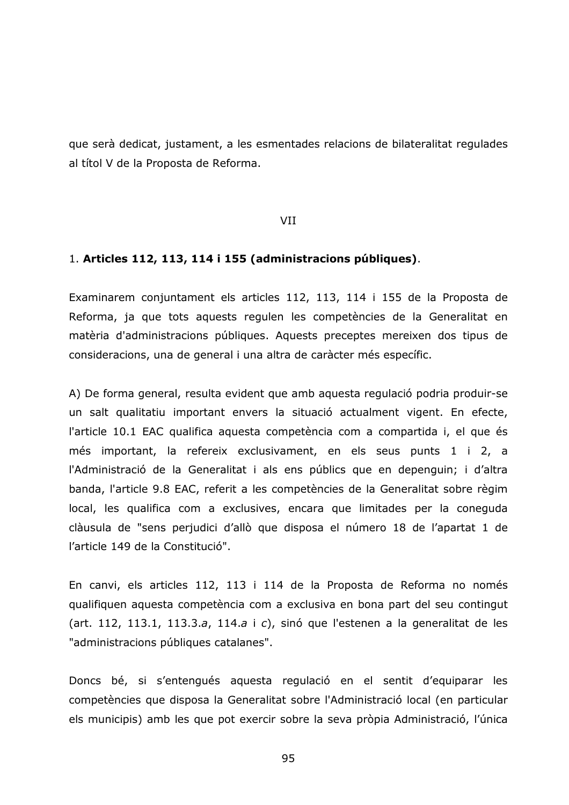que serà dedicat, justament, a les esmentades relacions de bilateralitat regulades al títol V de la Proposta de Reforma.

#### **VII**

#### 1. Articles 112, 113, 114 i 155 (administracions públiques).

Examinarem conjuntament els articles 112, 113, 114 i 155 de la Proposta de Reforma, ja que tots aquests regulen les competències de la Generalitat en matèria d'administracions públiques. Aquests preceptes mereixen dos tipus de consideracions, una de general i una altra de caràcter més específic.

A) De forma general, resulta evident que amb aquesta regulació podria produir-se un salt qualitatiu important envers la situació actualment vigent. En efecte, l'article 10.1 EAC qualifica aquesta competència com a compartida i, el que és més important, la refereix exclusivament, en els seus punts 1 i 2, a l'Administració de la Generalitat i als ens públics que en depenguin; i d'altra banda, l'article 9.8 EAC, referit a les competències de la Generalitat sobre règim local, les qualifica com a exclusives, encara que limitades per la coneguda clàusula de "sens perjudici d'allò que disposa el número 18 de l'apartat 1 de l'article 149 de la Constitució".

En canvi, els articles 112, 113 i 114 de la Proposta de Reforma no només qualifiquen aquesta competència com a exclusiva en bona part del seu contingut (art. 112, 113.1, 113.3.a, 114.a i c), sinó que l'estenen a la generalitat de les "administracions públiques catalanes".

Doncs bé, si s'entengués aquesta regulació en el sentit d'equiparar les competències que disposa la Generalitat sobre l'Administració local (en particular els municipis) amb les que pot exercir sobre la seva pròpia Administració, l'única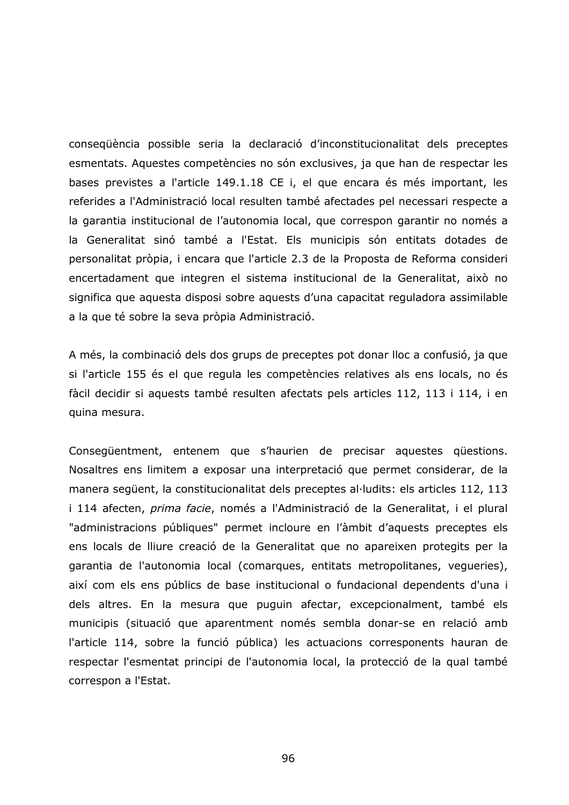consequència possible seria la declaració d'inconstitucionalitat dels preceptes esmentats. Aquestes competències no són exclusives, ja que han de respectar les bases previstes a l'article 149.1.18 CE i, el que encara és més important, les referides a l'Administració local resulten també afectades pel necessari respecte a la garantia institucional de l'autonomia local, que correspon garantir no només a la Generalitat sinó també a l'Estat. Els municipis són entitats dotades de personalitat pròpia, i encara que l'article 2.3 de la Proposta de Reforma consideri encertadament que integren el sistema institucional de la Generalitat, això no significa que aquesta disposi sobre aquests d'una capacitat reguladora assimilable a la que té sobre la seva pròpia Administració.

A més, la combinació dels dos grups de preceptes pot donar lloc a confusió, ja que si l'article 155 és el que regula les competències relatives als ens locals, no és fàcil decidir si aquests també resulten afectats pels articles 112, 113 i 114, i en quina mesura.

Consegüentment, entenem que s'haurien de precisar aquestes qüestions. Nosaltres ens limitem a exposar una interpretació que permet considerar, de la manera següent, la constitucionalitat dels preceptes al·ludits: els articles 112, 113 i 114 afecten, *prima facie*, només a l'Administració de la Generalitat, i el plural "administracions públiques" permet incloure en l'àmbit d'aquests preceptes els ens locals de lliure creació de la Generalitat que no apareixen protegits per la garantia de l'autonomia local (comarques, entitats metropolitanes, vequeries), així com els ens públics de base institucional o fundacional dependents d'una i dels altres. En la mesura que puguin afectar, excepcionalment, també els municipis (situació que aparentment només sembla donar-se en relació amb l'article 114, sobre la funció pública) les actuacions corresponents hauran de respectar l'esmentat principi de l'autonomia local, la protecció de la qual també correspon a l'Estat.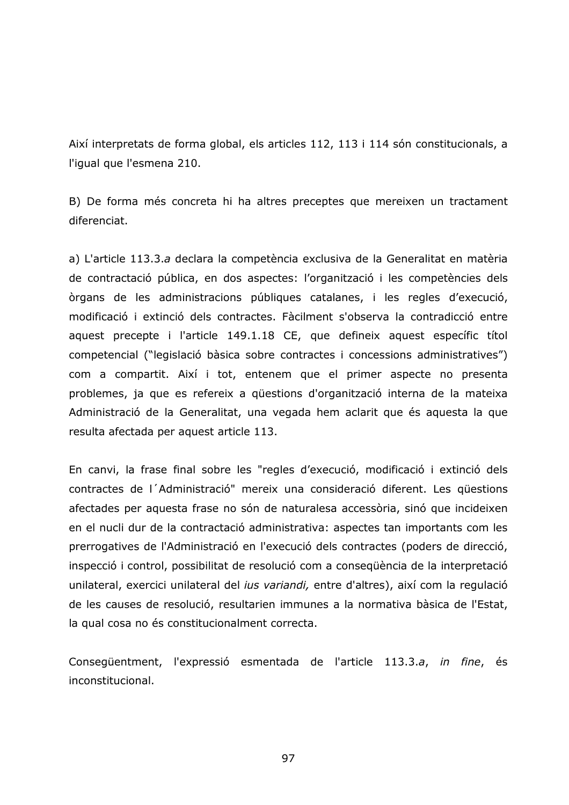Així interpretats de forma global, els articles 112, 113 i 114 són constitucionals, a l'igual que l'esmena 210.

B) De forma més concreta hi ha altres preceptes que mereixen un tractament diferenciat.

a) L'article 113.3.a declara la competència exclusiva de la Generalitat en matèria de contractació pública, en dos aspectes: l'organització i les competències dels òrgans de les administracions públiques catalanes, i les regles d'execució, modificació i extinció dels contractes. Fàcilment s'observa la contradicció entre aquest precepte i l'article 149.1.18 CE, que defineix aquest específic títol competencial ("legislació bàsica sobre contractes i concessions administratives") com a compartit. Així i tot, entenem que el primer aspecte no presenta problemes, ja que es refereix a qüestions d'organització interna de la mateixa Administració de la Generalitat, una vegada hem aclarit que és aquesta la que resulta afectada per aquest article 113.

En canvi, la frase final sobre les "regles d'execució, modificació i extinció dels contractes de l'Administració" mereix una consideració diferent. Les questions afectades per aquesta frase no són de naturalesa accessòria, sinó que incideixen en el nucli dur de la contractació administrativa: aspectes tan importants com les prerrogatives de l'Administració en l'execució dels contractes (poders de direcció, inspecció i control, possibilitat de resolució com a consegüència de la interpretació unilateral, exercici unilateral del *ius variandi*, entre d'altres), així com la regulació de les causes de resolució, resultarien immunes a la normativa bàsica de l'Estat, la qual cosa no és constitucionalment correcta.

Consegüentment, l'expressió esmentada de l'article 113.3.a, in fine, és inconstitucional.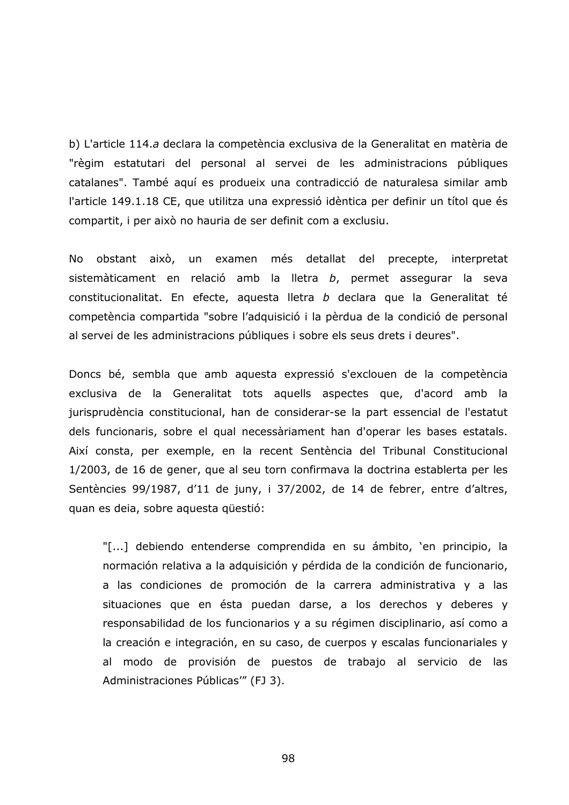b) L'article 114.a declara la competència exclusiva de la Generalitat en matèria de "règim estatutari del personal al servei de les administracions públiques catalanes". També aquí es produeix una contradicció de naturalesa similar amb l'article 149.1.18 CE, que utilitza una expressió idèntica per definir un títol que és compartit, i per això no hauria de ser definit com a exclusiu.

obstant això, un examen més detallat del precepte, interpretat No sistemàticament en relació amb la lletra b, permet assegurar la seva constitucionalitat. En efecte, aquesta lletra b declara que la Generalitat té competència compartida "sobre l'adquisició i la pèrdua de la condició de personal al servei de les administracions públiques i sobre els seus drets i deures".

Doncs bé, sembla que amb aquesta expressió s'exclouen de la competència exclusiva de la Generalitat tots aquells aspectes que, d'acord amb la jurisprudència constitucional, han de considerar-se la part essencial de l'estatut dels funcionaris, sobre el qual necessàriament han d'operar les bases estatals. Així consta, per exemple, en la recent Sentència del Tribunal Constitucional 1/2003, de 16 de gener, que al seu torn confirmava la doctrina establerta per les Sentències 99/1987, d'11 de juny, i 37/2002, de 14 de febrer, entre d'altres, quan es deia, sobre aquesta questió:

"[...] debiendo entenderse comprendida en su ámbito, 'en principio, la normación relativa a la adquisición y pérdida de la condición de funcionario, a las condiciones de promoción de la carrera administrativa y a las situaciones que en ésta puedan darse, a los derechos y deberes y responsabilidad de los funcionarios y a su régimen disciplinario, así como a la creación e integración, en su caso, de cuerpos y escalas funcionariales y al modo de provisión de puestos de trabajo al servicio de las Administraciones Públicas" (FJ 3).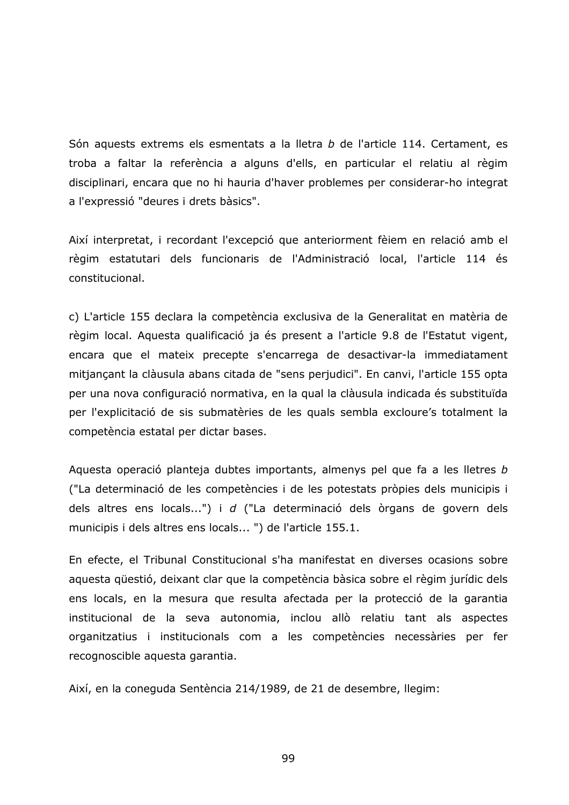Són aquests extrems els esmentats a la lletra b de l'article 114. Certament, es troba a faltar la referència a alguns d'ells, en particular el relatiu al règim disciplinari, encara que no hi hauria d'haver problemes per considerar-ho integrat a l'expressió "deures i drets bàsics".

Així interpretat, i recordant l'excepció que anteriorment fèiem en relació amb el règim estatutari dels funcionaris de l'Administració local, l'article 114 és constitucional.

c) L'article 155 declara la competència exclusiva de la Generalitat en matèria de règim local. Aquesta qualificació ja és present a l'article 9.8 de l'Estatut vigent, encara que el mateix precepte s'encarrega de desactivar-la immediatament mitjançant la clàusula abans citada de "sens perjudici". En canvi, l'article 155 opta per una nova configuració normativa, en la qual la clàusula indicada és substituïda per l'explicitació de sis submatèries de les quals sembla excloure's totalment la competència estatal per dictar bases.

Aquesta operació planteja dubtes importants, almenys pel que fa a les lletres b ("La determinació de les competències i de les potestats pròpies dels municipis i dels altres ens locals...") i d ("La determinació dels òrgans de govern dels municipis i dels altres ens locals...") de l'article 155.1.

En efecte, el Tribunal Constitucional s'ha manifestat en diverses ocasions sobre aquesta güestió, deixant clar que la competència bàsica sobre el règim jurídic dels ens locals, en la mesura que resulta afectada per la protecció de la garantia institucional de la seva autonomia, inclou allò relatiu tant als aspectes organitzatius i institucionals com a les competències necessàries per fer recognoscible aquesta garantia.

Així, en la coneguda Sentència 214/1989, de 21 de desembre, llegim: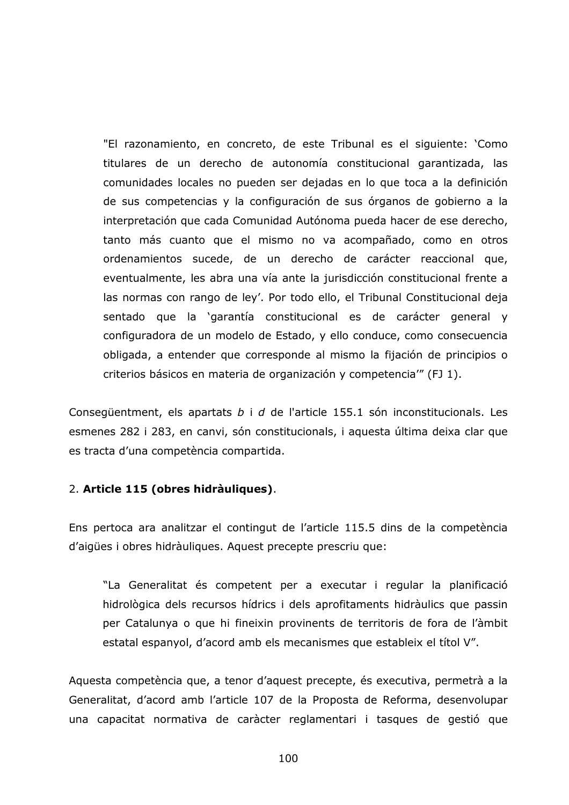"El razonamiento, en concreto, de este Tribunal es el siguiente: 'Como titulares de un derecho de autonomía constitucional garantizada, las comunidades locales no pueden ser dejadas en lo que toca a la definición de sus competencias y la configuración de sus órganos de gobierno a la interpretación que cada Comunidad Autónoma pueda hacer de ese derecho, tanto más cuanto que el mismo no va acompañado, como en otros ordenamientos sucede, de un derecho de carácter reaccional que, eventualmente, les abra una vía ante la jurisdicción constitucional frente a las normas con rango de ley'. Por todo ello, el Tribunal Constitucional deja sentado que la 'garantía constitucional es de carácter general y configuradora de un modelo de Estado, y ello conduce, como consecuencia obligada, a entender que corresponde al mismo la fijación de principios o criterios básicos en materia de organización y competencia" (FJ 1).

Consequentment, els apartats b i d de l'article 155.1 són inconstitucionals. Les esmenes 282 i 283, en canvi, són constitucionals, i aquesta última deixa clar que es tracta d'una competència compartida.

### 2. Article 115 (obres hidràuliques).

Ens pertoca ara analitzar el contingut de l'article 115.5 dins de la competència d'aigües i obres hidràuliques. Aquest precepte prescriu que:

"La Generalitat és competent per a executar i regular la planificació hidrològica dels recursos hídrics i dels aprofitaments hidràulics que passin per Catalunya o que hi fineixin provinents de territoris de fora de l'àmbit estatal espanyol, d'acord amb els mecanismes que estableix el títol V".

Aquesta competència que, a tenor d'aquest precepte, és executiva, permetrà a la Generalitat, d'acord amb l'article 107 de la Proposta de Reforma, desenvolupar una capacitat normativa de caràcter reglamentari i tasques de gestió que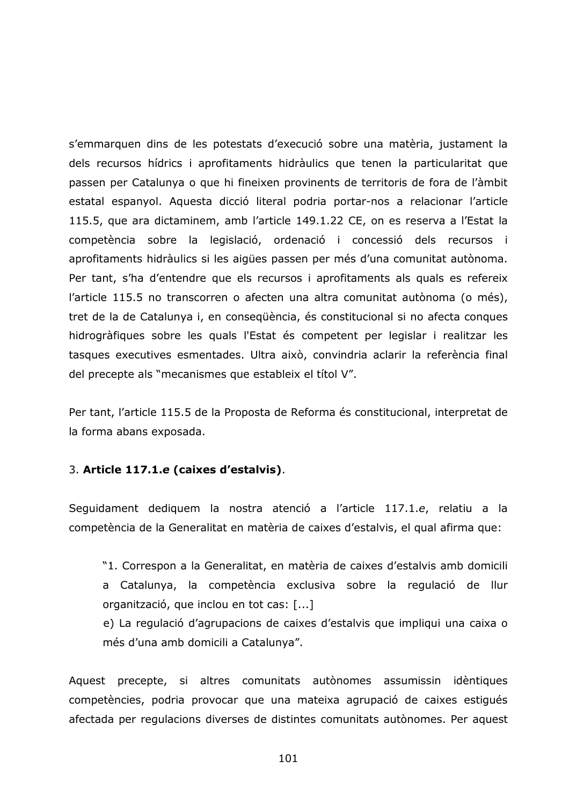s'emmarquen dins de les potestats d'execució sobre una matèria, justament la dels recursos hídrics i aprofitaments hidràulics que tenen la particularitat que passen per Catalunya o que hi fineixen provinents de territoris de fora de l'àmbit estatal espanyol. Aquesta dicció literal podria portar-nos a relacionar l'article 115.5, que ara dictaminem, amb l'article 149.1.22 CE, on es reserva a l'Estat la competència sobre la legislació, ordenació i concessió dels recursos i aprofitaments hidràulics si les aigües passen per més d'una comunitat autònoma. Per tant, s'ha d'entendre que els recursos i aprofitaments als quals es refereix l'article 115.5 no transcorren o afecten una altra comunitat autònoma (o més), tret de la de Catalunya i, en consegüència, és constitucional si no afecta conques hidrogràfiques sobre les quals l'Estat és competent per legislar i realitzar les tasques executives esmentades. Ultra això, convindria aclarir la referència final del precepte als "mecanismes que estableix el títol V".

Per tant, l'article 115.5 de la Proposta de Reforma és constitucional, interpretat de la forma abans exposada.

### 3. Article 117.1.e (caixes d'estalvis).

Sequidament dediquem la nostra atenció a l'article 117.1.e, relatiu a la competència de la Generalitat en matèria de caixes d'estalvis, el qual afirma que:

"1. Correspon a la Generalitat, en matèria de caixes d'estalvis amb domicili a Catalunya, la competència exclusiva sobre la regulació de llur organització, que inclou en tot cas: [...]

e) La regulació d'agrupacions de caixes d'estalvis que impliqui una caixa o més d'una amb domicili a Catalunya".

Aquest precepte, si altres comunitats autònomes assumissin idèntiques competències, podria provocar que una mateixa agrupació de caixes estigués afectada per regulacions diverses de distintes comunitats autònomes. Per aquest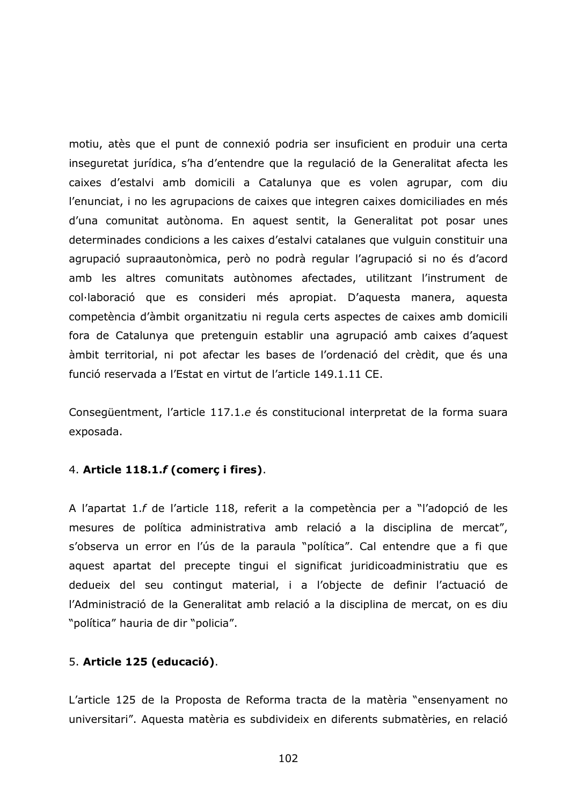motiu, atès que el punt de connexió podria ser insuficient en produir una certa inseguretat jurídica, s'ha d'entendre que la regulació de la Generalitat afecta les caixes d'estalvi amb domicili a Catalunya que es volen agrupar, com diu l'enunciat, i no les agrupacions de caixes que integren caixes domiciliades en més d'una comunitat autònoma. En aquest sentit, la Generalitat pot posar unes determinades condicions a les caixes d'estalvi catalanes que vulguin constituir una agrupació supraautonòmica, però no podrà regular l'agrupació si no és d'acord amb les altres comunitats autònomes afectades, utilitzant l'instrument de col·laboració que es consideri més apropiat. D'aquesta manera, aquesta competència d'àmbit organitzatiu ni regula certs aspectes de caixes amb domicili fora de Catalunya que pretenguin establir una agrupació amb caixes d'aquest àmbit territorial, ni pot afectar les bases de l'ordenació del crèdit, que és una funció reservada a l'Estat en virtut de l'article 149.1.11 CE.

Consegüentment, l'article 117.1.e és constitucional interpretat de la forma suara exposada.

### 4. Article 118.1.f (comerç i fires).

A l'apartat 1.f de l'article 118, referit a la competència per a "l'adopció de les mesures de política administrativa amb relació a la disciplina de mercat", s'observa un error en l'ús de la paraula "política". Cal entendre que a fi que aquest apartat del precepte tingui el significat juridicoadministratiu que es dedueix del seu contingut material, i a l'objecte de definir l'actuació de l'Administració de la Generalitat amb relació a la disciplina de mercat, on es diu "política" hauria de dir "policia".

### 5. Article 125 (educació).

L'article 125 de la Proposta de Reforma tracta de la matèria "ensenyament no universitari". Aquesta matèria es subdivideix en diferents submatèries, en relació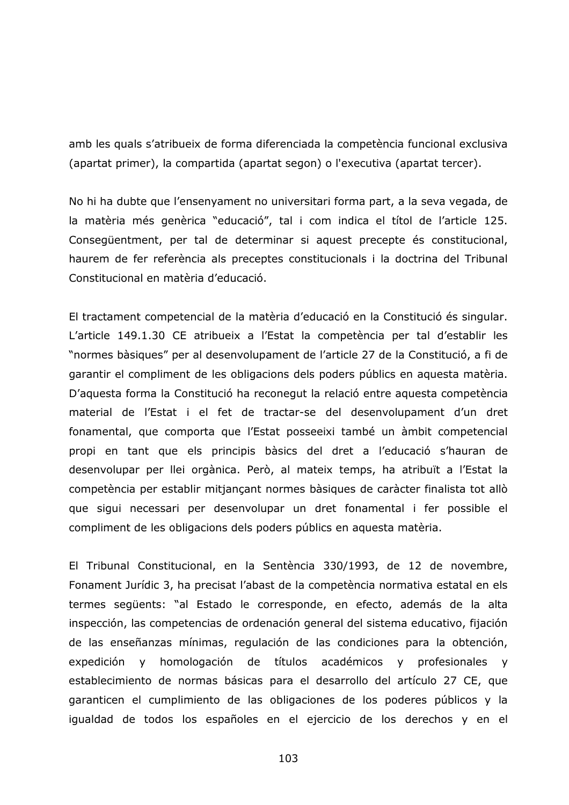amb les quals s'atribueix de forma diferenciada la competència funcional exclusiva (apartat primer), la compartida (apartat segon) o l'executiva (apartat tercer).

No hi ha dubte que l'ensenyament no universitari forma part, a la seva vegada, de la matèria més genèrica "educació", tal i com indica el títol de l'article 125. Consegüentment, per tal de determinar si aquest precepte és constitucional, haurem de fer referència als preceptes constitucionals i la doctrina del Tribunal Constitucional en matèria d'educació.

El tractament competencial de la matèria d'educació en la Constitució és singular. L'article 149.1.30 CE atribueix a l'Estat la competència per tal d'establir les "normes bàsiques" per al desenvolupament de l'article 27 de la Constitució, a fi de garantir el compliment de les obligacions dels poders públics en aquesta matèria. D'aquesta forma la Constitució ha reconegut la relació entre aquesta competència material de l'Estat i el fet de tractar-se del desenvolupament d'un dret fonamental, que comporta que l'Estat posseeixi també un àmbit competencial propi en tant que els principis bàsics del dret a l'educació s'hauran de desenvolupar per llei orgànica. Però, al mateix temps, ha atribuït a l'Estat la competència per establir mitjançant normes bàsiques de caràcter finalista tot allò que siqui necessari per desenvolupar un dret fonamental i fer possible el compliment de les obligacions dels poders públics en aquesta matèria.

El Tribunal Constitucional, en la Sentència 330/1993, de 12 de novembre, Fonament Jurídic 3, ha precisat l'abast de la competència normativa estatal en els termes següents: "al Estado le corresponde, en efecto, además de la alta inspección, las competencias de ordenación general del sistema educativo, fijación de las enseñanzas mínimas, regulación de las condiciones para la obtención, homologación de títulos académicos y profesionales y expedición y establecimiento de normas básicas para el desarrollo del artículo 27 CE, que garanticen el cumplimiento de las obligaciones de los poderes públicos y la igualdad de todos los españoles en el ejercicio de los derechos y en el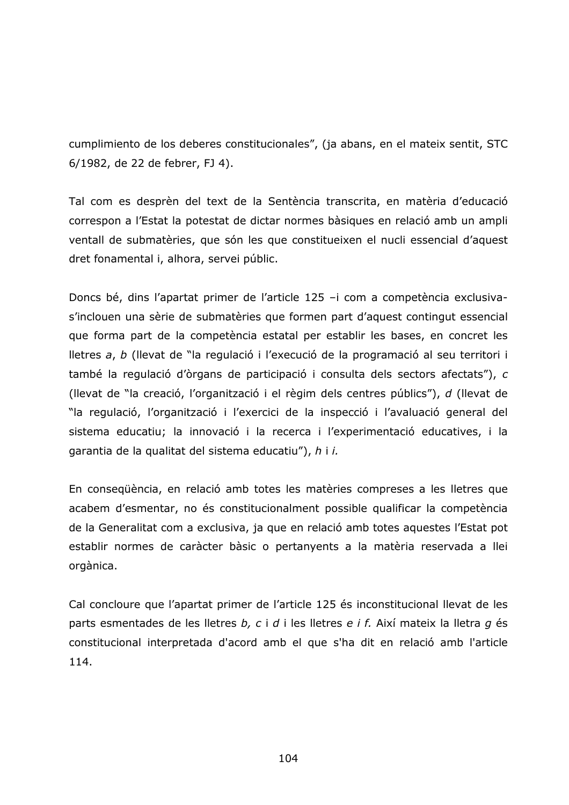cumplimiento de los deberes constitucionales", (ja abans, en el mateix sentit, STC 6/1982, de 22 de febrer, FJ 4).

Tal com es desprèn del text de la Sentència transcrita, en matèria d'educació correspon a l'Estat la potestat de dictar normes bàsiques en relació amb un ampli ventall de submatèries, que són les que constitueixen el nucli essencial d'aquest dret fonamental i, alhora, servei públic.

Doncs bé, dins l'apartat primer de l'article 125 -i com a competència exclusivas'inclouen una sèrie de submatèries que formen part d'aquest contingut essencial que forma part de la competència estatal per establir les bases, en concret les lletres a, b (llevat de "la regulació i l'execució de la programació al seu territori i també la regulació d'òrgans de participació i consulta dels sectors afectats"), c (llevat de "la creació, l'organització i el règim dels centres públics"), d (llevat de "la regulació, l'organització i l'exercici de la inspecció i l'avaluació general del sistema educatiu; la innovació i la recerca i l'experimentació educatives, i la garantia de la qualitat del sistema educatiu"), h i i.

En consequència, en relació amb totes les matèries compreses a les lletres que acabem d'esmentar, no és constitucionalment possible qualificar la competència de la Generalitat com a exclusiva, ja que en relació amb totes aquestes l'Estat pot establir normes de caràcter bàsic o pertanyents a la matèria reservada a llei orgànica.

Cal concloure que l'apartat primer de l'article 125 és inconstitucional llevat de les parts esmentades de les lletres b, c i d i les lletres e i f. Així mateix la lletra q és constitucional interpretada d'acord amb el que s'ha dit en relació amb l'article 114.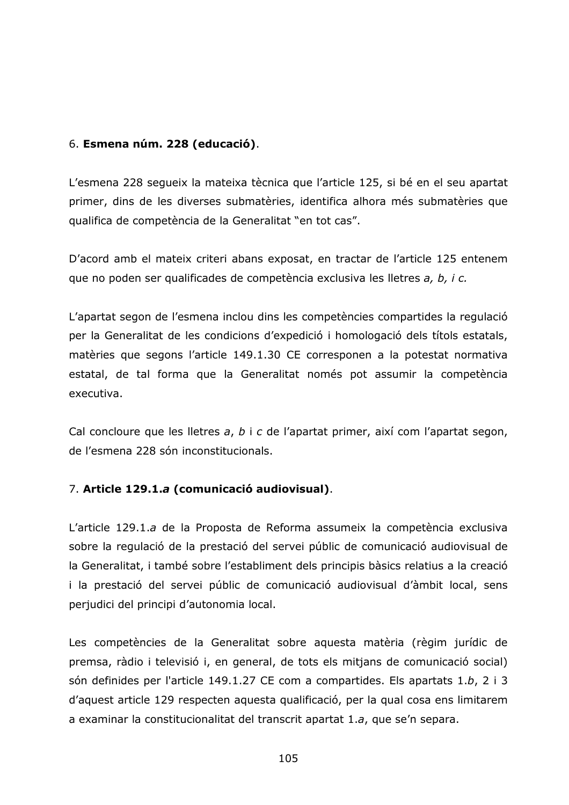# 6. Esmena núm. 228 (educació).

L'esmena 228 segueix la mateixa tècnica que l'article 125, si bé en el seu apartat primer, dins de les diverses submatèries, identifica alhora més submatèries que qualifica de competència de la Generalitat "en tot cas".

D'acord amb el mateix criteri abans exposat, en tractar de l'article 125 entenem que no poden ser qualificades de competència exclusiva les lletres a, b, i c.

L'apartat segon de l'esmena inclou dins les competències compartides la regulació per la Generalitat de les condicions d'expedició i homologació dels títols estatals, matèries que segons l'article 149.1.30 CE corresponen a la potestat normativa estatal, de tal forma que la Generalitat només pot assumir la competència executiva.

Cal concloure que les lletres a, b i c de l'apartat primer, així com l'apartat segon, de l'esmena 228 són inconstitucionals.

## 7. Article 129.1.a (comunicació audiovisual).

L'article 129.1.a de la Proposta de Reforma assumeix la competència exclusiva sobre la regulació de la prestació del servei públic de comunicació audiovisual de la Generalitat, i també sobre l'establiment dels principis bàsics relatius a la creació i la prestació del servei públic de comunicació audiovisual d'àmbit local, sens perjudici del principi d'autonomia local.

Les competències de la Generalitat sobre aquesta matèria (règim jurídic de premsa, ràdio i televisió i, en general, de tots els mitjans de comunicació social) són definides per l'article 149.1.27 CE com a compartides. Els apartats 1.b, 2 i 3 d'aquest article 129 respecten aquesta qualificació, per la qual cosa ens limitarem a examinar la constitucionalitat del transcrit apartat 1.a, que se'n separa.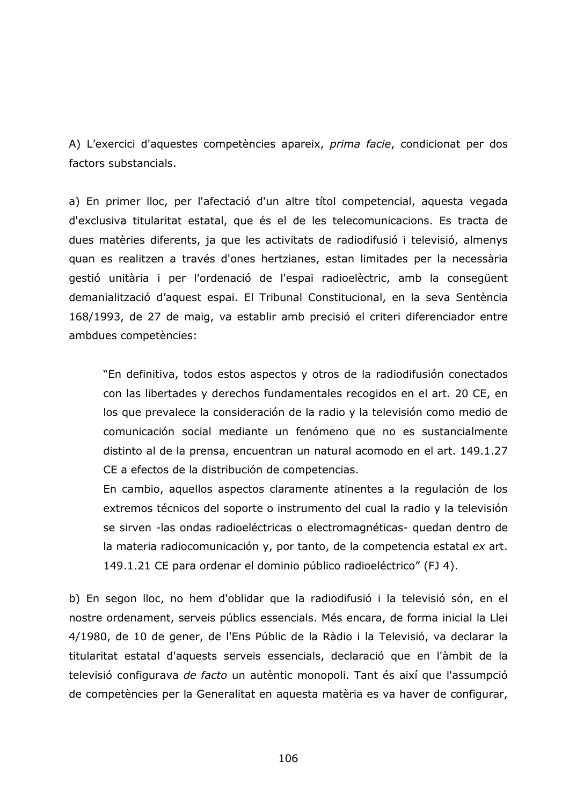A) L'exercici d'aquestes competències apareix, prima facie, condicionat per dos factors substancials.

a) En primer lloc, per l'afectació d'un altre títol competencial, aquesta vegada d'exclusiva titularitat estatal, que és el de les telecomunicacions. Es tracta de dues matèries diferents, ja que les activitats de radiodifusió i televisió, almenys guan es realitzen a través d'ones hertzianes, estan limitades per la necessària gestió unitària i per l'ordenació de l'espai radioelèctric, amb la consegüent demanialització d'aquest espai. El Tribunal Constitucional, en la seva Sentència 168/1993, de 27 de maig, va establir amb precisió el criteri diferenciador entre ambdues competències:

"En definitiva, todos estos aspectos y otros de la radiodifusión conectados con las libertades y derechos fundamentales recogidos en el art. 20 CE, en los que prevalece la consideración de la radio y la televisión como medio de comunicación social mediante un fenómeno que no es sustancialmente distinto al de la prensa, encuentran un natural acomodo en el art. 149.1.27 CE a efectos de la distribución de competencias.

En cambio, aquellos aspectos claramente atinentes a la regulación de los extremos técnicos del soporte o instrumento del cual la radio y la televisión se sirven -las ondas radioeléctricas o electromagnéticas- quedan dentro de la materia radiocomunicación y, por tanto, de la competencia estatal ex art. 149.1.21 CE para ordenar el dominio público radioeléctrico" (FJ 4).

b) En segon lloc, no hem d'oblidar que la radiodifusió i la televisió són, en el nostre ordenament, serveis públics essencials. Més encara, de forma inicial la Llei 4/1980, de 10 de gener, de l'Ens Públic de la Ràdio i la Televisió, va declarar la titularitat estatal d'aquests serveis essencials, declaració que en l'àmbit de la televisió configurava de facto un autèntic monopoli. Tant és així que l'assumpció de competències per la Generalitat en aquesta matèria es va haver de configurar,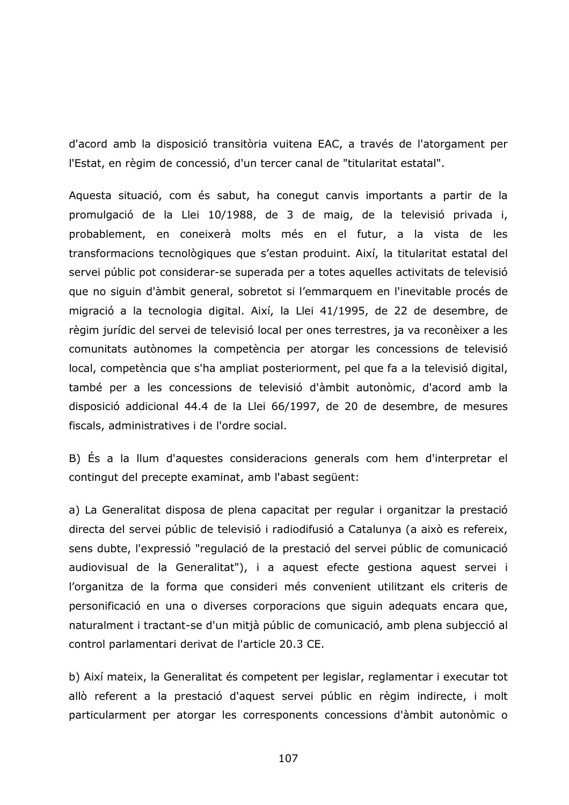d'acord amb la disposició transitòria vuitena EAC, a través de l'atorgament per l'Estat, en règim de concessió, d'un tercer canal de "titularitat estatal".

Aquesta situació, com és sabut, ha conegut canvis importants a partir de la promulgació de la Llei 10/1988, de 3 de maig, de la televisió privada i, probablement, en coneixerà molts més en el futur, a la vista de les transformacions tecnològiques que s'estan produint. Així, la titularitat estatal del servei públic pot considerar-se superada per a totes aquelles activitats de televisió que no siguin d'àmbit general, sobretot si l'emmarquem en l'inevitable procés de migració a la tecnologia digital. Així, la Llei 41/1995, de 22 de desembre, de règim jurídic del servei de televisió local per ones terrestres, ja va reconèixer a les comunitats autònomes la competència per atorgar les concessions de televisió local, competència que s'ha ampliat posteriorment, pel que fa a la televisió digital, també per a les concessions de televisió d'àmbit autonòmic, d'acord amb la disposició addicional 44.4 de la Llei 66/1997, de 20 de desembre, de mesures fiscals, administratives i de l'ordre social.

B) És a la llum d'aguestes consideracions generals com hem d'interpretar el contingut del precepte examinat, amb l'abast sequent:

a) La Generalitat disposa de plena capacitat per regular i organitzar la prestació directa del servei públic de televisió i radiodifusió a Catalunya (a això es refereix, sens dubte, l'expressió "regulació de la prestació del servei públic de comunicació audiovisual de la Generalitat"), i a aquest efecte gestiona aquest servei i l'organitza de la forma que consideri més convenient utilitzant els criteris de personificació en una o diverses corporacions que siguin adequats encara que, naturalment i tractant-se d'un mitjà públic de comunicació, amb plena subjecció al control parlamentari derivat de l'article 20.3 CE.

b) Així mateix, la Generalitat és competent per legislar, reglamentar i executar tot allò referent a la prestació d'aquest servei públic en règim indirecte, i molt particularment per atorgar les corresponents concessions d'àmbit autonòmic o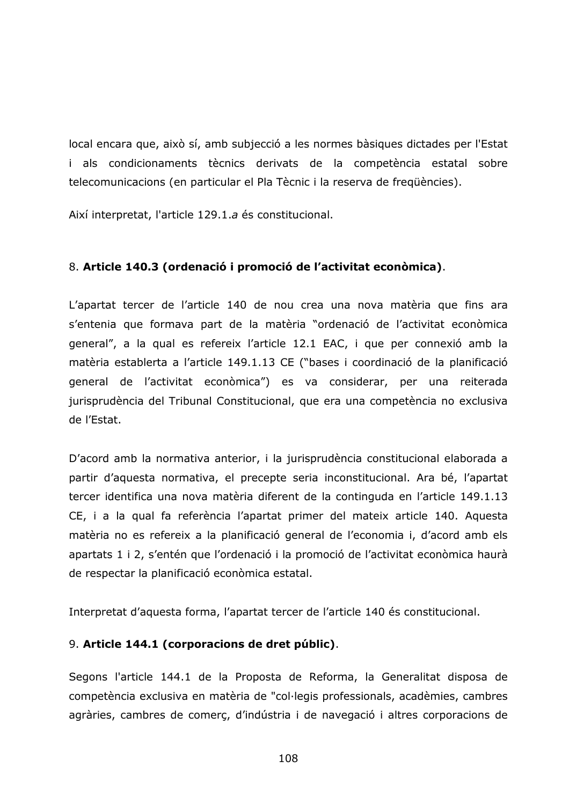local encara que, això sí, amb subjecció a les normes bàsiques dictades per l'Estat i als condicionaments tècnics derivats de la competència estatal sobre telecomunicacions (en particular el Pla Tècnic i la reserva de freqüències).

Així interpretat, l'article 129.1.a és constitucional.

## 8. Article 140.3 (ordenació i promoció de l'activitat econòmica).

L'apartat tercer de l'article 140 de nou crea una nova matèria que fins ara s'entenia que formava part de la matèria "ordenació de l'activitat econòmica general", a la qual es refereix l'article 12.1 EAC, i que per connexió amb la matèria establerta a l'article 149.1.13 CE ("bases i coordinació de la planificació general de l'activitat econòmica") es va considerar, per una reiterada jurisprudència del Tribunal Constitucional, que era una competència no exclusiva de l'Estat.

D'acord amb la normativa anterior, i la jurisprudència constitucional elaborada a partir d'aquesta normativa, el precepte seria inconstitucional. Ara bé, l'apartat tercer identifica una nova matèria diferent de la continguda en l'article 149.1.13 CE, i a la qual fa referència l'apartat primer del mateix article 140. Aquesta matèria no es refereix a la planificació general de l'economia i, d'acord amb els apartats 1 i 2, s'entén que l'ordenació i la promoció de l'activitat econòmica haurà de respectar la planificació econòmica estatal.

Interpretat d'aquesta forma, l'apartat tercer de l'article 140 és constitucional.

## 9. Article 144.1 (corporacions de dret públic).

Segons l'article 144.1 de la Proposta de Reforma, la Generalitat disposa de competència exclusiva en matèria de "col·legis professionals, acadèmies, cambres agràries, cambres de comerç, d'indústria i de navegació i altres corporacions de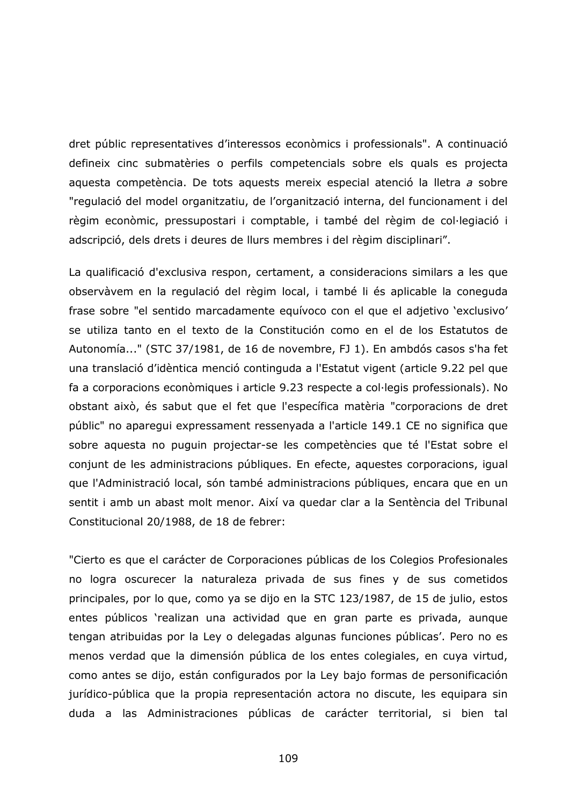dret públic representatives d'interessos econòmics i professionals". A continuació defineix cinc submatèries o perfils competencials sobre els quals es projecta aquesta competència. De tots aquests mereix especial atenció la lletra a sobre "regulació del model organitzatiu, de l'organització interna, del funcionament i del règim econòmic, pressupostari i comptable, i també del règim de col·legiació i adscripció, dels drets i deures de llurs membres i del règim disciplinari".

La qualificació d'exclusiva respon, certament, a consideracions similars a les que observàvem en la regulació del règim local, i també li és aplicable la coneguda frase sobre "el sentido marcadamente equívoco con el que el adjetivo 'exclusivo' se utiliza tanto en el texto de la Constitución como en el de los Estatutos de Autonomía..." (STC 37/1981, de 16 de novembre, FJ 1). En ambdós casos s'ha fet una translació d'idèntica menció continguda a l'Estatut vigent (article 9.22 pel que fa a corporacions econòmiques i article 9.23 respecte a col·legis professionals). No obstant això, és sabut que el fet que l'específica matèria "corporacions de dret públic" no aparegui expressament ressenyada a l'article 149.1 CE no significa que sobre aquesta no puguin projectar-se les competències que té l'Estat sobre el conjunt de les administracions públiques. En efecte, aquestes corporacions, igual que l'Administració local, són també administracions públiques, encara que en un sentit i amb un abast molt menor. Així va quedar clar a la Sentència del Tribunal Constitucional 20/1988, de 18 de febrer:

"Cierto es que el carácter de Corporaciones públicas de los Colegios Profesionales no logra oscurecer la naturaleza privada de sus fines y de sus cometidos principales, por lo que, como ya se dijo en la STC 123/1987, de 15 de julio, estos entes públicos 'realizan una actividad que en gran parte es privada, aunque tengan atribuidas por la Ley o delegadas algunas funciones públicas'. Pero no es menos verdad que la dimensión pública de los entes colegiales, en cuya virtud, como antes se dijo, están configurados por la Ley bajo formas de personificación jurídico-pública que la propia representación actora no discute, les equipara sin duda a las Administraciones públicas de carácter territorial, si bien tal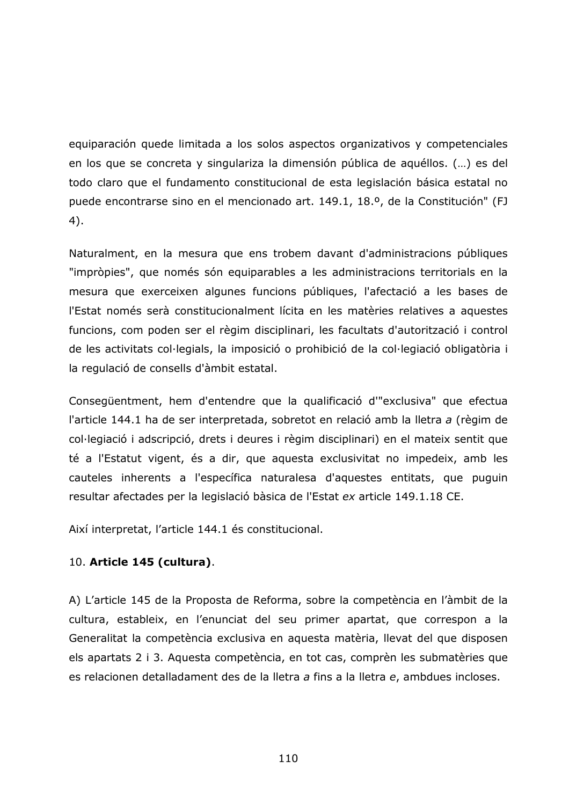equiparación quede limitada a los solos aspectos organizativos y competenciales en los que se concreta y singulariza la dimensión pública de aquéllos. (...) es del todo claro que el fundamento constitucional de esta legislación básica estatal no puede encontrarse sino en el mencionado art. 149.1, 18.º, de la Constitución" (FJ  $4).$ 

Naturalment, en la mesura que ens trobem davant d'administracions públiques "impròpies", que només són equiparables a les administracions territorials en la mesura que exerceixen algunes funcions públiques, l'afectació a les bases de l'Estat només serà constitucionalment lícita en les matèries relatives a aquestes funcions, com poden ser el règim disciplinari, les facultats d'autorització i control de les activitats col·legials, la imposició o prohibició de la col·legiació obligatòria i la regulació de consells d'àmbit estatal.

Consegüentment, hem d'entendre que la qualificació d'"exclusiva" que efectua l'article 144.1 ha de ser interpretada, sobretot en relació amb la lletra a (règim de col·legiació i adscripció, drets i deures i règim disciplinari) en el mateix sentit que té a l'Estatut vigent, és a dir, que aquesta exclusivitat no impedeix, amb les cauteles inherents a l'específica naturalesa d'aquestes entitats, que puguin resultar afectades per la legislació bàsica de l'Estat ex article 149.1.18 CE.

Així interpretat, l'article 144.1 és constitucional.

# 10. Article 145 (cultura).

A) L'article 145 de la Proposta de Reforma, sobre la competència en l'àmbit de la cultura, estableix, en l'enunciat del seu primer apartat, que correspon a la Generalitat la competència exclusiva en aquesta matèria, llevat del que disposen els apartats 2 i 3. Aquesta competència, en tot cas, comprèn les submatèries que es relacionen detalladament des de la lletra a fins a la lletra e, ambdues incloses.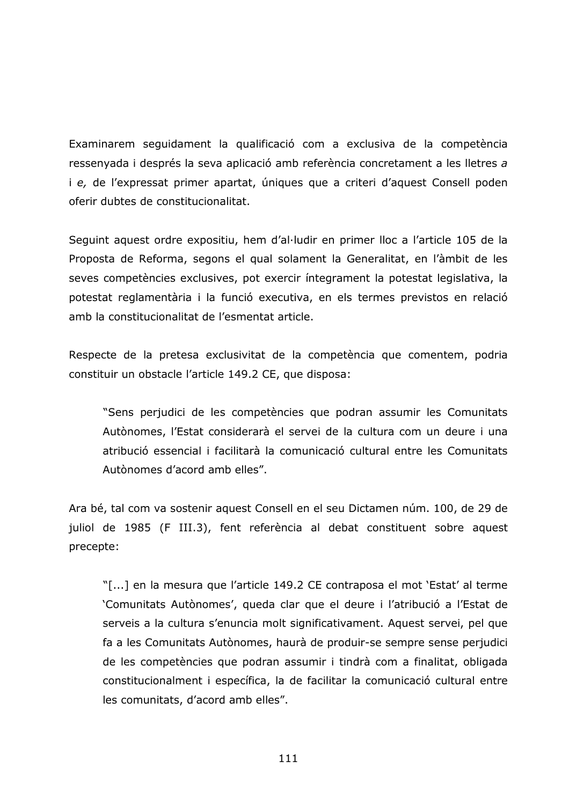Examinarem seguidament la qualificació com a exclusiva de la competència ressenyada i després la seva aplicació amb referència concretament a les lletres a i e, de l'expressat primer apartat, úniques que a criteri d'aquest Consell poden oferir dubtes de constitucionalitat.

Seguint aquest ordre expositiu, hem d'al·ludir en primer lloc a l'article 105 de la Proposta de Reforma, segons el qual solament la Generalitat, en l'àmbit de les seves competències exclusives, pot exercir integrament la potestat legislativa, la potestat reglamentària i la funció executiva, en els termes previstos en relació amb la constitucionalitat de l'esmentat article.

Respecte de la pretesa exclusivitat de la competència que comentem, podria constituir un obstacle l'article 149.2 CE, que disposa:

"Sens perjudici de les competències que podran assumir les Comunitats Autònomes, l'Estat considerarà el servei de la cultura com un deure i una atribució essencial i facilitarà la comunicació cultural entre les Comunitats Autònomes d'acord amb elles".

Ara bé, tal com va sostenir aquest Consell en el seu Dictamen núm. 100, de 29 de juliol de 1985 (F III.3), fent referència al debat constituent sobre aquest precepte:

"[...] en la mesura que l'article 149.2 CE contraposa el mot 'Estat' al terme 'Comunitats Autònomes', queda clar que el deure i l'atribució a l'Estat de serveis a la cultura s'enuncia molt significativament. Aquest servei, pel que fa a les Comunitats Autònomes, haurà de produir-se sempre sense perjudici de les competències que podran assumir i tindrà com a finalitat, obligada constitucionalment i específica, la de facilitar la comunicació cultural entre les comunitats, d'acord amb elles".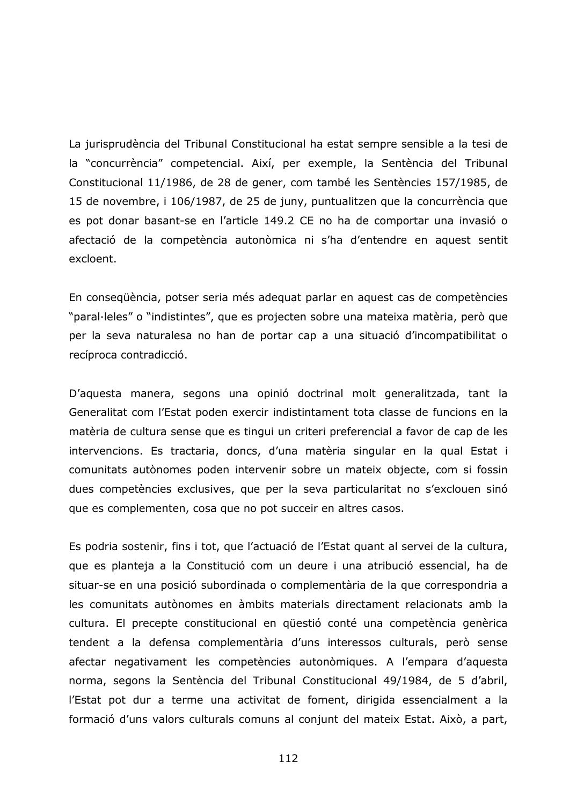La jurisprudència del Tribunal Constitucional ha estat sempre sensible a la tesi de la "concurrència" competencial. Així, per exemple, la Sentència del Tribunal Constitucional 11/1986, de 28 de gener, com també les Sentències 157/1985, de 15 de novembre, i 106/1987, de 25 de juny, puntualitzen que la concurrència que es pot donar basant-se en l'article 149.2 CE no ha de comportar una invasió o afectació de la competència autonòmica ni s'ha d'entendre en aquest sentit excloent.

En consequència, potser seria més adequat parlar en aquest cas de competències "paral·leles" o "indistintes", que es projecten sobre una mateixa matèria, però que per la seva naturalesa no han de portar cap a una situació d'incompatibilitat o recíproca contradicció.

D'aquesta manera, segons una opinió doctrinal molt generalitzada, tant la Generalitat com l'Estat poden exercir indistintament tota classe de funcions en la matèria de cultura sense que es tingui un criteri preferencial a favor de cap de les intervencions. Es tractaria, doncs, d'una matèria singular en la qual Estat i comunitats autònomes poden intervenir sobre un mateix objecte, com si fossin dues competències exclusives, que per la seva particularitat no s'exclouen sinó que es complementen, cosa que no pot succeir en altres casos.

Es podria sostenir, fins i tot, que l'actuació de l'Estat quant al servei de la cultura, que es planteja a la Constitució com un deure i una atribució essencial, ha de situar-se en una posició subordinada o complementària de la que correspondria a les comunitats autònomes en àmbits materials directament relacionats amb la cultura. El precepte constitucional en qüestió conté una competència genèrica tendent a la defensa complementària d'uns interessos culturals, però sense afectar negativament les competències autonòmiques. A l'empara d'aquesta norma, segons la Sentència del Tribunal Constitucional 49/1984, de 5 d'abril, l'Estat pot dur a terme una activitat de foment, dirigida essencialment a la formació d'uns valors culturals comuns al conjunt del mateix Estat. Això, a part,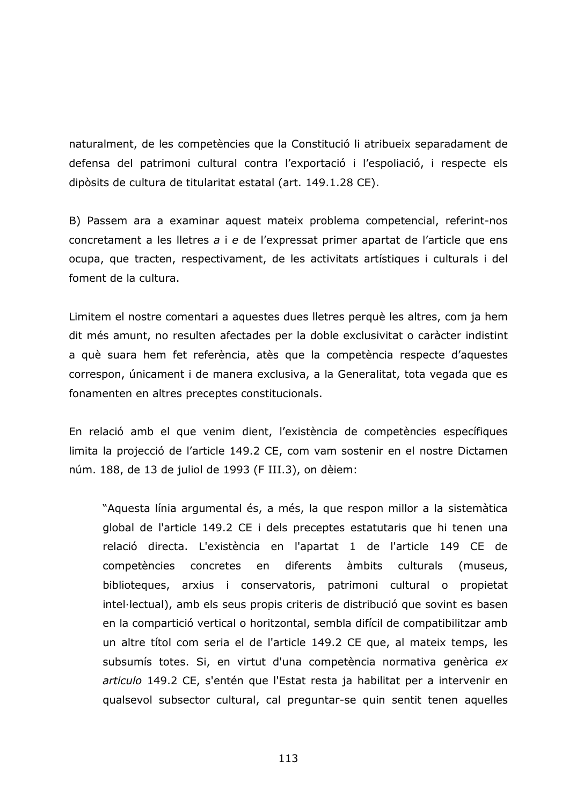naturalment, de les competències que la Constitució li atribueix separadament de defensa del patrimoni cultural contra l'exportació i l'espoliació, i respecte els dipòsits de cultura de titularitat estatal (art. 149.1.28 CE).

B) Passem ara a examinar aquest mateix problema competencial, referint-nos concretament a les lletres a i e de l'expressat primer apartat de l'article que ens ocupa, que tracten, respectivament, de les activitats artístiques i culturals i del foment de la cultura.

Limitem el nostre comentari a aquestes dues lletres perquè les altres, com ja hem dit més amunt, no resulten afectades per la doble exclusivitat o caràcter indistint a què suara hem fet referència, atès que la competència respecte d'aquestes correspon, únicament i de manera exclusiva, a la Generalitat, tota vegada que es fonamenten en altres preceptes constitucionals.

En relació amb el que venim dient, l'existència de competències específiques limita la projecció de l'article 149.2 CE, com vam sostenir en el nostre Dictamen núm. 188, de 13 de juliol de 1993 (F III.3), on dèiem:

"Aquesta línia argumental és, a més, la que respon millor a la sistemàtica global de l'article 149.2 CE i dels preceptes estatutaris que hi tenen una relació directa. L'existència en l'apartat 1 de l'article 149 CE de competències concretes en diferents àmbits culturals (museus, biblioteques, arxius i conservatoris, patrimoni cultural o propietat intel·lectual), amb els seus propis criteris de distribució que sovint es basen en la compartició vertical o horitzontal, sembla difícil de compatibilitzar amb un altre títol com seria el de l'article 149.2 CE que, al mateix temps, les subsumís totes. Si, en virtut d'una competència normativa genèrica ex articulo 149.2 CE, s'entén que l'Estat resta ja habilitat per a intervenir en qualsevol subsector cultural, cal preguntar-se quin sentit tenen aquelles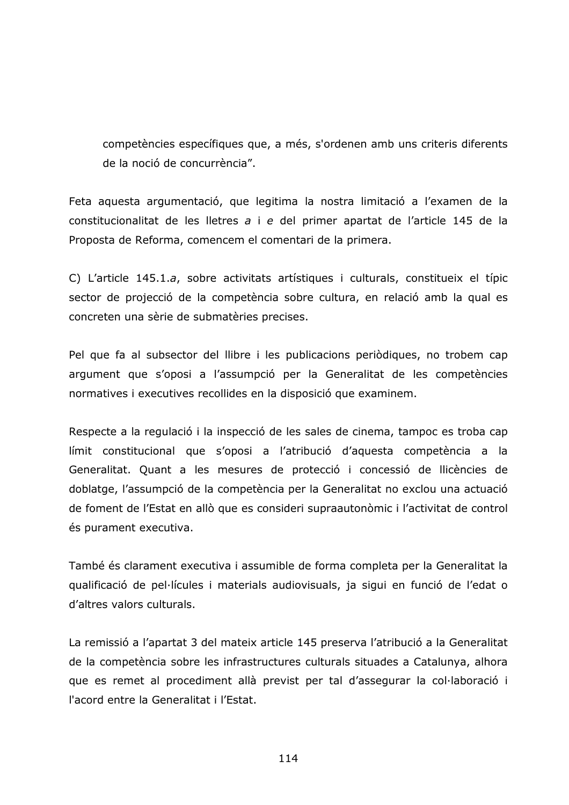competències específiques que, a més, s'ordenen amb uns criteris diferents de la noció de concurrència".

Feta aquesta argumentació, que legitima la nostra limitació a l'examen de la constitucionalitat de les lletres a i e del primer apartat de l'article 145 de la Proposta de Reforma, comencem el comentari de la primera.

C) L'article 145.1.a, sobre activitats artístiques i culturals, constitueix el típic sector de projecció de la competència sobre cultura, en relació amb la qual es concreten una sèrie de submatèries precises.

Pel que fa al subsector del llibre i les publicacions periòdiques, no trobem cap argument que s'oposi a l'assumpció per la Generalitat de les competències normatives i executives recollides en la disposició que examinem.

Respecte a la regulació i la inspecció de les sales de cinema, tampoc es troba cap límit constitucional que s'oposi a l'atribució d'aquesta competència a la Generalitat. Quant a les mesures de protecció i concessió de llicències de doblatge, l'assumpció de la competència per la Generalitat no exclou una actuació de foment de l'Estat en allò que es consideri supraautonòmic i l'activitat de control és purament executiva.

També és clarament executiva i assumible de forma completa per la Generalitat la qualificació de pel·lícules i materials audiovisuals, ja sigui en funció de l'edat o d'altres valors culturals.

La remissió a l'apartat 3 del mateix article 145 preserva l'atribució a la Generalitat de la competència sobre les infrastructures culturals situades a Catalunya, alhora que es remet al procediment allà previst per tal d'assegurar la col·laboració i l'acord entre la Generalitat i l'Estat.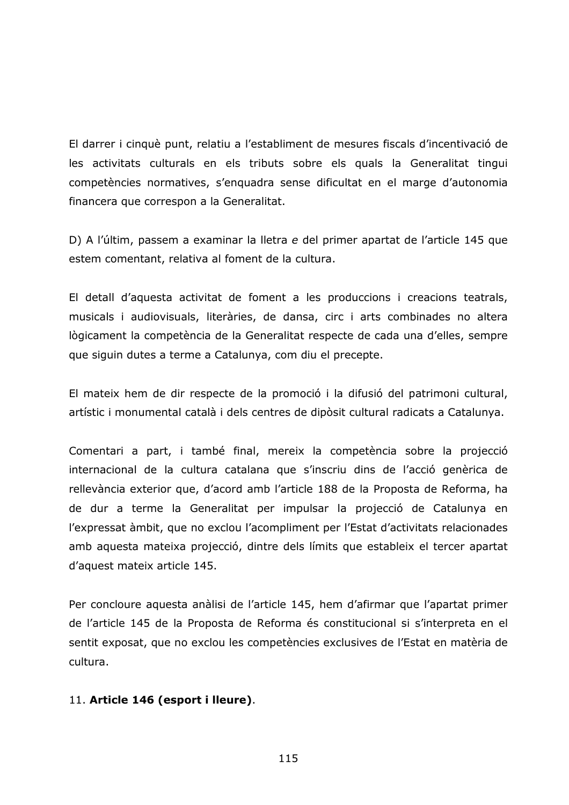El darrer i cinquè punt, relatiu a l'establiment de mesures fiscals d'incentivació de les activitats culturals en els tributs sobre els quals la Generalitat tingui competències normatives, s'enquadra sense dificultat en el marge d'autonomia financera que correspon a la Generalitat.

D) A l'últim, passem a examinar la lletra e del primer apartat de l'article 145 que estem comentant, relativa al foment de la cultura.

El detall d'aquesta activitat de foment a les produccions i creacions teatrals, musicals i audiovisuals, literàries, de dansa, circ i arts combinades no altera lògicament la competència de la Generalitat respecte de cada una d'elles, sempre que siguin dutes a terme a Catalunya, com diu el precepte.

El mateix hem de dir respecte de la promoció i la difusió del patrimoni cultural, artístic i monumental català i dels centres de dipòsit cultural radicats a Catalunya.

Comentari a part, i també final, mereix la competència sobre la projecció internacional de la cultura catalana que s'inscriu dins de l'acció genèrica de rellevància exterior que, d'acord amb l'article 188 de la Proposta de Reforma, ha de dur a terme la Generalitat per impulsar la projecció de Catalunya en l'expressat àmbit, que no exclou l'acompliment per l'Estat d'activitats relacionades amb aquesta mateixa projecció, dintre dels límits que estableix el tercer apartat d'aquest mateix article 145.

Per concloure aquesta anàlisi de l'article 145, hem d'afirmar que l'apartat primer de l'article 145 de la Proposta de Reforma és constitucional si s'interpreta en el sentit exposat, que no exclou les competències exclusives de l'Estat en matèria de cultura.

# 11. Article 146 (esport i lleure).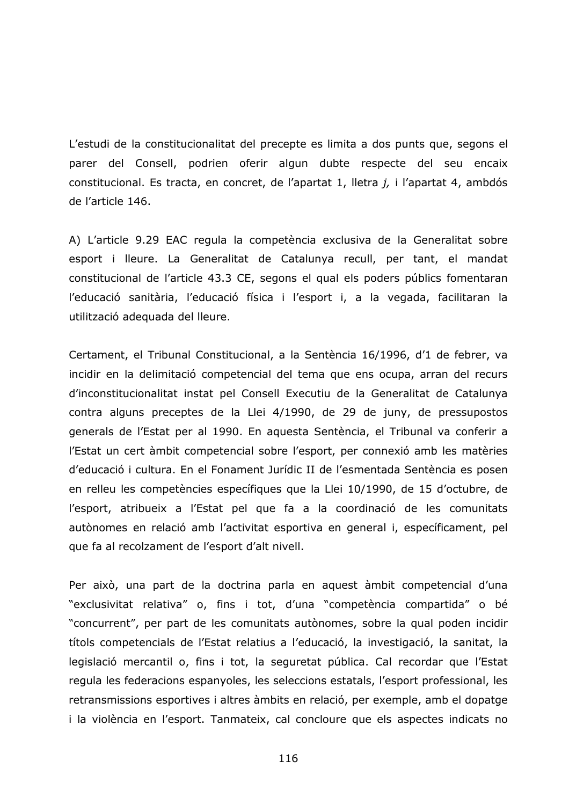L'estudi de la constitucionalitat del precepte es limita a dos punts que, segons el parer del Consell, podrien oferir algun dubte respecte del seu encaix constitucional. Es tracta, en concret, de l'apartat 1, lletra j, i l'apartat 4, ambdós de l'article 146.

A) L'article 9.29 EAC regula la competència exclusiva de la Generalitat sobre esport i lleure. La Generalitat de Catalunya recull, per tant, el mandat constitucional de l'article 43.3 CE, segons el qual els poders públics fomentaran l'educació sanitària, l'educació física i l'esport i, a la vegada, facilitaran la utilització adequada del lleure.

Certament, el Tribunal Constitucional, a la Sentència 16/1996, d'1 de febrer, va incidir en la delimitació competencial del tema que ens ocupa, arran del recurs d'inconstitucionalitat instat pel Consell Executiu de la Generalitat de Catalunya contra alguns preceptes de la Llei 4/1990, de 29 de juny, de pressupostos generals de l'Estat per al 1990. En aquesta Sentència, el Tribunal va conferir a l'Estat un cert àmbit competencial sobre l'esport, per connexió amb les matèries d'educació i cultura. En el Fonament Jurídic II de l'esmentada Sentència es posen en relleu les competències específiques que la Llei 10/1990, de 15 d'octubre, de l'esport, atribueix a l'Estat pel que fa a la coordinació de les comunitats autònomes en relació amb l'activitat esportiva en general i, específicament, pel que fa al recolzament de l'esport d'alt nivell.

Per això, una part de la doctrina parla en aquest àmbit competencial d'una "exclusivitat relativa" o, fins i tot, d'una "competència compartida" o bé "concurrent", per part de les comunitats autònomes, sobre la qual poden incidir títols competencials de l'Estat relatius a l'educació, la investigació, la sanitat, la legislació mercantil o, fins i tot, la seguretat pública. Cal recordar que l'Estat regula les federacions espanyoles, les seleccions estatals, l'esport professional, les retransmissions esportives i altres àmbits en relació, per exemple, amb el dopatge i la violència en l'esport. Tanmateix, cal concloure que els aspectes indicats no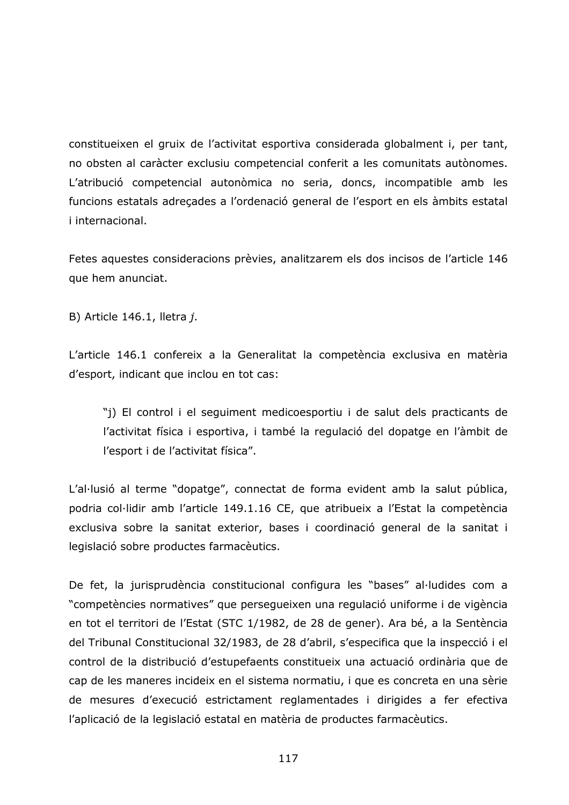constitueixen el gruix de l'activitat esportiva considerada globalment i, per tant, no obsten al caràcter exclusiu competencial conferit a les comunitats autònomes. L'atribució competencial autonòmica no seria, doncs, incompatible amb les funcions estatals adreçades a l'ordenació general de l'esport en els àmbits estatal *i* internacional.

Fetes aquestes consideracions prèvies, analitzarem els dos incisos de l'article 146 que hem anunciat.

B) Article 146.1, lletra j.

L'article 146.1 confereix a la Generalitat la competència exclusiva en matèria d'esport, indicant que inclou en tot cas:

"j) El control i el seguiment medicoesportiu i de salut dels practicants de l'activitat física i esportiva, i també la regulació del dopatge en l'àmbit de l'esport i de l'activitat física".

L'al·lusió al terme "dopatge", connectat de forma evident amb la salut pública, podria col·lidir amb l'article 149.1.16 CE, que atribueix a l'Estat la competència exclusiva sobre la sanitat exterior, bases i coordinació general de la sanitat i legislació sobre productes farmacèutics.

De fet, la jurisprudència constitucional configura les "bases" al·ludides com a "competències normatives" que persequeixen una regulació uniforme i de vigència en tot el territori de l'Estat (STC 1/1982, de 28 de gener). Ara bé, a la Sentència del Tribunal Constitucional 32/1983, de 28 d'abril, s'especifica que la inspecció i el control de la distribució d'estupefaents constitueix una actuació ordinària que de cap de les maneres incideix en el sistema normatiu, i que es concreta en una sèrie de mesures d'execució estrictament reglamentades i dirigides a fer efectiva l'aplicació de la legislació estatal en matèria de productes farmacèutics.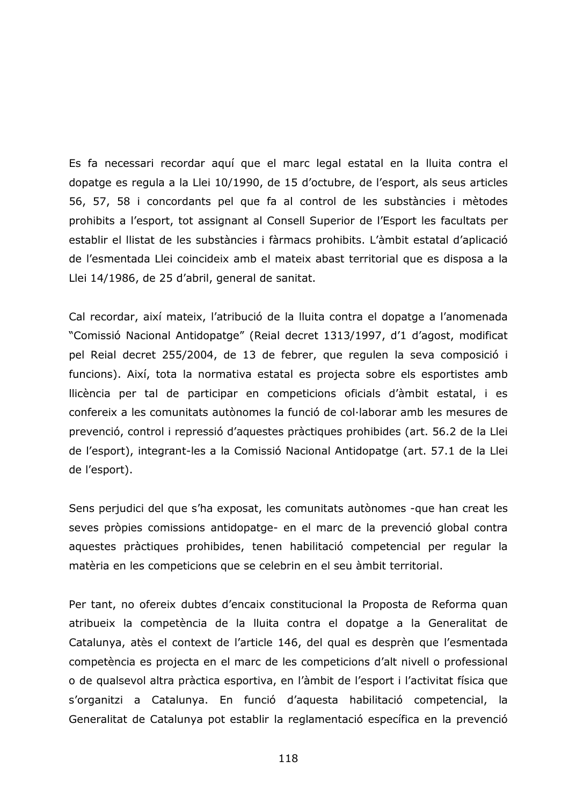Es fa necessari recordar aquí que el marc legal estatal en la lluita contra el dopatge es regula a la Llei 10/1990, de 15 d'octubre, de l'esport, als seus articles 56, 57, 58 i concordants pel que fa al control de les substàncies i mètodes prohibits a l'esport, tot assignant al Consell Superior de l'Esport les facultats per establir el llistat de les substàncies i fàrmacs prohibits. L'àmbit estatal d'aplicació de l'esmentada Llei coincideix amb el mateix abast territorial que es disposa a la Llei 14/1986, de 25 d'abril, general de sanitat.

Cal recordar, així mateix, l'atribució de la lluita contra el dopatge a l'anomenada "Comissió Nacional Antidopatge" (Reial decret 1313/1997, d'1 d'agost, modificat pel Reial decret 255/2004, de 13 de febrer, que regulen la seva composició i funcions). Així, tota la normativa estatal es projecta sobre els esportistes amb Ilicència per tal de participar en competicions oficials d'àmbit estatal, i es confereix a les comunitats autònomes la funció de col·laborar amb les mesures de prevenció, control i repressió d'aquestes pràctiques prohibides (art. 56.2 de la Llei de l'esport), integrant-les a la Comissió Nacional Antidopatge (art. 57.1 de la Llei de l'esport).

Sens perjudici del que s'ha exposat, les comunitats autònomes -que han creat les seves pròpies comissions antidopatge- en el marc de la prevenció global contra aquestes pràctiques prohibides, tenen habilitació competencial per regular la matèria en les competicions que se celebrin en el seu àmbit territorial.

Per tant, no ofereix dubtes d'encaix constitucional la Proposta de Reforma quan atribueix la competència de la lluita contra el dopatge a la Generalitat de Catalunya, atès el context de l'article 146, del qual es desprèn que l'esmentada competència es projecta en el marc de les competicions d'alt nivell o professional o de qualsevol altra pràctica esportiva, en l'àmbit de l'esport i l'activitat física que s'organitzi a Catalunya. En funció d'aquesta habilitació competencial, la Generalitat de Catalunya pot establir la reglamentació específica en la prevenció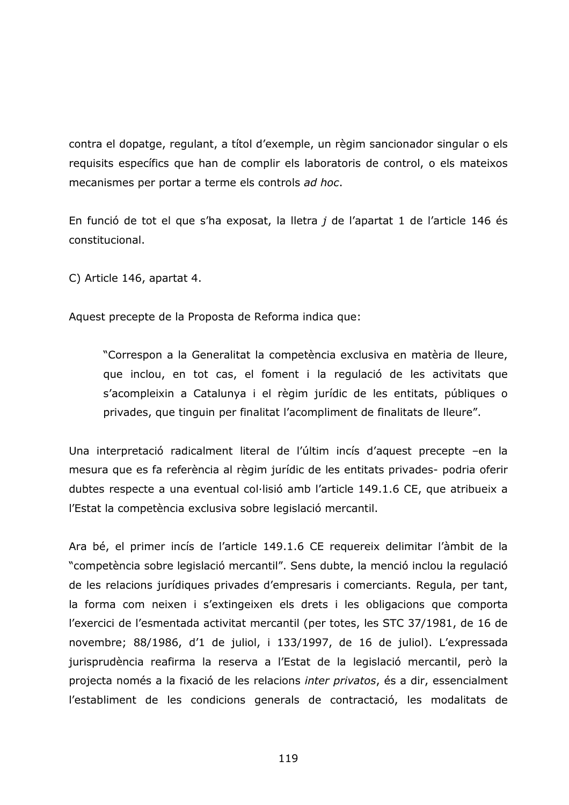contra el dopatge, regulant, a títol d'exemple, un règim sancionador singular o els requisits específics que han de complir els laboratoris de control, o els mateixos mecanismes per portar a terme els controls ad hoc.

En funció de tot el que s'ha exposat, la lletra j de l'apartat 1 de l'article 146 és constitucional.

C) Article 146, apartat 4.

Aquest precepte de la Proposta de Reforma indica que:

"Correspon a la Generalitat la competència exclusiva en matèria de lleure, que inclou, en tot cas, el foment i la regulació de les activitats que s'acompleixin a Catalunya i el règim jurídic de les entitats, públiques o privades, que tinguin per finalitat l'acompliment de finalitats de lleure".

Una interpretació radicalment literal de l'últim incís d'aquest precepte -en la mesura que es fa referència al règim jurídic de les entitats privades- podria oferir dubtes respecte a una eventual col·lisió amb l'article 149.1.6 CE, que atribueix a l'Estat la competència exclusiva sobre legislació mercantil.

Ara bé, el primer incís de l'article 149.1.6 CE requereix delimitar l'àmbit de la "competència sobre legislació mercantil". Sens dubte, la menció inclou la regulació de les relacions jurídiques privades d'empresaris i comerciants. Regula, per tant, la forma com neixen i s'extingeixen els drets i les obligacions que comporta l'exercici de l'esmentada activitat mercantil (per totes, les STC 37/1981, de 16 de novembre; 88/1986, d'1 de juliol, i 133/1997, de 16 de juliol). L'expressada jurisprudència reafirma la reserva a l'Estat de la legislació mercantil, però la projecta només a la fixació de les relacions inter privatos, és a dir, essencialment l'establiment de les condicions generals de contractació, les modalitats de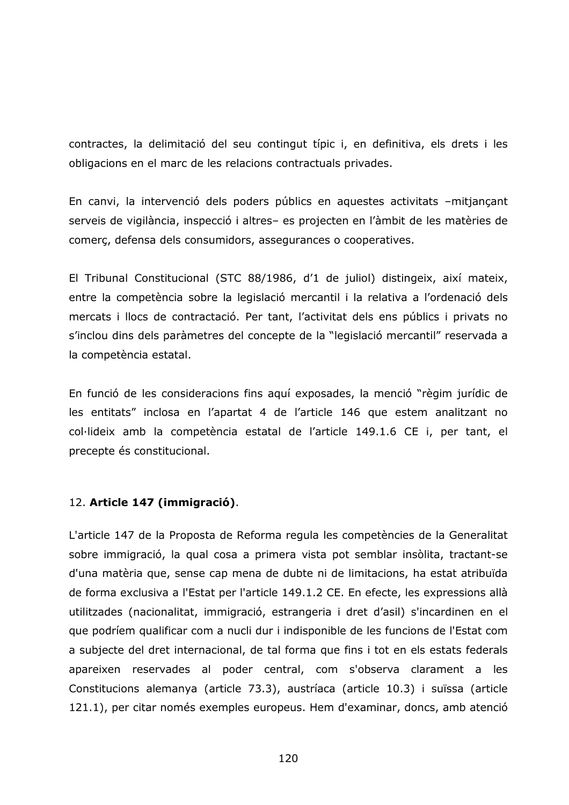contractes, la delimitació del seu contingut típic i, en definitiva, els drets i les obligacions en el marc de les relacions contractuals privades.

En canvi, la intervenció dels poders públics en aquestes activitats -mitjançant serveis de vigilància, inspecció i altres- es projecten en l'àmbit de les matèries de comerç, defensa dels consumidors, assegurances o cooperatives.

El Tribunal Constitucional (STC 88/1986, d'1 de juliol) distingeix, així mateix, entre la competència sobre la legislació mercantil i la relativa a l'ordenació dels mercats i llocs de contractació. Per tant, l'activitat dels ens públics i privats no s'inclou dins dels paràmetres del concepte de la "legislació mercantil" reservada a la competència estatal.

En funció de les consideracions fins aquí exposades, la menció "règim jurídic de les entitats" inclosa en l'apartat 4 de l'article 146 que estem analitzant no col·lideix amb la competència estatal de l'article 149.1.6 CE i, per tant, el precepte és constitucional.

# 12. Article 147 (immigració).

L'article 147 de la Proposta de Reforma regula les competències de la Generalitat sobre immigració, la qual cosa a primera vista pot semblar insòlita, tractant-se d'una matèria que, sense cap mena de dubte ni de limitacions, ha estat atribuïda de forma exclusiva a l'Estat per l'article 149.1.2 CE. En efecte, les expressions allà utilitzades (nacionalitat, immigració, estrangeria i dret d'asil) s'incardinen en el que podríem qualificar com a nucli dur i indisponible de les funcions de l'Estat com a subjecte del dret internacional, de tal forma que fins i tot en els estats federals apareixen reservades al poder central, com s'observa clarament a les Constitucions alemanya (article 73.3), austríaca (article 10.3) i suïssa (article 121.1), per citar només exemples europeus. Hem d'examinar, doncs, amb atenció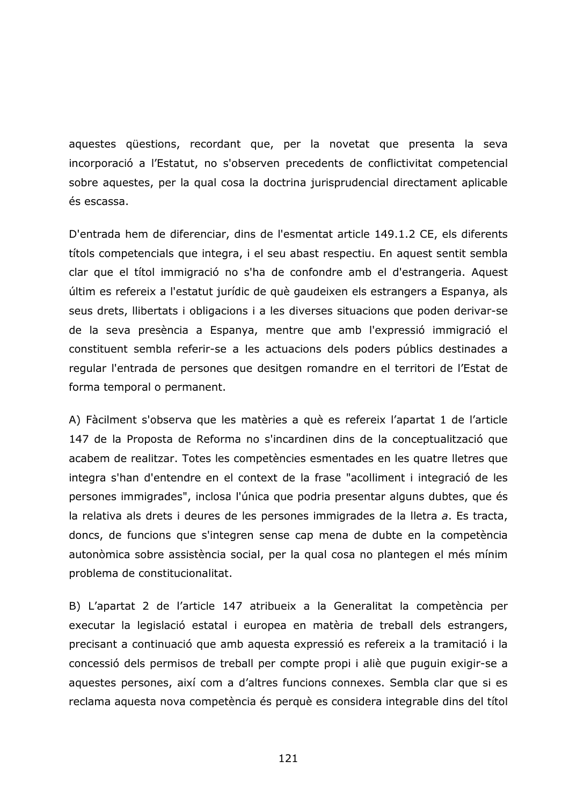aquestes qüestions, recordant que, per la novetat que presenta la seva incorporació a l'Estatut, no s'observen precedents de conflictivitat competencial sobre aquestes, per la qual cosa la doctrina jurisprudencial directament aplicable és escassa.

D'entrada hem de diferenciar, dins de l'esmentat article 149.1.2 CE, els diferents títols competencials que integra, i el seu abast respectiu. En aquest sentit sembla clar que el títol immigració no s'ha de confondre amb el d'estrangeria. Aquest últim es refereix a l'estatut jurídic de què gaudeixen els estrangers a Espanya, als seus drets, llibertats i obligacions i a les diverses situacions que poden derivar-se de la seva presència a Espanya, mentre que amb l'expressió immigració el constituent sembla referir-se a les actuacions dels poders públics destinades a regular l'entrada de persones que desitgen romandre en el territori de l'Estat de forma temporal o permanent.

A) Fàcilment s'observa que les matèries a què es refereix l'apartat 1 de l'article 147 de la Proposta de Reforma no s'incardinen dins de la conceptualització que acabem de realitzar. Totes les competències esmentades en les quatre lletres que integra s'han d'entendre en el context de la frase "acolliment i integració de les persones immigrades", inclosa l'única que podria presentar alguns dubtes, que és la relativa als drets i deures de les persones immigrades de la lletra a. Es tracta, doncs, de funcions que s'integren sense cap mena de dubte en la competència autonòmica sobre assistència social, per la qual cosa no plantegen el més mínim problema de constitucionalitat.

B) L'apartat 2 de l'article 147 atribueix a la Generalitat la competència per executar la legislació estatal i europea en matèria de treball dels estrangers, precisant a continuació que amb aquesta expressió es refereix a la tramitació i la concessió dels permisos de treball per compte propi i aliè que puguin exigir-se a aquestes persones, així com a d'altres funcions connexes. Sembla clar que si es reclama aquesta nova competència és perquè es considera integrable dins del títol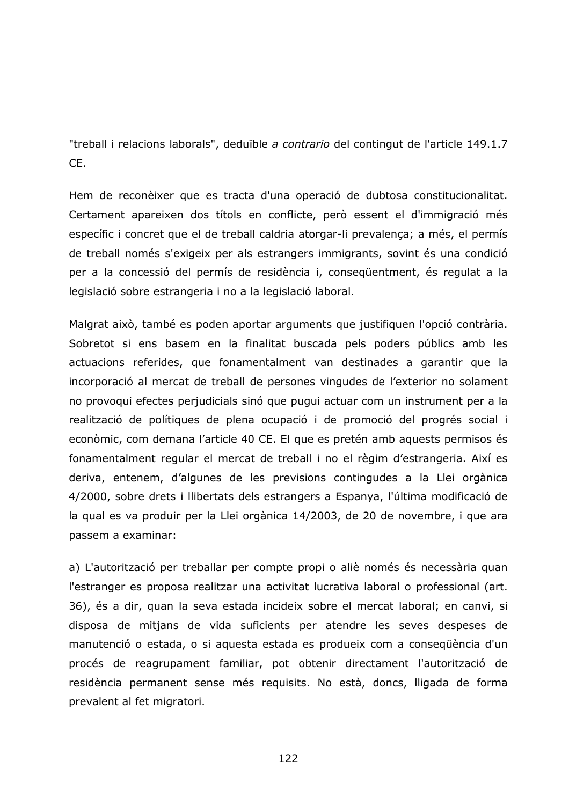"treball i relacions laborals", deduïble a contrario del contingut de l'article 149.1.7 CE.

Hem de reconèixer que es tracta d'una operació de dubtosa constitucionalitat. Certament apareixen dos títols en conflicte, però essent el d'immigració més específic i concret que el de treball caldria atorgar-li prevalença; a més, el permís de treball només s'exigeix per als estrangers immigrants, sovint és una condició per a la concessió del permís de residència i, consegüentment, és regulat a la legislació sobre estrangeria i no a la legislació laboral.

Malgrat això, també es poden aportar arguments que justifiquen l'opció contrària. Sobretot si ens basem en la finalitat buscada pels poders públics amb les actuacions referides, que fonamentalment van destinades a garantir que la incorporació al mercat de treball de persones vingudes de l'exterior no solament no provoqui efectes perjudicials sinó que pugui actuar com un instrument per a la realització de polítiques de plena ocupació i de promoció del progrés social i econòmic, com demana l'article 40 CE. El que es pretén amb aquests permisos és fonamentalment regular el mercat de treball i no el règim d'estrangeria. Així es deriva, entenem, d'algunes de les previsions contingudes a la Llei orgànica 4/2000, sobre drets i llibertats dels estrangers a Espanya, l'última modificació de la qual es va produir per la Llei orgànica 14/2003, de 20 de novembre, i que ara passem a examinar:

a) L'autorització per treballar per compte propi o aliè només és necessària quan l'estranger es proposa realitzar una activitat lucrativa laboral o professional (art. 36), és a dir, quan la seva estada incideix sobre el mercat laboral; en canvi, si disposa de mitjans de vida suficients per atendre les seves despeses de manutenció o estada, o si aquesta estada es produeix com a consegüència d'un procés de reagrupament familiar, pot obtenir directament l'autorització de residència permanent sense més requisits. No està, doncs, lligada de forma prevalent al fet migratori.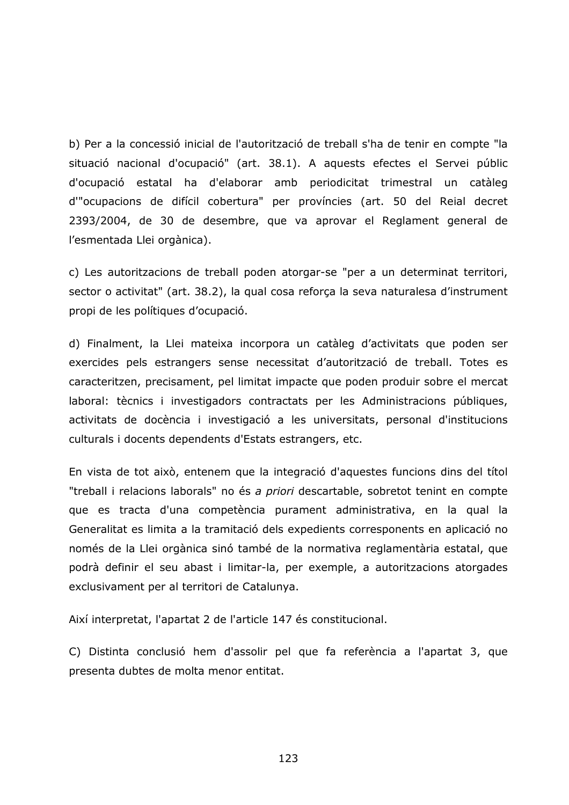b) Per a la concessió inicial de l'autorització de treball s'ha de tenir en compte "la situació nacional d'ocupació" (art. 38.1). A aquests efectes el Servei públic d'ocupació estatal ha d'elaborar amb periodicitat trimestral un catàleg d'"ocupacions de difícil cobertura" per províncies (art. 50 del Reial decret 2393/2004, de 30 de desembre, que va aprovar el Reglament general de l'esmentada Llei orgànica).

c) Les autoritzacions de treball poden atorgar-se "per a un determinat territori, sector o activitat" (art. 38.2), la qual cosa reforça la seva naturalesa d'instrument propi de les polítiques d'ocupació.

d) Finalment, la Llei mateixa incorpora un catàleg d'activitats que poden ser exercides pels estrangers sense necessitat d'autorització de treball. Totes es caracteritzen, precisament, pel limitat impacte que poden produir sobre el mercat laboral: tècnics i investigadors contractats per les Administracions públiques, activitats de docència i investigació a les universitats, personal d'institucions culturals i docents dependents d'Estats estrangers, etc.

En vista de tot això, entenem que la integració d'aquestes funcions dins del títol "treball i relacions laborals" no és a priori descartable, sobretot tenint en compte que es tracta d'una competència purament administrativa, en la qual la Generalitat es limita a la tramitació dels expedients corresponents en aplicació no només de la Llei orgànica sinó també de la normativa reglamentària estatal, que podrà definir el seu abast i limitar-la, per exemple, a autoritzacions atorgades exclusivament per al territori de Catalunya.

Així interpretat, l'apartat 2 de l'article 147 és constitucional.

C) Distinta conclusió hem d'assolir pel que fa referència a l'apartat 3, que presenta dubtes de molta menor entitat.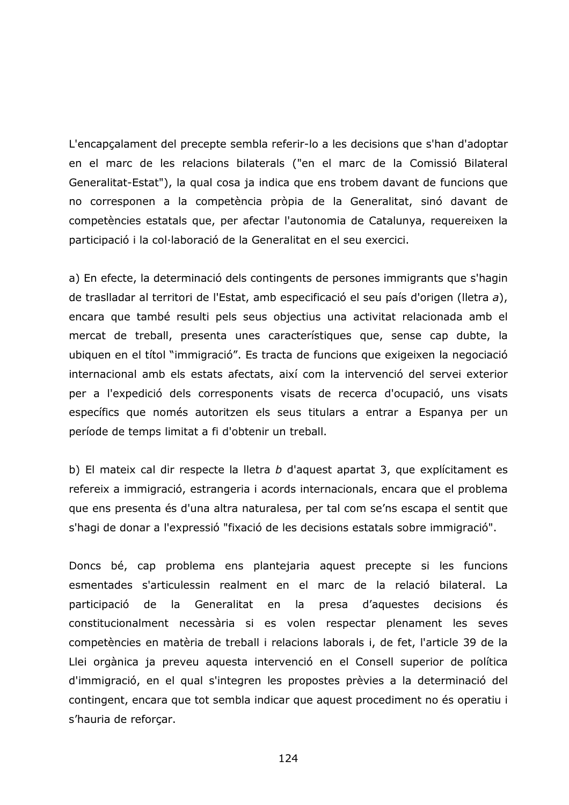L'encapcalament del precepte sembla referir-lo a les decisions que s'han d'adoptar en el marc de les relacions bilaterals ("en el marc de la Comissió Bilateral Generalitat-Estat"), la qual cosa ja indica que ens trobem davant de funcions que no corresponen a la competència pròpia de la Generalitat, sinó davant de competències estatals que, per afectar l'autonomia de Catalunya, requereixen la participació i la col·laboració de la Generalitat en el seu exercici.

a) En efecte, la determinació dels contingents de persones immigrants que s'hagin de traslladar al territori de l'Estat, amb especificació el seu país d'origen (lletra a), encara que també resulti pels seus objectius una activitat relacionada amb el mercat de treball, presenta unes característiques que, sense cap dubte, la ubiquen en el títol "immigració". Es tracta de funcions que exigeixen la negociació internacional amb els estats afectats, així com la intervenció del servei exterior per a l'expedició dels corresponents visats de recerca d'ocupació, uns visats específics que només autoritzen els seus titulars a entrar a Espanya per un període de temps limitat a fi d'obtenir un treball.

b) El mateix cal dir respecte la lletra  $b$  d'aquest apartat 3, que explícitament es refereix a immigració, estrangeria i acords internacionals, encara que el problema que ens presenta és d'una altra naturalesa, per tal com se'ns escapa el sentit que s'hagi de donar a l'expressió "fixació de les decisions estatals sobre immigració".

Doncs bé, cap problema ens plantejaria aquest precepte si les funcions esmentades s'articulessin realment en el marc de la relació bilateral. La  $l$ a Generalitat en  $l$ a participació de presa d'aguestes decisions és constitucionalment necessària si es volen respectar plenament les seves competències en matèria de treball i relacions laborals i, de fet, l'article 39 de la Llei orgànica ja preveu aquesta intervenció en el Consell superior de política d'immigració, en el qual s'integren les propostes prèvies a la determinació del contingent, encara que tot sembla indicar que aquest procediment no és operatiu i s'hauria de reforcar.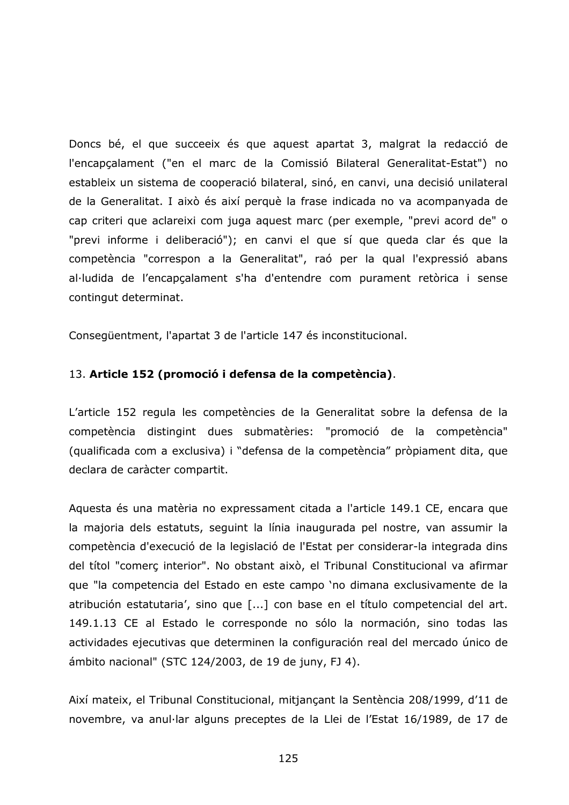Doncs bé, el que succeeix és que aquest apartat 3, malgrat la redacció de l'encapcalament ("en el marc de la Comissió Bilateral Generalitat-Estat") no estableix un sistema de cooperació bilateral, sinó, en canvi, una decisió unilateral de la Generalitat. I això és així perquè la frase indicada no va acompanyada de cap criteri que aclareixi com juga aquest marc (per exemple, "previ acord de" o "previ informe i deliberació"); en canvi el que sí que queda clar és que la competència "correspon a la Generalitat", raó per la qual l'expressió abans al·ludida de l'encapçalament s'ha d'entendre com purament retòrica i sense contingut determinat.

Consegüentment, l'apartat 3 de l'article 147 és inconstitucional.

### 13. Article 152 (promoció i defensa de la competència).

L'article 152 regula les competències de la Generalitat sobre la defensa de la competència distingint dues submatèries: "promoció de la competència" (qualificada com a exclusiva) i "defensa de la competència" pròpiament dita, que declara de caràcter compartit.

Aquesta és una matèria no expressament citada a l'article 149.1 CE, encara que la majoria dels estatuts, seguint la línia inaugurada pel nostre, van assumir la competència d'execució de la legislació de l'Estat per considerar-la integrada dins del títol "comerç interior". No obstant això, el Tribunal Constitucional va afirmar gue "la competencia del Estado en este campo 'no dimana exclusivamente de la atribución estatutaria', sino que [...] con base en el título competencial del art. 149.1.13 CE al Estado le corresponde no sólo la normación, sino todas las actividades ejecutivas que determinen la configuración real del mercado único de ámbito nacional" (STC 124/2003, de 19 de juny, FJ 4).

Així mateix, el Tribunal Constitucional, mitjançant la Sentència 208/1999, d'11 de novembre, va anul·lar alguns preceptes de la Llei de l'Estat 16/1989, de 17 de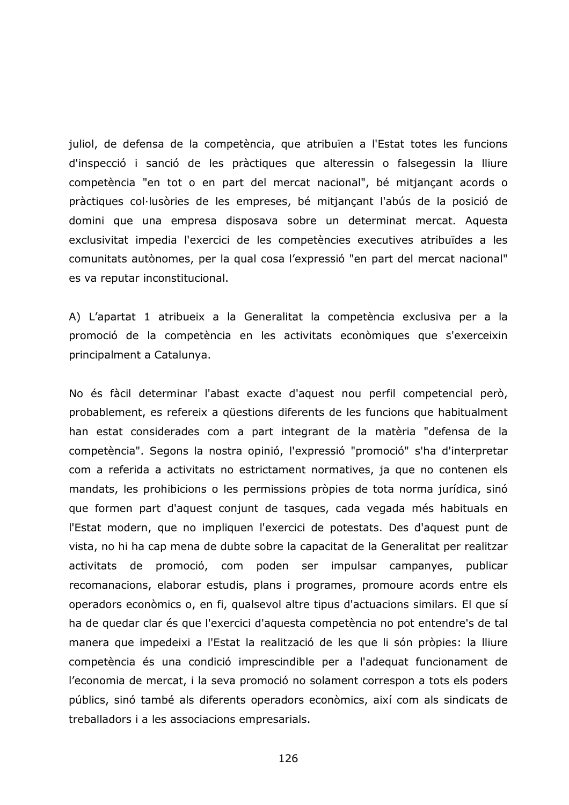juliol, de defensa de la competència, que atribuïen a l'Estat totes les funcions d'inspecció i sanció de les pràctiques que alteressin o falsegessin la lliure competència "en tot o en part del mercat nacional", bé mitjançant acords o pràctiques col·lusòries de les empreses, bé mitjançant l'abús de la posició de domini que una empresa disposava sobre un determinat mercat. Aquesta exclusivitat impedia l'exercici de les competències executives atribuïdes a les comunitats autònomes, per la qual cosa l'expressió "en part del mercat nacional" es va reputar inconstitucional.

A) L'apartat 1 atribueix a la Generalitat la competència exclusiva per a la promoció de la competència en les activitats econòmiques que s'exerceixin principalment a Catalunya.

No és fàcil determinar l'abast exacte d'aquest nou perfil competencial però, probablement, es refereix a qüestions diferents de les funcions que habitualment han estat considerades com a part integrant de la matèria "defensa de la competència". Segons la nostra opinió, l'expressió "promoció" s'ha d'interpretar com a referida a activitats no estrictament normatives, ja que no contenen els mandats, les prohibicions o les permissions pròpies de tota norma jurídica, sinó que formen part d'aquest conjunt de tasques, cada vegada més habituals en l'Estat modern, que no impliquen l'exercici de potestats. Des d'aquest punt de vista, no hi ha cap mena de dubte sobre la capacitat de la Generalitat per realitzar activitats de promoció, com poden ser impulsar campanyes, publicar recomanacions, elaborar estudis, plans i programes, promoure acords entre els operadors econòmics o, en fi, qualsevol altre tipus d'actuacions similars. El que sí ha de quedar clar és que l'exercici d'aquesta competència no pot entendre's de tal manera que impedeixi a l'Estat la realització de les que li són pròpies: la lliure competència és una condició imprescindible per a l'adequat funcionament de l'economia de mercat, i la seva promoció no solament correspon a tots els poders públics, sinó també als diferents operadors econòmics, així com als sindicats de treballadors i a les associacions empresarials.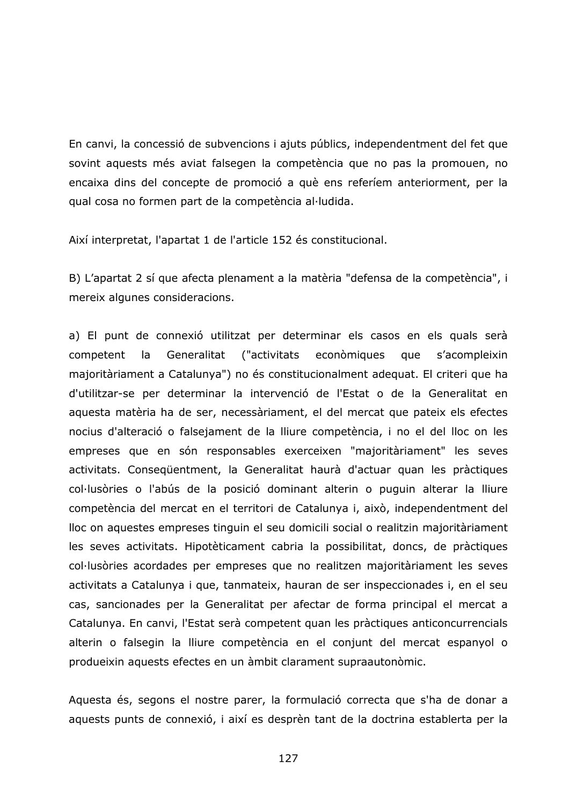En canvi, la concessió de subvencions i ajuts públics, independentment del fet que sovint aquests més aviat falsegen la competència que no pas la promouen, no encaixa dins del concepte de promoció a què ens referíem anteriorment, per la qual cosa no formen part de la competència al·ludida.

Així interpretat, l'apartat 1 de l'article 152 és constitucional.

B) L'apartat 2 sí que afecta plenament a la matèria "defensa de la competència", i mereix algunes consideracions.

a) El punt de connexió utilitzat per determinar els casos en els quals serà competent la Generalitat ("activitats) econòmiques que s'acompleixin majoritàriament a Catalunya") no és constitucionalment adequat. El criteri que ha d'utilitzar-se per determinar la intervenció de l'Estat o de la Generalitat en aquesta matèria ha de ser, necessàriament, el del mercat que pateix els efectes nocius d'alteració o falsejament de la lliure competència, i no el del lloc on les empreses que en són responsables exerceixen "majoritàriament" les seves activitats. Consequentment, la Generalitat haurà d'actuar quan les pràctiques col·lusòries o l'abús de la posició dominant alterin o puguin alterar la lliure competència del mercat en el territori de Catalunya i, això, independentment del lloc on aquestes empreses tinguin el seu domicili social o realitzin majoritàriament les seves activitats. Hipotèticament cabria la possibilitat, doncs, de pràctiques col·lusòries acordades per empreses que no realitzen majoritàriament les seves activitats a Catalunya i que, tanmateix, hauran de ser inspeccionades i, en el seu cas, sancionades per la Generalitat per afectar de forma principal el mercat a Catalunya. En canvi, l'Estat serà competent quan les pràctiques anticoncurrencials alterin o falsegin la lliure competència en el conjunt del mercat espanyol o produeixin aquests efectes en un àmbit clarament supraautonòmic.

Aquesta és, segons el nostre parer, la formulació correcta que s'ha de donar a aquests punts de connexió, i així es desprèn tant de la doctrina establerta per la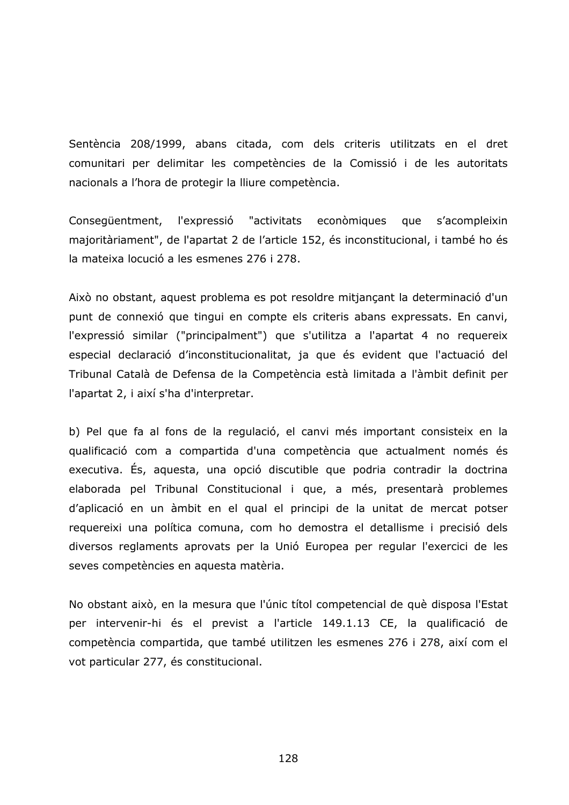Sentència 208/1999, abans citada, com dels criteris utilitzats en el dret comunitari per delimitar les competències de la Comissió i de les autoritats nacionals a l'hora de protegir la lliure competència.

Conseqüentment, l'expressió "activitats econòmiques que s'acompleixin majoritàriament", de l'apartat 2 de l'article 152, és inconstitucional, i també ho és la mateixa locució a les esmenes 276 i 278.

Això no obstant, aquest problema es pot resoldre mitjançant la determinació d'un punt de connexió que tingui en compte els criteris abans expressats. En canvi, l'expressió similar ("principalment") que s'utilitza a l'apartat 4 no requereix especial declaració d'inconstitucionalitat, ja que és evident que l'actuació del Tribunal Català de Defensa de la Competència està limitada a l'àmbit definit per l'apartat 2, i així s'ha d'interpretar.

b) Pel que fa al fons de la regulació, el canvi més important consisteix en la qualificació com a compartida d'una competència que actualment només és executiva. És, aquesta, una opció discutible que podria contradir la doctrina elaborada pel Tribunal Constitucional i que, a més, presentarà problemes d'aplicació en un àmbit en el qual el principi de la unitat de mercat potser requereixi una política comuna, com ho demostra el detallisme i precisió dels diversos reglaments aprovats per la Unió Europea per regular l'exercici de les seves competències en aquesta matèria.

No obstant això, en la mesura que l'únic títol competencial de què disposa l'Estat per intervenir-hi és el previst a l'article 149.1.13 CE, la qualificació de competència compartida, que també utilitzen les esmenes 276 i 278, així com el vot particular 277, és constitucional.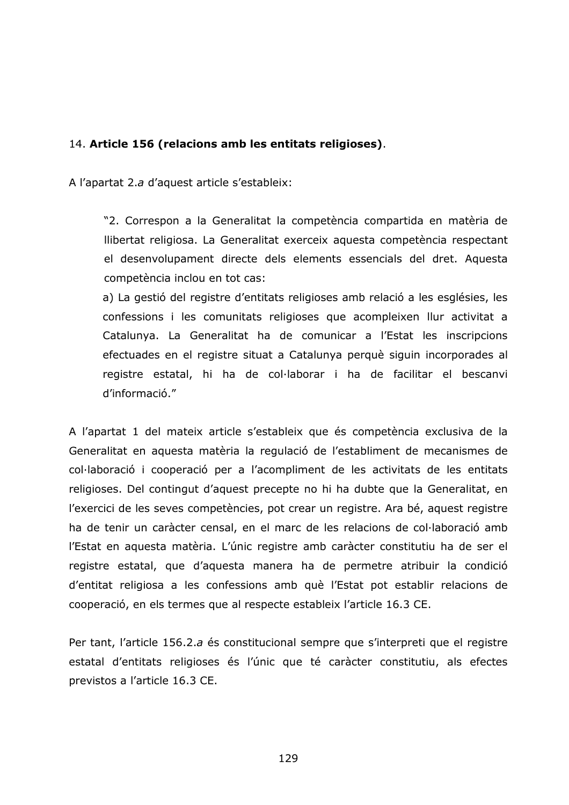# 14. Article 156 (relacions amb les entitats religioses).

A l'apartat 2.a d'aquest article s'estableix:

"2. Correspon a la Generalitat la competència compartida en matèria de Ilibertat religiosa. La Generalitat exerceix aquesta competència respectant el desenvolupament directe dels elements essencials del dret. Aquesta competència inclou en tot cas:

a) La gestió del registre d'entitats religioses amb relació a les esglésies, les confessions i les comunitats religioses que acompleixen llur activitat a Catalunya. La Generalitat ha de comunicar a l'Estat les inscripcions efectuades en el registre situat a Catalunya perquè siguin incorporades al registre estatal, hi ha de col·laborar i ha de facilitar el bescanvi d'informació."

A l'apartat 1 del mateix article s'estableix que és competència exclusiva de la Generalitat en aquesta matèria la regulació de l'establiment de mecanismes de col·laboració i cooperació per a l'acompliment de les activitats de les entitats religioses. Del contingut d'aquest precepte no hi ha dubte que la Generalitat, en l'exercici de les seves competències, pot crear un registre. Ara bé, aquest registre ha de tenir un caràcter censal, en el marc de les relacions de col·laboració amb l'Estat en aquesta matèria. L'únic registre amb caràcter constitutiu ha de ser el registre estatal, que d'aquesta manera ha de permetre atribuir la condició d'entitat religiosa a les confessions amb què l'Estat pot establir relacions de cooperació, en els termes que al respecte estableix l'article 16.3 CE.

Per tant, l'article 156.2.a és constitucional sempre que s'interpreti que el registre estatal d'entitats religioses és l'únic que té caràcter constitutiu, als efectes previstos a l'article 16.3 CE.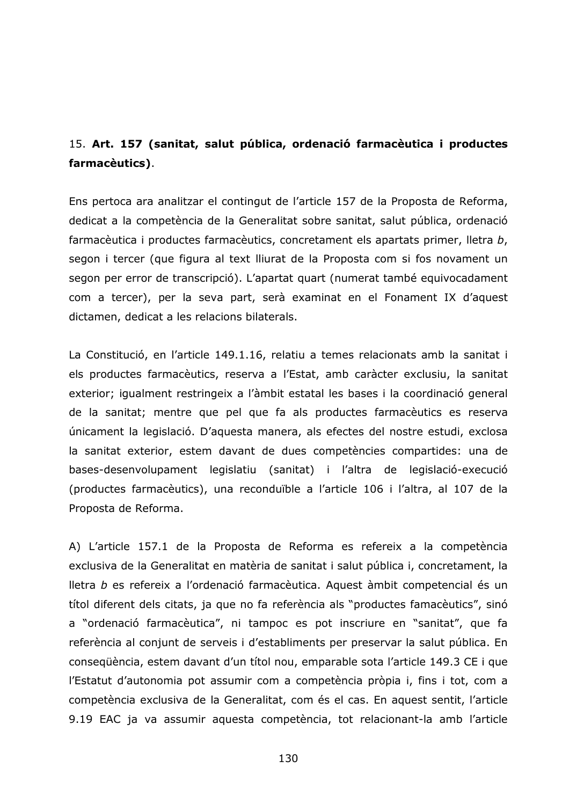# 15. Art. 157 (sanitat, salut pública, ordenació farmacèutica i productes farmacèutics).

Ens pertoca ara analitzar el contingut de l'article 157 de la Proposta de Reforma, dedicat a la competència de la Generalitat sobre sanitat, salut pública, ordenació farmacèutica i productes farmacèutics, concretament els apartats primer, lletra b, segon i tercer (que figura al text lliurat de la Proposta com si fos novament un segon per error de transcripció). L'apartat quart (numerat també equivocadament com a tercer), per la seva part, serà examinat en el Fonament IX d'aquest dictamen, dedicat a les relacions bilaterals.

La Constitució, en l'article 149.1.16, relatiu a temes relacionats amb la sanitat i els productes farmacèutics, reserva a l'Estat, amb caràcter exclusiu, la sanitat exterior; igualment restringeix a l'àmbit estatal les bases i la coordinació general de la sanitat; mentre que pel que fa als productes farmacèutics es reserva únicament la legislació. D'aquesta manera, als efectes del nostre estudi, exclosa la sanitat exterior, estem davant de dues competències compartides: una de bases-desenvolupament legislatiu (sanitat) i l'altra de legislació-execució (productes farmacèutics), una reconduïble a l'article 106 i l'altra, al 107 de la Proposta de Reforma.

A) L'article 157.1 de la Proposta de Reforma es refereix a la competència exclusiva de la Generalitat en matèria de sanitat i salut pública i, concretament, la lletra b es refereix a l'ordenació farmacèutica. Aquest àmbit competencial és un títol diferent dels citats, ja que no fa referència als "productes famacèutics", sinó a "ordenació farmacèutica", ni tampoc es pot inscriure en "sanitat", que fa referència al conjunt de serveis i d'establiments per preservar la salut pública. En consequència, estem davant d'un títol nou, emparable sota l'article 149.3 CE i que l'Estatut d'autonomia pot assumir com a competència pròpia i, fins i tot, com a competència exclusiva de la Generalitat, com és el cas. En aquest sentit, l'article 9.19 EAC ja va assumir aquesta competència, tot relacionant-la amb l'article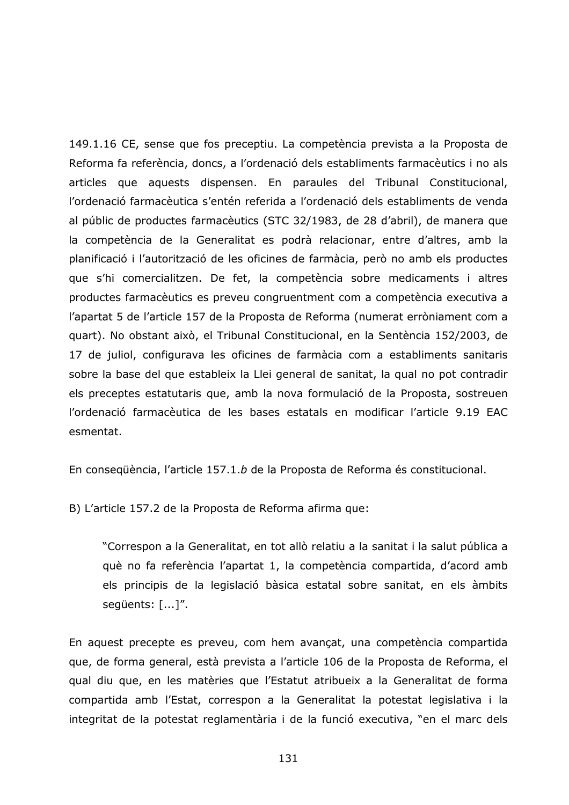149.1.16 CE, sense que fos preceptiu. La competència prevista a la Proposta de Reforma fa referència, doncs, a l'ordenació dels establiments farmacèutics i no als articles que aquests dispensen. En paraules del Tribunal Constitucional, l'ordenació farmacèutica s'entén referida a l'ordenació dels establiments de venda al públic de productes farmacèutics (STC 32/1983, de 28 d'abril), de manera que la competència de la Generalitat es podrà relacionar, entre d'altres, amb la planificació i l'autorització de les oficines de farmàcia, però no amb els productes que s'hi comercialitzen. De fet, la competència sobre medicaments i altres productes farmacèutics es preveu congruentment com a competència executiva a l'apartat 5 de l'article 157 de la Proposta de Reforma (numerat erròniament com a quart). No obstant això, el Tribunal Constitucional, en la Sentència 152/2003, de 17 de juliol, configurava les oficines de farmàcia com a establiments sanitaris sobre la base del que estableix la Llei general de sanitat, la qual no pot contradir els preceptes estatutaris que, amb la nova formulació de la Proposta, sostreuen l'ordenació farmacèutica de les bases estatals en modificar l'article 9.19 EAC esmentat.

En consequència, l'article 157.1.b de la Proposta de Reforma és constitucional.

B) L'article 157.2 de la Proposta de Reforma afirma que:

"Correspon a la Generalitat, en tot allò relatiu a la sanitat i la salut pública a què no fa referència l'apartat 1, la competència compartida, d'acord amb els principis de la legislació bàsica estatal sobre sanitat, en els àmbits seqüents: [...]".

En aquest precepte es preveu, com hem avançat, una competència compartida que, de forma general, està prevista a l'article 106 de la Proposta de Reforma, el qual diu que, en les matèries que l'Estatut atribueix a la Generalitat de forma compartida amb l'Estat, correspon a la Generalitat la potestat legislativa i la integritat de la potestat reglamentària i de la funció executiva, "en el marc dels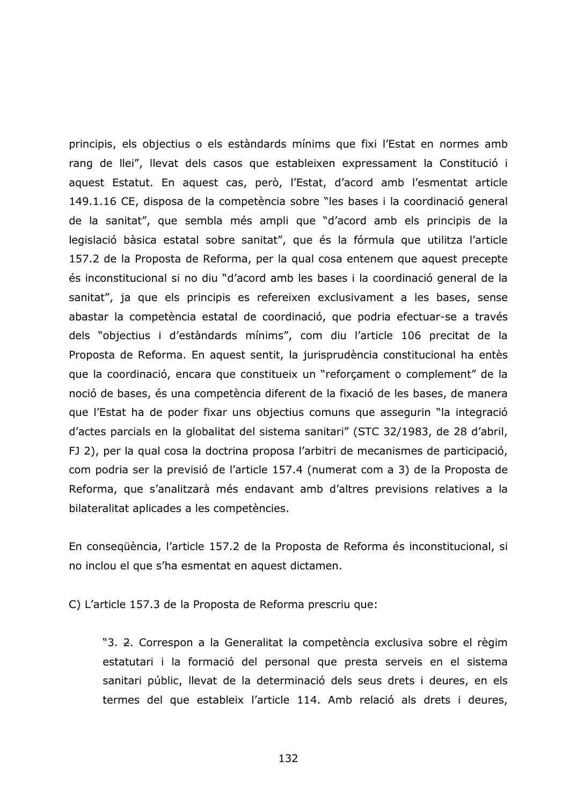principis, els objectius o els estàndards mínims que fixi l'Estat en normes amb rang de llei", llevat dels casos que estableixen expressament la Constitució i aquest Estatut. En aquest cas, però, l'Estat, d'acord amb l'esmentat article 149.1.16 CE, disposa de la competència sobre "les bases i la coordinació general de la sanitat", que sembla més ampli que "d'acord amb els principis de la legislació bàsica estatal sobre sanitat", que és la fórmula que utilitza l'article 157.2 de la Proposta de Reforma, per la qual cosa entenem que aquest precepte és inconstitucional si no diu "d'acord amb les bases i la coordinació general de la sanitat", ja que els principis es refereixen exclusivament a les bases, sense abastar la competència estatal de coordinació, que podria efectuar-se a través dels "objectius i d'estàndards mínims", com diu l'article 106 precitat de la Proposta de Reforma. En aquest sentit, la jurisprudència constitucional ha entès que la coordinació, encara que constitueix un "reforçament o complement" de la noció de bases, és una competència diferent de la fixació de les bases, de manera que l'Estat ha de poder fixar uns objectius comuns que assegurin "la integració d'actes parcials en la globalitat del sistema sanitari" (STC 32/1983, de 28 d'abril, FJ 2), per la qual cosa la doctrina proposa l'arbitri de mecanismes de participació, com podria ser la previsió de l'article 157.4 (numerat com a 3) de la Proposta de Reforma, que s'analitzarà més endavant amb d'altres previsions relatives a la bilateralitat aplicades a les competències.

En consegüència, l'article 157.2 de la Proposta de Reforma és inconstitucional, si no inclou el que s'ha esmentat en aquest dictamen.

C) L'article 157.3 de la Proposta de Reforma prescriu que:

"3. 2. Correspon a la Generalitat la competència exclusiva sobre el règim estatutari i la formació del personal que presta serveis en el sistema sanitari públic, llevat de la determinació dels seus drets i deures, en els termes del que estableix l'article 114. Amb relació als drets i deures,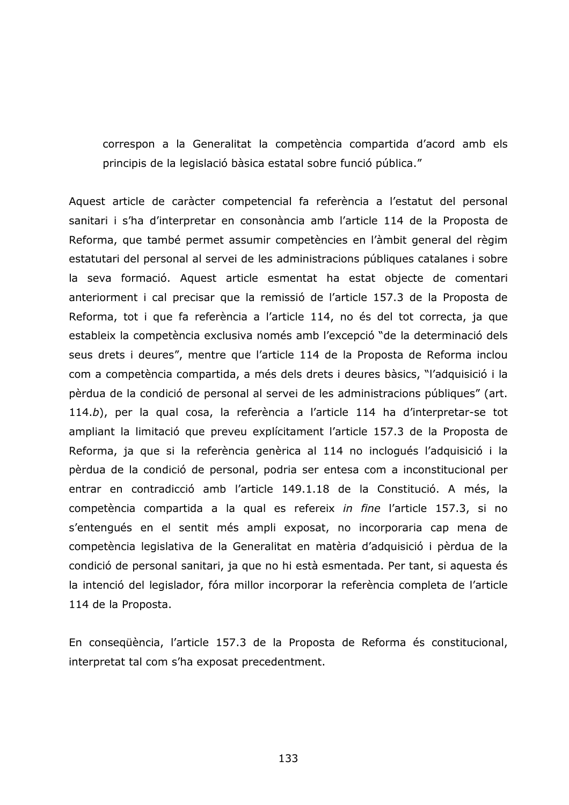correspon a la Generalitat la competència compartida d'acord amb els principis de la legislació bàsica estatal sobre funció pública."

Aquest article de caràcter competencial fa referència a l'estatut del personal sanitari i s'ha d'interpretar en consonància amb l'article 114 de la Proposta de Reforma, que també permet assumir competències en l'àmbit general del règim estatutari del personal al servei de les administracions públiques catalanes i sobre la seva formació. Aquest article esmentat ha estat objecte de comentari anteriorment i cal precisar que la remissió de l'article 157.3 de la Proposta de Reforma, tot i que fa referència a l'article 114, no és del tot correcta, ja que estableix la competència exclusiva només amb l'excepció "de la determinació dels seus drets i deures", mentre que l'article 114 de la Proposta de Reforma inclou com a competència compartida, a més dels drets i deures bàsics, "l'adquisició i la pèrdua de la condició de personal al servei de les administracions públiques" (art. 114.b), per la qual cosa, la referència a l'article 114 ha d'interpretar-se tot ampliant la limitació que preveu explícitament l'article 157.3 de la Proposta de Reforma, ja que si la referència genèrica al 114 no inclogués l'adquisició i la pèrdua de la condició de personal, podria ser entesa com a inconstitucional per entrar en contradicció amb l'article 149.1.18 de la Constitució. A més, la competència compartida a la qual es refereix in fine l'article 157.3, si no s'entengués en el sentit més ampli exposat, no incorporaria cap mena de competència legislativa de la Generalitat en matèria d'adquisició i pèrdua de la condició de personal sanitari, ja que no hi està esmentada. Per tant, si aquesta és la intenció del legislador, fóra millor incorporar la referència completa de l'article 114 de la Proposta.

En consequència, l'article 157.3 de la Proposta de Reforma és constitucional, interpretat tal com s'ha exposat precedentment.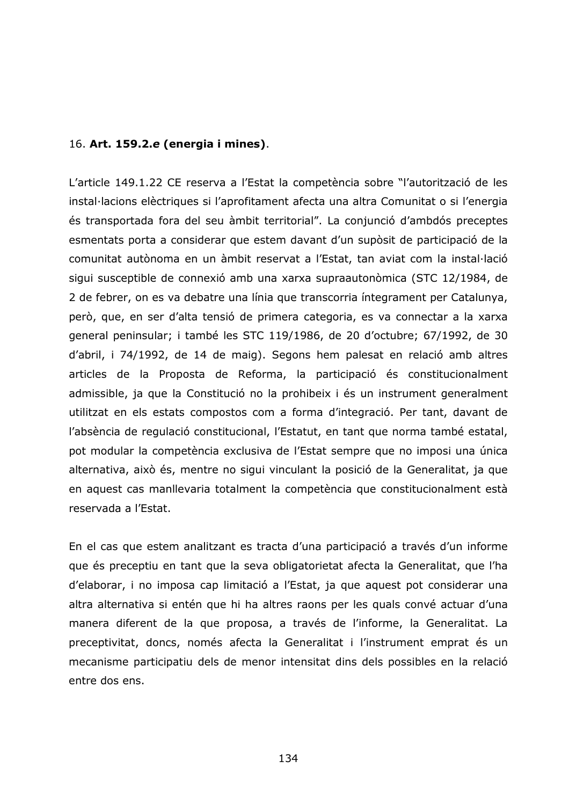#### 16. Art. 159.2.e (energia i mines).

L'article 149.1.22 CE reserva a l'Estat la competència sobre "l'autorització de les instal·lacions elèctriques si l'aprofitament afecta una altra Comunitat o si l'energia és transportada fora del seu àmbit territorial". La conjunció d'ambdós preceptes esmentats porta a considerar que estem davant d'un supòsit de participació de la comunitat autònoma en un àmbit reservat a l'Estat, tan aviat com la instal·lació sigui susceptible de connexió amb una xarxa supraautonòmica (STC 12/1984, de 2 de febrer, on es va debatre una línia que transcorria íntegrament per Catalunya, però, que, en ser d'alta tensió de primera categoria, es va connectar a la xarxa general peninsular; i també les STC 119/1986, de 20 d'octubre; 67/1992, de 30 d'abril, i 74/1992, de 14 de maig). Segons hem palesat en relació amb altres articles de la Proposta de Reforma, la participació és constitucionalment admissible, ja que la Constitució no la prohibeix i és un instrument generalment utilitzat en els estats compostos com a forma d'integració. Per tant, davant de l'absència de regulació constitucional, l'Estatut, en tant que norma també estatal, pot modular la competència exclusiva de l'Estat sempre que no imposi una única alternativa, això és, mentre no sigui vinculant la posició de la Generalitat, ja que en aquest cas manllevaria totalment la competència que constitucionalment està reservada a l'Estat.

En el cas que estem analitzant es tracta d'una participació a través d'un informe que és preceptiu en tant que la seva obligatorietat afecta la Generalitat, que l'ha d'elaborar, i no imposa cap limitació a l'Estat, ja que aquest pot considerar una altra alternativa si entén que hi ha altres raons per les quals convé actuar d'una manera diferent de la que proposa, a través de l'informe, la Generalitat. La preceptivitat, doncs, només afecta la Generalitat i l'instrument emprat és un mecanisme participatiu dels de menor intensitat dins dels possibles en la relació entre dos ens.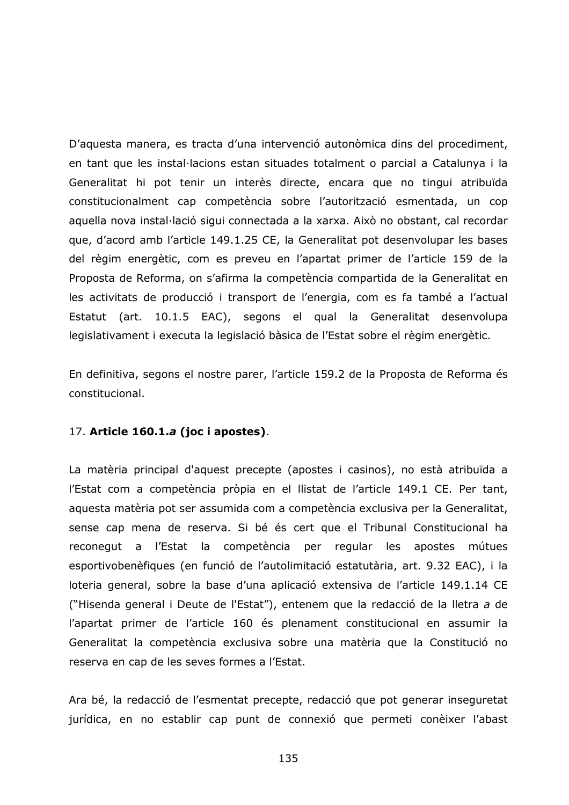D'aquesta manera, es tracta d'una intervenció autonòmica dins del procediment, en tant que les instal·lacions estan situades totalment o parcial a Catalunya i la Generalitat hi pot tenir un interès directe, encara que no tingui atribuïda constitucionalment cap competència sobre l'autorització esmentada, un cop aquella nova instal·lació sigui connectada a la xarxa. Això no obstant, cal recordar que, d'acord amb l'article 149.1.25 CE, la Generalitat pot desenvolupar les bases del règim energètic, com es preveu en l'apartat primer de l'article 159 de la Proposta de Reforma, on s'afirma la competència compartida de la Generalitat en les activitats de producció i transport de l'energia, com es fa també a l'actual Estatut (art. 10.1.5 EAC), segons el qual la Generalitat desenvolupa legislativament i executa la legislació bàsica de l'Estat sobre el règim energètic.

En definitiva, segons el nostre parer, l'article 159.2 de la Proposta de Reforma és constitucional.

#### 17. Article  $160.1.a$  (joc i apostes).

La matèria principal d'aquest precepte (apostes i casinos), no està atribuïda a l'Estat com a competència pròpia en el llistat de l'article 149.1 CE. Per tant, aquesta matèria pot ser assumida com a competència exclusiva per la Generalitat, sense cap mena de reserva. Si bé és cert que el Tribunal Constitucional ha reconegut a l'Estat la competència per regular les apostes mútues esportivobenèfiques (en funció de l'autolimitació estatutària, art. 9.32 EAC), i la loteria general, sobre la base d'una aplicació extensiva de l'article 149.1.14 CE ("Hisenda general i Deute de l'Estat"), entenem que la redacció de la lletra a de l'apartat primer de l'article 160 és plenament constitucional en assumir la Generalitat la competència exclusiva sobre una matèria que la Constitució no reserva en cap de les seves formes a l'Estat.

Ara bé, la redacció de l'esmentat precepte, redacció que pot generar inseguretat jurídica, en no establir cap punt de connexió que permeti conèixer l'abast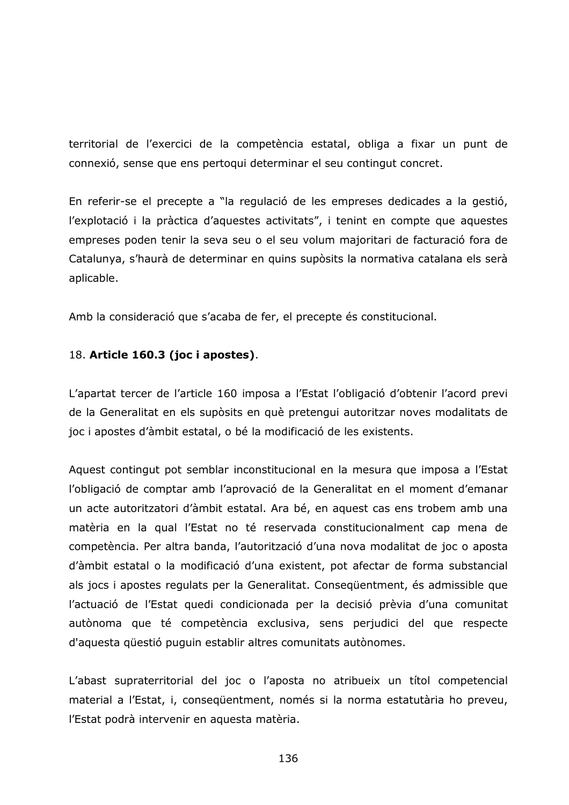territorial de l'exercici de la competència estatal, obliga a fixar un punt de connexió, sense que ens pertoqui determinar el seu contingut concret.

En referir-se el precepte a "la regulació de les empreses dedicades a la gestió, l'explotació i la pràctica d'aquestes activitats", i tenint en compte que aquestes empreses poden tenir la seva seu o el seu volum majoritari de facturació fora de Catalunya, s'haurà de determinar en quins supòsits la normativa catalana els serà aplicable.

Amb la consideració que s'acaba de fer, el precepte és constitucional.

### 18. Article 160.3 (joc i apostes).

L'apartat tercer de l'article 160 imposa a l'Estat l'obligació d'obtenir l'acord previ de la Generalitat en els supòsits en què pretengui autoritzar noves modalitats de joc i apostes d'àmbit estatal, o bé la modificació de les existents.

Aquest contingut pot semblar inconstitucional en la mesura que imposa a l'Estat l'obligació de comptar amb l'aprovació de la Generalitat en el moment d'emanar un acte autoritzatori d'àmbit estatal. Ara bé, en aquest cas ens trobem amb una matèria en la qual l'Estat no té reservada constitucionalment cap mena de competència. Per altra banda, l'autorització d'una nova modalitat de joc o aposta d'àmbit estatal o la modificació d'una existent, pot afectar de forma substancial als jocs i apostes regulats per la Generalitat. Consequentment, és admissible que l'actuació de l'Estat quedi condicionada per la decisió prèvia d'una comunitat autònoma que té competència exclusiva, sens perjudici del que respecte d'aquesta qüestió puguin establir altres comunitats autònomes.

L'abast supraterritorial del joc o l'aposta no atribueix un títol competencial material a l'Estat, i, consequentment, només si la norma estatutària ho preveu, l'Estat podrà intervenir en aquesta matèria.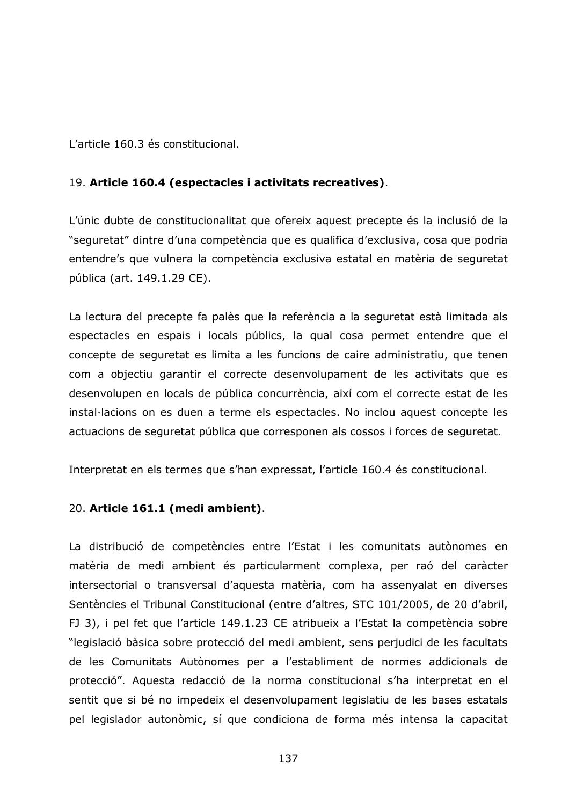L'article 160.3 és constitucional.

### 19. Article 160.4 (espectacles i activitats recreatives).

L'únic dubte de constitucionalitat que ofereix aquest precepte és la inclusió de la "seguretat" dintre d'una competència que es qualifica d'exclusiva, cosa que podria entendre's que vulnera la competència exclusiva estatal en matèria de seguretat pública (art. 149.1.29 CE).

La lectura del precepte fa palès que la referència a la seguretat està limitada als espectacles en espais i locals públics, la qual cosa permet entendre que el concepte de seguretat es limita a les funcions de caire administratiu, que tenen com a objectiu garantir el correcte desenvolupament de les activitats que es desenvolupen en locals de pública concurrència, així com el correcte estat de les instal·lacions on es duen a terme els espectacles. No inclou aquest concepte les actuacions de seguretat pública que corresponen als cossos i forces de seguretat.

Interpretat en els termes que s'han expressat, l'article 160.4 és constitucional.

# 20. Article 161.1 (medi ambient).

La distribució de competències entre l'Estat i les comunitats autònomes en matèria de medi ambient és particularment complexa, per raó del caràcter intersectorial o transversal d'aquesta matèria, com ha assenyalat en diverses Sentències el Tribunal Constitucional (entre d'altres, STC 101/2005, de 20 d'abril, FJ 3), i pel fet que l'article 149.1.23 CE atribueix a l'Estat la competència sobre "legislació bàsica sobre protecció del medi ambient, sens perjudici de les facultats de les Comunitats Autònomes per a l'establiment de normes addicionals de protecció". Aquesta redacció de la norma constitucional s'ha interpretat en el sentit que si bé no impedeix el desenvolupament legislatiu de les bases estatals pel legislador autonòmic, sí que condiciona de forma més intensa la capacitat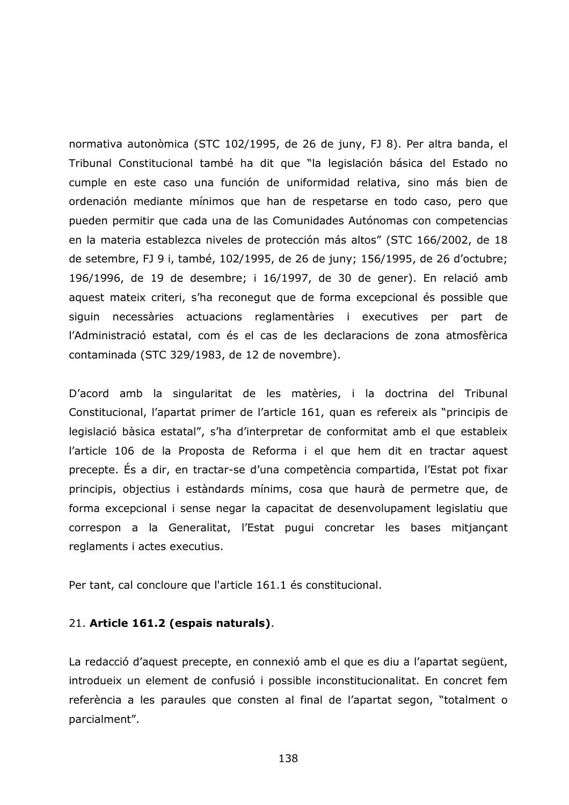normativa autonòmica (STC 102/1995, de 26 de juny, FJ 8). Per altra banda, el Tribunal Constitucional també ha dit que "la legislación básica del Estado no cumple en este caso una función de uniformidad relativa, sino más bien de ordenación mediante mínimos que han de respetarse en todo caso, pero que pueden permitir que cada una de las Comunidades Autónomas con competencias en la materia establezca niveles de protección más altos" (STC 166/2002, de 18 de setembre, FJ 9 i, també, 102/1995, de 26 de juny; 156/1995, de 26 d'octubre; 196/1996, de 19 de desembre; i 16/1997, de 30 de gener). En relació amb aquest mateix criteri, s'ha reconegut que de forma excepcional és possible que siguin necessàries actuacions reglamentàries i executives per part de l'Administració estatal, com és el cas de les declaracions de zona atmosfèrica contaminada (STC 329/1983, de 12 de novembre).

D'acord amb la singularitat de les matèries, i la doctrina del Tribunal Constitucional, l'apartat primer de l'article 161, quan es refereix als "principis de legislació bàsica estatal", s'ha d'interpretar de conformitat amb el que estableix l'article 106 de la Proposta de Reforma i el que hem dit en tractar aquest precepte. És a dir, en tractar-se d'una competència compartida, l'Estat pot fixar principis, objectius i estàndards mínims, cosa que haurà de permetre que, de forma excepcional i sense negar la capacitat de desenvolupament legislatiu que correspon a la Generalitat, l'Estat pugui concretar les bases mitjançant reglaments i actes executius.

Per tant, cal concloure que l'article 161.1 és constitucional.

### 21. Article 161.2 (espais naturals).

La redacció d'aquest precepte, en connexió amb el que es diu a l'apartat següent, introdueix un element de confusió i possible inconstitucionalitat. En concret fem referència a les paraules que consten al final de l'apartat segon, "totalment o parcialment".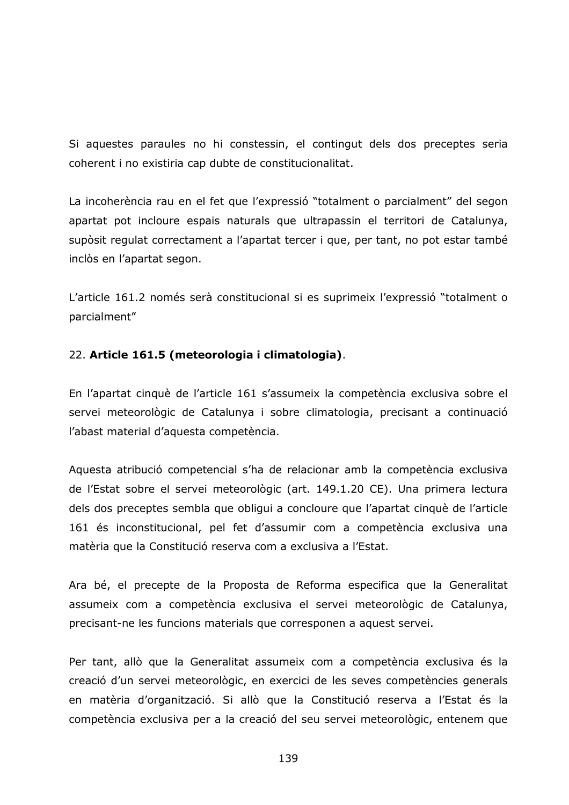Si aquestes paraules no hi constessin, el contingut dels dos preceptes seria coherent i no existiria cap dubte de constitucionalitat.

La incoherència rau en el fet que l'expressió "totalment o parcialment" del segon apartat pot incloure espais naturals que ultrapassin el territori de Catalunya, supòsit regulat correctament a l'apartat tercer i que, per tant, no pot estar també inclòs en l'apartat segon.

L'article 161.2 només serà constitucional si es suprimeix l'expressió "totalment o parcialment"

# 22. Article 161.5 (meteorologia i climatologia).

En l'apartat cinquè de l'article 161 s'assumeix la competència exclusiva sobre el servei meteorològic de Catalunya i sobre climatologia, precisant a continuació l'abast material d'aquesta competència.

Aquesta atribució competencial s'ha de relacionar amb la competència exclusiva de l'Estat sobre el servei meteorològic (art. 149.1.20 CE). Una primera lectura dels dos preceptes sembla que obligui a concloure que l'apartat cinquè de l'article 161 és inconstitucional, pel fet d'assumir com a competència exclusiva una matèria que la Constitució reserva com a exclusiva a l'Estat.

Ara bé, el precepte de la Proposta de Reforma especifica que la Generalitat assumeix com a competència exclusiva el servei meteorològic de Catalunya, precisant-ne les funcions materials que corresponen a aquest servei.

Per tant, allò que la Generalitat assumeix com a competència exclusiva és la creació d'un servei meteorològic, en exercici de les seves competències generals en matèria d'organització. Si allò que la Constitució reserva a l'Estat és la competència exclusiva per a la creació del seu servei meteorològic, entenem que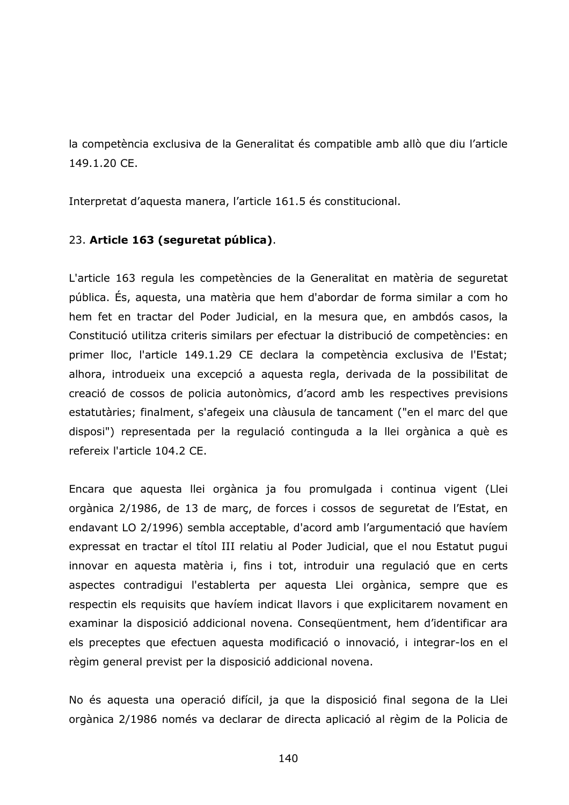la competència exclusiva de la Generalitat és compatible amb allò que diu l'article 149.1.20 CE.

Interpretat d'aquesta manera, l'article 161.5 és constitucional.

# 23. Article 163 (seguretat pública).

L'article 163 regula les competències de la Generalitat en matèria de seguretat pública. És, aquesta, una matèria que hem d'abordar de forma similar a com ho hem fet en tractar del Poder Judicial, en la mesura que, en ambdós casos, la Constitució utilitza criteris similars per efectuar la distribució de competències: en primer lloc, l'article 149.1.29 CE declara la competència exclusiva de l'Estat; alhora, introdueix una excepció a aquesta regla, derivada de la possibilitat de creació de cossos de policia autonòmics, d'acord amb les respectives previsions estatutàries; finalment, s'afegeix una clàusula de tancament ("en el marc del que disposi") representada per la regulació continguda a la llei orgànica a què es refereix l'article 104.2 CE.

Encara que aquesta llei orgànica ja fou promulgada i continua vigent (Llei orgànica 2/1986, de 13 de març, de forces i cossos de seguretat de l'Estat, en endavant LO 2/1996) sembla acceptable, d'acord amb l'argumentació que havíem expressat en tractar el títol III relatiu al Poder Judicial, que el nou Estatut pugui innovar en aquesta matèria i, fins i tot, introduir una regulació que en certs aspectes contradigui l'establerta per aquesta Llei orgànica, sempre que es respectin els requisits que havíem indicat llavors i que explicitarem novament en examinar la disposició addicional novena. Conseqüentment, hem d'identificar ara els preceptes que efectuen aquesta modificació o innovació, i integrar-los en el règim general previst per la disposició addicional novena.

No és aquesta una operació difícil, ja que la disposició final segona de la Llei orgànica 2/1986 només va declarar de directa aplicació al règim de la Policia de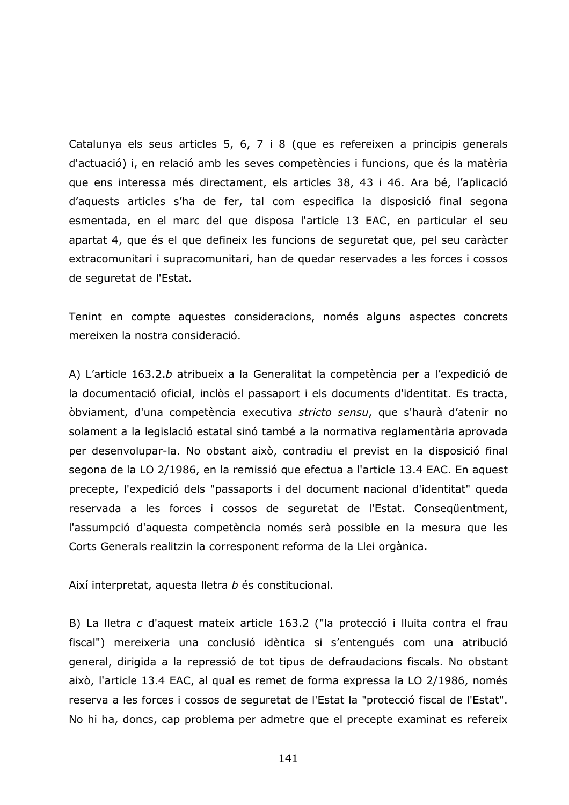Catalunya els seus articles 5, 6, 7 i 8 (que es refereixen a principis generals d'actuació) i, en relació amb les seves competències i funcions, que és la matèria que ens interessa més directament, els articles 38, 43 i 46. Ara bé, l'aplicació d'aquests articles s'ha de fer, tal com especifica la disposició final segona esmentada, en el marc del que disposa l'article 13 EAC, en particular el seu apartat 4, que és el que defineix les funcions de seguretat que, pel seu caràcter extracomunitari i supracomunitari, han de quedar reservades a les forces i cossos de seguretat de l'Estat.

Tenint en compte aquestes consideracions, només alguns aspectes concrets mereixen la nostra consideració.

A) L'article 163.2.b atribueix a la Generalitat la competència per a l'expedició de la documentació oficial, inclòs el passaport i els documents d'identitat. Es tracta, òbviament, d'una competència executiva stricto sensu, que s'haurà d'atenir no solament a la legislació estatal sinó també a la normativa reglamentària aprovada per desenvolupar-la. No obstant això, contradiu el previst en la disposició final segona de la LO 2/1986, en la remissió que efectua a l'article 13.4 EAC. En aquest precepte, l'expedició dels "passaports i del document nacional d'identitat" queda reservada a les forces i cossos de seguretat de l'Estat. Consegüentment, l'assumpció d'aquesta competència només serà possible en la mesura que les Corts Generals realitzin la corresponent reforma de la Llei orgànica.

Així interpretat, aquesta lletra b és constitucional.

B) La lletra c d'aquest mateix article 163.2 ("la protecció i lluita contra el frau fiscal") mereixeria una conclusió idèntica si s'entengués com una atribució general, dirigida a la repressió de tot tipus de defraudacions fiscals. No obstant això, l'article 13.4 EAC, al qual es remet de forma expressa la LO 2/1986, només reserva a les forces i cossos de seguretat de l'Estat la "protecció fiscal de l'Estat". No hi ha, doncs, cap problema per admetre que el precepte examinat es refereix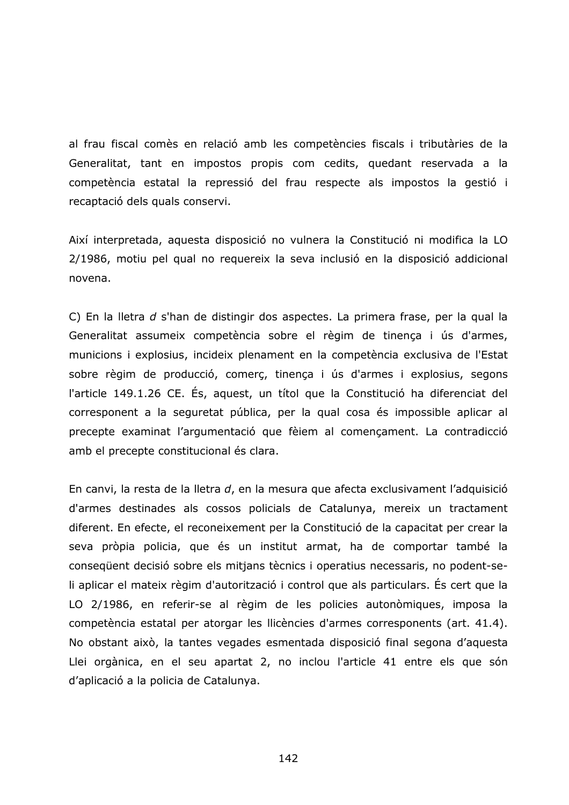al frau fiscal comès en relació amb les competències fiscals i tributàries de la Generalitat, tant en impostos propis com cedits, quedant reservada a la competència estatal la repressió del frau respecte als impostos la gestió i recaptació dels quals conservi.

Així interpretada, aquesta disposició no vulnera la Constitució ni modifica la LO 2/1986, motiu pel qual no requereix la seva inclusió en la disposició addicional novena.

C) En la lletra d s'han de distingir dos aspectes. La primera frase, per la qual la Generalitat assumeix competència sobre el règim de tinença i ús d'armes, municions i explosius, incideix plenament en la competència exclusiva de l'Estat sobre règim de producció, comerç, tinença i ús d'armes i explosius, segons l'article 149.1.26 CE. És, aquest, un títol que la Constitució ha diferenciat del corresponent a la seguretat pública, per la qual cosa és impossible aplicar al precepte examinat l'argumentació que fèiem al començament. La contradicció amb el precepte constitucional és clara.

En canvi, la resta de la lletra d, en la mesura que afecta exclusivament l'adquisició d'armes destinades als cossos policials de Catalunya, mereix un tractament diferent. En efecte, el reconeixement per la Constitució de la capacitat per crear la seva pròpia policia, que és un institut armat, ha de comportar també la consequent decisió sobre els mitjans tècnics i operatius necessaris, no podent-seli aplicar el mateix règim d'autorització i control que als particulars. És cert que la LO 2/1986, en referir-se al règim de les policies autonòmiques, imposa la competència estatal per atorgar les llicències d'armes corresponents (art. 41.4). No obstant això, la tantes vegades esmentada disposició final segona d'aquesta Llei orgànica, en el seu apartat 2, no inclou l'article 41 entre els que són d'aplicació a la policia de Catalunya.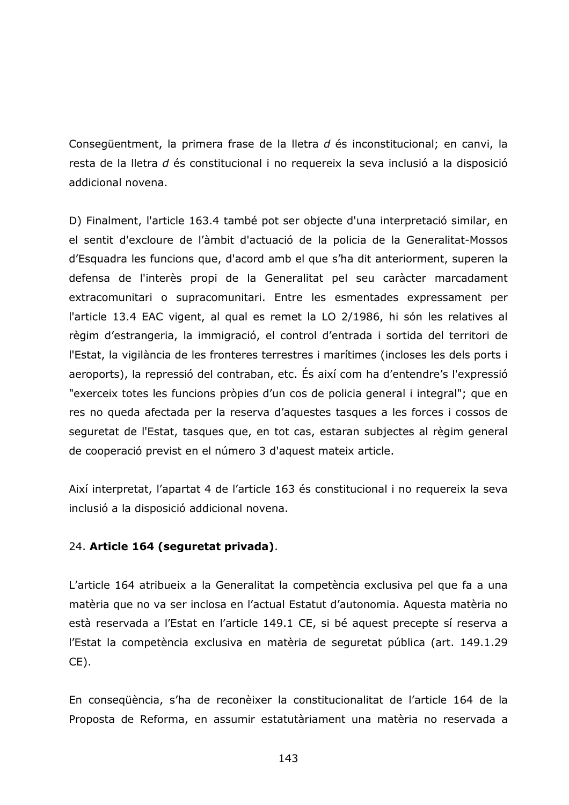Consequentment, la primera frase de la lletra d és inconstitucional; en canvi, la resta de la lletra d és constitucional i no requereix la seva inclusió a la disposició addicional novena.

D) Finalment, l'article 163.4 també pot ser objecte d'una interpretació similar, en el sentit d'excloure de l'àmbit d'actuació de la policia de la Generalitat-Mossos d'Esquadra les funcions que, d'acord amb el que s'ha dit anteriorment, superen la defensa de l'interès propi de la Generalitat pel seu caràcter marcadament extracomunitari o supracomunitari. Entre les esmentades expressament per l'article 13.4 EAC vigent, al qual es remet la LO 2/1986, hi són les relatives al règim d'estrangeria, la immigració, el control d'entrada i sortida del territori de l'Estat, la vigilància de les fronteres terrestres i marítimes (incloses les dels ports i aeroports), la repressió del contraban, etc. És així com ha d'entendre's l'expressió "exerceix totes les funcions pròpies d'un cos de policia general i integral"; que en res no queda afectada per la reserva d'aquestes tasques a les forces i cossos de seguretat de l'Estat, tasques que, en tot cas, estaran subjectes al règim general de cooperació previst en el número 3 d'aquest mateix article.

Així interpretat, l'apartat 4 de l'article 163 és constitucional i no requereix la seva inclusió a la disposició addicional novena.

# 24. Article 164 (seguretat privada).

L'article 164 atribueix a la Generalitat la competència exclusiva pel que fa a una matèria que no va ser inclosa en l'actual Estatut d'autonomia. Aquesta matèria no està reservada a l'Estat en l'article 149.1 CE, si bé aquest precepte sí reserva a l'Estat la competència exclusiva en matèria de seguretat pública (art. 149.1.29  $CE$ ).

En consegüència, s'ha de reconèixer la constitucionalitat de l'article 164 de la Proposta de Reforma, en assumir estatutàriament una matèria no reservada a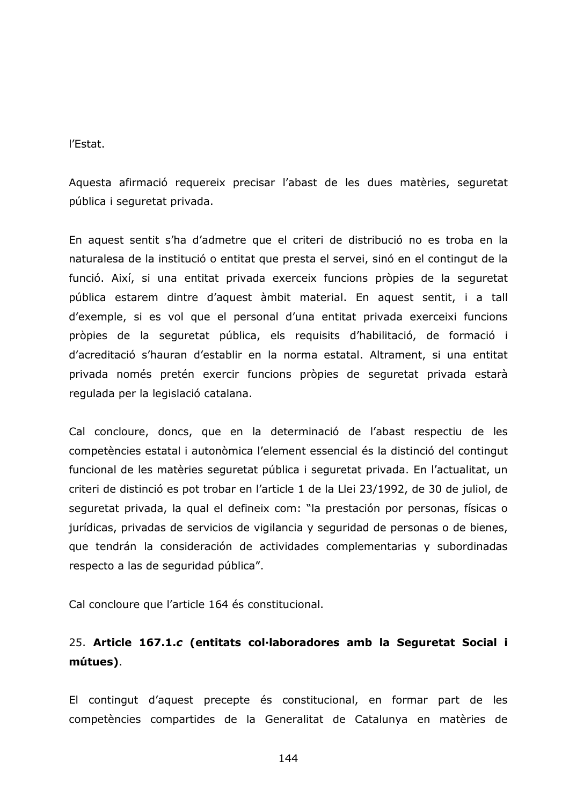l'Estat.

Aquesta afirmació requereix precisar l'abast de les dues matèries, seguretat pública i seguretat privada.

En aquest sentit s'ha d'admetre que el criteri de distribució no es troba en la naturalesa de la institució o entitat que presta el servei, sinó en el contingut de la funció. Així, si una entitat privada exerceix funcions pròpies de la seguretat pública estarem dintre d'aquest àmbit material. En aquest sentit, i a tall d'exemple, si es vol que el personal d'una entitat privada exerceixi funcions pròpies de la seguretat pública, els requisits d'habilitació, de formació i d'acreditació s'hauran d'establir en la norma estatal. Altrament, si una entitat privada només pretén exercir funcions pròpies de seguretat privada estarà regulada per la legislació catalana.

Cal concloure, doncs, que en la determinació de l'abast respectiu de les competències estatal i autonòmica l'element essencial és la distinció del contingut funcional de les matèries seguretat pública i seguretat privada. En l'actualitat, un criteri de distinció es pot trobar en l'article 1 de la Llei 23/1992, de 30 de juliol, de seguretat privada, la qual el defineix com: "la prestación por personas, físicas o jurídicas, privadas de servicios de vigilancia y seguridad de personas o de bienes, que tendrán la consideración de actividades complementarias y subordinadas respecto a las de seguridad pública".

Cal concloure que l'article 164 és constitucional.

# 25. Article 167.1.c (entitats col·laboradores amb la Seguretat Social i mútues).

El contingut d'aquest precepte és constitucional, en formar part de les competències compartides de la Generalitat de Catalunya en matèries de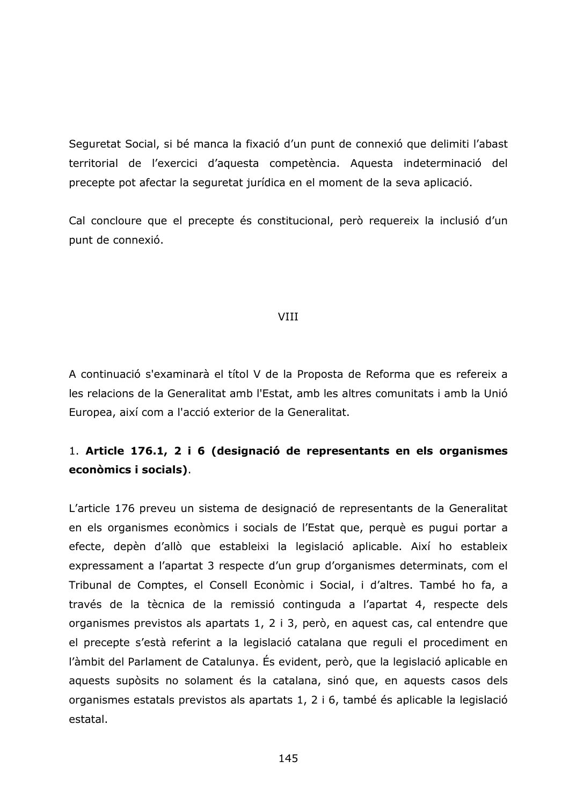Seguretat Social, si bé manca la fixació d'un punt de connexió que delimiti l'abast territorial de l'exercici d'aguesta competència. Aquesta indeterminació del precepte pot afectar la seguretat jurídica en el moment de la seva aplicació.

Cal concloure que el precepte és constitucional, però requereix la inclusió d'un punt de connexió.

#### **VIII**

A continuació s'examinarà el títol V de la Proposta de Reforma que es refereix a les relacions de la Generalitat amb l'Estat, amb les altres comunitats i amb la Unió Europea, així com a l'acció exterior de la Generalitat.

## 1. Article 176.1, 2 i 6 (designació de representants en els organismes econòmics i socials).

L'article 176 preveu un sistema de designació de representants de la Generalitat en els organismes econòmics i socials de l'Estat que, perquè es pugui portar a efecte, depèn d'allò que estableixi la legislació aplicable. Així ho estableix expressament a l'apartat 3 respecte d'un grup d'organismes determinats, com el Tribunal de Comptes, el Consell Econòmic i Social, i d'altres. També ho fa, a través de la tècnica de la remissió continguda a l'apartat 4, respecte dels organismes previstos als apartats 1, 2 i 3, però, en aquest cas, cal entendre que el precepte s'està referint a la legislació catalana que reguli el procediment en l'àmbit del Parlament de Catalunya. És evident, però, que la legislació aplicable en aquests supòsits no solament és la catalana, sinó que, en aquests casos dels organismes estatals previstos als apartats 1, 2 i 6, també és aplicable la legislació estatal.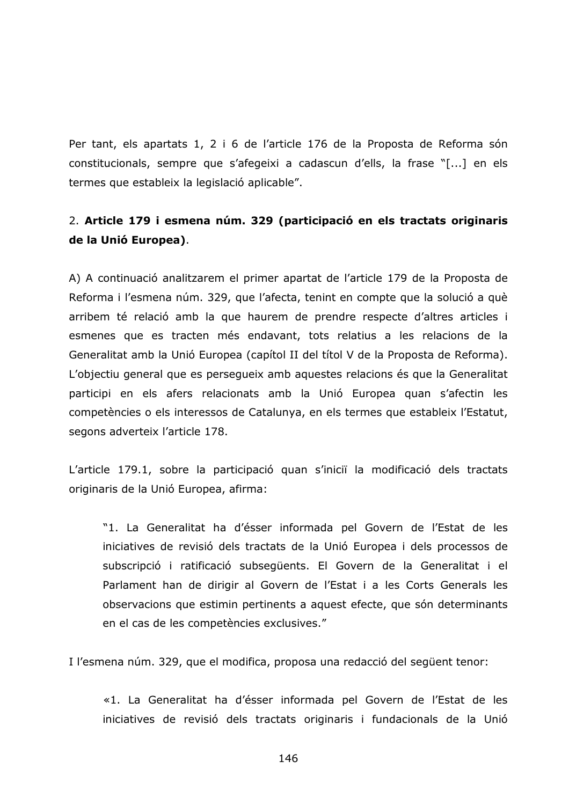Per tant, els apartats 1, 2 i 6 de l'article 176 de la Proposta de Reforma són constitucionals, sempre que s'afegeixi a cadascun d'ells, la frase "[...] en els termes que estableix la legislació aplicable".

## 2. Article 179 i esmena núm. 329 (participació en els tractats originaris de la Unió Europea).

A) A continuació analitzarem el primer apartat de l'article 179 de la Proposta de Reforma i l'esmena núm. 329, que l'afecta, tenint en compte que la solució a què arribem té relació amb la que haurem de prendre respecte d'altres articles i esmenes que es tracten més endavant, tots relatius a les relacions de la Generalitat amb la Unió Europea (capítol II del títol V de la Proposta de Reforma). L'objectiu general que es persequeix amb aquestes relacions és que la Generalitat participi en els afers relacionats amb la Unió Europea quan s'afectin les competències o els interessos de Catalunya, en els termes que estableix l'Estatut, segons adverteix l'article 178.

L'article 179.1, sobre la participació quan s'iniciï la modificació dels tractats originaris de la Unió Europea, afirma:

"1. La Generalitat ha d'ésser informada pel Govern de l'Estat de les iniciatives de revisió dels tractats de la Unió Europea i dels processos de subscripció i ratificació subsegüents. El Govern de la Generalitat i el Parlament han de dirigir al Govern de l'Estat i a les Corts Generals les observacions que estimin pertinents a aquest efecte, que són determinants en el cas de les competències exclusives."

I l'esmena núm. 329, que el modifica, proposa una redacció del següent tenor:

«1. La Generalitat ha d'ésser informada pel Govern de l'Estat de les iniciatives de revisió dels tractats originaris i fundacionals de la Unió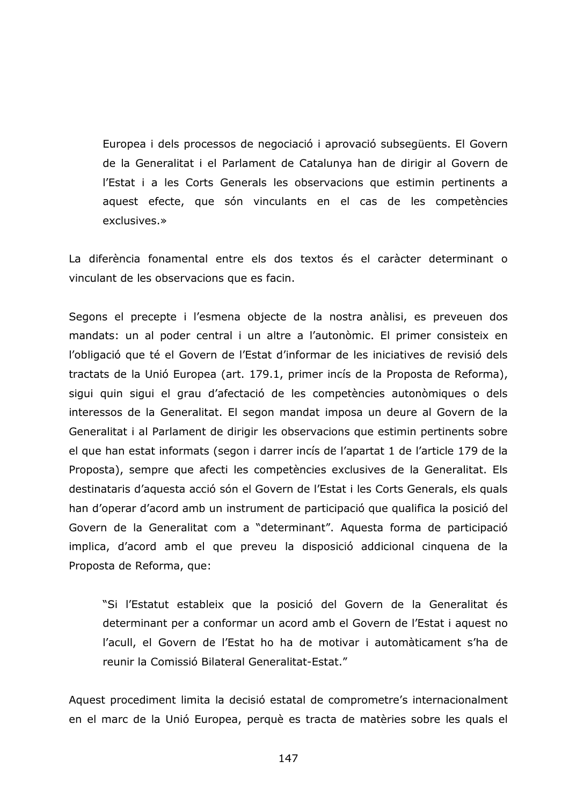Europea i dels processos de negociació i aprovació subsegüents. El Govern de la Generalitat i el Parlament de Catalunya han de dirigir al Govern de l'Estat i a les Corts Generals les observacions que estimin pertinents a aquest efecte, que són vinculants en el cas de les competències exclusives.»

La diferència fonamental entre els dos textos és el caràcter determinant o vinculant de les observacions que es facin.

Segons el precepte i l'esmena objecte de la nostra anàlisi, es preveuen dos mandats: un al poder central i un altre a l'autonòmic. El primer consisteix en l'obligació que té el Govern de l'Estat d'informar de les iniciatives de revisió dels tractats de la Unió Europea (art. 179.1, primer incís de la Proposta de Reforma), sigui quin sigui el grau d'afectació de les competències autonòmiques o dels interessos de la Generalitat. El segon mandat imposa un deure al Govern de la Generalitat i al Parlament de dirigir les observacions que estimin pertinents sobre el que han estat informats (segon i darrer incís de l'apartat 1 de l'article 179 de la Proposta), sempre que afecti les competències exclusives de la Generalitat. Els destinataris d'aquesta acció són el Govern de l'Estat i les Corts Generals, els quals han d'operar d'acord amb un instrument de participació que qualifica la posició del Govern de la Generalitat com a "determinant". Aquesta forma de participació implica, d'acord amb el que preveu la disposició addicional cinquena de la Proposta de Reforma, que:

"Si l'Estatut estableix que la posició del Govern de la Generalitat és determinant per a conformar un acord amb el Govern de l'Estat i aquest no l'acull, el Govern de l'Estat ho ha de motivar i automàticament s'ha de reunir la Comissió Bilateral Generalitat-Estat."

Aquest procediment limita la decisió estatal de comprometre's internacionalment en el marc de la Unió Europea, perquè es tracta de matèries sobre les quals el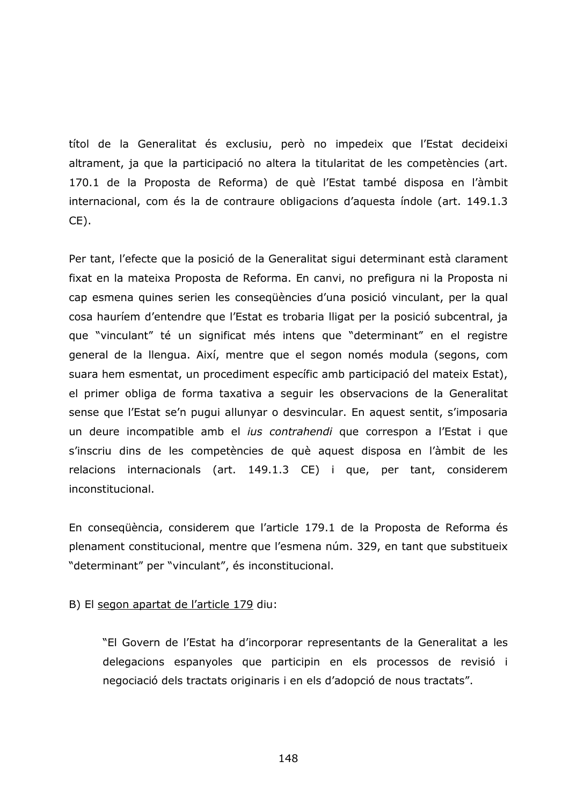títol de la Generalitat és exclusiu, però no impedeix que l'Estat decideixi altrament, ja que la participació no altera la titularitat de les competències (art. 170.1 de la Proposta de Reforma) de què l'Estat també disposa en l'àmbit internacional, com és la de contraure obligacions d'aquesta índole (art. 149.1.3  $CE$ ).

Per tant, l'efecte que la posició de la Generalitat sigui determinant està clarament fixat en la mateixa Proposta de Reforma. En canvi, no prefigura ni la Proposta ni cap esmena quines serien les consequències d'una posició vinculant, per la qual cosa hauríem d'entendre que l'Estat es trobaria lligat per la posició subcentral, ja que "vinculant" té un significat més intens que "determinant" en el registre general de la llengua. Així, mentre que el segon només modula (segons, com suara hem esmentat, un procediment específic amb participació del mateix Estat), el primer obliga de forma taxativa a seguir les observacions de la Generalitat sense que l'Estat se'n pugui allunyar o desvincular. En aquest sentit, s'imposaria un deure incompatible amb el ius contrahendi que correspon a l'Estat i que s'inscriu dins de les competències de què aquest disposa en l'àmbit de les relacions internacionals (art. 149.1.3 CE) i que, per tant, considerem inconstitucional.

En consequència, considerem que l'article 179.1 de la Proposta de Reforma és plenament constitucional, mentre que l'esmena núm. 329, en tant que substitueix "determinant" per "vinculant", és inconstitucional.

#### B) El segon apartat de l'article 179 diu:

"El Govern de l'Estat ha d'incorporar representants de la Generalitat a les delegacions espanyoles que participin en els processos de revisió i negociació dels tractats originaris i en els d'adopció de nous tractats".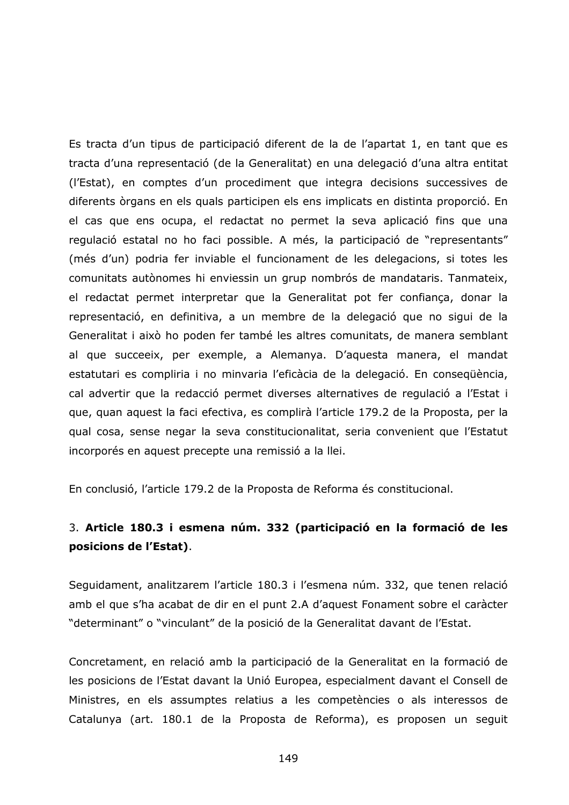Es tracta d'un tipus de participació diferent de la de l'apartat 1, en tant que es tracta d'una representació (de la Generalitat) en una delegació d'una altra entitat (l'Estat), en comptes d'un procediment que integra decisions successives de diferents òrgans en els quals participen els ens implicats en distinta proporció. En el cas que ens ocupa, el redactat no permet la seva aplicació fins que una regulació estatal no ho faci possible. A més, la participació de "representants" (més d'un) podria fer inviable el funcionament de les delegacions, si totes les comunitats autònomes hi enviessin un grup nombrós de mandataris. Tanmateix, el redactat permet interpretar que la Generalitat pot fer confiança, donar la representació, en definitiva, a un membre de la delegació que no sigui de la Generalitat i això ho poden fer també les altres comunitats, de manera semblant al que succeeix, per exemple, a Alemanya. D'aquesta manera, el mandat estatutari es compliria i no minvaria l'eficàcia de la delegació. En consegüència, cal advertir que la redacció permet diverses alternatives de regulació a l'Estat i que, quan aquest la faci efectiva, es complirà l'article 179.2 de la Proposta, per la qual cosa, sense negar la seva constitucionalitat, seria convenient que l'Estatut incorporés en aquest precepte una remissió a la llei.

En conclusió, l'article 179.2 de la Proposta de Reforma és constitucional.

## 3. Article 180.3 i esmena núm. 332 (participació en la formació de les posicions de l'Estat).

Seguidament, analitzarem l'article 180.3 i l'esmena núm. 332, que tenen relació amb el que s'ha acabat de dir en el punt 2.A d'aquest Fonament sobre el caràcter "determinant" o "vinculant" de la posició de la Generalitat davant de l'Estat.

Concretament, en relació amb la participació de la Generalitat en la formació de les posicions de l'Estat davant la Unió Europea, especialment davant el Consell de Ministres, en els assumptes relatius a les competències o als interessos de Catalunya (art. 180.1 de la Proposta de Reforma), es proposen un seguit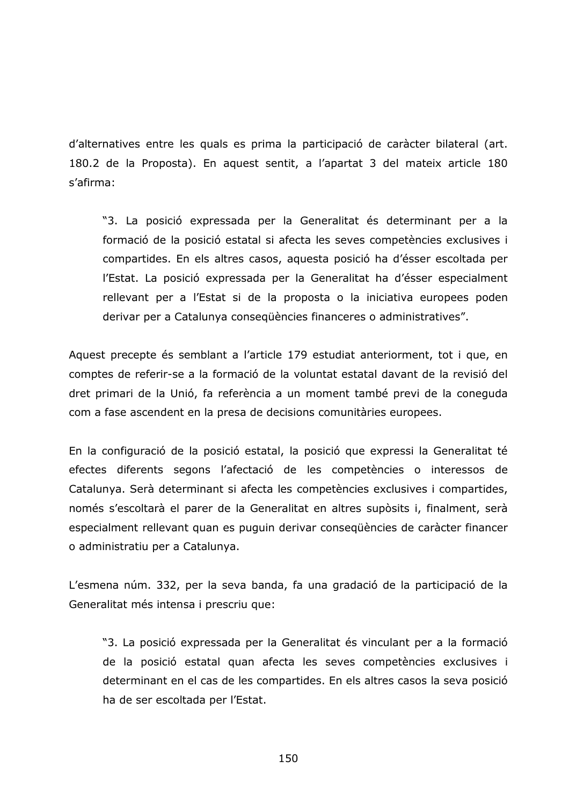d'alternatives entre les quals es prima la participació de caràcter bilateral (art. 180.2 de la Proposta). En aquest sentit, a l'apartat 3 del mateix article 180 s'afirma:

"3. La posició expressada per la Generalitat és determinant per a la formació de la posició estatal si afecta les seves competències exclusives i compartides. En els altres casos, aquesta posició ha d'ésser escoltada per l'Estat. La posició expressada per la Generalitat ha d'ésser especialment rellevant per a l'Estat si de la proposta o la iniciativa europees poden derivar per a Catalunya consequències financeres o administratives".

Aquest precepte és semblant a l'article 179 estudiat anteriorment, tot i que, en comptes de referir-se a la formació de la voluntat estatal davant de la revisió del dret primari de la Unió, fa referència a un moment també previ de la coneguda com a fase ascendent en la presa de decisions comunitàries europees.

En la configuració de la posició estatal, la posició que expressi la Generalitat té efectes diferents segons l'afectació de les competències o interessos de Catalunya. Serà determinant si afecta les competències exclusives i compartides, només s'escoltarà el parer de la Generalitat en altres supòsits i, finalment, serà especialment rellevant quan es puguin derivar consequències de caràcter financer o administratiu per a Catalunya.

L'esmena núm. 332, per la seva banda, fa una gradació de la participació de la Generalitat més intensa i prescriu que:

"3. La posició expressada per la Generalitat és vinculant per a la formació de la posició estatal quan afecta les seves competències exclusives i determinant en el cas de les compartides. En els altres casos la seva posició ha de ser escoltada per l'Estat.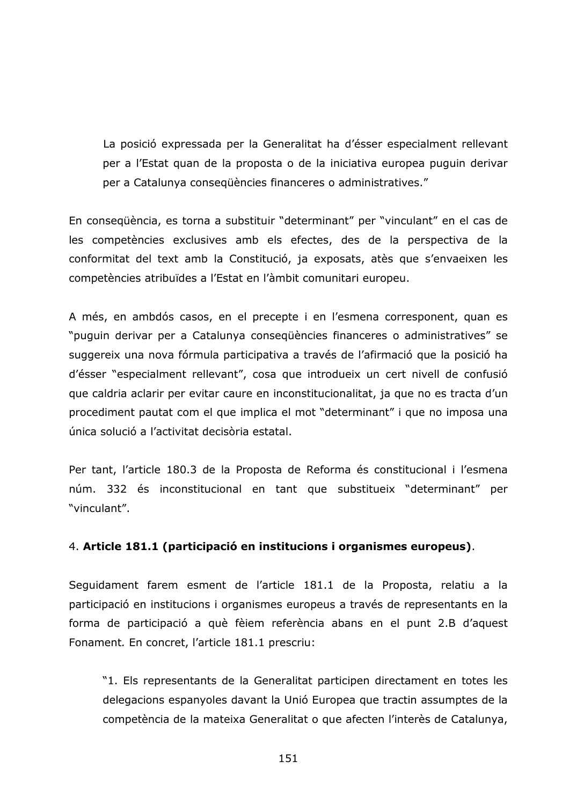La posició expressada per la Generalitat ha d'ésser especialment rellevant per a l'Estat quan de la proposta o de la iniciativa europea puguin derivar per a Catalunya consequències financeres o administratives."

En consequència, es torna a substituir "determinant" per "vinculant" en el cas de les competències exclusives amb els efectes, des de la perspectiva de la conformitat del text amb la Constitució, ja exposats, atès que s'envaeixen les competències atribuïdes a l'Estat en l'àmbit comunitari europeu.

A més, en ambdós casos, en el precepte i en l'esmena corresponent, quan es "puguin derivar per a Catalunya consequències financeres o administratives" se suggereix una nova fórmula participativa a través de l'afirmació que la posició ha d'ésser "especialment rellevant", cosa que introdueix un cert nivell de confusió que caldria aclarir per evitar caure en inconstitucionalitat, ja que no es tracta d'un procediment pautat com el que implica el mot "determinant" i que no imposa una única solució a l'activitat decisòria estatal.

Per tant, l'article 180.3 de la Proposta de Reforma és constitucional i l'esmena núm. 332 és inconstitucional en tant que substitueix "determinant" per "vinculant".

#### 4. Article 181.1 (participació en institucions i organismes europeus).

Seguidament farem esment de l'article 181.1 de la Proposta, relatiu a la participació en institucions i organismes europeus a través de representants en la forma de participació a què fèiem referència abans en el punt 2.B d'aquest Fonament. En concret, l'article 181.1 prescriu:

"1. Els representants de la Generalitat participen directament en totes les delegacions espanyoles davant la Unió Europea que tractin assumptes de la competència de la mateixa Generalitat o que afecten l'interès de Catalunya,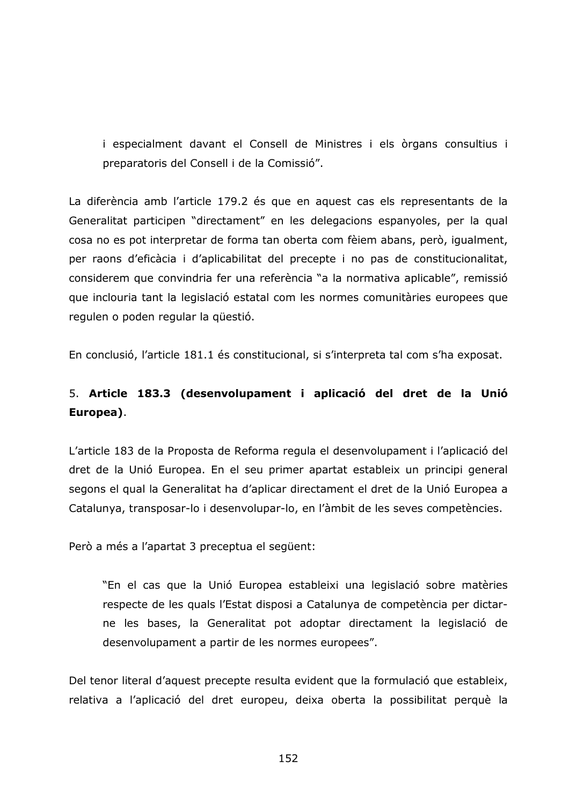i especialment davant el Consell de Ministres i els òrgans consultius i preparatoris del Consell i de la Comissió".

La diferència amb l'article 179.2 és que en aquest cas els representants de la Generalitat participen "directament" en les delegacions espanyoles, per la qual cosa no es pot interpretar de forma tan oberta com fèiem abans, però, igualment, per raons d'eficàcia i d'aplicabilitat del precepte i no pas de constitucionalitat, considerem que convindria fer una referència "a la normativa aplicable", remissió que inclouria tant la legislació estatal com les normes comunitàries europees que regulen o poden regular la qüestió.

En conclusió, l'article 181.1 és constitucional, si s'interpreta tal com s'ha exposat.

## 5. Article 183.3 (desenvolupament i aplicació del dret de la Unió Europea).

L'article 183 de la Proposta de Reforma regula el desenvolupament i l'aplicació del dret de la Unió Europea. En el seu primer apartat estableix un principi general segons el qual la Generalitat ha d'aplicar directament el dret de la Unió Europea a Catalunya, transposar-lo i desenvolupar-lo, en l'àmbit de les seves competències.

Però a més a l'apartat 3 preceptua el següent:

"En el cas que la Unió Europea estableixi una legislació sobre matèries respecte de les quals l'Estat disposi a Catalunya de competència per dictarne les bases, la Generalitat pot adoptar directament la legislació de desenvolupament a partir de les normes europees".

Del tenor literal d'aquest precepte resulta evident que la formulació que estableix, relativa a l'aplicació del dret europeu, deixa oberta la possibilitat perquè la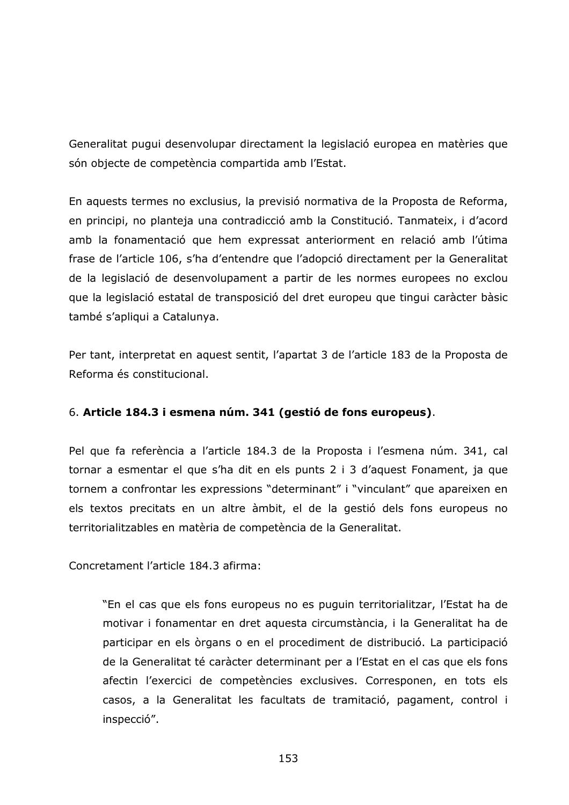Generalitat pugui desenvolupar directament la legislació europea en matèries que són objecte de competència compartida amb l'Estat.

En aquests termes no exclusius, la previsió normativa de la Proposta de Reforma, en principi, no planteja una contradicció amb la Constitució. Tanmateix, i d'acord amb la fonamentació que hem expressat anteriorment en relació amb l'útima frase de l'article 106, s'ha d'entendre que l'adopció directament per la Generalitat de la legislació de desenvolupament a partir de les normes europees no exclou que la legislació estatal de transposició del dret europeu que tingui caràcter bàsic també s'apliqui a Catalunya.

Per tant, interpretat en aquest sentit, l'apartat 3 de l'article 183 de la Proposta de Reforma és constitucional.

### 6. Article 184.3 i esmena núm. 341 (gestió de fons europeus).

Pel que fa referència a l'article 184.3 de la Proposta i l'esmena núm. 341, cal tornar a esmentar el que s'ha dit en els punts 2 i 3 d'aquest Fonament, ja que tornem a confrontar les expressions "determinant" i "vinculant" que apareixen en els textos precitats en un altre àmbit, el de la gestió dels fons europeus no territorialitzables en matèria de competència de la Generalitat.

Concretament l'article 184.3 afirma:

"En el cas que els fons europeus no es puguin territorialitzar, l'Estat ha de motivar i fonamentar en dret aquesta circumstància, i la Generalitat ha de participar en els òrgans o en el procediment de distribució. La participació de la Generalitat té caràcter determinant per a l'Estat en el cas que els fons afectin l'exercici de competències exclusives. Corresponen, en tots els casos, a la Generalitat les facultats de tramitació, pagament, control i inspecció".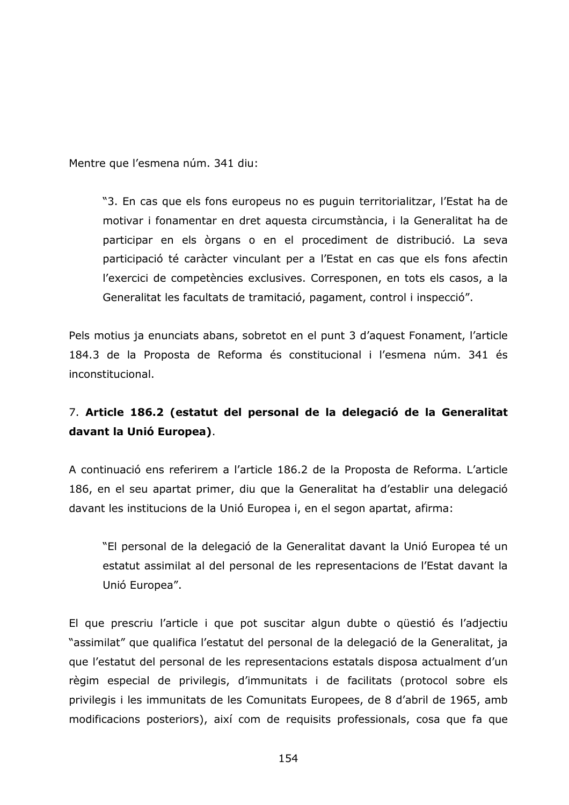Mentre que l'esmena núm. 341 diu:

"3. En cas que els fons europeus no es puguin territorialitzar, l'Estat ha de motivar i fonamentar en dret aquesta circumstància, i la Generalitat ha de participar en els òrgans o en el procediment de distribució. La seva participació té caràcter vinculant per a l'Estat en cas que els fons afectin l'exercici de competències exclusives. Corresponen, en tots els casos, a la Generalitat les facultats de tramitació, pagament, control i inspecció".

Pels motius ja enunciats abans, sobretot en el punt 3 d'aquest Fonament, l'article 184.3 de la Proposta de Reforma és constitucional i l'esmena núm. 341 és inconstitucional.

# 7. Article 186.2 (estatut del personal de la delegació de la Generalitat davant la Unió Europea).

A continuació ens referirem a l'article 186.2 de la Proposta de Reforma. L'article 186, en el seu apartat primer, diu que la Generalitat ha d'establir una delegació davant les institucions de la Unió Europea i, en el segon apartat, afirma:

"El personal de la delegació de la Generalitat davant la Unió Europea té un estatut assimilat al del personal de les representacions de l'Estat davant la Unió Europea".

El que prescriu l'article i que pot suscitar algun dubte o qüestió és l'adjectiu "assimilat" que qualifica l'estatut del personal de la delegació de la Generalitat, ja que l'estatut del personal de les representacions estatals disposa actualment d'un règim especial de privilegis, d'immunitats i de facilitats (protocol sobre els privilegis i les immunitats de les Comunitats Europees, de 8 d'abril de 1965, amb modificacions posteriors), així com de requisits professionals, cosa que fa que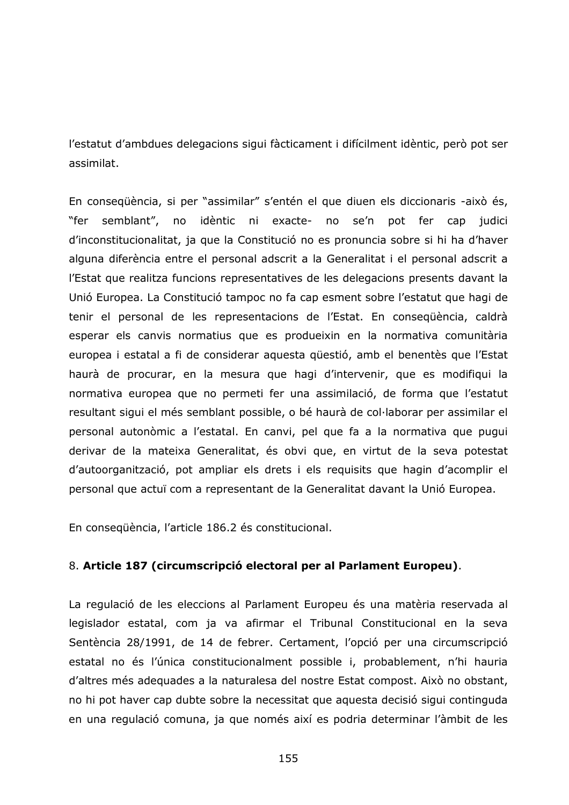l'estatut d'ambdues delegacions sigui fàcticament i difícilment idèntic, però pot ser assimilat.

En consequència, si per "assimilar" s'entén el que diuen els diccionaris -això és, "fer idèntic ni exacte- no se'n pot fer cap judici semblant", no d'inconstitucionalitat, ja que la Constitució no es pronuncia sobre si hi ha d'haver alguna diferència entre el personal adscrit a la Generalitat i el personal adscrit a l'Estat que realitza funcions representatives de les delegacions presents davant la Unió Europea. La Constitució tampoc no fa cap esment sobre l'estatut que hagi de tenir el personal de les representacions de l'Estat. En consegüència, caldrà esperar els canvis normatius que es produeixin en la normativa comunitària europea i estatal a fi de considerar aquesta questió, amb el benentès que l'Estat haurà de procurar, en la mesura que hagi d'intervenir, que es modifiqui la normativa europea que no permeti fer una assimilació, de forma que l'estatut resultant sigui el més semblant possible, o bé haurà de col·laborar per assimilar el personal autonòmic a l'estatal. En canvi, pel que fa a la normativa que pugui derivar de la mateixa Generalitat, és obvi que, en virtut de la seva potestat d'autoorganització, pot ampliar els drets i els requisits que hagin d'acomplir el personal que actuï com a representant de la Generalitat davant la Unió Europea.

En consequència, l'article 186.2 és constitucional.

### 8. Article 187 (circumscripció electoral per al Parlament Europeu).

La regulació de les eleccions al Parlament Europeu és una matèria reservada al legislador estatal, com ja va afirmar el Tribunal Constitucional en la seva Sentència 28/1991, de 14 de febrer. Certament, l'opció per una circumscripció estatal no és l'única constitucionalment possible i, probablement, n'hi hauria d'altres més adequades a la naturalesa del nostre Estat compost. Això no obstant, no hi pot haver cap dubte sobre la necessitat que aquesta decisió sigui continguda en una regulació comuna, ja que només així es podria determinar l'àmbit de les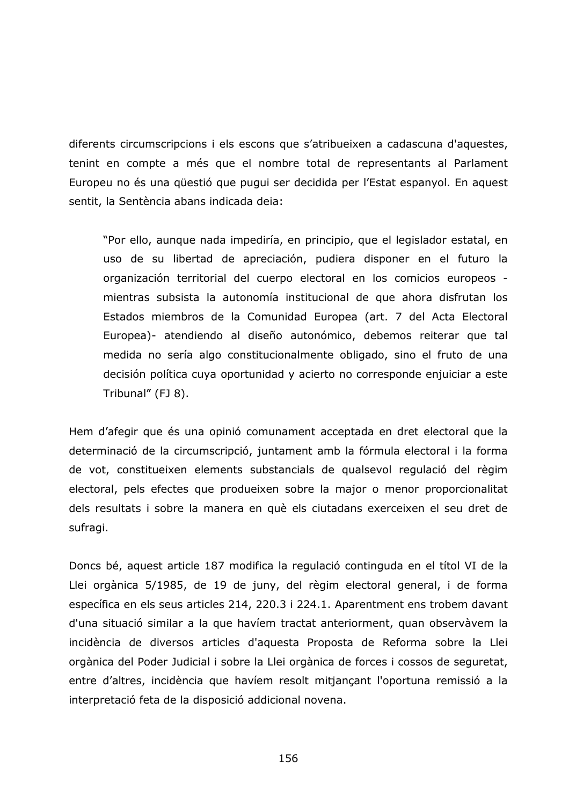diferents circumscripcions i els escons que s'atribueixen a cadascuna d'aquestes, tenint en compte a més que el nombre total de representants al Parlament Europeu no és una qüestió que pugui ser decidida per l'Estat espanyol. En aquest sentit, la Sentència abans indicada deia:

"Por ello, aunque nada impediría, en principio, que el legislador estatal, en uso de su libertad de apreciación, pudiera disponer en el futuro la organización territorial del cuerpo electoral en los comicios europeos mientras subsista la autonomía institucional de que ahora disfrutan los Estados miembros de la Comunidad Europea (art. 7 del Acta Electoral Europea)- atendiendo al diseño autonómico, debemos reiterar que tal medida no sería algo constitucionalmente obligado, sino el fruto de una decisión política cuya oportunidad y acierto no corresponde enjuiciar a este Tribunal" (FJ 8).

Hem d'afegir que és una opinió comunament acceptada en dret electoral que la determinació de la circumscripció, juntament amb la fórmula electoral i la forma de vot, constitueixen elements substancials de qualsevol regulació del règim electoral, pels efectes que produeixen sobre la major o menor proporcionalitat dels resultats i sobre la manera en què els ciutadans exerceixen el seu dret de sufragi.

Doncs bé, aquest article 187 modifica la regulació continguda en el títol VI de la Llei orgànica 5/1985, de 19 de juny, del règim electoral general, i de forma específica en els seus articles 214, 220.3 i 224.1. Aparentment ens trobem davant d'una situació similar a la que havíem tractat anteriorment, quan observàvem la incidència de diversos articles d'aquesta Proposta de Reforma sobre la Llei orgànica del Poder Judicial i sobre la Llei orgànica de forces i cossos de seguretat, entre d'altres, incidència que havíem resolt mitjançant l'oportuna remissió a la interpretació feta de la disposició addicional novena.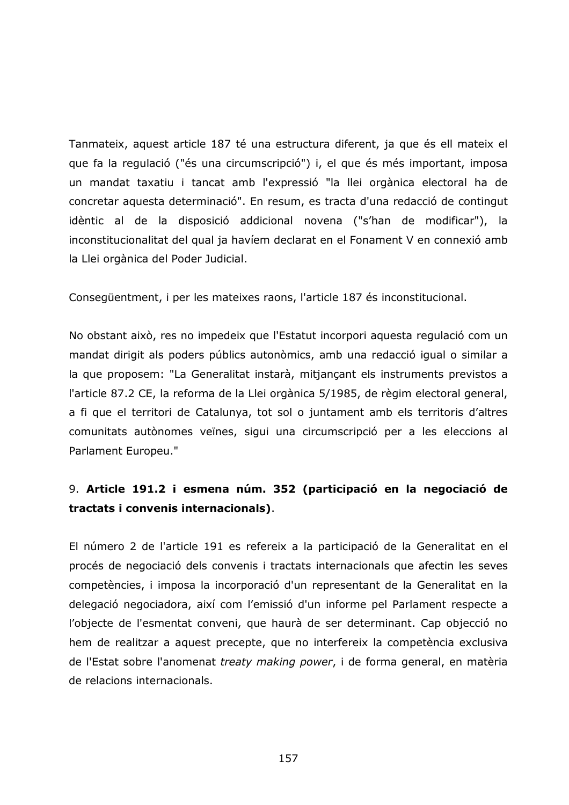Tanmateix, aquest article 187 té una estructura diferent, ja que és ell mateix el que fa la regulació ("és una circumscripció") i, el que és més important, imposa un mandat taxatiu i tancat amb l'expressió "la llei orgànica electoral ha de concretar aquesta determinació". En resum, es tracta d'una redacció de contingut idèntic al de la disposició addicional novena ("s'han de modificar"), la inconstitucionalitat del qual ja havíem declarat en el Fonament V en connexió amb la Llei orgànica del Poder Judicial.

Consequentment, i per les mateixes raons, l'article 187 és inconstitucional.

No obstant això, res no impedeix que l'Estatut incorpori aquesta regulació com un mandat dirigit als poders públics autonòmics, amb una redacció igual o similar a la que proposem: "La Generalitat instarà, mitjançant els instruments previstos a l'article 87.2 CE, la reforma de la Llei orgànica 5/1985, de règim electoral general, a fi que el territori de Catalunya, tot sol o juntament amb els territoris d'altres comunitats autònomes veïnes, sigui una circumscripció per a les eleccions al Parlament Europeu."

## 9. Article 191.2 i esmena núm. 352 (participació en la negociació de tractats i convenis internacionals).

El número 2 de l'article 191 es refereix a la participació de la Generalitat en el procés de negociació dels convenis i tractats internacionals que afectin les seves competències, i imposa la incorporació d'un representant de la Generalitat en la delegació negociadora, així com l'emissió d'un informe pel Parlament respecte a l'objecte de l'esmentat conveni, que haurà de ser determinant. Cap objecció no hem de realitzar a aquest precepte, que no interfereix la competència exclusiva de l'Estat sobre l'anomenat treaty making power, i de forma general, en matèria de relacions internacionals.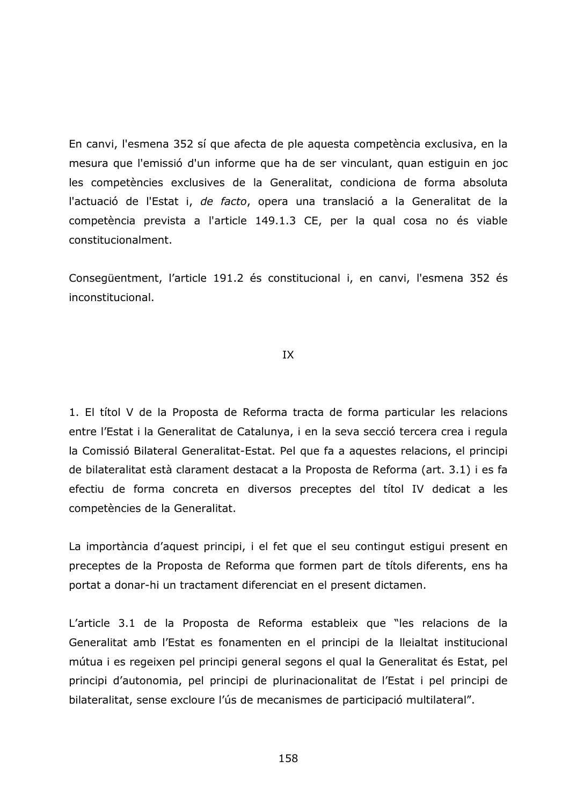En canvi, l'esmena 352 sí que afecta de ple aquesta competència exclusiva, en la mesura que l'emissió d'un informe que ha de ser vinculant, quan estiquin en joc les competències exclusives de la Generalitat, condiciona de forma absoluta l'actuació de l'Estat i, de facto, opera una translació a la Generalitat de la competència prevista a l'article 149.1.3 CE, per la qual cosa no és viable constitucionalment.

Consequentment, l'article 191.2 és constitucional i, en canvi, l'esmena 352 és inconstitucional.

#### IX

1. El títol V de la Proposta de Reforma tracta de forma particular les relacions entre l'Estat i la Generalitat de Catalunya, i en la seva secció tercera crea i regula la Comissió Bilateral Generalitat-Estat. Pel que fa a aquestes relacions, el principi de bilateralitat està clarament destacat a la Proposta de Reforma (art. 3.1) i es fa efectiu de forma concreta en diversos preceptes del títol IV dedicat a les competències de la Generalitat.

La importància d'aquest principi, i el fet que el seu contingut estigui present en preceptes de la Proposta de Reforma que formen part de títols diferents, ens ha portat a donar-hi un tractament diferenciat en el present dictamen.

L'article 3.1 de la Proposta de Reforma estableix que "les relacions de la Generalitat amb l'Estat es fonamenten en el principi de la lleialtat institucional mútua i es regeixen pel principi general segons el qual la Generalitat és Estat, pel principi d'autonomia, pel principi de plurinacionalitat de l'Estat i pel principi de bilateralitat, sense excloure l'ús de mecanismes de participació multilateral".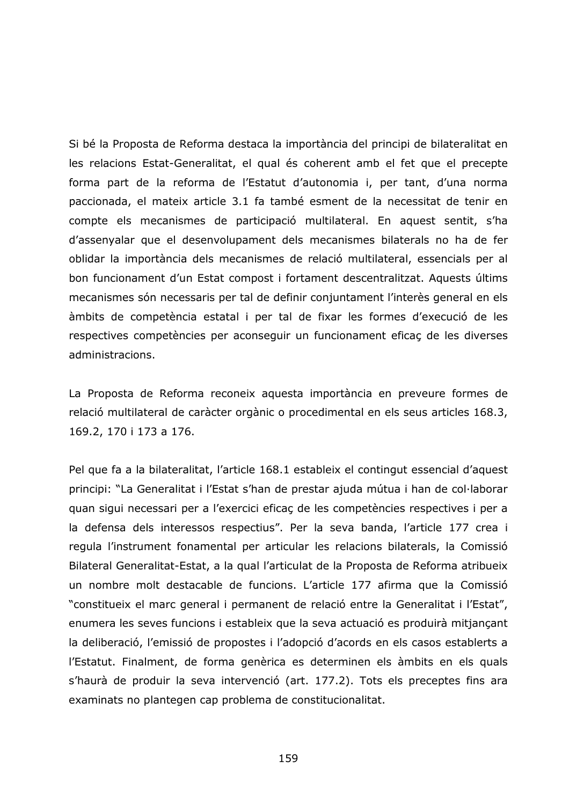Si bé la Proposta de Reforma destaca la importància del principi de bilateralitat en les relacions Estat-Generalitat, el qual és coherent amb el fet que el precepte forma part de la reforma de l'Estatut d'autonomia i, per tant, d'una norma paccionada, el mateix article 3.1 fa també esment de la necessitat de tenir en compte els mecanismes de participació multilateral. En aquest sentit, s'ha d'assenyalar que el desenvolupament dels mecanismes bilaterals no ha de fer oblidar la importància dels mecanismes de relació multilateral, essencials per al bon funcionament d'un Estat compost i fortament descentralitzat. Aquests últims mecanismes són necessaris per tal de definir conjuntament l'interès general en els àmbits de competència estatal i per tal de fixar les formes d'execució de les respectives competències per aconseguir un funcionament eficaç de les diverses administracions.

La Proposta de Reforma reconeix aquesta importància en preveure formes de relació multilateral de caràcter orgànic o procedimental en els seus articles 168.3, 169.2, 170 i 173 a 176.

Pel que fa a la bilateralitat, l'article 168.1 estableix el contingut essencial d'aquest principi: "La Generalitat i l'Estat s'han de prestar ajuda mútua i han de col·laborar quan sigui necessari per a l'exercici eficaç de les competències respectives i per a la defensa dels interessos respectius". Per la seva banda, l'article 177 crea i regula l'instrument fonamental per articular les relacions bilaterals, la Comissió Bilateral Generalitat-Estat, a la qual l'articulat de la Proposta de Reforma atribueix un nombre molt destacable de funcions. L'article 177 afirma que la Comissió "constitueix el marc general i permanent de relació entre la Generalitat i l'Estat", enumera les seves funcions i estableix que la seva actuació es produirà mitjançant la deliberació, l'emissió de propostes i l'adopció d'acords en els casos establerts a l'Estatut. Finalment, de forma genèrica es determinen els àmbits en els quals s'haurà de produir la seva intervenció (art. 177.2). Tots els preceptes fins ara examinats no plantegen cap problema de constitucionalitat.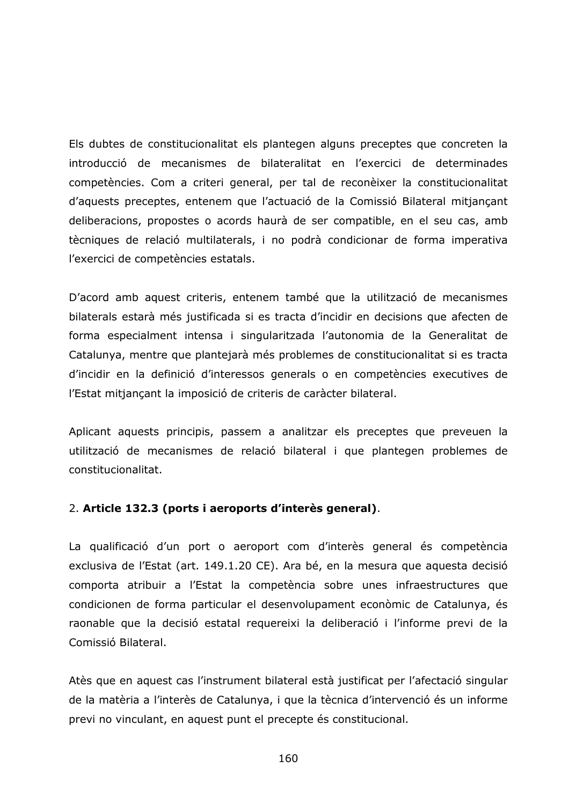Els dubtes de constitucionalitat els plantegen alguns preceptes que concreten la introducció de mecanismes de bilateralitat en l'exercici de determinades competències. Com a criteri general, per tal de reconèixer la constitucionalitat d'aquests preceptes, entenem que l'actuació de la Comissió Bilateral mitjançant deliberacions, propostes o acords haurà de ser compatible, en el seu cas, amb tècniques de relació multilaterals, i no podrà condicionar de forma imperativa l'exercici de competències estatals.

D'acord amb aquest criteris, entenem també que la utilització de mecanismes bilaterals estarà més justificada si es tracta d'incidir en decisions que afecten de forma especialment intensa i singularitzada l'autonomia de la Generalitat de Catalunya, mentre que plantejarà més problemes de constitucionalitat si es tracta d'incidir en la definició d'interessos generals o en competències executives de l'Estat mitjançant la imposició de criteris de caràcter bilateral.

Aplicant aquests principis, passem a analitzar els preceptes que preveuen la utilització de mecanismes de relació bilateral i que plantegen problemes de constitucionalitat.

#### 2. Article 132.3 (ports i aeroports d'interès general).

La qualificació d'un port o aeroport com d'interès general és competència exclusiva de l'Estat (art. 149.1.20 CE). Ara bé, en la mesura que aquesta decisió comporta atribuir a l'Estat la competència sobre unes infraestructures que condicionen de forma particular el desenvolupament econòmic de Catalunya, és raonable que la decisió estatal requereixi la deliberació i l'informe previ de la Comissió Bilateral.

Atès que en aquest cas l'instrument bilateral està justificat per l'afectació singular de la matèria a l'interès de Catalunya, i que la tècnica d'intervenció és un informe previ no vinculant, en aquest punt el precepte és constitucional.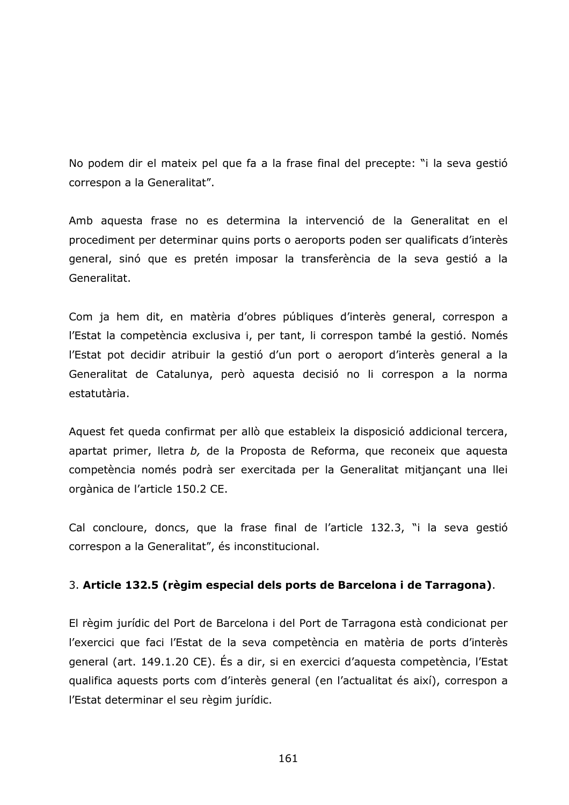No podem dir el mateix pel que fa a la frase final del precepte: "i la seva gestió correspon a la Generalitat".

Amb aquesta frase no es determina la intervenció de la Generalitat en el procediment per determinar quins ports o aeroports poden ser qualificats d'interès general, sinó que es pretén imposar la transferència de la seva gestió a la Generalitat.

Com ja hem dit, en matèria d'obres públiques d'interès general, correspon a l'Estat la competència exclusiva i, per tant, li correspon també la gestió. Només l'Estat pot decidir atribuir la gestió d'un port o aeroport d'interès general a la Generalitat de Catalunya, però aquesta decisió no li correspon a la norma estatutària.

Aquest fet queda confirmat per allò que estableix la disposició addicional tercera, apartat primer, lletra b, de la Proposta de Reforma, que reconeix que aquesta competència només podrà ser exercitada per la Generalitat mitjançant una llei orgànica de l'article 150.2 CE.

Cal concloure, doncs, que la frase final de l'article 132.3, "i la seva gestió correspon a la Generalitat", és inconstitucional.

### 3. Article 132.5 (règim especial dels ports de Barcelona i de Tarragona).

El règim jurídic del Port de Barcelona i del Port de Tarragona està condicionat per l'exercici que faci l'Estat de la seva competència en matèria de ports d'interès general (art. 149.1.20 CE). És a dir, si en exercici d'aquesta competència, l'Estat qualifica aquests ports com d'interès general (en l'actualitat és així), correspon a l'Estat determinar el seu règim jurídic.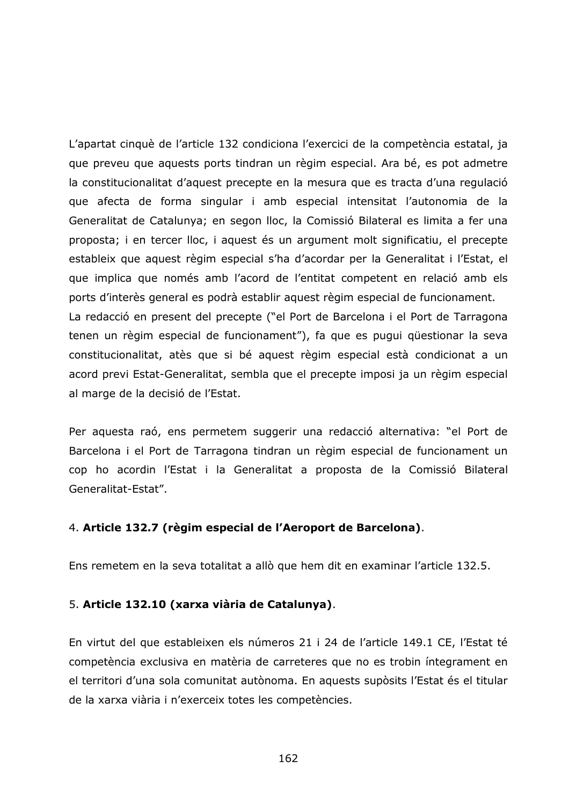L'apartat cinquè de l'article 132 condiciona l'exercici de la competència estatal, ja que preveu que aquests ports tindran un règim especial. Ara bé, es pot admetre la constitucionalitat d'aquest precepte en la mesura que es tracta d'una regulació que afecta de forma singular i amb especial intensitat l'autonomia de la Generalitat de Catalunya; en segon lloc, la Comissió Bilateral es limita a fer una proposta; i en tercer lloc, i aquest és un argument molt significatiu, el precepte estableix que aquest règim especial s'ha d'acordar per la Generalitat i l'Estat, el que implica que només amb l'acord de l'entitat competent en relació amb els ports d'interès general es podrà establir aquest règim especial de funcionament.

La redacció en present del precepte ("el Port de Barcelona i el Port de Tarragona tenen un règim especial de funcionament"), fa que es pugui questionar la seva constitucionalitat, atès que si bé aquest règim especial està condicionat a un acord previ Estat-Generalitat, sembla que el precepte imposi ja un règim especial al marge de la decisió de l'Estat.

Per aquesta raó, ens permetem suggerir una redacció alternativa: "el Port de Barcelona i el Port de Tarragona tindran un règim especial de funcionament un cop ho acordin l'Estat i la Generalitat a proposta de la Comissió Bilateral Generalitat-Estat".

### 4. Article 132.7 (règim especial de l'Aeroport de Barcelona).

Ens remetem en la seva totalitat a allò que hem dit en examinar l'article 132.5.

### 5. Article 132.10 (xarxa viària de Catalunya).

En virtut del que estableixen els números 21 i 24 de l'article 149.1 CE, l'Estat té competència exclusiva en matèria de carreteres que no es trobin íntegrament en el territori d'una sola comunitat autònoma. En aquests supòsits l'Estat és el titular de la xarxa viària i n'exerceix totes les competències.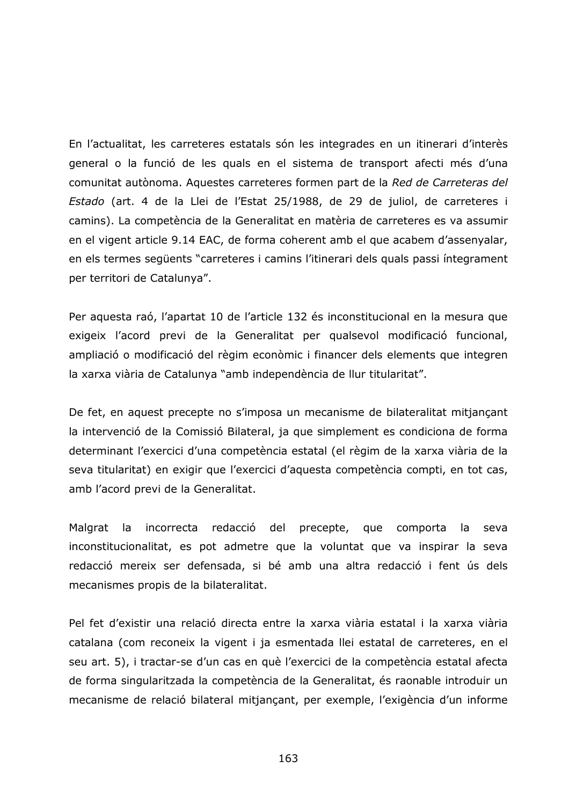En l'actualitat, les carreteres estatals són les integrades en un itinerari d'interès general o la funció de les quals en el sistema de transport afecti més d'una comunitat autònoma. Aquestes carreteres formen part de la Red de Carreteras del Estado (art. 4 de la Llei de l'Estat 25/1988, de 29 de juliol, de carreteres i camins). La competència de la Generalitat en matèria de carreteres es va assumir en el vigent article 9.14 EAC, de forma coherent amb el que acabem d'assenyalar, en els termes següents "carreteres i camins l'itinerari dels quals passi integrament per territori de Catalunya".

Per aquesta raó, l'apartat 10 de l'article 132 és inconstitucional en la mesura que exigeix l'acord previ de la Generalitat per qualsevol modificació funcional, ampliació o modificació del règim econòmic i financer dels elements que integren la xarxa viària de Catalunya "amb independència de llur titularitat".

De fet, en aquest precepte no s'imposa un mecanisme de bilateralitat mitjançant la intervenció de la Comissió Bilateral, ja que simplement es condiciona de forma determinant l'exercici d'una competència estatal (el règim de la xarxa viària de la seva titularitat) en exigir que l'exercici d'aquesta competència compti, en tot cas, amb l'acord previ de la Generalitat.

Malgrat la incorrecta redacció del precepte, que comporta la seva inconstitucionalitat, es pot admetre que la voluntat que va inspirar la seva redacció mereix ser defensada, si bé amb una altra redacció i fent ús dels mecanismes propis de la bilateralitat.

Pel fet d'existir una relació directa entre la xarxa viària estatal i la xarxa viària catalana (com reconeix la vigent i ja esmentada llei estatal de carreteres, en el seu art. 5), i tractar-se d'un cas en què l'exercici de la competència estatal afecta de forma singularitzada la competència de la Generalitat, és raonable introduir un mecanisme de relació bilateral mitjançant, per exemple, l'exigència d'un informe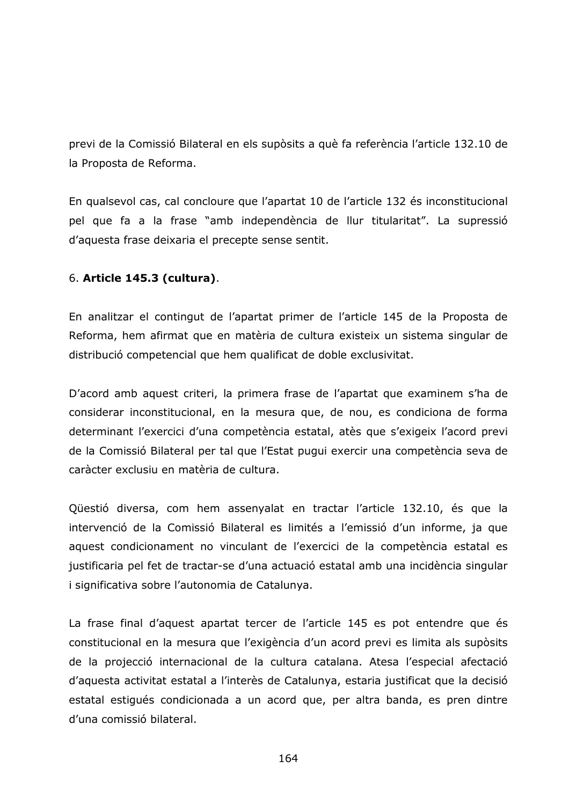previ de la Comissió Bilateral en els supòsits a què fa referència l'article 132.10 de la Proposta de Reforma.

En qualsevol cas, cal concloure que l'apartat 10 de l'article 132 és inconstitucional pel que fa a la frase "amb independència de llur titularitat". La supressió d'aquesta frase deixaria el precepte sense sentit.

### 6. Article 145.3 (cultura).

En analitzar el contingut de l'apartat primer de l'article 145 de la Proposta de Reforma, hem afirmat que en matèria de cultura existeix un sistema singular de distribució competencial que hem qualificat de doble exclusivitat.

D'acord amb aquest criteri, la primera frase de l'apartat que examinem s'ha de considerar inconstitucional, en la mesura que, de nou, es condiciona de forma determinant l'exercici d'una competència estatal, atès que s'exigeix l'acord previ de la Comissió Bilateral per tal que l'Estat pugui exercir una competència seva de caràcter exclusiu en matèria de cultura.

Qüestió diversa, com hem assenyalat en tractar l'article 132.10, és que la intervenció de la Comissió Bilateral es limités a l'emissió d'un informe, ja que aquest condicionament no vinculant de l'exercici de la competència estatal es justificaria pel fet de tractar-se d'una actuació estatal amb una incidència singular i significativa sobre l'autonomia de Catalunya.

La frase final d'aquest apartat tercer de l'article 145 es pot entendre que és constitucional en la mesura que l'exigència d'un acord previ es limita als supòsits de la projecció internacional de la cultura catalana. Atesa l'especial afectació d'aquesta activitat estatal a l'interès de Catalunya, estaria justificat que la decisió estatal estigués condicionada a un acord que, per altra banda, es pren dintre d'una comissió bilateral.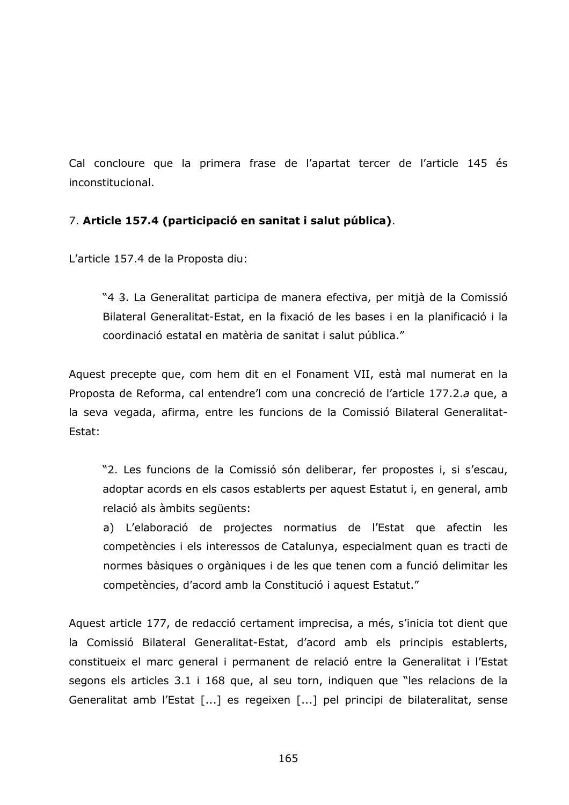Cal concloure que la primera frase de l'apartat tercer de l'article 145 és inconstitucional.

### 7. Article 157.4 (participació en sanitat i salut pública).

L'article 157.4 de la Proposta diu:

"4 3. La Generalitat participa de manera efectiva, per mitjà de la Comissió Bilateral Generalitat-Estat, en la fixació de les bases i en la planificació i la coordinació estatal en matèria de sanitat i salut pública."

Aquest precepte que, com hem dit en el Fonament VII, està mal numerat en la Proposta de Reforma, cal entendre'l com una concreció de l'article 177.2.a que, a la seva vegada, afirma, entre les funcions de la Comissió Bilateral Generalitat-Estat:

"2. Les funcions de la Comissió són deliberar, fer propostes i, si s'escau, adoptar acords en els casos establerts per aquest Estatut i, en general, amb relació als àmbits següents:

a) L'elaboració de projectes normatius de l'Estat que afectin les competències i els interessos de Catalunya, especialment quan es tracti de normes bàsiques o orgàniques i de les que tenen com a funció delimitar les competències, d'acord amb la Constitució i aquest Estatut."

Aquest article 177, de redacció certament imprecisa, a més, s'inicia tot dient que la Comissió Bilateral Generalitat-Estat, d'acord amb els principis establerts, constitueix el marc general i permanent de relació entre la Generalitat i l'Estat segons els articles 3.1 i 168 que, al seu torn, indiquen que "les relacions de la Generalitat amb l'Estat [...] es regeixen [...] pel principi de bilateralitat, sense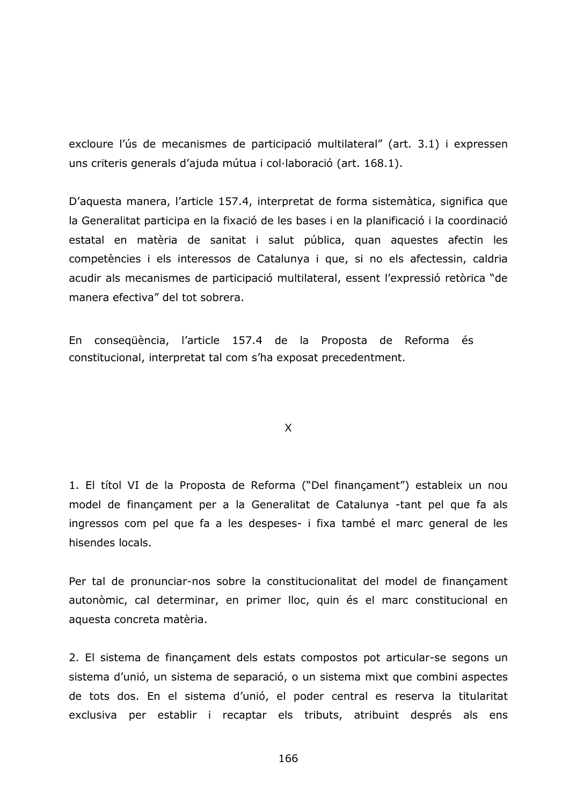excloure l'ús de mecanismes de participació multilateral" (art. 3.1) i expressen uns criteris generals d'ajuda mútua i col·laboració (art. 168.1).

D'aquesta manera, l'article 157.4, interpretat de forma sistemàtica, significa que la Generalitat participa en la fixació de les bases i en la planificació i la coordinació estatal en matèria de sanitat i salut pública, quan aquestes afectin les competències i els interessos de Catalunya i que, si no els afectessin, caldria acudir als mecanismes de participació multilateral, essent l'expressió retòrica "de manera efectiva" del tot sobrera.

En consequència, l'article 157.4 de la Proposta de Reforma és constitucional, interpretat tal com s'ha exposat precedentment.

 $\mathsf{X}$ 

1. El títol VI de la Proposta de Reforma ("Del finançament") estableix un nou model de finançament per a la Generalitat de Catalunya -tant pel que fa als ingressos com pel que fa a les despeses- i fixa també el marc general de les hisendes locals.

Per tal de pronunciar-nos sobre la constitucionalitat del model de financament autonòmic, cal determinar, en primer lloc, quin és el marc constitucional en aquesta concreta matèria.

2. El sistema de finançament dels estats compostos pot articular-se segons un sistema d'unió, un sistema de separació, o un sistema mixt que combini aspectes de tots dos. En el sistema d'unió, el poder central es reserva la titularitat exclusiva per establir i recaptar els tributs, atribuint després als ens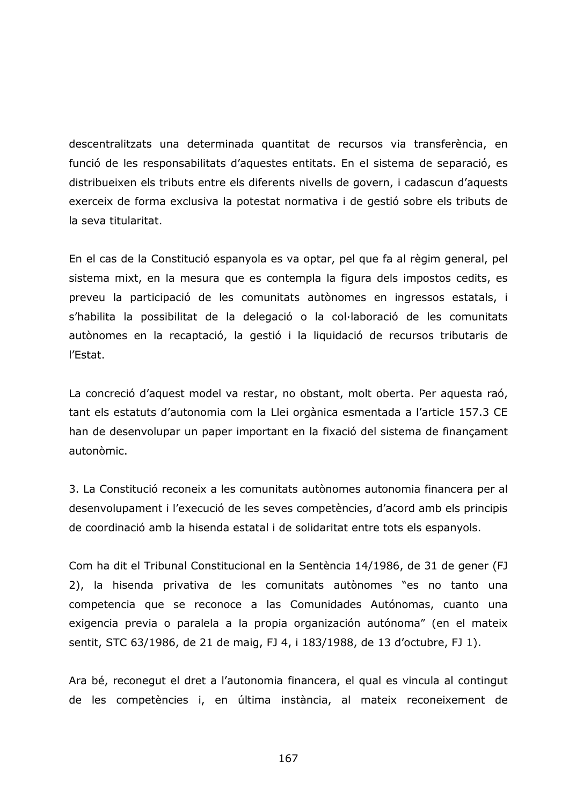descentralitzats una determinada quantitat de recursos via transferència, en funció de les responsabilitats d'aquestes entitats. En el sistema de separació, es distribueixen els tributs entre els diferents nivells de govern, i cadascun d'aquests exerceix de forma exclusiva la potestat normativa i de gestió sobre els tributs de la seva titularitat.

En el cas de la Constitució espanyola es va optar, pel que fa al règim general, pel sistema mixt, en la mesura que es contempla la figura dels impostos cedits, es preveu la participació de les comunitats autònomes en ingressos estatals, i s'habilita la possibilitat de la delegació o la col·laboració de les comunitats autònomes en la recaptació, la gestió i la liquidació de recursos tributaris de l'Estat.

La concreció d'aquest model va restar, no obstant, molt oberta. Per aquesta raó, tant els estatuts d'autonomia com la Llei orgànica esmentada a l'article 157.3 CE han de desenvolupar un paper important en la fixació del sistema de finançament autonòmic

3. La Constitució reconeix a les comunitats autònomes autonomia financera per al desenvolupament i l'execució de les seves competències, d'acord amb els principis de coordinació amb la hisenda estatal i de solidaritat entre tots els espanyols.

Com ha dit el Tribunal Constitucional en la Sentència 14/1986, de 31 de gener (FJ 2), la hisenda privativa de les comunitats autònomes "es no tanto una competencia que se reconoce a las Comunidades Autónomas, cuanto una exigencia previa o paralela a la propia organización autónoma" (en el mateix sentit, STC 63/1986, de 21 de maig, FJ 4, i 183/1988, de 13 d'octubre, FJ 1).

Ara bé, reconegut el dret a l'autonomia financera, el qual es vincula al contingut de les competències i, en última instància, al mateix reconeixement de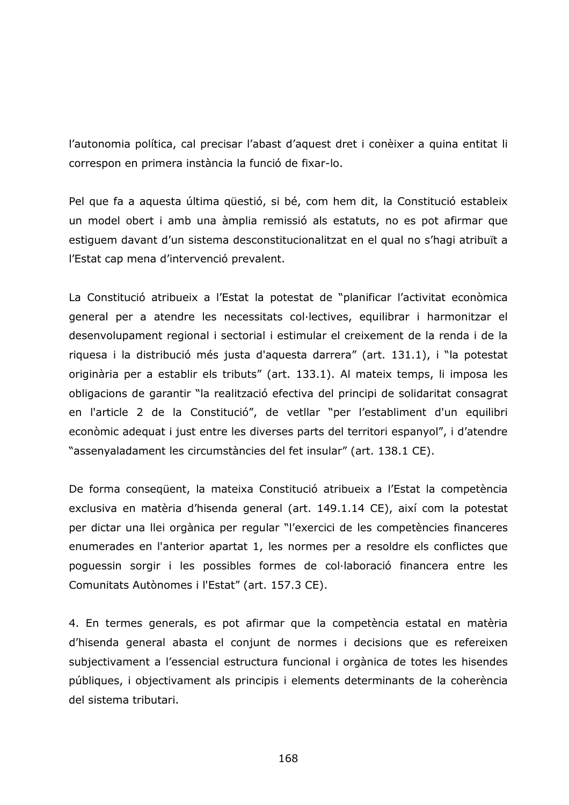l'autonomia política, cal precisar l'abast d'aquest dret i conèixer a quina entitat li correspon en primera instància la funció de fixar-lo.

Pel que fa a aquesta última questió, si bé, com hem dit, la Constitució estableix un model obert i amb una àmplia remissió als estatuts, no es pot afirmar que estiguem davant d'un sistema desconstitucionalitzat en el qual no s'hagi atribuït a l'Estat cap mena d'intervenció prevalent.

La Constitució atribueix a l'Estat la potestat de "planificar l'activitat econòmica general per a atendre les necessitats col·lectives, equilibrar i harmonitzar el desenvolupament regional i sectorial i estimular el creixement de la renda i de la riquesa i la distribució més justa d'aquesta darrera" (art. 131.1), i "la potestat originària per a establir els tributs" (art. 133.1). Al mateix temps, li imposa les obligacions de garantir "la realització efectiva del principi de solidaritat consagrat en l'article 2 de la Constitució", de vetllar "per l'establiment d'un equilibri econòmic adequat i just entre les diverses parts del territori espanyol", i d'atendre "assenyaladament les circumstàncies del fet insular" (art. 138.1 CE).

De forma consegüent, la mateixa Constitució atribueix a l'Estat la competència exclusiva en matèria d'hisenda general (art. 149.1.14 CE), així com la potestat per dictar una llei orgànica per regular "l'exercici de les competències financeres enumerades en l'anterior apartat 1, les normes per a resoldre els conflictes que poguessin sorgir i les possibles formes de col·laboració financera entre les Comunitats Autònomes i l'Estat" (art. 157.3 CE).

4. En termes generals, es pot afirmar que la competència estatal en matèria d'hisenda general abasta el conjunt de normes i decisions que es refereixen subjectivament a l'essencial estructura funcional i orgànica de totes les hisendes públiques, i objectivament als principis i elements determinants de la coherència del sistema tributari.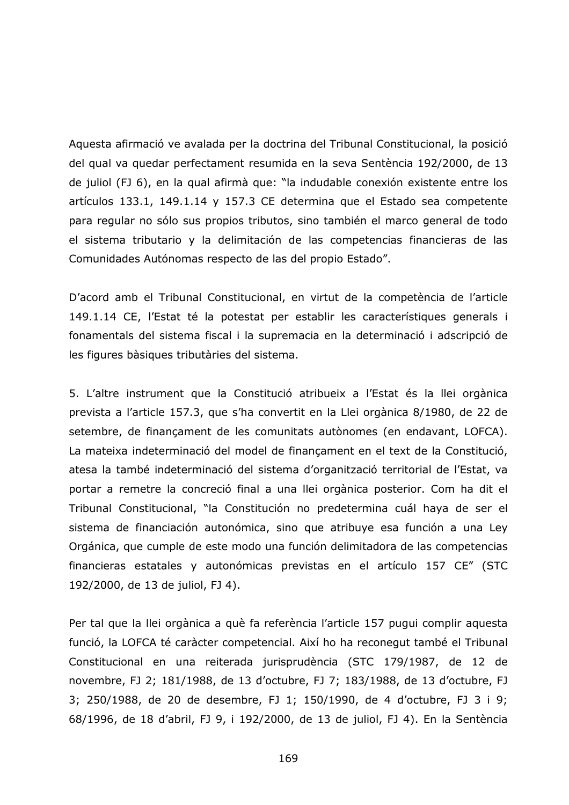Aquesta afirmació ve avalada per la doctrina del Tribunal Constitucional, la posició del qual va quedar perfectament resumida en la seva Sentència 192/2000, de 13 de juliol (FJ 6), en la qual afirmà que: "la indudable conexión existente entre los artículos 133.1, 149.1.14 y 157.3 CE determina que el Estado sea competente para regular no sólo sus propios tributos, sino también el marco general de todo el sistema tributario y la delimitación de las competencias financieras de las Comunidades Autónomas respecto de las del propio Estado".

D'acord amb el Tribunal Constitucional, en virtut de la competència de l'article 149.1.14 CE, l'Estat té la potestat per establir les característiques generals i fonamentals del sistema fiscal i la supremacia en la determinació i adscripció de les figures bàsiques tributàries del sistema.

5. L'altre instrument que la Constitució atribueix a l'Estat és la llei orgànica prevista a l'article 157.3, que s'ha convertit en la Llei orgànica 8/1980, de 22 de setembre, de finançament de les comunitats autònomes (en endavant, LOFCA). La mateixa indeterminació del model de finançament en el text de la Constitució, atesa la també indeterminació del sistema d'organització territorial de l'Estat, va portar a remetre la concreció final a una llei orgànica posterior. Com ha dit el Tribunal Constitucional, "la Constitución no predetermina cuál haya de ser el sistema de financiación autonómica, sino que atribuye esa función a una Ley Orgánica, que cumple de este modo una función delimitadora de las competencias financieras estatales y autonómicas previstas en el artículo 157 CE" (STC 192/2000, de 13 de juliol, FJ 4).

Per tal que la llei orgànica a què fa referència l'article 157 pugui complir aquesta funció, la LOFCA té caràcter competencial. Així ho ha reconegut també el Tribunal Constitucional en una reiterada jurisprudència (STC 179/1987, de 12 de novembre, FJ 2; 181/1988, de 13 d'octubre, FJ 7; 183/1988, de 13 d'octubre, FJ 3; 250/1988, de 20 de desembre, FJ 1; 150/1990, de 4 d'octubre, FJ 3 i 9; 68/1996, de 18 d'abril, FJ 9, i 192/2000, de 13 de juliol, FJ 4). En la Sentència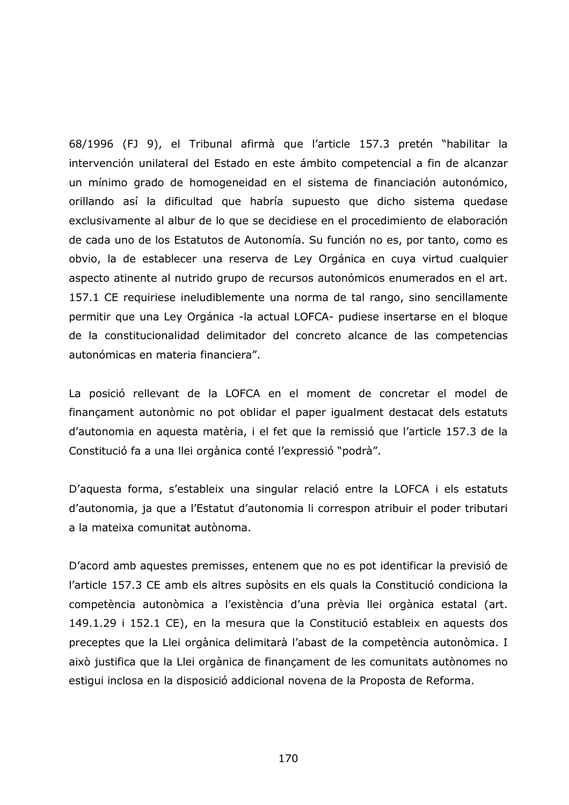68/1996 (FJ 9), el Tribunal afirmà que l'article 157.3 pretén "habilitar la intervención unilateral del Estado en este ámbito competencial a fin de alcanzar un mínimo grado de homogeneidad en el sistema de financiación autonómico, orillando así la dificultad que habría supuesto que dicho sistema quedase exclusivamente al albur de lo que se decidiese en el procedimiento de elaboración de cada uno de los Estatutos de Autonomía. Su función no es, por tanto, como es obvio, la de establecer una reserva de Ley Orgánica en cuya virtud cualquier aspecto atinente al nutrido grupo de recursos autonómicos enumerados en el art. 157.1 CE requiriese ineludiblemente una norma de tal rango, sino sencillamente permitir que una Ley Orgánica -la actual LOFCA- pudiese insertarse en el bloque de la constitucionalidad delimitador del concreto alcance de las competencias autonómicas en materia financiera".

La posició rellevant de la LOFCA en el moment de concretar el model de finançament autonòmic no pot oblidar el paper igualment destacat dels estatuts d'autonomia en aquesta matèria, i el fet que la remissió que l'article 157.3 de la Constitució fa a una llei orgànica conté l'expressió "podrà".

D'aquesta forma, s'estableix una singular relació entre la LOFCA i els estatuts d'autonomia, ja que a l'Estatut d'autonomia li correspon atribuir el poder tributari a la mateixa comunitat autònoma.

D'acord amb aquestes premisses, entenem que no es pot identificar la previsió de l'article 157.3 CE amb els altres supòsits en els quals la Constitució condiciona la competència autonòmica a l'existència d'una prèvia llei orgànica estatal (art. 149.1.29 i 152.1 CE), en la mesura que la Constitució estableix en aquests dos preceptes que la Llei orgànica delimitarà l'abast de la competència autonòmica. I això justifica que la Llei orgànica de finançament de les comunitats autònomes no estigui inclosa en la disposició addicional novena de la Proposta de Reforma.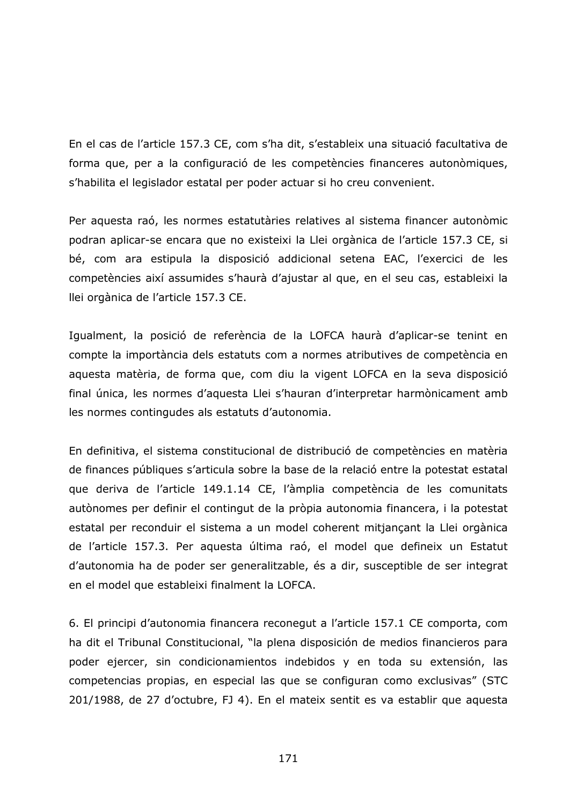En el cas de l'article 157.3 CE, com s'ha dit, s'estableix una situació facultativa de forma que, per a la configuració de les competències financeres autonòmiques, s'habilita el legislador estatal per poder actuar si ho creu convenient.

Per aquesta raó, les normes estatutàries relatives al sistema financer autonòmic podran aplicar-se encara que no existeixi la Llei orgànica de l'article 157.3 CE, si bé, com ara estipula la disposició addicional setena EAC, l'exercici de les competències així assumides s'haurà d'ajustar al que, en el seu cas, estableixi la llei orgànica de l'article 157.3 CE.

Igualment, la posició de referència de la LOFCA haurà d'aplicar-se tenint en compte la importància dels estatuts com a normes atributives de competència en aquesta matèria, de forma que, com diu la vigent LOFCA en la seva disposició final única, les normes d'aquesta Llei s'hauran d'interpretar harmònicament amb les normes contingudes als estatuts d'autonomia.

En definitiva, el sistema constitucional de distribució de competències en matèria de finances públiques s'articula sobre la base de la relació entre la potestat estatal que deriva de l'article 149.1.14 CE, l'àmplia competència de les comunitats autònomes per definir el contingut de la pròpia autonomia financera, i la potestat estatal per reconduir el sistema a un model coherent mitjançant la Llei orgànica de l'article 157.3. Per aquesta última raó, el model que defineix un Estatut d'autonomia ha de poder ser generalitzable, és a dir, susceptible de ser integrat en el model que estableixi finalment la LOFCA.

6. El principi d'autonomia financera reconegut a l'article 157.1 CE comporta, com ha dit el Tribunal Constitucional, "la plena disposición de medios financieros para poder ejercer, sin condicionamientos indebidos y en toda su extensión, las competencias propias, en especial las que se configuran como exclusivas" (STC 201/1988, de 27 d'octubre, FJ 4). En el mateix sentit es va establir que aquesta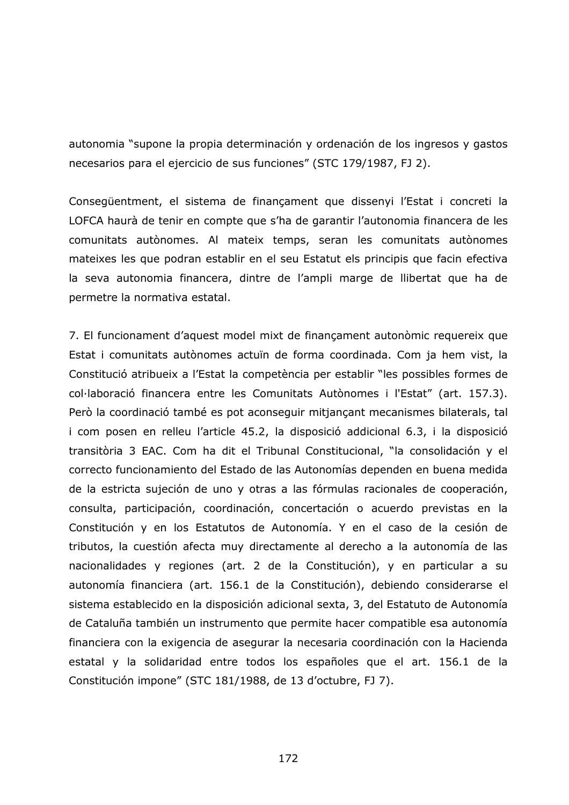autonomia "supone la propia determinación y ordenación de los ingresos y gastos necesarios para el ejercicio de sus funciones" (STC 179/1987, FJ 2).

Consegüentment, el sistema de finançament que dissenyi l'Estat i concreti la LOFCA haurà de tenir en compte que s'ha de garantir l'autonomia financera de les comunitats autònomes. Al mateix temps, seran les comunitats autònomes mateixes les que podran establir en el seu Estatut els principis que facin efectiva la seva autonomia financera, dintre de l'ampli marge de llibertat que ha de permetre la normativa estatal.

7. El funcionament d'aquest model mixt de finançament autonòmic requereix que Estat i comunitats autònomes actuïn de forma coordinada. Com ja hem vist, la Constitució atribueix a l'Estat la competència per establir "les possibles formes de col·laboració financera entre les Comunitats Autònomes i l'Estat" (art. 157.3). Però la coordinació també es pot aconseguir mitjançant mecanismes bilaterals, tal i com posen en relleu l'article 45.2, la disposició addicional 6.3, i la disposició transitòria 3 EAC. Com ha dit el Tribunal Constitucional, "la consolidación y el correcto funcionamiento del Estado de las Autonomías dependen en buena medida de la estricta sujeción de uno y otras a las fórmulas racionales de cooperación, consulta, participación, coordinación, concertación o acuerdo previstas en la Constitución y en los Estatutos de Autonomía. Y en el caso de la cesión de tributos, la cuestión afecta muy directamente al derecho a la autonomía de las nacionalidades y regiones (art. 2 de la Constitución), y en particular a su autonomía financiera (art. 156.1 de la Constitución), debiendo considerarse el sistema establecido en la disposición adicional sexta, 3, del Estatuto de Autonomía de Cataluña también un instrumento que permite hacer compatible esa autonomía financiera con la exigencia de asegurar la necesaria coordinación con la Hacienda estatal y la solidaridad entre todos los españoles que el art. 156.1 de la Constitución impone" (STC 181/1988, de 13 d'octubre, FJ 7).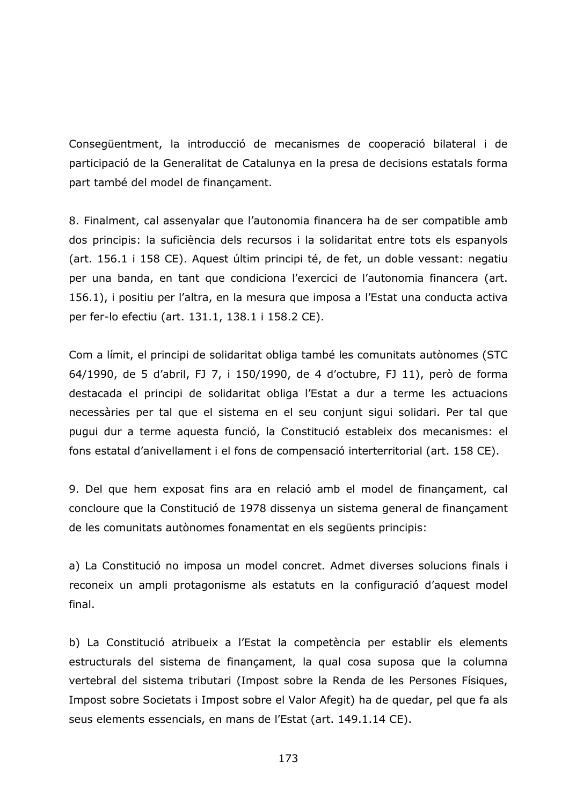Consequentment, la introducció de mecanismes de cooperació bilateral i de participació de la Generalitat de Catalunya en la presa de decisions estatals forma part també del model de finançament.

8. Finalment, cal assenyalar que l'autonomia financera ha de ser compatible amb dos principis: la suficiència dels recursos i la solidaritat entre tots els espanyols (art. 156.1 i 158 CE). Aquest últim principi té, de fet, un doble vessant: negatiu per una banda, en tant que condiciona l'exercici de l'autonomia financera (art. 156.1), i positiu per l'altra, en la mesura que imposa a l'Estat una conducta activa per fer-lo efectiu (art. 131.1, 138.1 i 158.2 CE).

Com a límit, el principi de solidaritat obliga també les comunitats autònomes (STC 64/1990, de 5 d'abril, FJ 7, i 150/1990, de 4 d'octubre, FJ 11), però de forma destacada el principi de solidaritat obliga l'Estat a dur a terme les actuacions necessàries per tal que el sistema en el seu conjunt sigui solidari. Per tal que pugui dur a terme aquesta funció, la Constitució estableix dos mecanismes: el fons estatal d'anivellament i el fons de compensació interterritorial (art. 158 CE).

9. Del que hem exposat fins ara en relació amb el model de finançament, cal concloure que la Constitució de 1978 dissenya un sistema general de finançament de les comunitats autònomes fonamentat en els següents principis:

a) La Constitució no imposa un model concret. Admet diverses solucions finals i reconeix un ampli protagonisme als estatuts en la configuració d'aquest model final.

b) La Constitució atribueix a l'Estat la competència per establir els elements estructurals del sistema de finançament, la qual cosa suposa que la columna vertebral del sistema tributari (Impost sobre la Renda de les Persones Físiques, Impost sobre Societats i Impost sobre el Valor Afegit) ha de quedar, pel que fa als seus elements essencials, en mans de l'Estat (art. 149.1.14 CE).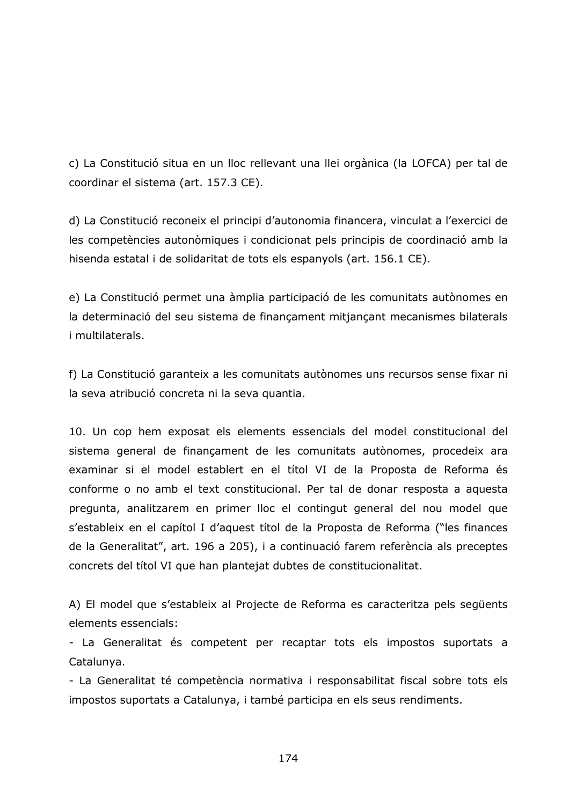c) La Constitució situa en un lloc rellevant una llei orgànica (la LOFCA) per tal de coordinar el sistema (art. 157.3 CE).

d) La Constitució reconeix el principi d'autonomia financera, vinculat a l'exercici de les competències autonòmiques i condicionat pels principis de coordinació amb la hisenda estatal i de solidaritat de tots els espanyols (art. 156.1 CE).

e) La Constitució permet una àmplia participació de les comunitats autònomes en la determinació del seu sistema de finançament mitjançant mecanismes bilaterals *i* multilaterals.

f) La Constitució garanteix a les comunitats autònomes uns recursos sense fixar ni la seva atribució concreta ni la seva quantia.

10. Un cop hem exposat els elements essencials del model constitucional del sistema general de finançament de les comunitats autònomes, procedeix ara examinar si el model establert en el títol VI de la Proposta de Reforma és conforme o no amb el text constitucional. Per tal de donar resposta a aquesta pregunta, analitzarem en primer lloc el contingut general del nou model que s'estableix en el capítol I d'aquest títol de la Proposta de Reforma ("les finances de la Generalitat", art. 196 a 205), i a continuació farem referència als preceptes concrets del títol VI que han plantejat dubtes de constitucionalitat.

A) El model que s'estableix al Projecte de Reforma es caracteritza pels següents elements essencials:

- La Generalitat és competent per recaptar tots els impostos suportats a Catalunya.

- La Generalitat té competència normativa i responsabilitat fiscal sobre tots els impostos suportats a Catalunya, i també participa en els seus rendiments.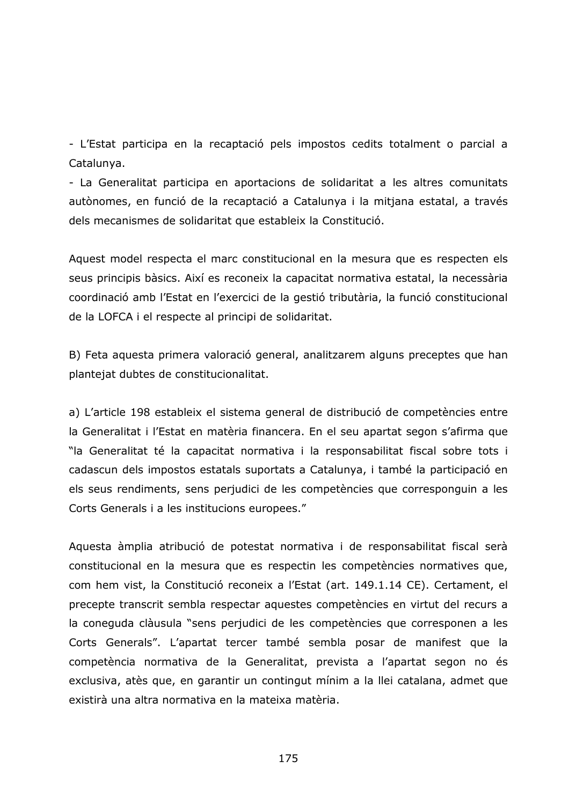- L'Estat participa en la recaptació pels impostos cedits totalment o parcial a Catalunya.

- La Generalitat participa en aportacions de solidaritat a les altres comunitats autònomes, en funció de la recaptació a Catalunya i la mitjana estatal, a través dels mecanismes de solidaritat que estableix la Constitució.

Aquest model respecta el marc constitucional en la mesura que es respecten els seus principis bàsics. Així es reconeix la capacitat normativa estatal, la necessària coordinació amb l'Estat en l'exercici de la gestió tributària, la funció constitucional de la LOFCA i el respecte al principi de solidaritat.

B) Feta aquesta primera valoració general, analitzarem alguns preceptes que han plantejat dubtes de constitucionalitat.

a) L'article 198 estableix el sistema general de distribució de competències entre la Generalitat i l'Estat en matèria financera. En el seu apartat segon s'afirma que "la Generalitat té la capacitat normativa i la responsabilitat fiscal sobre tots i cadascun dels impostos estatals suportats a Catalunya, i també la participació en els seus rendiments, sens perjudici de les competències que corresponguin a les Corts Generals i a les institucions europees."

Aquesta àmplia atribució de potestat normativa i de responsabilitat fiscal serà constitucional en la mesura que es respectin les competències normatives que, com hem vist, la Constitució reconeix a l'Estat (art. 149.1.14 CE). Certament, el precepte transcrit sembla respectar aquestes competències en virtut del recurs a la coneguda clàusula "sens perjudici de les competències que corresponen a les Corts Generals". L'apartat tercer també sembla posar de manifest que la competència normativa de la Generalitat, prevista a l'apartat segon no és exclusiva, atès que, en garantir un contingut mínim a la llei catalana, admet que existirà una altra normativa en la mateixa matèria.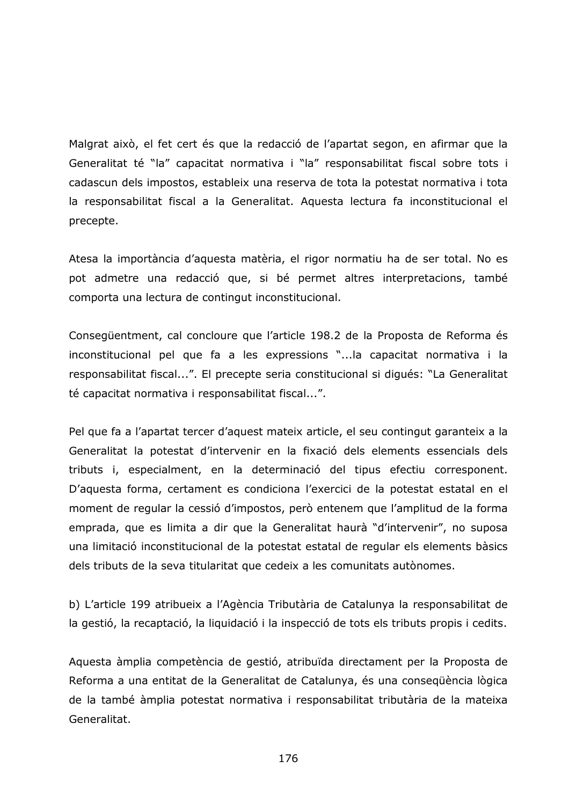Malgrat això, el fet cert és que la redacció de l'apartat segon, en afirmar que la Generalitat té "la" capacitat normativa i "la" responsabilitat fiscal sobre tots i cadascun dels impostos, estableix una reserva de tota la potestat normativa i tota la responsabilitat fiscal a la Generalitat. Aquesta lectura fa inconstitucional el precepte.

Atesa la importància d'aquesta matèria, el rigor normatiu ha de ser total. No es pot admetre una redacció que, si bé permet altres interpretacions, també comporta una lectura de contingut inconstitucional.

Consegüentment, cal concloure que l'article 198.2 de la Proposta de Reforma és inconstitucional pel que fa a les expressions "... la capacitat normativa i la responsabilitat fiscal...". El precepte seria constitucional si diqués: "La Generalitat té capacitat normativa i responsabilitat fiscal...".

Pel que fa a l'apartat tercer d'aquest mateix article, el seu contingut garanteix a la Generalitat la potestat d'intervenir en la fixació dels elements essencials dels tributs i, especialment, en la determinació del tipus efectiu corresponent. D'aquesta forma, certament es condiciona l'exercici de la potestat estatal en el moment de regular la cessió d'impostos, però entenem que l'amplitud de la forma emprada, que es limita a dir que la Generalitat haurà "d'intervenir", no suposa una limitació inconstitucional de la potestat estatal de regular els elements bàsics dels tributs de la seva titularitat que cedeix a les comunitats autònomes.

b) L'article 199 atribueix a l'Agència Tributària de Catalunya la responsabilitat de la gestió, la recaptació, la liguidació i la inspecció de tots els tributs propis i cedits.

Aquesta àmplia competència de gestió, atribuïda directament per la Proposta de Reforma a una entitat de la Generalitat de Catalunya, és una consequència lògica de la també àmplia potestat normativa i responsabilitat tributària de la mateixa Generalitat.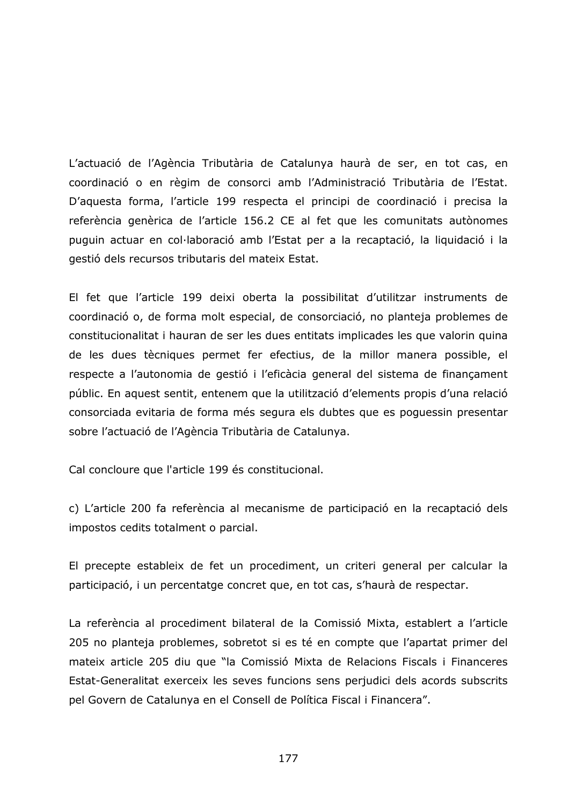L'actuació de l'Agència Tributària de Catalunya haurà de ser, en tot cas, en coordinació o en règim de consorci amb l'Administració Tributària de l'Estat. D'aquesta forma, l'article 199 respecta el principi de coordinació i precisa la referència genèrica de l'article 156.2 CE al fet que les comunitats autònomes puguin actuar en col·laboració amb l'Estat per a la recaptació, la liquidació i la gestió dels recursos tributaris del mateix Estat.

El fet que l'article 199 deixi oberta la possibilitat d'utilitzar instruments de coordinació o, de forma molt especial, de consorciació, no planteja problemes de constitucionalitat i hauran de ser les dues entitats implicades les que valorin quina de les dues tècniques permet fer efectius, de la millor manera possible, el respecte a l'autonomia de gestió i l'eficàcia general del sistema de finançament públic. En aquest sentit, entenem que la utilització d'elements propis d'una relació consorciada evitaria de forma més segura els dubtes que es poquessin presentar sobre l'actuació de l'Agència Tributària de Catalunya.

Cal concloure que l'article 199 és constitucional.

c) L'article 200 fa referència al mecanisme de participació en la recaptació dels impostos cedits totalment o parcial.

El precepte estableix de fet un procediment, un criteri general per calcular la participació, i un percentatge concret que, en tot cas, s'haurà de respectar.

La referència al procediment bilateral de la Comissió Mixta, establert a l'article 205 no planteja problemes, sobretot si es té en compte que l'apartat primer del mateix article 205 diu que "la Comissió Mixta de Relacions Fiscals i Financeres Estat-Generalitat exerceix les seves funcions sens perjudici dels acords subscrits pel Govern de Catalunya en el Consell de Política Fiscal i Financera".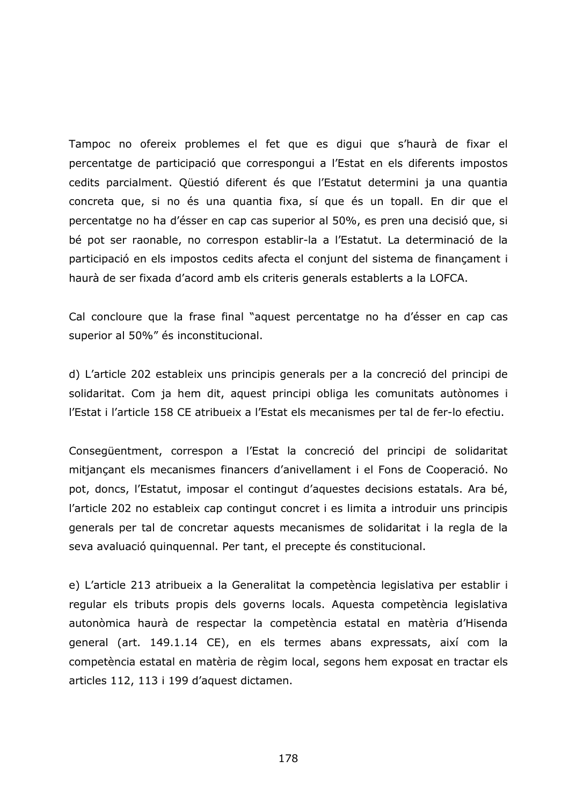Tampoc no ofereix problemes el fet que es diqui que s'haurà de fixar el percentatge de participació que correspongui a l'Estat en els diferents impostos cedits parcialment. Qüestió diferent és que l'Estatut determini ja una quantia concreta que, si no és una quantia fixa, sí que és un topall. En dir que el percentatge no ha d'ésser en cap cas superior al 50%, es pren una decisió que, si bé pot ser raonable, no correspon establir-la a l'Estatut. La determinació de la participació en els impostos cedits afecta el conjunt del sistema de financament i haurà de ser fixada d'acord amb els criteris generals establerts a la LOFCA.

Cal concloure que la frase final "aquest percentatge no ha d'ésser en cap cas superior al 50%" és inconstitucional.

d) L'article 202 estableix uns principis generals per a la concreció del principi de solidaritat. Com ja hem dit, aquest principi obliga les comunitats autònomes i l'Estat i l'article 158 CE atribueix a l'Estat els mecanismes per tal de fer-lo efectiu.

Consequentment, correspon a l'Estat la concreció del principi de solidaritat mitjançant els mecanismes financers d'anivellament i el Fons de Cooperació. No pot, doncs, l'Estatut, imposar el contingut d'aquestes decisions estatals. Ara bé, l'article 202 no estableix cap contingut concret i es limita a introduir uns principis generals per tal de concretar aquests mecanismes de solidaritat i la regla de la seva avaluació quinquennal. Per tant, el precepte és constitucional.

e) L'article 213 atribueix a la Generalitat la competència legislativa per establir i regular els tributs propis dels governs locals. Aquesta competència legislativa autonòmica haurà de respectar la competència estatal en matèria d'Hisenda general (art. 149.1.14 CE), en els termes abans expressats, així com la competència estatal en matèria de règim local, segons hem exposat en tractar els articles 112, 113 i 199 d'aquest dictamen.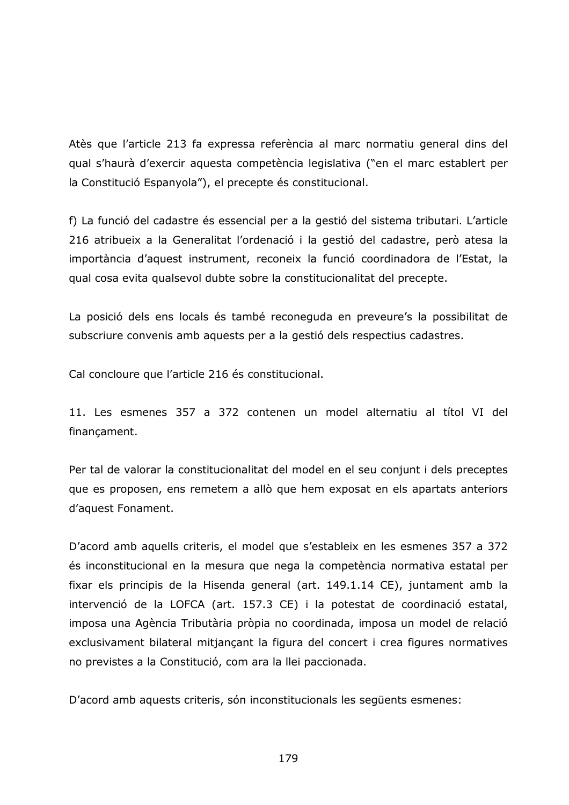Atès que l'article 213 fa expressa referència al marc normatiu general dins del gual s'haurà d'exercir aquesta competència legislativa ("en el marc establert per la Constitució Espanyola"), el precepte és constitucional.

f) La funció del cadastre és essencial per a la gestió del sistema tributari. L'article 216 atribueix a la Generalitat l'ordenació i la gestió del cadastre, però atesa la importància d'aquest instrument, reconeix la funció coordinadora de l'Estat, la qual cosa evita qualsevol dubte sobre la constitucionalitat del precepte.

La posició dels ens locals és també reconeguda en preveure's la possibilitat de subscriure convenis amb aquests per a la gestió dels respectius cadastres.

Cal concloure que l'article 216 és constitucional.

11. Les esmenes 357 a 372 contenen un model alternatiu al títol VI del finançament.

Per tal de valorar la constitucionalitat del model en el seu conjunt i dels preceptes que es proposen, ens remetem a allò que hem exposat en els apartats anteriors d'aquest Fonament.

D'acord amb aquells criteris, el model que s'estableix en les esmenes 357 a 372 és inconstitucional en la mesura que nega la competència normativa estatal per fixar els principis de la Hisenda general (art. 149.1.14 CE), juntament amb la intervenció de la LOFCA (art. 157.3 CE) i la potestat de coordinació estatal, imposa una Agència Tributària pròpia no coordinada, imposa un model de relació exclusivament bilateral mitjançant la figura del concert i crea figures normatives no previstes a la Constitució, com ara la llei paccionada.

D'acord amb aquests criteris, són inconstitucionals les següents esmenes: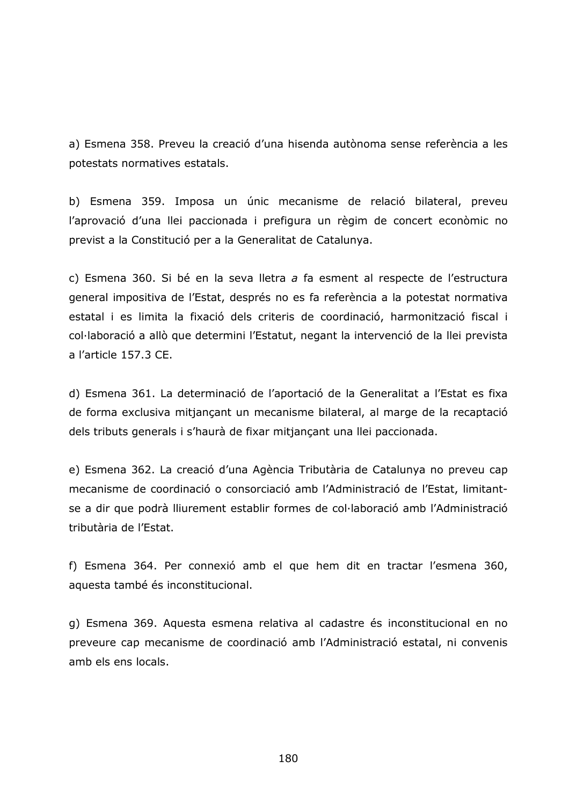a) Esmena 358, Preveu la creació d'una hisenda autònoma sense referència a les potestats normatives estatals.

b) Esmena 359. Imposa un únic mecanisme de relació bilateral, preveu l'aprovació d'una llei paccionada i prefigura un règim de concert econòmic no previst a la Constitució per a la Generalitat de Catalunya.

c) Esmena 360. Si bé en la seva lletra a fa esment al respecte de l'estructura general impositiva de l'Estat, després no es fa referència a la potestat normativa estatal i es limita la fixació dels criteris de coordinació, harmonització fiscal i col·laboració a allò que determini l'Estatut, negant la intervenció de la llei prevista a l'article 157.3 CE.

d) Esmena 361. La determinació de l'aportació de la Generalitat a l'Estat es fixa de forma exclusiva mitjançant un mecanisme bilateral, al marge de la recaptació dels tributs generals i s'haurà de fixar mitjançant una llei paccionada.

e) Esmena 362. La creació d'una Agència Tributària de Catalunya no preveu cap mecanisme de coordinació o consorciació amb l'Administració de l'Estat, limitantse a dir que podrà lliurement establir formes de col·laboració amb l'Administració tributària de l'Estat.

f) Esmena 364. Per connexió amb el que hem dit en tractar l'esmena 360, aquesta també és inconstitucional.

g) Esmena 369. Aquesta esmena relativa al cadastre és inconstitucional en no preveure cap mecanisme de coordinació amb l'Administració estatal, ni convenis amb els ens locals.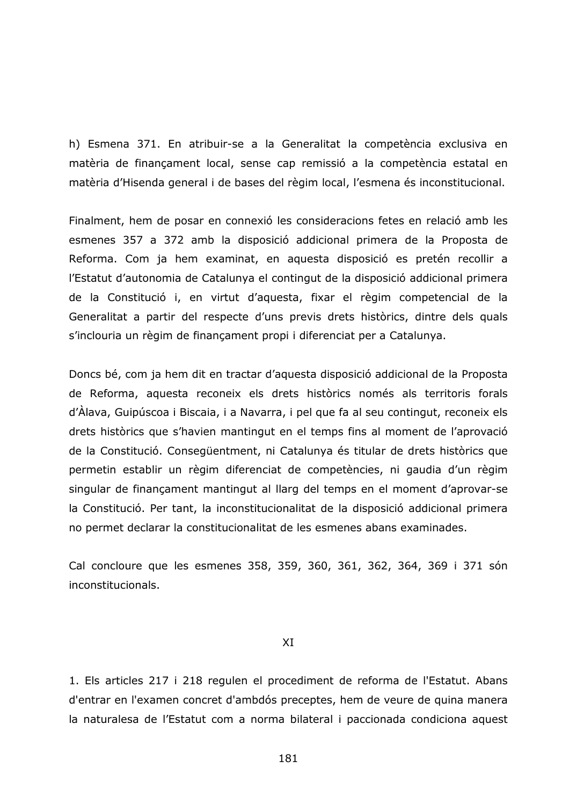h) Esmena 371. En atribuir-se a la Generalitat la competència exclusiva en matèria de financament local, sense cap remissió a la competència estatal en matèria d'Hisenda general i de bases del règim local, l'esmena és inconstitucional.

Finalment, hem de posar en connexió les consideracions fetes en relació amb les esmenes 357 a 372 amb la disposició addicional primera de la Proposta de Reforma. Com ja hem examinat, en aquesta disposició es pretén recollir a l'Estatut d'autonomia de Catalunya el contingut de la disposició addicional primera de la Constitució i, en virtut d'aquesta, fixar el règim competencial de la Generalitat a partir del respecte d'uns previs drets històrics, dintre dels quals s'inclouria un règim de finançament propi i diferenciat per a Catalunya.

Doncs bé, com ja hem dit en tractar d'aquesta disposició addicional de la Proposta de Reforma, aquesta reconeix els drets històrics només als territoris forals d'Àlava, Guipúscoa i Biscaia, i a Navarra, i pel que fa al seu contingut, reconeix els drets històrics que s'havien mantingut en el temps fins al moment de l'aprovació de la Constitució. Consegüentment, ni Catalunya és titular de drets històrics que permetin establir un règim diferenciat de competències, ni gaudia d'un règim singular de finançament mantingut al llarg del temps en el moment d'aprovar-se la Constitució. Per tant, la inconstitucionalitat de la disposició addicional primera no permet declarar la constitucionalitat de les esmenes abans examinades.

Cal concloure que les esmenes 358, 359, 360, 361, 362, 364, 369 i 371 són inconstitucionals.

## XI

1. Els articles 217 i 218 regulen el procediment de reforma de l'Estatut. Abans d'entrar en l'examen concret d'ambdós preceptes, hem de veure de quina manera la naturalesa de l'Estatut com a norma bilateral i paccionada condiciona aquest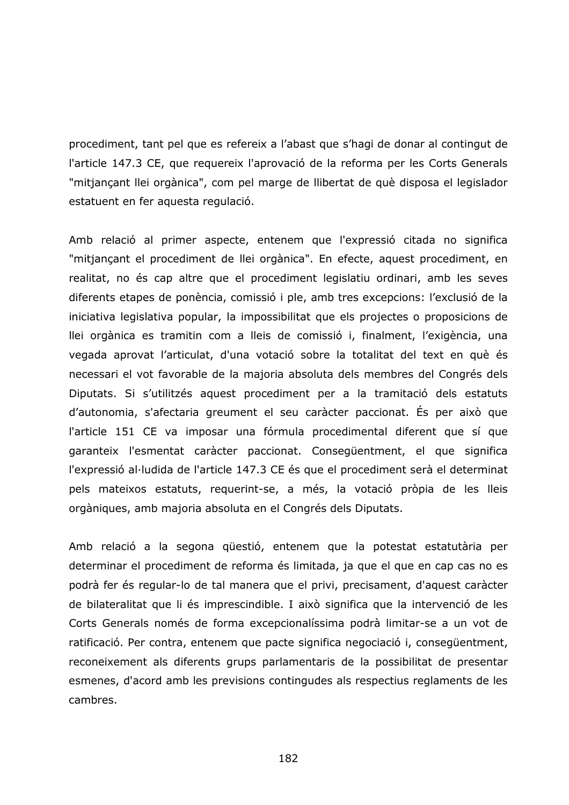procediment, tant pel que es refereix a l'abast que s'hagi de donar al contingut de l'article 147.3 CE, que requereix l'aprovació de la reforma per les Corts Generals "mitjançant llei orgànica", com pel marge de llibertat de què disposa el legislador estatuent en fer aquesta regulació.

Amb relació al primer aspecte, entenem que l'expressió citada no significa "mitjancant el procediment de llei orgànica". En efecte, aquest procediment, en realitat, no és cap altre que el procediment legislatiu ordinari, amb les seves diferents etapes de ponència, comissió i ple, amb tres excepcions: l'exclusió de la iniciativa legislativa popular, la impossibilitat que els projectes o proposicions de llei orgànica es tramitin com a lleis de comissió i, finalment, l'exigència, una vegada aprovat l'articulat, d'una votació sobre la totalitat del text en què és necessari el vot favorable de la majoria absoluta dels membres del Congrés dels Diputats. Si s'utilitzés aquest procediment per a la tramitació dels estatuts d'autonomia, s'afectaria greument el seu caràcter paccionat. És per això que l'article 151 CE va imposar una fórmula procedimental diferent que sí que garanteix l'esmentat caràcter paccionat. Consegüentment, el que significa l'expressió al·ludida de l'article 147.3 CE és que el procediment serà el determinat pels mateixos estatuts, requerint-se, a més, la votació pròpia de les lleis orgàniques, amb majoria absoluta en el Congrés dels Diputats.

Amb relació a la segona qüestió, entenem que la potestat estatutària per determinar el procediment de reforma és limitada, ja que el que en cap cas no es podrà fer és regular-lo de tal manera que el privi, precisament, d'aquest caràcter de bilateralitat que li és imprescindible. I això significa que la intervenció de les Corts Generals només de forma excepcionalíssima podrà limitar-se a un vot de ratificació. Per contra, entenem que pacte significa negociació i, consegüentment, reconeixement als diferents grups parlamentaris de la possibilitat de presentar esmenes, d'acord amb les previsions contingudes als respectius reglaments de les cambres.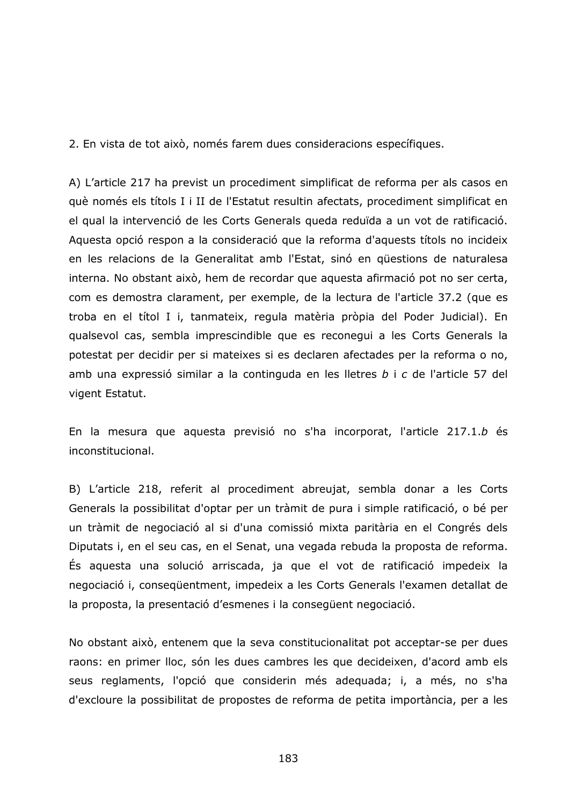2. En vista de tot això, només farem dues consideracions específiques.

A) L'article 217 ha previst un procediment simplificat de reforma per als casos en què només els títols I i II de l'Estatut resultin afectats, procediment simplificat en el qual la intervenció de les Corts Generals queda reduïda a un vot de ratificació. Aquesta opció respon a la consideració que la reforma d'aquests títols no incideix en les relacions de la Generalitat amb l'Estat, sinó en güestions de naturalesa interna. No obstant això, hem de recordar que aquesta afirmació pot no ser certa, com es demostra clarament, per exemple, de la lectura de l'article 37.2 (que es troba en el títol I i, tanmateix, regula matèria pròpia del Poder Judicial). En qualsevol cas, sembla imprescindible que es reconegui a les Corts Generals la potestat per decidir per si mateixes si es declaren afectades per la reforma o no, amb una expressió similar a la continguda en les lletres b i c de l'article 57 del vigent Estatut.

En la mesura que aquesta previsió no s'ha incorporat, l'article 217.1.b és inconstitucional.

B) L'article 218, referit al procediment abreujat, sembla donar a les Corts Generals la possibilitat d'optar per un tràmit de pura i simple ratificació, o bé per un tràmit de negociació al si d'una comissió mixta paritària en el Congrés dels Diputats i, en el seu cas, en el Senat, una vegada rebuda la proposta de reforma. És aquesta una solució arriscada, ja que el vot de ratificació impedeix la negociació i, consequentment, impedeix a les Corts Generals l'examen detallat de la proposta, la presentació d'esmenes i la consegüent negociació.

No obstant això, entenem que la seva constitucionalitat pot acceptar-se per dues raons: en primer lloc, són les dues cambres les que decideixen, d'acord amb els seus reglaments, l'opció que considerin més adequada; i, a més, no s'ha d'excloure la possibilitat de propostes de reforma de petita importància, per a les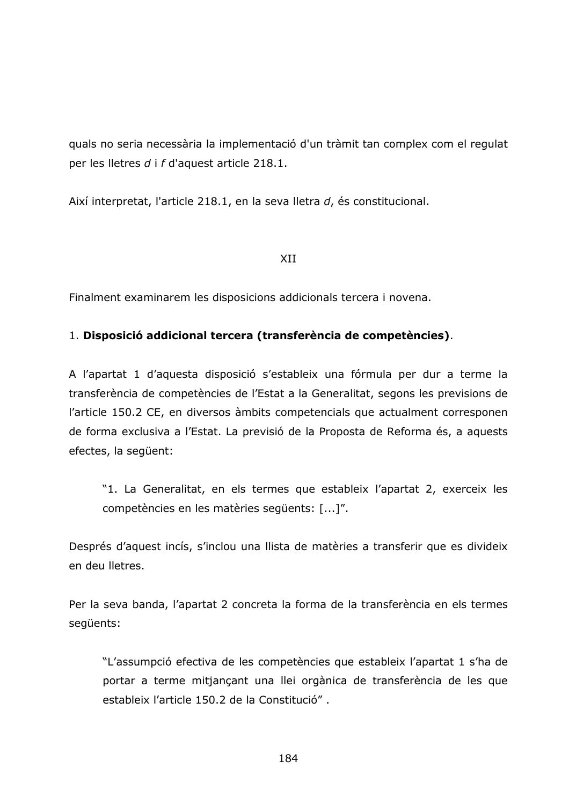quals no seria necessària la implementació d'un tràmit tan complex com el regulat per les lletres d i f d'aquest article 218.1.

Així interpretat, l'article 218.1, en la seva lletra d, és constitucional.

**XII** 

Finalment examinarem les disposicions addicionals tercera i novena.

## 1. Disposició addicional tercera (transferència de competències).

A l'apartat 1 d'aquesta disposició s'estableix una fórmula per dur a terme la transferència de competències de l'Estat a la Generalitat, segons les previsions de l'article 150.2 CE, en diversos àmbits competencials que actualment corresponen de forma exclusiva a l'Estat. La previsió de la Proposta de Reforma és, a aquests efectes, la següent:

"1. La Generalitat, en els termes que estableix l'apartat 2, exerceix les competències en les matèries sequents: [...]".

Després d'aquest incís, s'inclou una llista de matèries a transferir que es divideix en deu lletres.

Per la seva banda, l'apartat 2 concreta la forma de la transferència en els termes següents:

"L'assumpció efectiva de les competències que estableix l'apartat 1 s'ha de portar a terme mitjançant una llei orgànica de transferència de les que estableix l'article 150.2 de la Constitució".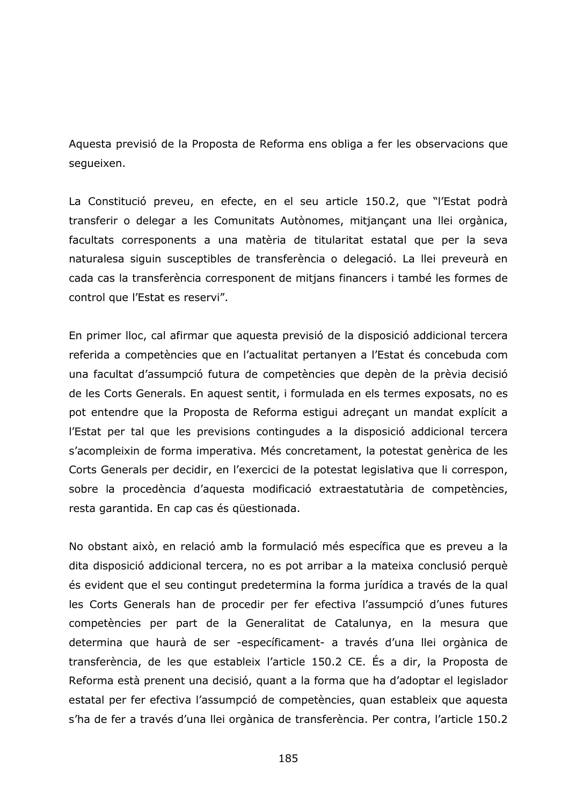Aquesta previsió de la Proposta de Reforma ens obliga a fer les observacions que sequeixen.

La Constitució preveu, en efecte, en el seu article 150.2, que "l'Estat podrà transferir o delegar a les Comunitats Autònomes, mitjançant una llei orgànica, facultats corresponents a una matèria de titularitat estatal que per la seva naturalesa siguin susceptibles de transferència o delegació. La llei preveurà en cada cas la transferència corresponent de mitjans financers i també les formes de control que l'Estat es reservi".

En primer lloc, cal afirmar que aquesta previsió de la disposició addicional tercera referida a competències que en l'actualitat pertanyen a l'Estat és concebuda com una facultat d'assumpció futura de competències que depèn de la prèvia decisió de les Corts Generals. En aquest sentit, i formulada en els termes exposats, no es pot entendre que la Proposta de Reforma estigui adreçant un mandat explícit a l'Estat per tal que les previsions contingudes a la disposició addicional tercera s'acompleixin de forma imperativa. Més concretament, la potestat genèrica de les Corts Generals per decidir, en l'exercici de la potestat legislativa que li correspon, sobre la procedència d'aquesta modificació extraestatutària de competències, resta garantida. En cap cas és güestionada.

No obstant això, en relació amb la formulació més específica que es preveu a la dita disposició addicional tercera, no es pot arribar a la mateixa conclusió perquè és evident que el seu contingut predetermina la forma jurídica a través de la qual les Corts Generals han de procedir per fer efectiva l'assumpció d'unes futures competències per part de la Generalitat de Catalunya, en la mesura que determina que haurà de ser -específicament- a través d'una llei orgànica de transferència, de les que estableix l'article 150.2 CE. És a dir, la Proposta de Reforma està prenent una decisió, quant a la forma que ha d'adoptar el legislador estatal per fer efectiva l'assumpció de competències, quan estableix que aquesta s'ha de fer a través d'una llei orgànica de transferència. Per contra, l'article 150.2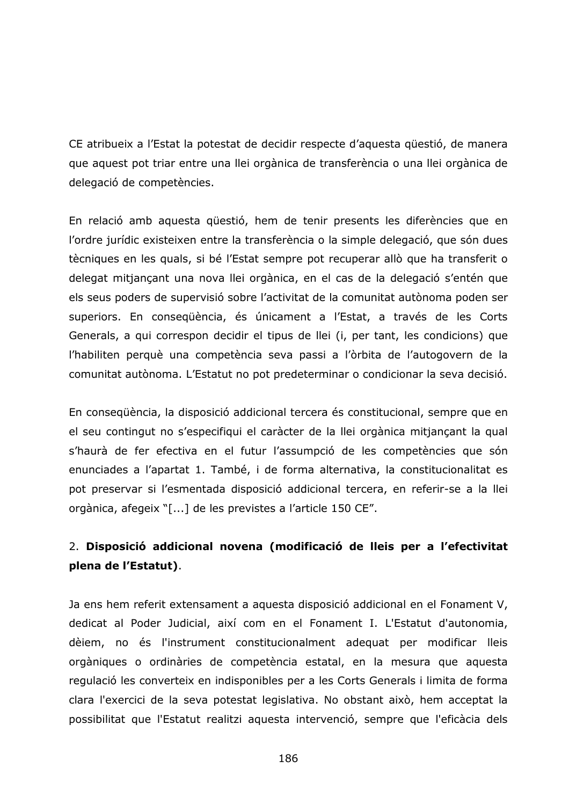CE atribueix a l'Estat la potestat de decidir respecte d'aquesta questió, de manera que aquest pot triar entre una llei orgànica de transferència o una llei orgànica de delegació de competències.

En relació amb aquesta questió, hem de tenir presents les diferències que en l'ordre jurídic existeixen entre la transferència o la simple delegació, que són dues tècniques en les quals, si bé l'Estat sempre pot recuperar allò que ha transferit o delegat mitjançant una nova llei orgànica, en el cas de la delegació s'entén que els seus poders de supervisió sobre l'activitat de la comunitat autònoma poden ser superiors. En consequència, és únicament a l'Estat, a través de les Corts Generals, a qui correspon decidir el tipus de llei (i, per tant, les condicions) que l'habiliten perquè una competència seva passi a l'òrbita de l'autogovern de la comunitat autònoma. L'Estatut no pot predeterminar o condicionar la seva decisió.

En consequència, la disposició addicional tercera és constitucional, sempre que en el seu contingut no s'especifiqui el caràcter de la llei orgànica mitjançant la qual s'haurà de fer efectiva en el futur l'assumpció de les competències que són enunciades a l'apartat 1. També, i de forma alternativa, la constitucionalitat es pot preservar si l'esmentada disposició addicional tercera, en referir-se a la llei orgànica, afegeix "[...] de les previstes a l'article 150 CE".

## 2. Disposició addicional novena (modificació de lleis per a l'efectivitat plena de l'Estatut).

Ja ens hem referit extensament a aquesta disposició addicional en el Fonament V, dedicat al Poder Judicial, així com en el Fonament I. L'Estatut d'autonomia, dèiem, no és l'instrument constitucionalment adequat per modificar lleis orgàniques o ordinàries de competència estatal, en la mesura que aquesta regulació les converteix en indisponibles per a les Corts Generals i limita de forma clara l'exercici de la seva potestat legislativa. No obstant això, hem acceptat la possibilitat que l'Estatut realitzi aquesta intervenció, sempre que l'eficàcia dels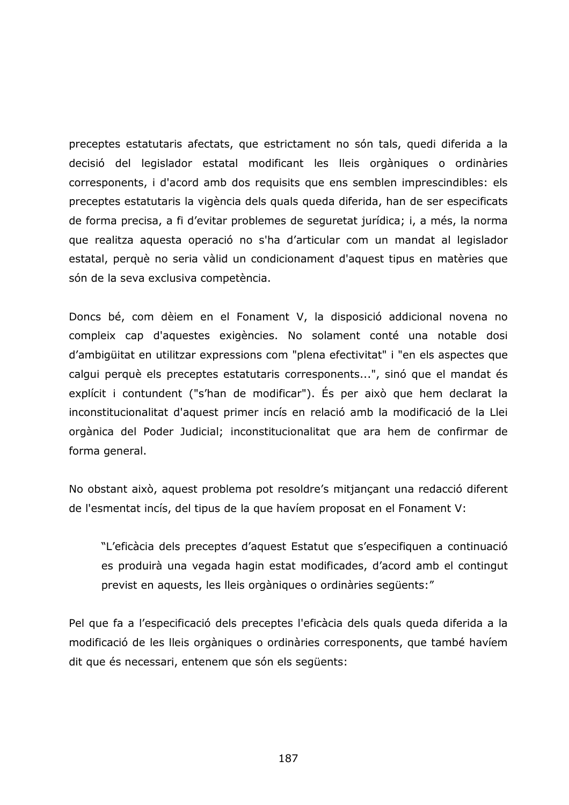preceptes estatutaris afectats, que estrictament no són tals, quedi diferida a la decisió del legislador estatal modificant les lleis orgàniques o ordinàries corresponents, i d'acord amb dos requisits que ens semblen imprescindibles: els preceptes estatutaris la vigència dels quals queda diferida, han de ser especificats de forma precisa, a fi d'evitar problemes de seguretat jurídica; i, a més, la norma que realitza aquesta operació no s'ha d'articular com un mandat al legislador estatal, perquè no seria vàlid un condicionament d'aquest tipus en matèries que són de la seva exclusiva competència.

Doncs bé, com dèiem en el Fonament V, la disposició addicional novena no compleix cap d'aquestes exigències. No solament conté una notable dosi d'ambigüitat en utilitzar expressions com "plena efectivitat" i "en els aspectes que calqui perquè els preceptes estatutaris corresponents...", sinó que el mandat és explícit i contundent ("s'han de modificar"). És per això que hem declarat la inconstitucionalitat d'aquest primer incís en relació amb la modificació de la Llei orgànica del Poder Judicial; inconstitucionalitat que ara hem de confirmar de forma general.

No obstant això, aquest problema pot resoldre's mitjançant una redacció diferent de l'esmentat incís, del tipus de la que havíem proposat en el Fonament V:

"L'eficàcia dels preceptes d'aquest Estatut que s'especifiquen a continuació es produirà una vegada hagin estat modificades, d'acord amb el contingut previst en aquests, les lleis orgàniques o ordinàries següents:"

Pel que fa a l'especificació dels preceptes l'eficàcia dels quals queda diferida a la modificació de les lleis orgàniques o ordinàries corresponents, que també havíem dit que és necessari, entenem que són els següents: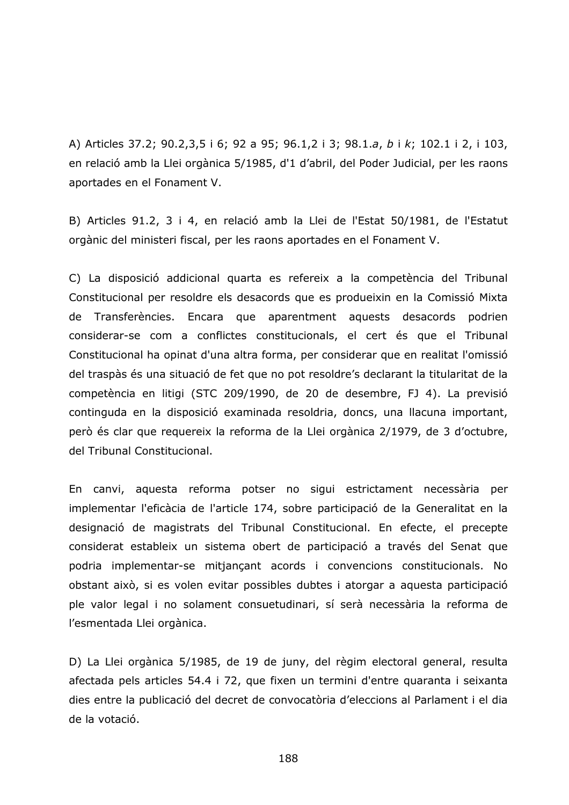A) Articles 37.2; 90.2,3,5 i 6; 92 a 95; 96.1,2 i 3; 98.1.a, b i k; 102.1 i 2, i 103, en relació amb la Llei orgànica 5/1985, d'1 d'abril, del Poder Judicial, per les raons aportades en el Fonament V.

B) Articles 91.2, 3 i 4, en relació amb la Llei de l'Estat 50/1981, de l'Estatut orgànic del ministeri fiscal, per les raons aportades en el Fonament V.

C) La disposició addicional quarta es refereix a la competència del Tribunal Constitucional per resoldre els desacords que es produeixin en la Comissió Mixta de Transferències. Encara que aparentment aquests desacords podrien considerar-se com a conflictes constitucionals, el cert és que el Tribunal Constitucional ha opinat d'una altra forma, per considerar que en realitat l'omissió del traspàs és una situació de fet que no pot resoldre's declarant la titularitat de la competència en litigi (STC 209/1990, de 20 de desembre, FJ 4). La previsió continguda en la disposició examinada resoldria, doncs, una llacuna important, però és clar que requereix la reforma de la Llei orgànica 2/1979, de 3 d'octubre, del Tribunal Constitucional.

En canvi, aquesta reforma potser no sigui estrictament necessària per implementar l'eficàcia de l'article 174, sobre participació de la Generalitat en la designació de magistrats del Tribunal Constitucional. En efecte, el precepte considerat estableix un sistema obert de participació a través del Senat que podria implementar-se mitjançant acords i convencions constitucionals. No obstant això, si es volen evitar possibles dubtes i atorgar a aquesta participació ple valor legal i no solament consuetudinari, sí serà necessària la reforma de l'esmentada Llei orgànica.

D) La Llei orgànica 5/1985, de 19 de juny, del règim electoral general, resulta afectada pels articles 54.4 i 72, que fixen un termini d'entre quaranta i seixanta dies entre la publicació del decret de convocatòria d'eleccions al Parlament i el dia de la votació.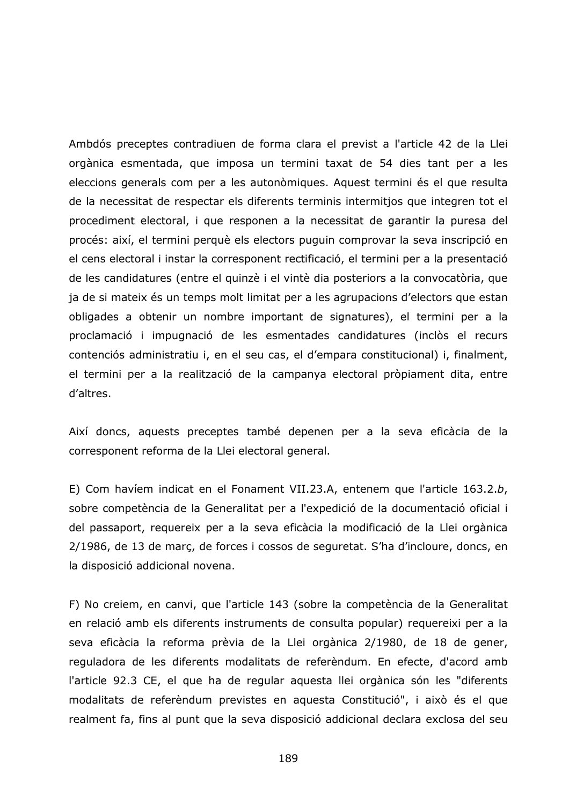Ambdós preceptes contradiuen de forma clara el previst a l'article 42 de la Llei orgànica esmentada, que imposa un termini taxat de 54 dies tant per a les eleccions generals com per a les autonòmiques. Aquest termini és el que resulta de la necessitat de respectar els diferents terminis intermitjos que integren tot el procediment electoral, i que responen a la necessitat de garantir la puresa del procés: així, el termini perquè els electors puguin comprovar la seva inscripció en el cens electoral i instar la corresponent rectificació, el termini per a la presentació de les candidatures (entre el quinzè i el vintè dia posteriors a la convocatòria, que ja de si mateix és un temps molt limitat per a les agrupacions d'electors que estan obligades a obtenir un nombre important de signatures), el termini per a la proclamació i impugnació de les esmentades candidatures (inclòs el recurs contenciós administratiu i, en el seu cas, el d'empara constitucional) i, finalment, el termini per a la realització de la campanya electoral pròpiament dita, entre d'altres.

Així doncs, aquests preceptes també depenen per a la seva eficàcia de la corresponent reforma de la Llei electoral general.

E) Com havíem indicat en el Fonament VII.23.A, entenem que l'article 163.2.b, sobre competència de la Generalitat per a l'expedició de la documentació oficial i del passaport, requereix per a la seva eficàcia la modificació de la Llei orgànica 2/1986, de 13 de març, de forces i cossos de seguretat. S'ha d'incloure, doncs, en la disposició addicional novena.

F) No creiem, en canvi, que l'article 143 (sobre la competència de la Generalitat en relació amb els diferents instruments de consulta popular) requereixi per a la seva eficàcia la reforma prèvia de la Llei orgànica 2/1980, de 18 de gener, reguladora de les diferents modalitats de referèndum. En efecte, d'acord amb l'article 92.3 CE, el que ha de regular aquesta llei orgànica són les "diferents modalitats de referèndum previstes en aquesta Constitució", i això és el que realment fa, fins al punt que la seva disposició addicional declara exclosa del seu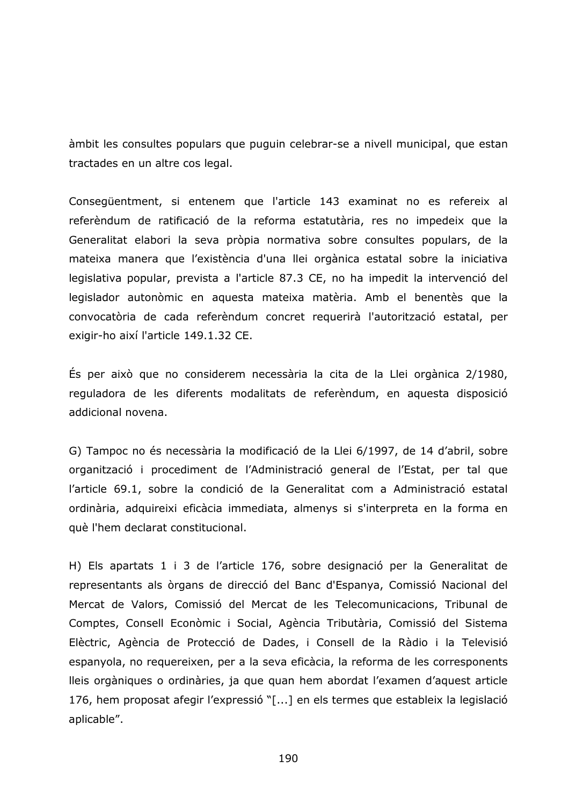àmbit les consultes populars que puguin celebrar-se a nivell municipal, que estan tractades en un altre cos legal.

Consegüentment, si entenem que l'article 143 examinat no es refereix al referèndum de ratificació de la reforma estatutària, res no impedeix que la Generalitat elabori la seva pròpia normativa sobre consultes populars, de la mateixa manera que l'existència d'una llei orgànica estatal sobre la iniciativa legislativa popular, prevista a l'article 87.3 CE, no ha impedit la intervenció del legislador autonòmic en aquesta mateixa matèria. Amb el benentès que la convocatòria de cada referèndum concret requerirà l'autorització estatal, per exigir-ho així l'article 149.1.32 CE.

És per això que no considerem necessària la cita de la Llei orgànica 2/1980, reguladora de les diferents modalitats de referèndum, en aquesta disposició addicional novena.

G) Tampoc no és necessària la modificació de la Llei 6/1997, de 14 d'abril, sobre organització i procediment de l'Administració general de l'Estat, per tal que l'article 69.1, sobre la condició de la Generalitat com a Administració estatal ordinària, adquireixi eficàcia immediata, almenys si s'interpreta en la forma en què l'hem declarat constitucional.

H) Els apartats 1 i 3 de l'article 176, sobre designació per la Generalitat de representants als òrgans de direcció del Banc d'Espanya, Comissió Nacional del Mercat de Valors, Comissió del Mercat de les Telecomunicacions, Tribunal de Comptes, Consell Econòmic i Social, Agència Tributària, Comissió del Sistema Elèctric, Agència de Protecció de Dades, i Consell de la Ràdio i la Televisió espanyola, no requereixen, per a la seva eficàcia, la reforma de les corresponents Ileis orgàniques o ordinàries, ja que quan hem abordat l'examen d'aquest article 176, hem proposat afegir l'expressió "[...] en els termes que estableix la legislació aplicable".